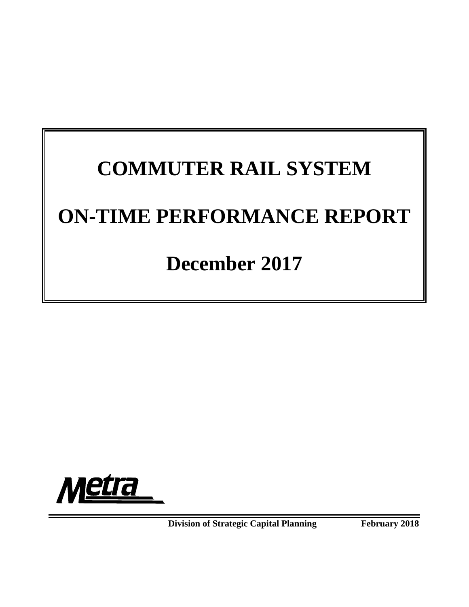# **COMMUTER RAIL SYSTEM ON-TIME PERFORMANCE REPORT**

# **December 2017**



**Division of Strategic Capital Planning February 2018**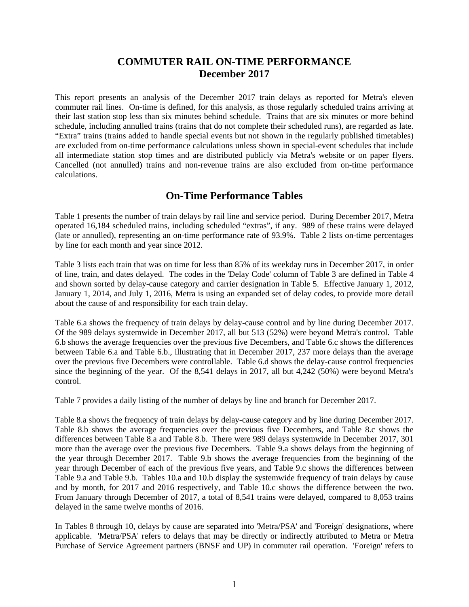# **COMMUTER RAIL ON-TIME PERFORMANCE December 2017**

This report presents an analysis of the December 2017 train delays as reported for Metra's eleven commuter rail lines. On-time is defined, for this analysis, as those regularly scheduled trains arriving at their last station stop less than six minutes behind schedule. Trains that are six minutes or more behind schedule, including annulled trains (trains that do not complete their scheduled runs), are regarded as late. "Extra" trains (trains added to handle special events but not shown in the regularly published timetables) are excluded from on-time performance calculations unless shown in special-event schedules that include all intermediate station stop times and are distributed publicly via Metra's website or on paper flyers. Cancelled (not annulled) trains and non-revenue trains are also excluded from on-time performance calculations.

# **On-Time Performance Tables**

Table 1 presents the number of train delays by rail line and service period. During December 2017, Metra operated 16,184 scheduled trains, including scheduled "extras", if any. 989 of these trains were delayed (late or annulled), representing an on-time performance rate of 93.9%. Table 2 lists on-time percentages by line for each month and year since 2012.

Table 3 lists each train that was on time for less than 85% of its weekday runs in December 2017, in order of line, train, and dates delayed. The codes in the 'Delay Code' column of Table 3 are defined in Table 4 and shown sorted by delay-cause category and carrier designation in Table 5. Effective January 1, 2012, January 1, 2014, and July 1, 2016, Metra is using an expanded set of delay codes, to provide more detail about the cause of and responsibility for each train delay.

Table 6.a shows the frequency of train delays by delay-cause control and by line during December 2017. Of the 989 delays systemwide in December 2017, all but 513 (52%) were beyond Metra's control. Table 6.b shows the average frequencies over the previous five Decembers, and Table 6.c shows the differences between Table 6.a and Table 6.b., illustrating that in December 2017, 237 more delays than the average over the previous five Decembers were controllable. Table 6.d shows the delay-cause control frequencies since the beginning of the year. Of the 8,541 delays in 2017, all but 4,242 (50%) were beyond Metra's control.

Table 7 provides a daily listing of the number of delays by line and branch for December 2017.

Table 8.a shows the frequency of train delays by delay-cause category and by line during December 2017. Table 8.b shows the average frequencies over the previous five Decembers, and Table 8.c shows the differences between Table 8.a and Table 8.b. There were 989 delays systemwide in December 2017, 301 more than the average over the previous five Decembers. Table 9.a shows delays from the beginning of the year through December 2017. Table 9.b shows the average frequencies from the beginning of the year through December of each of the previous five years, and Table 9.c shows the differences between Table 9.a and Table 9.b. Tables 10.a and 10.b display the systemwide frequency of train delays by cause and by month, for 2017 and 2016 respectively, and Table 10.c shows the difference between the two. From January through December of 2017, a total of 8,541 trains were delayed, compared to 8,053 trains delayed in the same twelve months of 2016.

In Tables 8 through 10, delays by cause are separated into 'Metra/PSA' and 'Foreign' designations, where applicable. 'Metra/PSA' refers to delays that may be directly or indirectly attributed to Metra or Metra Purchase of Service Agreement partners (BNSF and UP) in commuter rail operation. 'Foreign' refers to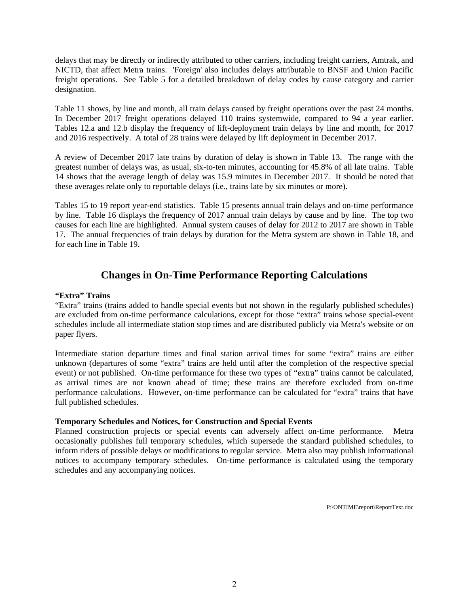delays that may be directly or indirectly attributed to other carriers, including freight carriers, Amtrak, and NICTD, that affect Metra trains. 'Foreign' also includes delays attributable to BNSF and Union Pacific freight operations. See Table 5 for a detailed breakdown of delay codes by cause category and carrier designation.

Table 11 shows, by line and month, all train delays caused by freight operations over the past 24 months. In December 2017 freight operations delayed 110 trains systemwide, compared to 94 a year earlier. Tables 12.a and 12.b display the frequency of lift-deployment train delays by line and month, for 2017 and 2016 respectively. A total of 28 trains were delayed by lift deployment in December 2017.

A review of December 2017 late trains by duration of delay is shown in Table 13. The range with the greatest number of delays was, as usual, six-to-ten minutes, accounting for 45.8% of all late trains. Table 14 shows that the average length of delay was 15.9 minutes in December 2017. It should be noted that these averages relate only to reportable delays (i.e., trains late by six minutes or more).

Tables 15 to 19 report year-end statistics. Table 15 presents annual train delays and on-time performance by line. Table 16 displays the frequency of 2017 annual train delays by cause and by line. The top two causes for each line are highlighted. Annual system causes of delay for 2012 to 2017 are shown in Table 17. The annual frequencies of train delays by duration for the Metra system are shown in Table 18, and for each line in Table 19.

# **Changes in On-Time Performance Reporting Calculations**

#### **"Extra" Trains**

"Extra" trains (trains added to handle special events but not shown in the regularly published schedules) are excluded from on-time performance calculations, except for those "extra" trains whose special-event schedules include all intermediate station stop times and are distributed publicly via Metra's website or on paper flyers.

Intermediate station departure times and final station arrival times for some "extra" trains are either unknown (departures of some "extra" trains are held until after the completion of the respective special event) or not published. On-time performance for these two types of "extra" trains cannot be calculated, as arrival times are not known ahead of time; these trains are therefore excluded from on-time performance calculations. However, on-time performance can be calculated for "extra" trains that have full published schedules.

#### **Temporary Schedules and Notices, for Construction and Special Events**

Planned construction projects or special events can adversely affect on-time performance. Metra occasionally publishes full temporary schedules, which supersede the standard published schedules, to inform riders of possible delays or modifications to regular service. Metra also may publish informational notices to accompany temporary schedules. On-time performance is calculated using the temporary schedules and any accompanying notices.

P:\ONTIME\report\ReportText.doc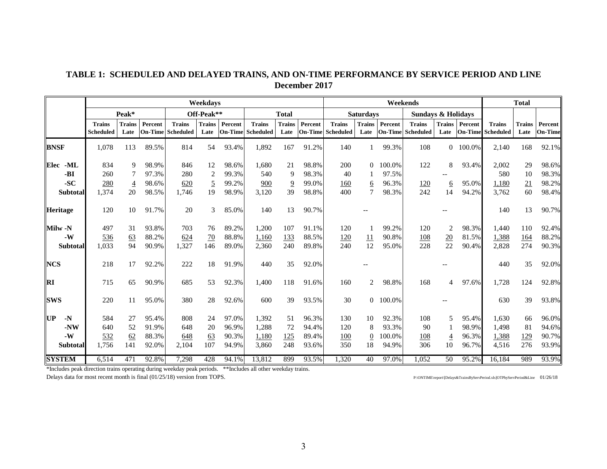## **TABLE 1: SCHEDULED AND DELAYED TRAINS, AND ON-TIME PERFORMANCE BY SERVICE PERIOD AND LINE December 2017**

|                       |                                   |                       |         |                                           | Weekdavs              |         |                                           |                       |         |                                           |                       |                           | Weekends                          |                       |                           |                                   | <b>Total</b>          |                    |
|-----------------------|-----------------------------------|-----------------------|---------|-------------------------------------------|-----------------------|---------|-------------------------------------------|-----------------------|---------|-------------------------------------------|-----------------------|---------------------------|-----------------------------------|-----------------------|---------------------------|-----------------------------------|-----------------------|--------------------|
|                       |                                   | Peak*                 |         |                                           | Off-Peak**            |         |                                           | <b>Total</b>          |         |                                           | <b>Saturdays</b>      |                           | <b>Sundays &amp; Holidays</b>     |                       |                           |                                   |                       |                    |
|                       | <b>Trains</b><br><b>Scheduled</b> | <b>Trains</b><br>Late | Percent | <b>Trains</b><br><b>On-Time</b> Scheduled | <b>Trains</b><br>Late | Percent | <b>Trains</b><br><b>On-Time</b> Scheduled | <b>Trains</b><br>Late | Percent | <b>Trains</b><br><b>On-Time</b> Scheduled | <b>Trains</b><br>Late | Percent<br><b>On-Time</b> | <b>Trains</b><br><b>Scheduled</b> | <b>Trains</b><br>Late | Percent<br><b>On-Time</b> | <b>Trains</b><br><b>Scheduled</b> | <b>Trains</b><br>Late | Percent<br>On-Time |
| <b>BNSF</b>           | 1,078                             | 113                   | 89.5%   | 814                                       | 54                    | 93.4%   | 1,892                                     | 167                   | 91.2%   | 140                                       |                       | 99.3%                     | 108                               |                       | 0 100.0%                  | 2,140                             | 168                   | 92.1%              |
| -ML<br>Elec           | 834                               | 9                     | 98.9%   | 846                                       | 12                    | 98.6%   | 1,680                                     | 21                    | 98.8%   | 200                                       | $\theta$              | 100.0%                    | 122                               | 8                     | 93.4%                     | 2,002                             | 29                    | 98.6%              |
| -BI                   | 260                               |                       | 97.3%   | 280                                       | $\overline{2}$        | 99.3%   | 540                                       | 9                     | 98.3%   | 40                                        |                       | 97.5%                     |                                   |                       |                           | 580                               | 10                    | 98.3%              |
| $-SC$                 | 280                               | $\overline{4}$        | 98.6%   | 620                                       | $\overline{5}$        | 99.2%   | 900                                       | $\overline{9}$        | 99.0%   | <u>160</u>                                | <u>6</u>              | 96.3%                     | <u>120</u>                        | <u>6</u>              | 95.0%                     | 1,180                             | 21                    | 98.2%              |
| <b>Subtotal</b>       | 1,374                             | 20                    | 98.5%   | 1,746                                     | 19                    | 98.9%   | 3,120                                     | 39                    | 98.8%   | 400                                       | $\overline{7}$        | 98.3%                     | 242                               | 14                    | 94.2%                     | 3,762                             | 60                    | 98.4%              |
| Heritage              | 120                               | 10                    | 91.7%   | 20                                        | 3                     | 85.0%   | 140                                       | 13                    | 90.7%   |                                           |                       |                           |                                   |                       |                           | 140                               | 13                    | 90.7%              |
| Milw -N               | 497                               | 31                    | 93.8%   | 703                                       | 76                    | 89.2%   | 1,200                                     | 107                   | 91.1%   | 120                                       |                       | 99.2%                     | 120                               | $\overline{2}$        | 98.3%                     | 1,440                             | 110                   | 92.4%              |
| $-W$                  | 536                               | 63                    | 88.2%   | 624                                       | 70                    | 88.8%   | 1,160                                     | 133                   | 88.5%   | <u>120</u>                                | <u> 11</u>            | 90.8%                     | 108                               | 20                    | 81.5%                     | 1,388                             | 164                   | 88.2%              |
| <b>Subtotal</b>       | 1,033                             | 94                    | 90.9%   | 1,327                                     | 146                   | 89.0%   | 2,360                                     | 240                   | 89.8%   | 240                                       | 12                    | 95.0%                     | 228                               | 22                    | 90.4%                     | 2,828                             | 274                   | 90.3%              |
| <b>NCS</b>            | 218                               | 17                    | 92.2%   | 222                                       | 18                    | 91.9%   | 440                                       | 35                    | 92.0%   |                                           |                       |                           |                                   |                       |                           | 440                               | 35                    | 92.0%              |
| $\mathbf{R}$ <b>I</b> | 715                               | 65                    | 90.9%   | 685                                       | 53                    | 92.3%   | 1,400                                     | 118                   | 91.6%   | 160                                       | 2                     | 98.8%                     | 168                               | 4                     | 97.6%                     | 1,728                             | 124                   | 92.8%              |
| <b>ISWS</b>           | 220                               | 11                    | 95.0%   | 380                                       | 28                    | 92.6%   | 600                                       | 39                    | 93.5%   | 30                                        | $\Omega$              | 100.0%                    |                                   |                       |                           | 630                               | 39                    | 93.8%              |
| UP<br>$-N$            | 584                               | 27                    | 95.4%   | 808                                       | 24                    | 97.0%   | 1,392                                     | 51                    | 96.3%   | 130                                       | 10                    | 92.3%                     | 108                               | 5                     | 95.4%                     | 1,630                             | 66                    | 96.0%              |
| -NW                   | 640                               | 52                    | 91.9%   | 648                                       | 20                    | 96.9%   | 1,288                                     | 72                    | 94.4%   | 120                                       | 8                     | 93.3%                     | 90                                |                       | 98.9%                     | 1,498                             | 81                    | 94.6%              |
| $-W$                  | 532                               | 62                    | 88.3%   | 648                                       | 63                    | 90.3%   | 1,180                                     | 125                   | 89.4%   | 100                                       | $\mathbf{0}$          | 100.0%                    | 108                               | $\overline{4}$        | 96.3%                     | 1,388                             | 129                   | 90.7%              |
| <b>Subtotal</b>       | 1,756                             | 141                   | 92.0%   | 2,104                                     | 107                   | 94.9%   | 3,860                                     | 248                   | 93.6%   | 350                                       | 18                    | 94.9%                     | 306                               | 10                    | 96.7%                     | 4,516                             | 276                   | 93.9%              |
| <b>SYSTEM</b>         | 6,514                             | 471                   | 92.8%   | 7,298                                     | 428                   | 94.1%   | 13,812                                    | 899                   | 93.5%   | 1,320                                     | 40                    | 97.0%                     | 1,052                             | 50                    | 95.2%                     | 16,184                            | 989                   | 93.9%              |

\*Includes peak direction trains operating during weekday peak periods. \*\*Includes all other weekday trains.

Delays data for most recent month is final (01/25/18) version from TOPS. P:\ONTIME\report\[Delays&TrainsByServPeriod.xls]OTPbyServPeriod&Line 01/26/18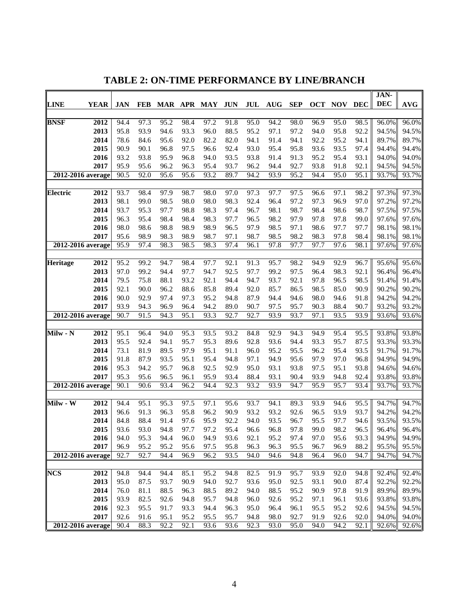|                       |              |              |              |                   |              |              |                   |              |              |              |              |              |              | JAN-           |                |
|-----------------------|--------------|--------------|--------------|-------------------|--------------|--------------|-------------------|--------------|--------------|--------------|--------------|--------------|--------------|----------------|----------------|
| <b>LINE</b>           | <b>YEAR</b>  | <b>JAN</b>   | <b>FEB</b>   | <b>MAR</b>        | APR          | MAY          | <b>JUN</b>        | JUL          | <b>AUG</b>   | <b>SEP</b>   | OCT          | <b>NOV</b>   | <b>DEC</b>   | <b>DEC</b>     | <b>AVG</b>     |
|                       |              |              |              |                   |              |              |                   |              |              |              |              |              |              |                |                |
| <b>BNSF</b>           | 2012         | 94.4         | 97.3         | 95.2              | 98.4         | 97.2         | 91.8              | 95.0         | 94.2         | 98.0         | 96.9         | 95.0         | 98.5         | 96.0%          | 96.0%          |
|                       | 2013         | 95.8         | 93.9         | 94.6              | 93.3         | 96.0         | 88.5              | 95.2         | 97.1         | 97.2         | 94.0         | 95.8         | 92.2         | 94.5%          | 94.5%          |
|                       | 2014         | 78.6         | 84.6         | 95.6              | 92.0         | 82.2         | 82.0              | 94.1         | 91.4         | 94.1         | 92.2         | 95.2         | 94.1         | 89.7%          | 89.7%          |
|                       | 2015         | 90.9         | 90.1         | 96.8              | 97.5         | 96.6         | 92.4              | 93.0         | 95.4         | 95.8         | 93.6         | 93.5         | 97.4         | 94.4%          | 94.4%          |
|                       | 2016         | 93.2         | 93.8         | 95.9              | 96.8         | 94.0         | 93.5              | 93.8         | 91.4         | 91.3         | 95.2         | 95.4         | 93.1         | 94.0%          | 94.0%          |
|                       | 2017         | 95.9         | 95.6         | 96.2              | 96.3         | 95.4         | 93.7              | 96.2         | 94.4         | 92.7         | 93.8         | 91.8         | 92.1         | 94.5%          | 94.5%          |
| $2012 - 2016$ average |              | 90.5         | 92.0         | 95.6              | 95.6         | 93.2         | 89.7              | 94.2         | 93.9         | 95.2         | 94.4         | 95.0         | 95.1         | 93.7%          | 93.7%          |
|                       |              |              |              |                   |              |              |                   |              |              |              |              |              |              |                |                |
| Electric              | 2012         | 93.7         | 98.4         | 97.9              | 98.7         | 98.0         | $\overline{97.0}$ | 97.3         | 97.7         | 97.5         | 96.6         | 97.1         | 98.2         | 97.3%          | 97.3%          |
|                       | 2013         | 98.1         | 99.0         | 98.5              | 98.0         | 98.0         | 98.3              | 92.4         | 96.4         | 97.2         | 97.3         | 96.9         | 97.0         | 97.2%          | 97.2%          |
|                       | 2014         | 93.7         | 95.3         | 97.7              | 98.8         | 98.3         | 97.4              | 96.7         | 98.1         | 98.7         | 98.4         | 98.6         | 98.7         | 97.5%          | 97.5%          |
|                       | 2015         | 96.3         | 95.4         | 98.4              | 98.4         | 98.3         | 97.7              | 96.5         | 98.2         | 97.9         | 97.8         | 97.8         | 99.0         | 97.6%          | 97.6%          |
|                       | 2016         | 98.0         | 98.6         | 98.8              | 98.9         | 98.9         | 96.5              | 97.9         | 98.5         | 97.1         | 98.6         | 97.7         | 97.7         | 98.1%          | 98.1%          |
|                       | 2017         | 95.6         | 98.9         | 98.3              | 98.9         | 98.7         | 97.1              | 98.7         | 98.5         | 98.2         | 98.3         | 97.8         | 98.4         | 98.1%          | 98.1%          |
| $2012 - 2016$ average |              | 95.9         | 97.4         | 98.3              | 98.5         | 98.3         | 97.4              | 96.1         | 97.8         | 97.7         | 97.7         | 97.6         | 98.1         | 97.6%          | 97.6%          |
|                       |              |              |              |                   |              |              |                   |              |              |              |              |              |              |                |                |
| <b>Heritage</b>       | 2012         | 95.2         | 99.2         | 94.7              | 98.4         | 97.7         | 92.1              | 91.3         | 95.7         | 98.2         | 94.9         | 92.9         | 96.7         | 95.6%          | 95.6%          |
|                       | 2013         | 97.0         | 99.2         | 94.4              | 97.7         | 94.7         | 92.5              | 97.7         | 99.2         | 97.5         | 96.4         | 98.3         | 92.1         | 96.4%          | 96.4%          |
|                       | 2014         | 79.5         | 75.8         | 88.1              | 93.2         | 92.1         | 94.4              | 94.7         | 93.7         | 92.1         | 97.8         | 96.5         | 98.5         | 91.4%          | 91.4%          |
|                       | 2015         | 92.1         | 90.0         | 96.2              | 88.6         | 85.8         | 89.4              | 92.0         | 85.7         | 86.5         | 98.5         | 85.0         | 90.9         | 90.2%          | 90.2%          |
|                       | 2016         | 90.0         | 92.9         | 97.4              | 97.3         | 95.2         | 94.8              | 87.9         | 94.4         | 94.6         | 98.0         | 94.6         | 91.8         | 94.2%          | 94.2%          |
|                       | 2017         | 93.9         | 94.3         | 96.9              | 96.4         | 94.2         | 89.0              | 90.7         | 97.5         | 95.7         | 90.3         | 88.4         | 90.7         | 93.2%          | 93.2%          |
| 2012-2016 average     |              | 90.7         | 91.5         | 94.3              | 95.1         | 93.3         | 92.7              | 92.7         | 93.9         | 93.7         | 97.1         | 93.5         | 93.9         | 93.6%          | 93.6%          |
|                       |              |              |              |                   |              |              |                   |              |              |              |              |              |              |                |                |
| Milw - N              | 2012         | 95.1         | 96.4         | 94.0              | 95.3         | 93.5         | 93.2              | 84.8         | 92.9         | 94.3         | 94.9         | 95.4         | 95.5         | 93.8%          | 93.8%          |
|                       | 2013         | 95.5         | 92.4         | 94.1              | 95.7         | 95.3         | 89.6              | 92.8         | 93.6         | 94.4         | 93.3         | 95.7         | 87.5         | 93.3%          | 93.3%          |
|                       | 2014         | 73.1         | 81.9         | 89.5              | 97.9         | 95.1         | 91.1              | 96.0         | 95.2         | 95.5         | 96.2         | 95.4         | 93.5         | 91.7%          | 91.7%          |
|                       | 2015         | 91.8         | 87.9         | 93.5              | 95.1         | 95.4         | 94.8              | 97.1         | 94.9         | 95.6         | 97.9         | 97.0         | 96.8         | 94.9%          | 94.9%          |
|                       | 2016         | 95.3         | 94.2         | 95.7              | 96.8         | 92.5         | 92.9              | 95.0         | 93.1         | 93.8         | 97.5         | 95.1         | 93.8         | 94.6%          | 94.6%          |
|                       | 2017         | 95.3         | 95.6         | 96.5              | 96.1         | 95.9         | 93.4              | 88.4         | 93.1         | 90.4         | 93.9         | 94.8         | 92.4         | 93.8%          | 93.8%          |
| 2012-2016 average     |              | 90.1         | 90.6         | 93.4              | 96.2         | 94.4         | 92.3              | 93.2         | 93.9         | 94.7         | 95.9         | 95.7         | 93.4         | 93.7%          | 93.7%          |
|                       |              |              |              |                   |              |              |                   |              |              |              |              |              |              |                |                |
| Milw - W              | 2012<br>2013 | 94.4         | 95.1<br>91.3 | $\overline{95.3}$ | 97.5<br>95.8 | 97.1         | 95.6              | 93.7<br>93.2 | 94.1<br>93.2 | 89.3         | 93.9         | 94.6         | 95.5         | 94.7%<br>94.2% | 94.7%<br>94.2% |
|                       | 2014         | 96.6<br>84.8 | 88.4         | 96.3<br>91.4      | 97.6         | 96.2<br>95.9 | 90.9<br>92.2      | 94.0         | 93.5         | 92.6<br>96.7 | 96.5<br>95.5 | 93.9<br>97.7 | 93.7<br>94.6 | 93.5%          | 93.5%          |
|                       | 2015         | 93.6         | 93.0         | 94.8              | 97.7         | 97.2         | 95.4              | 96.6         | 96.8         | 97.8         | 99.0         | 98.2         | 96.5         | 96.4%          | 96.4%          |
|                       | 2016         | 94.0         | 95.3         | 94.4              | 96.0         | 94.9         | 93.6              | 92.1         | 95.2         | 97.4         | 97.0         | 95.6         | 93.3         | 94.9%          | 94.9%          |
|                       | 2017         | 96.9         | 95.2         | 95.2              | 95.6         | 97.5         | 95.8              | 96.3         | 96.3         | 95.5         | 96.7         | 96.9         | 88.2         | 95.5%          | 95.5%          |
| 2012-2016 average     |              | 92.7         | 92.7         | 94.4              | 96.9         | 96.2         | 93.5              | 94.0         | 94.6         | 94.8         | 96.4         | 96.0         | 94.7         | 94.7%          | 94.7%          |
|                       |              |              |              |                   |              |              |                   |              |              |              |              |              |              |                |                |
| <b>NCS</b>            | 2012         | 94.8         | 94.4         | 94.4              | 85.1         | 95.2         | 94.8              | 82.5         | 91.9         | 95.7         | 93.9         | 92.0         | 94.8         | 92.4%          | 92.4%          |
|                       | 2013         | 95.0         | 87.5         | 93.7              | 90.9         | 94.0         | 92.7              | 93.6         | 95.0         | 92.5         | 93.1         | 90.0         | 87.4         | 92.2%          | 92.2%          |
|                       | 2014         | 76.0         | 81.1         | 88.5              | 96.3         | 88.5         | 89.2              | 94.0         | 88.5         | 95.2         | 90.9         | 97.8         | 91.9         | 89.9%          | 89.9%          |
|                       | 2015         | 93.9         | 82.5         | 92.6              | 94.8         | 95.7         | 94.8              | 96.0         | 92.6         | 95.2         | 97.1         | 96.1         | 93.6         | 93.8%          | 93.8%          |
|                       | 2016         | 92.3         | 95.5         | 91.7              | 93.3         | 94.4         | 96.3              | 95.0         | 96.4         | 96.1         | 95.5         | 95.2         | 92.6         | 94.5%          | 94.5%          |
|                       | 2017         | 92.6         | 91.6         | 95.1              | 95.2         | 95.5         | 95.7              | 94.8         | 98.0         | 92.7         | 91.9         | 92.6         | 92.0         | 94.0%          | 94.0%          |
| 2012-2016 average     |              | 90.4         | 88.3         | 92.2              | 92.1         | 93.6         | 93.6              | 92.3         | 93.0         | 95.0         | 94.0         | 94.2         | 92.1         | 92.6%          | 92.6%          |
|                       |              |              |              |                   |              |              |                   |              |              |              |              |              |              |                |                |

**TABLE 2: ON-TIME PERFORMANCE BY LINE/BRANCH**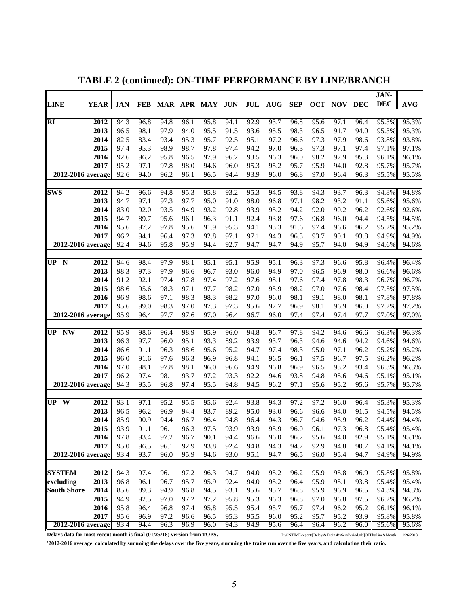|                    |             |              |              |              |              |              |              |              |                                  |              |              |              |              | JAN-           |                |
|--------------------|-------------|--------------|--------------|--------------|--------------|--------------|--------------|--------------|----------------------------------|--------------|--------------|--------------|--------------|----------------|----------------|
| <b>LINE</b>        | <b>YEAR</b> | <b>JAN</b>   | <b>FEB</b>   |              |              | MAR APR MAY  | <b>JUN</b>   | JUL          | $\mathbf{A}\mathbf{U}\mathbf{G}$ | <b>SEP</b>   | <b>OCT</b>   | <b>NOV</b>   | <b>DEC</b>   | <b>DEC</b>     | <b>AVG</b>     |
|                    |             |              |              |              |              |              |              |              |                                  |              |              |              |              |                |                |
| <b>RI</b>          | 2012        | 94.3         | 96.8         | 94.8         | 96.1         | 95.8         | 94.1         | 92.9         | 93.7                             | 96.8         | 95.6         | 97.1         | 96.4         | 95.3%          | 95.3%          |
|                    | 2013        | 96.5         | 98.1         | 97.9         | 94.0         | 95.5         | 91.5         | 93.6         | 95.5                             | 98.3         | 96.5         | 91.7         | 94.0         | 95.3%          | 95.3%          |
|                    | 2014        | 82.5         | 83.4         | 93.4         | 95.3         | 95.7         | 92.5         | 95.1         | 97.2                             | 96.6         | 97.3         | 97.9         | 98.6         | 93.8%          | 93.8%          |
|                    | 2015        | 97.4         | 95.3         | 98.9         | 98.7         | 97.8         | 97.4         | 94.2         | 97.0                             | 96.3         | 97.3         | 97.1         | 97.4         | 97.1%          | 97.1%          |
|                    | 2016        | 92.6         | 96.2         | 95.8         | 96.5         | 97.9         | 96.2         | 93.5         | 96.3                             | 96.0         | 98.2         | 97.9         | 95.3         | 96.1%          | 96.1%          |
|                    | 2017        | 95.2         | 97.1         | 97.8         | 98.0         | 94.6         | 96.0         | 95.3         | 95.2                             | 95.7         | 95.9         | 94.0         | 92.8         | 95.7%          | 95.7%          |
| 2012-2016 average  |             | 92.6         | 94.0         | 96.2         | 96.1         | 96.5         | 94.4         | 93.9         | 96.0                             | 96.8         | 97.0         | 96.4         | 96.3         | 95.5%          | 95.5%          |
| <b>SWS</b>         | 2012        | 94.2         | 96.6         | 94.8         | 95.3         | 95.8         | 93.2         | 95.3         | 94.5                             | 93.8         | 94.3         | 93.7         | 96.3         | 94.8%          | 94.8%          |
|                    | 2013        | 94.7         | 97.1         | 97.3         | 97.7         | 95.0         | 91.0         | 98.0         | 96.8                             | 97.1         | 98.2         | 93.2         | 91.1         | 95.6%          | 95.6%          |
|                    | 2014        | 83.0         | 92.0         | 93.5         | 94.9         | 93.2         | 92.8         | 93.9         | 95.2                             | 94.2         | 92.0         | 90.2         | 96.2         | 92.6%          | 92.6%          |
|                    | 2015        | 94.7         | 89.7         | 95.6         | 96.1         | 96.3         | 91.1         | 92.4         | 93.8                             | 97.6         | 96.8         | 96.0         | 94.4         | 94.5%          | 94.5%          |
|                    | 2016        | 95.6         | 97.2         | 97.8         | 95.6         | 91.9         | 95.3         | 94.1         | 93.3                             | 91.6         | 97.4         | 96.6         | 96.2         | 95.2%          | 95.2%          |
|                    | 2017        | 96.2         | 94.1         | 96.4         | 97.3         | 92.8         | 97.1         | 97.1         | 94.3                             | 96.3         | 93.7         | 90.1         | 93.8         | 94.9%          | 94.9%          |
| 2012-2016 average  |             | 92.4         | 94.6         | 95.8         | 95.9         | 94.4         | 92.7         | 94.7         | 94.7                             | 94.9         | 95.7         | 94.0         | 94.9         | 94.6%          | 94.6%          |
|                    |             |              |              |              |              |              |              |              |                                  |              |              |              |              |                |                |
| $UP - N$           | 2012        | 94.6         | 98.4         | 97.9         | 98.1         | 95.1         | 95.1         | 95.9         | 95.1                             | 96.3         | 97.3         | 96.6         | 95.8         | 96.4%          | 96.4%          |
|                    | 2013        | 98.3         | 97.3         | 97.9         | 96.6         | 96.7         | 93.0         | 96.0         | 94.9                             | 97.0         | 96.5         | 96.9         | 98.0         | 96.6%          | 96.6%          |
|                    | 2014        | 91.2         | 92.1         | 97.4         | 97.8         | 97.4         | 97.2         | 97.6         | 98.1                             | 97.6         | 97.4         | 97.8         | 98.3         | 96.7%          | 96.7%          |
|                    | 2015        | 98.6         | 95.6         | 98.3         | 97.1         | 97.7         | 98.2         | 97.0         | 95.9                             | 98.2         | 97.0         | 97.6         | 98.4         | 97.5%          | 97.5%          |
|                    | 2016        | 96.9         | 98.6         | 97.1         | 98.3         | 98.3         | 98.2         | 97.0         | 96.0                             | 98.1         | 99.1         | 98.0         | 98.1         | 97.8%          | 97.8%          |
|                    | 2017        | 95.6         | 99.0         | 98.3         | 97.0         | 97.3         | 97.3         | 95.6         | 97.7                             | 96.9         | 98.1         | 96.9         | 96.0         | 97.2%          | 97.2%          |
| 2012-2016 average  |             | 95.9         | 96.4         | 97.7         | 97.6         | 97.0         | 96.4         | 96.7         | 96.0                             | 97.4         | 97.4         | 97.4         | 97.7         | 97.0%          | 97.0%          |
| <b>UP</b> - NW     | 2012        | 95.9         | 98.6         | 96.4         | 98.9         | 95.9         | 96.0         | 94.8         | 96.7                             | 97.8         | 94.2         | 94.6         | 96.6         | 96.3%          | 96.3%          |
|                    | 2013        | 96.3         | 97.7         | 96.0         | 95.1         | 93.3         | 89.2         | 93.9         | 93.7                             | 96.3         | 94.6         | 94.6         | 94.2         | 94.6%          | 94.6%          |
|                    | 2014        | 86.6         | 91.1         | 96.3         | 98.6         | 95.6         | 95.2         | 94.7         | 97.4                             | 98.3         | 95.0         | 97.1         | 96.2         | 95.2%          | 95.2%          |
|                    | 2015        | 96.0         | 91.6         | 97.6         | 96.3         | 96.9         | 96.8         | 94.1         | 96.5                             | 96.1         | 97.5         | 96.7         | 97.5         | 96.2%          | 96.2%          |
|                    | 2016        | 97.0         | 98.1         | 97.8         | 98.1         | 96.0         | 96.6         | 94.9         | 96.8                             | 96.9         | 96.5         | 93.2         | 93.4         | 96.3%          | 96.3%          |
|                    | 2017        | 96.2         | 97.4         | 98.1         | 93.7         | 97.2         | 93.3         | 92.2         | 94.6                             | 93.8         | 94.8         | 95.6         | 94.6         | 95.1%          | 95.1%          |
| 2012-2016 average  |             | 94.3         | 95.5         | 96.8         | 97.4         | 95.5         | 94.8         | 94.5         | 96.2                             | 97.1         | 95.6         | 95.2         | 95.6         | 95.7%          | 95.7%          |
|                    |             |              |              |              |              |              |              |              |                                  |              |              |              |              |                |                |
| $UP-W$             | 2012        | 93.1         | 97.1         | 95.2         | 95.5         | 95.6         | 92.4         | 93.8         | 94.3                             | 97.2         | 97.2         | 96.0         | 96.4         | 95.3%          | 95.3%          |
|                    | 2013        | 96.5         | 96.2         | 96.9         | 94.4         | 93.7         | 89.2         | 95.0         | 93.0                             | 96.6         | 96.6         | 94.0         | 91.5         | 94.5%          | 94.5%          |
|                    | 2014        | 85.9         | 90.9         | 94.4         | 96.7         | 96.4         | 94.8         | 96.4         | 94.3                             | 96.7         | 94.6         | 95.9         | 96.2         | 94.4%          | 94.4%          |
|                    | 2015        | 93.9         | 91.1         | 96.1         | 96.3         | 97.5         | 93.9         | 93.9         | 95.9                             | 96.0         | 96.1         | 97.3         | 96.8         | 95.4%          | 95.4%          |
|                    | 2016        | 97.8         | 93.4         | 97.2         | 96.7         | 90.1         | 94.4         | 96.6         | 96.0                             | 96.2         | 95.6         | 94.0         | 92.9         | 95.1%          | 95.1%          |
|                    | 2017        | 95.0         | 96.5         | 96.1         | 92.9         | 93.8         | 92.4         | 94.8         | 94.3                             | 94.7         | 92.9         | 94.8         | 90.7         | 94.1%          | 94.1%          |
| 2012-2016 average  |             | 93.4         | 93.7         | 96.0         | 95.9         | 94.6         | 93.0         | 95.1         | 94.7                             | 96.5         | 96.0         | 95.4         | 94.7         | 94.9%          | 94.9%          |
|                    |             |              |              |              |              |              |              |              |                                  |              |              |              |              |                |                |
| <b>SYSTEM</b>      | 2012        | 94.3         | 97.4         | 96.1         | 97.2         | 96.3         | 94.7         | 94.0         | 95.2                             | 96.2         | 95.9         | 95.8         | 96.9         | 95.8%          | 95.8%          |
| excluding          | 2013        | 96.8         | 96.1         | 96.7         | 95.7         | 95.9         | 92.4         | 94.0         | 95.2                             | 96.4         | 95.9         | 95.1         | 93.8         | 95.4%          | 95.4%          |
| <b>South Shore</b> | 2014        | 85.6         | 89.3         | 94.9         | 96.8         | 94.5         | 93.1         | 95.6         | 95.7                             | 96.8         | 95.9         | 96.9         | 96.5         | 94.3%          | 94.3%          |
|                    | 2015        | 94.9         | 92.5         | 97.0         | 97.2         | 97.2         | 95.8         | 95.3         | 96.3                             | 96.8         | 97.0         | 96.8         | 97.5         | 96.2%          | 96.2%          |
|                    | 2016        | 95.8         | 96.4         | 96.8         | 97.4         | 95.8         | 95.5         | 95.4         | 95.7                             | 95.7         | 97.4         | 96.2         | 95.2         | 96.1%          | 96.1%          |
| 2012-2016 average  | 2017        | 95.6<br>93.4 | 96.9<br>94.4 | 97.2<br>96.3 | 96.6<br>96.9 | 96.5<br>96.0 | 95.3<br>94.3 | 95.5<br>94.9 | 96.0<br>95.6                     | 95.2<br>96.4 | 95.7<br>96.4 | 95.2<br>96.2 | 93.9<br>96.0 | 95.8%<br>95.6% | 95.8%<br>95.6% |
|                    |             |              |              |              |              |              |              |              |                                  |              |              |              |              |                |                |

**TABLE 2 (continued): ON-TIME PERFORMANCE BY LINE/BRANCH**

**Delays data for most recent month is final (01/25/18) version from TOPS.** P:\ONTIME\report\[Delays&TrainsByServPeriod.xls]OTPbyLine&Month 1/26/2018

**'2012-2016 average' calculated by summing the delays over the five years, summing the trains run over the five years, and calculating their ratio.**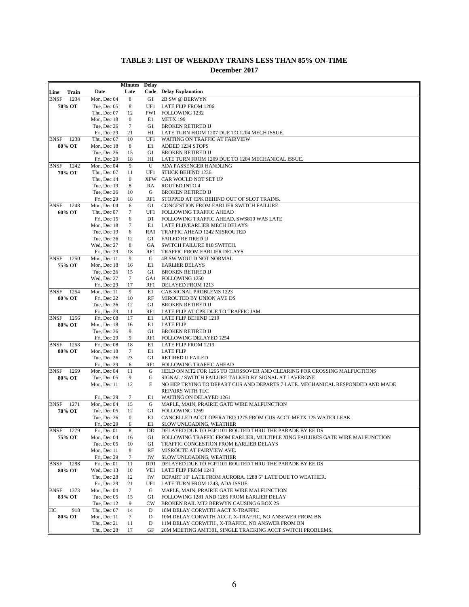|                     |             | <b>Minutes</b>   | <b>Delay</b>   |                                                                               |
|---------------------|-------------|------------------|----------------|-------------------------------------------------------------------------------|
| Train<br>Line       | Date        | Late             |                | <b>Code</b> Delay Explanation                                                 |
| <b>BNSF</b><br>1234 | Mon, Dec 04 | 8                | G1             | 2B SW @ BERWYN                                                                |
| 70% OT              | Tue, Dec 05 | 8                | UF1            | LATE FLIP FROM 1206                                                           |
|                     | Thu, Dec 07 | 12               | FW1            | FOLLOWING 1232                                                                |
|                     | Mon, Dec 18 | $\mathbf{0}$     | E1             | <b>METX 199</b>                                                               |
|                     | Tue, Dec 26 | 7                | G1             | <b>BROKEN RETIRED IJ</b>                                                      |
|                     | Fri, Dec 29 | 21               | H1             | LATE TURN FROM 1207 DUE TO 1204 MECH ISSUE.                                   |
| 1238<br>BNSF        | Thu, Dec 07 | 10               | UF1            | WAITING ON TRAFFIC AT FAIRVIEW                                                |
| 80% OT              | Mon, Dec 18 | 8                | E1             | ADDED 1234 STOPS                                                              |
|                     | Tue, Dec 26 | 15               | G1             | <b>BROKEN RETIRED IJ</b>                                                      |
|                     | Fri, Dec 29 | 18               | H1             | LATE TURN FROM 1209 DUE TO 1204 MECHANICAL ISSUE.                             |
| <b>BNSF</b><br>1242 | Mon, Dec 04 | 9                | U              | ADA PASSENGER HANDLING                                                        |
| 70% OT              | Thu, Dec 07 | 11               | UF1            | <b>STUCK BEHIND 1236</b>                                                      |
|                     | Thu, Dec 14 | 0                | XFW            | CAR WOULD NOT SET UP                                                          |
|                     | Tue, Dec 19 | 8                | RA             | <b>ROUTED INTO 4</b>                                                          |
|                     | Tue, Dec 26 | 10               | G              | <b>BROKEN RETIRED IJ</b>                                                      |
|                     | Fri, Dec 29 | 18               | RF1            | STOPPED AT CPK BEHIND OUT OF SLOT TRAINS.                                     |
| 1248<br><b>BNSF</b> | Mon, Dec 04 | 6                | G1             | CONGESTION FROM EARLIER SWITCH FAILURE.                                       |
| 60% OT              | Thu, Dec 07 | 7                | UF1            | <b>FOLLOWING TRAFFIC AHEAD</b>                                                |
|                     | Fri, Dec 15 | 6                | D <sub>1</sub> | FOLLOWING TRAFFIC AHEAD, SWS810 WAS LATE                                      |
|                     | Mon, Dec 18 | 7                | E1             | LATE FLIP/EARLIER MECH DELAYS                                                 |
|                     | Tue, Dec 19 | 6                | RA1            | TRAFFIC AHEAD 1242 MISROUTED                                                  |
|                     | Tue, Dec 26 | 12               | G1             | <b>FAILED RETIRED IJ</b>                                                      |
|                     | Wed, Dec 27 | 8                | GA             | SWITCH FAILURE 818 SWITCH.                                                    |
|                     | Fri, Dec 29 | 18               | RF1            | TRAFFIC FROM EARLIER DELAYS                                                   |
| 1250<br><b>BNSF</b> | Mon, Dec 11 | 9                | G              | <b>4B SW WOULD NOT NORMAL</b>                                                 |
| 75% OT              | Mon, Dec 18 | 16               | E1             | <b>EARLIER DELAYS</b>                                                         |
|                     | Tue, Dec 26 | 15               | G1             | <b>BROKEN RETIRED IJ</b>                                                      |
|                     | Wed, Dec 27 | 7                | GA1            | <b>FOLLOWING 1250</b>                                                         |
|                     | Fri, Dec 29 | 17               | RF1            | DELAYED FROM 1213                                                             |
| 1254<br>BNSF        | Mon, Dec 11 | 9                | E1             | CAB SIGNAL PROBLEMS 1223                                                      |
| 80% OT              | Fri, Dec 22 | 10               | RF             | MIROUTED BY UNION AVE DS                                                      |
|                     | Tue, Dec 26 | 12               | G1             | <b>BROKEN RETIRED IJ</b>                                                      |
|                     | Fri, Dec 29 | 11               | RF1            | LATE FLIP AT CPK DUE TO TRAFFIC JAM.                                          |
| 1256<br><b>BNSF</b> | Fri, Dec 08 | 17               | E1             | LATE FLIP BEHIND 1219                                                         |
| 80% OT              | Mon, Dec 18 | 16               | E1             | <b>LATE FLIP</b>                                                              |
|                     | Tue, Dec 26 | 9                | G1             | <b>BROKEN RETIRED IJ</b>                                                      |
|                     | Fri, Dec 29 | 9                | RF1            | FOLLOWING DELAYED 1254                                                        |
| <b>BNSF</b> 1258    | Fri, Dec 08 | 18               | E1             | LATE FLIP FROM 1219                                                           |
| 80% OT              | Mon, Dec 18 | $\tau$           | E1             | <b>LATE FLIP</b>                                                              |
|                     | Tue, Dec 26 | 23               | G1             | RETIRED IJ FAILED                                                             |
|                     | Fri, Dec 29 | 6                | RF1            | FOLLOWING TRAFFIC AHEAD                                                       |
| 1269<br><b>BNSF</b> | Mon, Dec 04 | 11               | G              | HELD ON MT2 FOR 1265 TO CROSSOVER AND CLEARING FOR CROSSING MALFUCTIONS       |
| 80% OT              | Tue, Dec 05 | 9                | G              | SIGNAL / SWITCH FAILURE TALKED BY SIGNAL AT LAVERGNE                          |
|                     | Mon, Dec 11 | 12               | Ε              | NO HEP TRYING TO DEPART CUS AND DEPARTS 7 LATE. MECHANICAL RESPONDED AND MADE |
|                     |             |                  |                | REPAIRS WITH TLC                                                              |
|                     | Fri, Dec 29 | 7                | E1             | WAITING ON DELAYED 1261                                                       |
| 1271<br><b>BNSF</b> | Mon, Dec 04 | 15               | G              | MAPLE, MAIN, PRAIRIE GATE WIRE MALFUNCTION                                    |
| 78% OT              | Tue, Dec 05 | 12               | G1             | FOLLOWING 1269                                                                |
|                     | Tue, Dec 26 | $\boldsymbol{0}$ | E1             | CANCELLED ACCT OPERATED 1275 FROM CUS ACCT METX 125 WATER LEAK                |
|                     | Fri, Dec 29 | 6                | E1             | SLOW UNLOADING, WEATHER                                                       |
| BNSF 1279           | Fri, Dec 01 | 8                | DD             | DELAYED DUE TO FGP1101 ROUTED THRU THE PARADE BY EE DS                        |
| 75% OT              | Mon, Dec 04 | 16               | G1             | FOLLOWING TRAFFIC FROM EARLIER, MULTIPLE XING FAILURES GATE WIRE MALFUNCTION  |
|                     | Tue, Dec 05 | 10               | G1             | TRAFFIC CONGESTION FROM EARLIER DELAYS                                        |
|                     | Mon, Dec 11 | 8                | RF             | MISROUTE AT FAIRVIEW AVE.                                                     |
|                     | Fri, Dec 29 | 7                | IW             | SLOW UNLOADING, WEATHER                                                       |
| BNSF<br>1288        | Fri, Dec 01 | 11               | DD1            | DELAYED DUE TO FGP1101 ROUTED THRU THE PARADE BY EE DS                        |
| 80% OT              | Wed, Dec 13 | 10               | VE1            | LATE FLIP FROM 1243                                                           |
|                     | Thu, Dec 28 | 12               | IW             | DEPART 10" LATE FROM AURORA. 1288 5" LATE DUE TO WEATHER.                     |
|                     | Fri, Dec 29 | 21               | UF1            | LATE TURN FROM 1243, ADA ISSUE                                                |
| BNSF<br>1373        | Mon, Dec 04 | 7                | G              | MAPLE, MAIN, PRAIRIE GATE WIRE MALFUNCTION                                    |
| 83% OT              | Tue, Dec 05 | 15               | G1             | FOLLOWING 1281 AND 1285 FROM EARLIER DELAY                                    |
|                     | Tue, Dec 12 | 9                | <b>CW</b>      | BROKEN RAIL MT2 BERWYN CAUSING 6 BOX 2S                                       |
| 918<br>HC           | Thu, Dec 07 | 14               | D              | 18M DELAY CORWITH AACT X-TRAFFIC                                              |
| 80% OT              | Mon, Dec 11 | 7                | D              | 10M DELAY CORWITH ACCT. X-TRAFFIC, NO ANSEWER FROM BN                         |
|                     | Thu, Dec 21 | 11               | D              | 11M DELAY CORWITH, X-TRAFFIC, NO ANSWER FROM BN                               |
|                     | Thu, Dec 28 | 17               | GF             | 20M MEETING AMT301, SINGLE TRACKING ACCT SWITCH PROBLEMS.                     |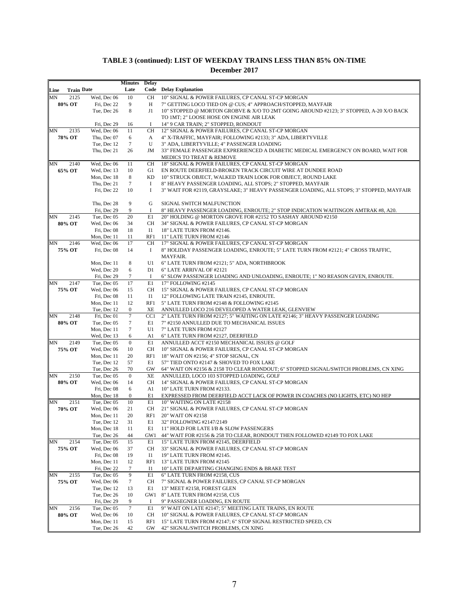|      |                   |                            | <b>Minutes</b>        | Delay           |                                                                                                                                                        |
|------|-------------------|----------------------------|-----------------------|-----------------|--------------------------------------------------------------------------------------------------------------------------------------------------------|
| Line | <b>Train Date</b> |                            | Late                  |                 | <b>Code</b> Delay Explanation                                                                                                                          |
| MN   | 2125              | Wed, Dec 06                | 10                    | <b>CH</b>       | 10" SIGNAL & POWER FAILURES, CP CANAL ST-CP MORGAN                                                                                                     |
|      | 80% OT            | Fri, Dec 22                | 9                     | Н               | 7" GETTING LOCO TIED ON @ CUS; 4" APPROACH/STOPPED, MAYFAIR                                                                                            |
|      |                   | Tue, Dec 26                | 8                     | J1              | 10" STOPPED @ MORTON GROBVE & X/O TO 2MT GOING AROUND #2123; 3" STOPPED, A-20 X/O BACK                                                                 |
|      |                   |                            |                       |                 | TO 1MT; 2" LOOSE HOSE ON ENGINE AIR LEAK                                                                                                               |
|      |                   | Fri. Dec 29                | 16                    | Ι.              | 14" 9 CAR TRAIN; 2" STOPPED, RONDOUT                                                                                                                   |
| MN   | 2135              | Wed, Dec 06                | 11                    | CH              | 12" SIGNAL & POWER FAILURES, CP CANAL ST-CP MORGAN                                                                                                     |
|      | 78% OT            | Thu, Dec 07                | 6                     | A               | 4" X-TRAFFIC, MAYFAIR; FOLLOWING #2133; 3" ADA, LIBERTYVILLE                                                                                           |
|      |                   | Tue, Dec 12                | 7                     | U               | 3" ADA, LIBERTYVILLE; 4" PASSENGER LOADING                                                                                                             |
|      |                   | Thu, Dec 21                | 26                    | JM              | 33" FEMALE PASSENGER EXPRERIENCED A DIABETIC MEDICAL EMERGENCY ON BOARD, WAIT FOR                                                                      |
|      |                   |                            |                       |                 | MEDICS TO TREAT & REMOVE                                                                                                                               |
| MΝ   | 2140              | Wed, Dec 06                | 11                    | CH              | 18" SIGNAL & POWER FAILURES, CP CANAL ST-CP MORGAN                                                                                                     |
|      | 65% OT            | Wed, Dec 13                | 10                    | G1              | EN ROUTE DEERFIELD-BROKEN TRACK CIRCUIT WIRE AT DUNDEE ROAD                                                                                            |
|      |                   | Mon, Dec 18                | 8                     | KD<br>$\bf{I}$  | 10" STRUCK OBJECT, WALKED TRAIN LOOK FOR OBJECT, ROUND LAKE                                                                                            |
|      |                   | Thu, Dec 21<br>Fri, Dec 22 | $\tau$<br>10          | Ι               | 8" HEAVY PASSENGER LOADING, ALL STOPS; 2" STOPPED, MAYFAIR<br>3" WAIT FOR #2119, GRAYSLAKE; 3" HEAVY PASSENGER LOADING, ALL STOPS; 3" STOPPED, MAYFAIR |
|      |                   |                            |                       |                 |                                                                                                                                                        |
|      |                   | Thu, Dec 28                | 9                     | G               | SIGNAL SWITCH MALFUNCTION                                                                                                                              |
|      |                   | Fri, Dec 29                | 9                     | Ι.              | 8" HEAVY PASSENGER LOADING, ENROUTE; 2" STOP INDICATION WAITINGON AMTRAK #8, A20.                                                                      |
| MΝ   | 2145              | Tue, Dec 05                | 20                    | E1              | 20" HOLDING @ MORTON GROVE FOR #2152 TO SASHAY AROUND #2150                                                                                            |
|      | 80% OT            | Wed, Dec 06                | 34                    | CH              | 34" SIGNAL & POWER FAILURES, CP CANAL ST-CP MORGAN                                                                                                     |
|      |                   | Fri, Dec 08                | 18                    | $_{\rm I1}$     | 18" LATE TURN FROM #2146.                                                                                                                              |
|      |                   | Mon, Dec 11                | 11                    | RF1             | 11" LATE TURN FROM #2146                                                                                                                               |
| MΝ   | 2146              | Wed, Dec 06                | 17                    | CH              | 17" SIGNAL & POWER FAILURES, CP CANAL ST-CP MORGAN                                                                                                     |
|      | 75% OT            | Fri, Dec 08                | 14                    | Ι.              | 8" HOLIDAY PASSENGER LOADING, ENROUTE; 5" LATE TURN FROM #2121; 4" CROSS TRAFFIC,                                                                      |
|      |                   |                            |                       |                 | MAYFAIR.                                                                                                                                               |
|      |                   | Mon, Dec 11                | 8                     | U1              | 6" LATE TURN FROM #2121; 5" ADA, NORTHBROOK                                                                                                            |
|      |                   | Wed, Dec 20                | 6                     | D1              | 6" LATE ARRIVAL OF #2121                                                                                                                               |
|      |                   | Fri, Dec 29                | 7                     | Ι.              | 6" SLOW PASSENGER LOADING AND UNLOADING, ENROUTE; 1" NO REASON GIVEN, ENROUTE.                                                                         |
| MΝ   | 2147              | Tue, Dec 05                | 17                    | E1              | 17" FOLLOWING #2145                                                                                                                                    |
|      | 75% OT            | Wed, Dec 06                | 15                    | CH              | 15" SIGNAL & POWER FAILURES, CP CANAL ST-CP MORGAN                                                                                                     |
|      |                   | Fri, Dec 08                | 11                    | <b>I1</b>       | 12" FOLLOWING LATE TRAIN #2145, ENROUTE.                                                                                                               |
|      |                   | Mon, Dec 11                | 12                    | RF1             | 5" LATE TURN FROM #2148 & FOLLOWING #2145                                                                                                              |
|      |                   | Tue, Dec 12                | $\boldsymbol{0}$      | XЕ              | ANNULLED LOCO 216 DEVELOPED A WATER LEAK, GLENVIEW                                                                                                     |
| MN   | 2148              | Fri, Dec 01                | $\tau$                | CC1             | 2" LATE TURN FROM #2127; 5" WAITING ON LATE #2146; 3" HEAVY PASSENGER LOADING                                                                          |
|      | 80% OT            | Tue, Dec 05                | 7                     | E1              | 7" #2150 ANNULLED DUE TO MECHANICAL ISSUES                                                                                                             |
|      |                   | Mon, Dec 11                | $\tau$                | U1              | 7" LATE TURN FROM #2127                                                                                                                                |
| MΝ   | 2149              | Wed, Dec 13<br>Tue, Dec 05 | 6<br>$\boldsymbol{0}$ | A1<br>E1        | 6" LATE TURN FROM #2127, DEERFIELD<br>ANNULLED ACCT #2150 MECHANICAL ISSUES @ GOLF                                                                     |
|      | 75% OT            | Wed, Dec 06                | 10                    | CH              | 10" SIGNAL & POWER FAILURES, CP CANAL ST-CP MORGAN                                                                                                     |
|      |                   | Mon, Dec 11                | 20                    | RF1             | 18" WAIT ON #2156; 4" STOP SIGNAL, CN                                                                                                                  |
|      |                   | Tue, Dec 12                | 57                    | E1              | 57" TIED ONTO #2147 & SHOVED TO FOX LAKE                                                                                                               |
|      |                   | Tue, Dec 26                | 70                    | GW              | 64" WAIT ON #2156 & 2158 TO CLEAR RONDOUT; 6" STOPPED SIGNAL/SWITCH PROBLEMS, CN XING                                                                  |
| MN   | 2150              | Tue, Dec 05                | $\mathbf{0}$          | ΧE              | ANNULLED, LOCO 103 STOPPED LOADING, GOLF                                                                                                               |
|      | 80% OT            | Wed, Dec 06                | 14                    | СH              | 14" SIGNAL & POWER FAILURES, CP CANAL ST-CP MORGAN                                                                                                     |
|      |                   | Fri, Dec 08                | 6                     | A1              | 10" LATE TURN FROM #2133.                                                                                                                              |
|      |                   | Mon, Dec 18                | $\boldsymbol{0}$      | E1              | EXPRESSED FROM DEERFIELD ACCT LACK OF POWER IN COACHES (NO LIGHTS, ETC) NO HEP                                                                         |
| MΝ   | 2151              | Tue, Dec 05                | 10                    | E1              | 10" WAITING ON LATE #2158                                                                                                                              |
|      | 70% OT            | Wed, Dec 06                | 21                    | CH              | 21" SIGNAL & POWER FAILURES, CP CANAL ST-CP MORGAN                                                                                                     |
|      |                   | Mon, Dec 11                | 20                    | RF1             | 20" WAIT ON #2158                                                                                                                                      |
|      |                   | Tue, Dec 12                | 31                    | E1              | 32" FOLLOWING #2147/2149                                                                                                                               |
|      |                   | Mon, Dec 18                | 11                    | E1              | 11" HOLD FOR LATE I/B & SLOW PASSENGERS                                                                                                                |
|      |                   | Tue, Dec 26                | 44                    | GW1             | 44" WAIT FOR #2156 & 258 TO CLEAR, RONDOUT THEN FOLLOWED #2149 TO FOX LAKE                                                                             |
| MΝ   | 2154              | Tue, Dec 05                | 15                    | E1              | 15" LATE TURN FROM #2145, DEERFIELD                                                                                                                    |
|      | 75% OT            | Wed, Dec 06                | 37                    | CH              | 33" SIGNAL & POWER FAILURES, CP CANAL ST-CP MORGAN                                                                                                     |
|      |                   | Fri, Dec 08                | 19                    | <b>I1</b>       | 19" LATE TURN FROM #2145.                                                                                                                              |
|      |                   | Mon, Dec 11                | 12                    | RF1             | 13" LATE TURN FROM #2145                                                                                                                               |
| MN   | 2155              | Fri, Dec 22<br>Tue, Dec 05 | 7<br>9                | <b>I1</b><br>E1 | 10" LATE DEPARTING CHANGING ENDS & BRAKE TEST<br>6" LATE TURN FROM #2158, CUS                                                                          |
|      | 75% OT            | Wed, Dec 06                | 7                     | CH              | 7" SIGNAL & POWER FAILURES, CP CANAL ST-CP MORGAN                                                                                                      |
|      |                   | Tue, Dec 12                | 13                    | E1              | 13" MEET #2158, FOREST GLEN                                                                                                                            |
|      |                   | Tue, Dec 26                | 10                    |                 | GW1 8" LATE TURN FROM #2158, CUS                                                                                                                       |
|      |                   | Fri, Dec 29                | 9                     | 1               | 9" PASSEGNER LOADING, EN ROUTE                                                                                                                         |
| MΝ   | 2156              | Tue, Dec 05                | $\boldsymbol{7}$      | E1              | 9" WAIT ON LATE #2147; 5" MEETING LATE TRAINS, EN ROUTE                                                                                                |
|      | 80% OT            | Wed, Dec 06                | 10                    | СH              | 10" SIGNAL & POWER FAILURES, CP CANAL ST-CP MORGAN                                                                                                     |
|      |                   | Mon, Dec 11                | 15                    | RF1             | 15" LATE TURN FROM #2147; 6" STOP SIGNAL RESTRICTED SPEED, CN                                                                                          |
|      |                   | Tue, Dec 26                | 42                    | GW              | 42" SIGNAL/SWITCH PROBLEMS, CN XING                                                                                                                    |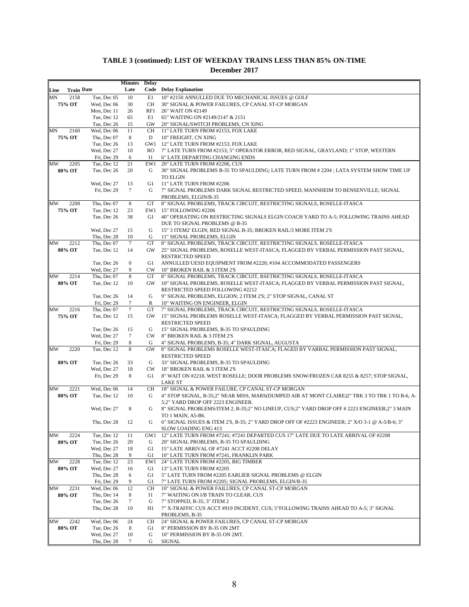|      |                   |                            | <b>Minutes</b>       | <b>Delay</b> |                                                                                                                                                               |
|------|-------------------|----------------------------|----------------------|--------------|---------------------------------------------------------------------------------------------------------------------------------------------------------------|
| Line | <b>Train Date</b> |                            | Late                 |              | <b>Code</b> Delay Explanation                                                                                                                                 |
| MN   | 2158              | Tue, Dec 05                | 10                   | E1           | 10" #2150 ANNULLED DUE TO MECHANICAL ISSUES @ GOLF                                                                                                            |
|      | 75% OT            | Wed, Dec 06                | 30                   | CH           | 30" SIGNAL & POWER FAILURES, CP CANAL ST-CP MORGAN                                                                                                            |
|      |                   | Mon, Dec 11                | 26                   | RF1          | 26" WAIT ON #2149                                                                                                                                             |
|      |                   | Tue, Dec 12                | 65                   | E1           | 65" WAITING ON #2149/2147 & 2151                                                                                                                              |
|      |                   | Tue, Dec 26                | 15                   | GW           | 20" SIGNAL/SWITCH PROBLEMS, CN XING                                                                                                                           |
| MN   | 2160<br>75% OT    | Wed, Dec 06<br>Thu, Dec 07 | 11<br>8              | CН<br>D      | 11" LATE TURN FROM #2153, FOX LAKE<br>10" FREIGHT, CN XING                                                                                                    |
|      |                   | Tue, Dec 26                | 13                   |              | GW1 12" LATE TURN FROM #2153, FOX LAKE                                                                                                                        |
|      |                   | Wed, Dec 27                | 10                   | RO.          | 7" LATE TURN FROM #2153; 5" OPERATOR ERROR, RED SIGNAL, GRAYLAND; 1" STOP, WESTERN                                                                            |
|      |                   | Fri, Dec 29                | 6                    | <b>I</b> 1   | 6" LATE DEPARTING CHANGING ENDS                                                                                                                               |
| MW   | 2205              | Tue, Dec 12                | 21                   | EW1          | 20" LATE TURN FROM #2206, CUS                                                                                                                                 |
|      | 80% OT            | Tue, Dec 26                | 20                   | G            | 30" SIGNAL PROBLEMS B-35 TO SPAULDING; LATE TURN FROM # 2204 ; LATA SYSTEM SHOW TIME UP                                                                       |
|      |                   |                            |                      |              | <b>TO ELGIN</b>                                                                                                                                               |
|      |                   | Wed, Dec 27                | 13                   | G1           | 11" LATE TURN FROM #2206                                                                                                                                      |
|      |                   | Fri, Dec 29                | $\tau$               | G            | 7" SIGNAL PROBLEMS DARK SIGNAL RESTRICTED SPEED, MANNHEIM TO BENSENVILLE; SIGNAL                                                                              |
|      |                   |                            |                      |              | PROBLEMS, ELGIN/B-35                                                                                                                                          |
| MW   | 2208              | Thu, Dec 07                | 8                    | GT           | 8" SIGNAL PROBLEMS, TRACK CIRCUIT, RESTRICTING SIGNALS, ROSELLE-ITASCA                                                                                        |
|      | 75% OT            | Tue, Dec 12                | 23                   | EW1          | 15" FOLLOWING #2206                                                                                                                                           |
|      |                   | Tue, Dec 26                | 38                   | G1           | 40" OPERATING ON RESTRICTING SIGNALS ELGIN COACH YARD TO A-5; FOLLOWING TRAINS AHEAD                                                                          |
|      |                   |                            |                      |              | DUE TO SIGNAL PROBLEMS @ B-35                                                                                                                                 |
|      |                   | Wed, Dec 27                | 15                   | G            | 15" 3 ITEM2' ELGIN; RED SIGNAL B-35; BROKEN RAIL/3 MORE ITEM 2'S                                                                                              |
| MW   | 2212              | Thu, Dec 28<br>Thu, Dec 07 | 10<br>$\tau$         | G<br>GT      | 11" SIGNAL PROBLEMS, ELGIN                                                                                                                                    |
|      | 80% OT            | Tue, Dec 12                | 14                   | GW           | 8" SIGNAL PROBLEMS, TRACK CIRCUIT, RESTRICTING SIGNALS, ROSELLE-ITASCA<br>25" SIGNAL PROBLEMS, ROSELLE WEST-ITASCA; FLAGGED BY VERBAL PERMISSION PAST SIGNAL, |
|      |                   |                            |                      |              | <b>RESTRICTED SPEED</b>                                                                                                                                       |
|      |                   | Tue, Dec 26                | $\boldsymbol{0}$     | G1           | ANNULLED UESD EQUIPMENT FROM #2220; #104 ACCOMMODATED PASSENGERS                                                                                              |
|      |                   | Wed, Dec 27                | 9                    | <b>CW</b>    | 10" BROKEN RAIL & 3 ITEM 2'S                                                                                                                                  |
| MW   | 2214              | Thu, Dec 07                | 8                    | GT           | 8" SIGNAL PROBLEMS, TRACK CIRCUIT, RSETRICTING SIGNALS, ROSELLE-ITASCA                                                                                        |
|      | 80% OT            | Tue, Dec 12                | 10                   | GW           | 10" SIGNAL PROBLEMS, ROSELLE WEST-ITASCA; FLAGGED BY VERBAL PERMISSION PAST SIGNAL,                                                                           |
|      |                   |                            |                      |              | RESTRICTED SPEED FOLLOWING #2212                                                                                                                              |
|      |                   | Tue, Dec 26                | 14                   | G            | 9" SIGNAL PROBLEMS, ELGION; 2 ITEM 2'S; 2" STOP SIGNAL, CANAL ST                                                                                              |
|      |                   | Fri, Dec 29                | 7                    | R            | 10" WAITING ON ENGINEER, ELGIN                                                                                                                                |
| MW   | 2216              | Thu, Dec 07                | $\tau$               | GT           | 7" SIGNAL PROBLEMS, TRACK CIRCUIT, RESTRICTING SIGNALS, ROSELLE-ITASCA                                                                                        |
|      | 75% OT            | Tue, Dec 12                | 15                   | GW           | 15" SIGNAL PROBLEMS ROSELLE WEST-ITASCA; FLAGGED BY VERBAL PERMISSION PAST SIGNAL,                                                                            |
|      |                   |                            |                      |              | <b>RESTRICTED SPEED</b>                                                                                                                                       |
|      |                   | Tue, Dec 26                | 15                   | G            | 15" SIGNAL PROBLEMS, B-35 TO SPAULDING                                                                                                                        |
|      |                   | Wed, Dec 27<br>Fri, Dec 29 | $7\phantom{.0}$<br>8 | CW<br>G      | 8" BROKEN RAIL & 3 ITEM 2'S                                                                                                                                   |
| MW   | 2220              | Tue, Dec 12                | 8                    | GW           | 4" SIGNAL PROBLEMS, B-35; 4" DARK SIGNAL, AUGUSTA<br>8" SIGNAL PROBLEMS ROSELLE WEST-ITASCA; FLAGED BY VARBAL PERMISSION PAST SIGNAL,                         |
|      |                   |                            |                      |              | <b>RESTRICTED SPEED</b>                                                                                                                                       |
|      | 80% OT            | Tue, Dec 26                | 33                   | G            | 33" SIGNAL PROBLEMS, B-35 TO SPAULDING                                                                                                                        |
|      |                   | Wed, Dec 27                | 18                   | CW           | 18" BROKEN RAIL & 3 ITEM 2'S                                                                                                                                  |
|      |                   | Fri, Dec 29                | 8                    | G1           | 8" WAIT ON #2218. WEST ROSELLE; DOOR PROBLEMS SNOW/FROZEN CAR 8255 & 8257; STOP SIGNAL,                                                                       |
|      |                   |                            |                      |              | <b>LAKE ST</b>                                                                                                                                                |
| MW   | 2221              | Wed, Dec 06                | 14                   | CH           | 18" SIGNAL & POWER FAILURE, CP CANAL ST-CP MORGAN                                                                                                             |
|      | 80% OT            | Tue, Dec 12                | 10                   | G            | 4" STOP SIGNAL, B-35;2" NEAR MISS, MARS(DUMPED AIR AT MONT CLAIRE)2" TRK 3 TO TRK 1 TO B-6, A-                                                                |
|      |                   |                            |                      |              | 5;2" YARD DROP OFF 2223 ENGINEER.                                                                                                                             |
|      |                   | Wed, Dec 27                | 8                    | G            | 8" SIGNAL PROBLEMS/ITEM 2, B-35;2" NO LINEUP, CUS;2" YARD DROP OFF # 2223 ENGINEER;2" 3 MAIN                                                                  |
|      |                   |                            |                      |              | TO 1 MAIN, A5-B6.                                                                                                                                             |
|      |                   | Thu, Dec 28 12             |                      | G            | 6" SIGNAL ISSUES & ITEM 2'S, B-35; 2" YARD DROP OFF OF #2223 ENGINEER; 2" X/O 3-1 @ A-5/B-6; 3"                                                               |
| MW   | 2224              | Tue, Dec 12                | 11                   | GW1          | SLOW LOADING ENG 413<br>12" LATE TURN FROM #7241; #7241 DEPARTED CUS 17" LATE DUE TO LATE ARRIVAL OF #2208                                                    |
|      | 80% OT            | Tue, Dec 26                | 20                   | G            | 20" SIGNAL PROBLEMS, B-35 TO SPAULDING                                                                                                                        |
|      |                   | Wed, Dec 27                | 18                   | G1           | 15" LATE ARRIVAL OF #7241 ACCT #2208 DELAY                                                                                                                    |
|      |                   | Thu, Dec 28                | 9                    | G1           | 10" LATE TURN FROM #7241, FRANKLIN PARK                                                                                                                       |
| MW   | 2228              | Tue, Dec 12                | 23                   | EW1          | 24" LATE TURN FROM #2205, BIG TIMBER                                                                                                                          |
|      | 80% OT            | Wed, Dec 27                | 16                   | G1           | 13" LATE TURN FROM #2205                                                                                                                                      |
|      |                   | Thu, Dec 28                | 6                    | G1           | 5" LATE TURN FROM #2205 EARLIER SIGNAL PROBLEMS @ ELGIN                                                                                                       |
|      |                   | Fri, Dec 29                | 9                    | G1           | 7" LATE TURN FROM #2205; SIGNAL PROBLEMS, ELGIN/B-35                                                                                                          |
| MW   | 2231              | Wed, Dec 06                | 12                   | CН           | 10" SIGNAL & POWER FAILURES, CP CANAL ST-CP MORGAN                                                                                                            |
|      | 80% OT            | Thu, Dec 14                | 8                    | 11           | 7" WAITING ON I/B TRAIN TO CLEAR, CUS                                                                                                                         |
|      |                   | Tue, Dec 26                | $\tau$               | G            | 7" STOPPED, B-35; 3" ITEM 2                                                                                                                                   |
|      |                   | Thu, Dec 28                | 10                   | H1           | 7" X-TRAFFIC CUS ACCT #919 INCIDENT, CUS; 5"FOLLOWING TRAINS AHEAD TO A-5; 3" SIGNAL                                                                          |
|      |                   |                            |                      |              | PROBLEMS, B-35                                                                                                                                                |
| MW   | 2242<br>80% OT    | Wed, Dec 06<br>Tue, Dec 26 | 24<br>8              | CН<br>G1     | 24" SIGNAL & POWER FAILURES, CP CANAL ST-CP MORGAN<br>8" PERMISSION BY B-35 ON 2MT                                                                            |
|      |                   | Wed, Dec 27                | 10                   | G            | 10" PERMISSION BY B-35 ON 2MT.                                                                                                                                |
|      |                   | Thu, Dec 28                | 7                    | G            | SIGNAL                                                                                                                                                        |
|      |                   |                            |                      |              |                                                                                                                                                               |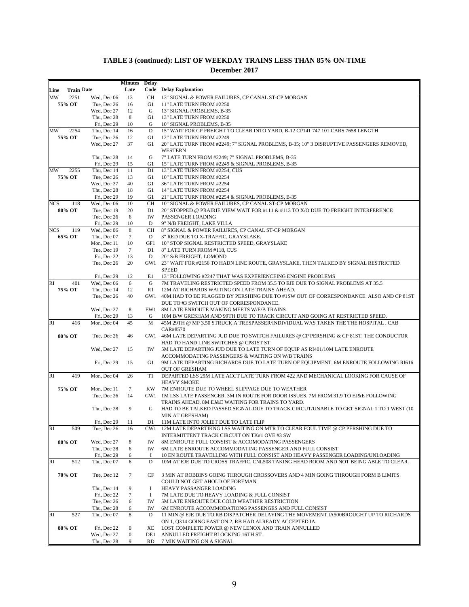|            |                   |                            | Minutes Delay    |                |                                                                                                                               |
|------------|-------------------|----------------------------|------------------|----------------|-------------------------------------------------------------------------------------------------------------------------------|
| Line       | <b>Train Date</b> |                            | Late             |                | <b>Code</b> Delay Explanation                                                                                                 |
| MW         | 2251              | Wed, Dec 06                | 13               | CH             | 13" SIGNAL & POWER FAILURES, CP CANAL ST-CP MORGAN                                                                            |
|            | 75% OT            | Tue, Dec 26                | 16               | G1             | 11" LATE TURN FROM #2250                                                                                                      |
|            |                   | Wed, Dec 27                | 12               | G              | 13" SIGNAL PROBLEMS, B-35                                                                                                     |
|            |                   | Thu, Dec 28                | 8                | G1             | 13" LATE TURN FROM #2250                                                                                                      |
|            |                   | Fri. Dec 29                | 10               | G              | 10" SIGNAL PROBLEMS, B-35                                                                                                     |
| MW         | 2254              | Thu, Dec 14                | 16               | D              | 15" WAIT FOR CP FREIGHT TO CLEAR INTO YARD, B-12 CP141 747 101 CARS 7658 LENGTH                                               |
|            | 75% OT            | Tue, Dec 26                | 12               | G1             | 12" LATE TURN FROM #2249                                                                                                      |
|            |                   | Wed, Dec 27                | 37               | G1             | 20" LATE TURN FROM #2249; 7" SIGNAL PROBLEMS, B-35; 10" 3 DISRUPTIVE PASSENGERS REMOVED,                                      |
|            |                   |                            |                  |                | <b>WESTERN</b>                                                                                                                |
|            |                   | Thu, Dec 28                | 14               | G              | 7" LATE TURN FROM #2249; 7" SIGNAL PROBLEMS, B-35                                                                             |
|            |                   | Fri, Dec 29                | 15               | G1             | 15" LATE TURN FROM #2249 & SIGNAL PROBLEMS, B-35                                                                              |
| MW         | 2255<br>75% OT    | Thu, Dec 14<br>Tue, Dec 26 | 11<br>13         | D1<br>G1       | 13" LATE TURN FROM #2254, CUS<br>10" LATE TURN FROM #2254                                                                     |
|            |                   | Wed. Dec 27                | 40               | G1             | 36" LATE TURN FROM #2254                                                                                                      |
|            |                   | Thu, Dec 28                | 18               | G1             | 14" LATE TURN FROM #2254                                                                                                      |
|            |                   | Fri, Dec 29                | 19               | G1             | 21" LATE TURN FROM #2254 & SIGNAL PROBLEMS, B-35                                                                              |
| <b>NCS</b> | 118               | Wed, Dec 06                | 10               | CН             | 10" SIGNAL & POWER FAILURES, CP CANAL ST-CP MORGAN                                                                            |
|            | 80% OT            | Tue, Dec 19                | 20               | D1             | 20" STOPPED @ PRAIRIE VIEW WAIT FOR #111 & #113 TO X/O DUE TO FREIGHT INTERFERENCE                                            |
|            |                   | Tue, Dec 26                | 6                | IW             | PASSENGER LOADING                                                                                                             |
|            |                   | Fri, Dec 29                | 10               | D              | 9" N/B FREIGHT, LAKE VILLA                                                                                                    |
| NCS        | 119               | Wed, Dec 06                | 8                | CН             | 8" SIGNAL & POWER FAILURES, CP CANAL ST-CP MORGAN                                                                             |
|            | 65% OT            | Thu, Dec 07                | $\tau$           | D              | 3" RED DUE TO X-TRAFFIC, GRAYSLAKE.                                                                                           |
|            |                   | Mon, Dec 11                | 10               | GF1            | 10" STOP SIGNAL RESTRICTED SPEED, GRAYSLAKE                                                                                   |
|            |                   | Tue, Dec 19                | $\tau$           | D1             | 8" LATE TURN FROM #118, CUS                                                                                                   |
|            |                   | Fri, Dec 22                | 13               | D              | 20" S/B FREIGHT, LOMOND                                                                                                       |
|            |                   | Tue. Dec 26                | 20               |                | GW1 23" WAIT FOR #2156 TO HADN LINE ROUTE, GRAYSLAKE, THEN TALKED BY SIGNAL RESTRICTED                                        |
|            |                   |                            |                  |                | <b>SPEED</b>                                                                                                                  |
|            |                   | Fri, Dec 29                | 12               | E1             | 13" FOLLOWING #2247 THAT WAS EXPERIENCEING ENGINE PROBLEMS                                                                    |
| RI         | 401               | Wed, Dec 06                | 6                | G              | 7M TRAVELING RESTRICTED SPEED FROM 35.5 TO EJE DUE TO SIGNAL PROBLEMS AT 35.5                                                 |
|            | 75% OT            | Thu, Dec 14                | 12               | R <sub>1</sub> | 12M AT RICHARDS WAITING ON LATE TRAINS AHEAD.                                                                                 |
|            |                   | Tue, Dec 26                | 40               |                | GW1 40M.HAD TO BE FLAGGED BY PERSHING DUE TO #1SW OUT OF CORRESPONDANCE. ALSO AND CP 81ST                                     |
|            |                   |                            |                  |                | DUE TO #3 SWITCH OUT OF CORRESPONDANCE.                                                                                       |
|            |                   | Wed, Dec 27                | 8                | EW1            | 8M LATE ENROUTE MAKING MEETS W/E/B TRAINS                                                                                     |
|            |                   | Fri, Dec 29                | 13               | G              | 10M B/W GRESHAM AND 99TH DUE TO TRACK CIRCUIT AND GOING AT RESTRICTED SPEED.                                                  |
| <b>RI</b>  | 416               | Mon, Dec 04                | 45               | M              | 45M 29TH @ MP 3.50 STRUCK A TRESPASSER/INDIVIDUAL WAS TAKEN THE THE HOSPITAL . CAB                                            |
|            |                   |                            |                  |                | CAR#8570                                                                                                                      |
|            | 80% OT            | Tue, Dec 26                | 46               | GW1            | 46M LATE DEPARTING JUD DUE TO SWITCH FAILURES @ CP PERSHING & CP 81ST. THE CONDUCTOR                                          |
|            |                   |                            |                  |                | HAD TO HAND LINE SWITCHES @ CP81ST ST                                                                                         |
|            |                   | Wed, Dec 27                | 15               | IW             | 5M LATE DEPARTING JUD DUE TO LATE TURN OF EQUIP AS RI401/10M LATE ENROUTE<br>ACCOMMODATING PASSENGERS & WAITING ON W/B TRAINS |
|            |                   | Fri, Dec 29                | 15               | G1             | 9M LATE DEPARTING RICHARDS DUE TO LATE TURN OF EQUIPMENT. 6M ENROUTE FOLLOWING RI616                                          |
|            |                   |                            |                  |                | <b>OUT OF GRESHAM</b>                                                                                                         |
| <b>RI</b>  | 419               | Mon, Dec 04                | 26               | T1             | DEPARTED LSS 29M LATE ACCT LATE TURN FROM 422 AND MECHANICAL LOOKING FOR CAUSE OF                                             |
|            |                   |                            |                  |                | <b>HEAVY SMOKE</b>                                                                                                            |
|            | 75% OT            | Mon. Dec 11                | 7                | KW             | 7M ENROUTE DUE TO WHEEL SLIPPAGE DUE TO WEATHER                                                                               |
|            |                   | Tue, Dec 26                | 14               | GW1            | 1M LSS LATE PASSENGER. 3M IN ROUTE FOR DOOR ISSUES. 7M FROM 31.9 TO EJ&E FOLLOWING                                            |
|            |                   |                            |                  |                | TRAINS AHEAD. 8M EJ&E WAITING FOR TRAINS TO YARD.                                                                             |
|            |                   | Thu, Dec 28                | 9                | G              | HAD TO BE TALKED PASSED SIGNAL DUE TO TRACK CIRCUT/UNABLE TO GET SIGNAL 1 TO 1 WEST (10                                       |
|            |                   |                            |                  |                | MIN AT GRESHAM)                                                                                                               |
|            |                   | Fri, Dec 29                | $\overline{11}$  | D1.            | 11M LATE INTO JOLIET DUE TO LATE FLIP                                                                                         |
| <b>RI</b>  | 509               | Tue, Dec 26                | 16               |                | CW1 12M LATE DEPARTIKNG LSS WAITING ON MTR TO CLEAR FOUL TIME @ CP PERSHING DUE TO                                            |
|            |                   |                            |                  |                | INTERMITTENT TRACK CIRCUIT ON TK#1 OVE #3 SW                                                                                  |
|            | 80% OT            | Wed, Dec 27                | 8                | IW             | 8M ENROUTE FULL CONSIST & ACCOMODATING PASSENGERS                                                                             |
|            |                   | Thu, Dec 28                | 6                | IW             | 6M LATE ENROUTE ACCOMMODATING PASSENGER AND FULL CONSIST                                                                      |
|            |                   | Fri, Dec 29                | 6                | Ι.             | 10 EN ROUTE TRAVELLING WITH FULL CONSIST AND HEAVY PASSENGER LOADING/UNLOADING                                                |
| RI         | 512               | Thu, Dec 07                | 6                | D              | 10M AT EJE DUE TO CROSS TRAFFIC. CNL508 TAKING HEAD ROOM AND NOT BEING ABLE TO CLEAR.                                         |
|            |                   |                            |                  |                |                                                                                                                               |
|            | 70% OT            | Tue, Dec 12                | 7                | CF             | 3 MIN AT ROBBINS GOING THROUGH CROSSOVERS AND 4 MIN GOING THROUGH FORM B LIMITS                                               |
|            |                   |                            |                  |                | COULD NOT GET AHOLD OF FOREMAN                                                                                                |
|            |                   | Thu, Dec 14                | 9                | Ι.             | HEAVY PASSANGER LOADING                                                                                                       |
|            |                   | Fri, Dec 22                | 7                | Ι.             | 7M LATE DUE TO HEAVY LOADING & FULL CONSIST                                                                                   |
|            |                   | Tue, Dec 26                | 6                | IW             | 5M LATE ENROUTE DUE COLD WEATHER RESTRICTION                                                                                  |
|            |                   | Thu, Dec 28                | 6                | IW             | 6M ENROUTE ACCOMMODATIONG PASSENGES AND FULL CONSIST                                                                          |
| RI         | 527               | Thu, Dec 07                | 8                | D              | 11 MIN @ EJE DUE TO RB DISPATCHER DELAYING THE MOVEMENT IA500BROUGHT UP TO RICHARDS                                           |
|            |                   |                            |                  |                | ON 1, Q314 GOING EAST ON 2, RB HAD ALREADY ACCEPTED IA.                                                                       |
|            | 80% OT            | Fri, Dec 22                | $\boldsymbol{0}$ | XE             | LOST COMPLETE POWER @ NEW LENOX AND TRAIN ANNULLED                                                                            |
|            |                   | Wed, Dec 27                | $\boldsymbol{0}$ | DE1            | ANNULLED FREIGHT BLOCKING 16TH ST.                                                                                            |
|            |                   | Thu, Dec 28                | 9                | RD             | 7 MIN WAITING ON A SIGNAL                                                                                                     |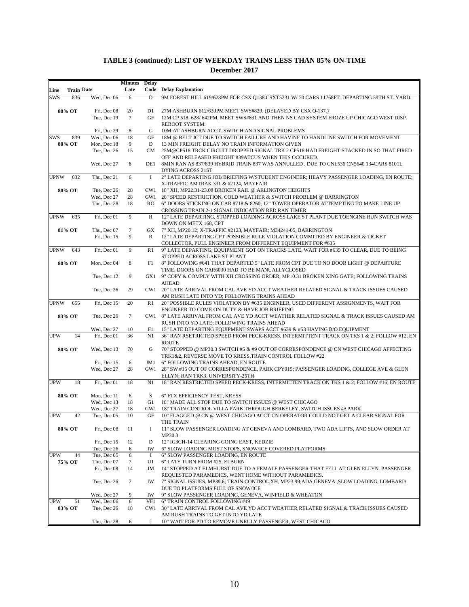|             |                   |                            | <b>Minutes</b> | <b>Delay</b>        |                                                                                                                                       |
|-------------|-------------------|----------------------------|----------------|---------------------|---------------------------------------------------------------------------------------------------------------------------------------|
| Line        | <b>Train Date</b> |                            | Late           |                     | <b>Code</b> Delay Explanation                                                                                                         |
| <b>SWS</b>  | 836               | Wed, Dec 06                | 6              | D                   | 9M FOREST HILL 619/628PM FOR CSX Q138 CSXT5231 W/70 CARS 11768FT. DEPARTING 59TH ST. YARD.                                            |
|             |                   |                            |                |                     |                                                                                                                                       |
|             | 80% OT            | Fri, Dec 08                | 20             | D <sub>1</sub>      | 27M ASHBURN 612/639PM MEET SWS#829, (DELAYED BY CSX Q-137.)                                                                           |
|             |                   | Tue, Dec 19                | $\tau$         | GF                  | 12M CP 518; 628/ 642PM, MEET SWS#831 AND THEN NS CAD SYSTEM FROZE UP CHICAGO WEST DISP.<br>REBOOT SYSTEM.                             |
|             |                   | Fri. Dec 29                | 8              | G                   | 10M AT ASHBURN ACCT. SWITCH AND SIGNAL PROBLEMS                                                                                       |
| <b>SWS</b>  | 839               | Wed, Dec 06                | 18             | $\operatorname{GF}$ | 18M @ BELT JCT DUE TO SWITCH FAILURE AND HAVINF TO HANDLINE SWITCH FOR MOVEMENT                                                       |
|             | 80% OT            | Mon, Dec 18                | 9              | D                   | 13 MIN FREIGHT DELAY NO TRAIN INFORMATION GIVEN                                                                                       |
|             |                   | Tue, Dec 26                | 15             | CM                  | 25M@CP518 TRCK CIRCUIT DROPPED SIGNAL TRK 2 CP518 HAD FREIGHT STACKED IN SO THAT FIRED                                                |
|             |                   |                            |                |                     | OFF AND RELEASED FREIGHT 839ATCUS WHEN THIS OCCURED.                                                                                  |
|             |                   | Wed, Dec 27                | 8              | DE1                 | 8MIN RAN AS 837/839 HYBRID TRAIN 837 WAS ANNULLED . DUE TO CNL536 CN5640 134CARS 8101L                                                |
|             |                   |                            |                |                     | <b>DYING ACROSS 21ST</b>                                                                                                              |
| <b>UPNW</b> | 632               | Thu, Dec 21                | 6              | $\bf{I}$            | 2" LATE DEPARTING JOB BRIEFING W/STUDENT ENGINEER; HEAVY PASSENGER LOADING, EN ROUTE;                                                 |
|             |                   |                            |                |                     | X-TRAFFIC AMTRAK 331 & #2124, MAYFAIR                                                                                                 |
|             | 80% OT            | Tue, Dec 26                | 28             |                     | CW1 18" XH, MP22.31-23.08 BROKEN RAIL @ ARLINGTON HEIGHTS                                                                             |
|             |                   | Wed, Dec 27                | 28             | GW1                 | 28" SPEED RESTRICTION, COLD WEATHER & SWITCH PROBLEM @ BARRINGTON                                                                     |
|             |                   | Thu, Dec 28                | 18             | RO.                 | 6" DOORS STICKING ON CAR 8718 & 8260; 12" TOWER OPERATOR ATTEMPTING TO MAKE LINE UP                                                   |
|             |                   |                            |                |                     | CROSSING TRAIN 2-1 SIGNAL INDICATION RED, RAN TIMER                                                                                   |
| <b>UPNW</b> | 635               | Fri, Dec 01                | 9              | $\mathbb{R}$        | 12" LATE DEPARTING, STOPPED LOADING ACROSS LAKE ST PLANT DUE TOENGINE RUN SWITCH WAS                                                  |
|             | 81% OT            | Thu, Dec 07                | $\tau$         |                     | DOWN ON METX 168, CPT<br>GX 7" XH, MP20.12; X-TRAFFIC #2123, MAYFAIR; M34241-05, BARRINGTON                                           |
|             |                   | Fri, Dec 15                | 9              | R                   | 12" LATE DEPARTING CPT POSSIBLE RULE VIOLATION COMMITED BY ENGINEER & TICKET                                                          |
|             |                   |                            |                |                     | COLLECTOR, PULL ENGINEER FROM DIFFERENT EQUIPMENT FOR #635                                                                            |
| <b>UPNW</b> | 643               | Fri, Dec 01                | 9              | R <sub>1</sub>      | 9" LATE DEPARTING, EQUIPMENT GOT ON TRACKS LATE, WAIT FOR #635 TO CLEAR, DUE TO BEING                                                 |
|             |                   |                            |                |                     | STOPPED ACROSS LAKE ST PLANT                                                                                                          |
|             | 80% OT            | Mon, Dec 04                | 8              | F1                  | 8" FOLLOWING #641 THAT DEPARTED 5" LATE FROM CPT DUE TO NO DOOR LIGHT @ DEPARTURE                                                     |
|             |                   |                            |                |                     | TIME, DOORS ON CAR6030 HAD TO BE MANUALLYCLOSED                                                                                       |
|             |                   | Tue, Dec 12                | 9              |                     | GX1 9" COPY & COMPLY WITH XH CROSSING ORDER, MP10.31 BROKEN XING GATE; FOLLOWING TRAINS                                               |
|             |                   |                            |                |                     | AHEAD                                                                                                                                 |
|             |                   | Tue, Dec 26                | 29             |                     | CW1 20" LATE ARRIVAL FROM CAL AVE YD ACCT WEATHER RELATED SIGNAL & TRACK ISSUES CAUSED                                                |
|             |                   |                            |                |                     | AM RUSH LATE INTO YD; FOLLOWING TRAINS AHEAD                                                                                          |
| <b>UPNW</b> | 655               | Fri, Dec 15                | 20             | R1                  | 20" POSSIBLE RULES VIOLATION BY #635 ENGINEER, USED DIFFERENT ASSIGNMENTS, WAIT FOR                                                   |
|             |                   |                            |                |                     | ENGINEER TO COME ON DUTY & HAVE JOB BRIEFING                                                                                          |
|             | 83% OT            | Tue, Dec 26                | $\tau$         |                     | CW1 8" LATE ARRIVAL FROM CAL AVE YD ACCT WEATHER RELATED SIGNAL & TRACK ISSUES CAUSED AM<br>RUSH INTO YD LATE; FOLLOWING TRAINS AHEAD |
|             |                   | Wed, Dec 27                | 10             | F1                  | 15" LATE DEPARTING EQUIPMENT SWAPS ACCT #639 & #53 HAVING B/O EQUIPMENT                                                               |
| <b>UPW</b>  | 14                | Fri, Dec 01                | 36             | N1                  | 36" RAN RSETRICTED SPEED FROM PECK-KRESS, INTERMITTENT TRACK ON TKS 1 & 2; FOLLOW #12, EN                                             |
|             |                   |                            |                |                     | <b>ROUTE</b>                                                                                                                          |
|             | 80% OT            | Wed, Dec 13                | 70             | G                   | 70" STOPPED @ MP30.3 SWITCH #5 & #9 OUT OF CORRESPONDENCE @ CN WEST CHICAGO AFFECTING                                                 |
|             |                   |                            |                |                     | TRK1&2, REVERSE MOVE TO KRESS, TRAIN CONTROL FOLLOW #22                                                                               |
|             |                   | Fri, Dec 15                | 6              | JM1                 | 6" FOLLOWING TRAINS AHEAD, EN ROUTE                                                                                                   |
|             |                   | Wed, Dec 27                | 28             |                     | GW1 28" SW #15 OUT OF CORRESPONDENCE, PARK CPY015; PASSENGER LOADING, COLLEGE AVE & GLEN                                              |
|             |                   |                            |                |                     | ELLYN; RAN TRK3, UNIVERSITY-25TH                                                                                                      |
| <b>UPW</b>  | 18                | Fri, Dec 01                | 18             | N1                  | 18" RAN RESTRICTED SPEED PECK-KRESS, INTERMITTEN TRACK ON TKS 1 & 2; FOLLOW #16, EN ROUTE                                             |
|             |                   |                            |                |                     |                                                                                                                                       |
|             | 80% OT            | Mon. Dec 11                | 6              | S                   | 6" FTX EFFICIENCY TEST, KRESS                                                                                                         |
|             |                   | Wed, Dec 13                | 18             | G1                  | 18" MADE ALL STOP DUE TO SWITCH ISSUES @ WEST CHICAGO<br>18" TRAIN CONTROL VILLA PARK THROUGH BERKELEY, SWITCH ISSUES @ PARK          |
| <b>UPW</b>  | 42                | Wed, Dec 27<br>Tue, Dec 05 | 18<br>10       | GW1<br><b>GF</b>    | 10" FLAGGED @ CN @ WEST CHICAGO ACCT CN OPERATOR COULD NOT GET A CLEAR SIGNAL FOR                                                     |
|             |                   |                            |                |                     | THE TRAIN                                                                                                                             |
|             | 80% OT            | Fri, Dec 08                | 11             | Ι.                  | 11" SLOW PASSENGER LOADING AT GENEVA AND LOMBARD, TWO ADA LIFTS, AND SLOW ORDER AT                                                    |
|             |                   |                            |                |                     | MP30.3.                                                                                                                               |
|             |                   | Fri, Dec 15                | 12             | D                   | 12" IG3CH-14 CLEARING GOING EAST, KEDZIE                                                                                              |
|             |                   | Tue, Dec 26                | 6              | IW                  | 6" SLOW LOADING MOST STOPS, SNOW/ICE COVERED PLATFORMS                                                                                |
| <b>UPW</b>  | 44                | Tue, Dec 05                | 6              | $\bf{I}$            | 6" SLOW PASSENGER LOADING, EN ROUTE                                                                                                   |
|             | 75% OT            | Thu, Dec 07                | 7              | U1                  | 6" LATE TURN FROM #25, ELBURN                                                                                                         |
|             |                   | Fri, Dec 08                | 14             | JM                  | 14" STOPPED AT ELMHURST DUE TO A FEMALE PASSENGER THAT FELL AT GLEN ELLYN. PASSENGER                                                  |
|             |                   |                            |                |                     | REQUESTED PARAMEDICS, WENT HOME WITHOUT PARAMEDICS.                                                                                   |
|             |                   | Tue, Dec 26                | 7              | IW                  | 7" SIGNAL ISSUES, MP39.6; TRAIN CONTROL, XH, MP23.99; ADA, GENEVA ; SLOW LOADING, LOMBARD                                             |
|             |                   |                            |                |                     | DUE TO PLATFORMS FULL OF SNOW/ICE                                                                                                     |
|             |                   | Wed, Dec 27                | 9              | IW                  | 9" SLOW PASSENGER LOADING, GENEVA, WINFIELD & WHEATON                                                                                 |
| <b>UPW</b>  | 51                | Wed, Dec 06                | 6              | VF1                 | 6" TRAIN CONTROL FOLLOWING #49                                                                                                        |
|             | 83% OT            | Tue, Dec 26                | 18             | CW1                 | 30" LATE ARRIVAL FROM CAL AVE YD ACCT WEATHER RELATED SIGNAL & TRACK ISSUES CAUSED                                                    |
|             |                   |                            |                |                     | AM RUSH TRAINS TO GET INTO YD LATE                                                                                                    |
|             |                   | Thu, Dec 28                | 6              | J                   | 10" WAIT FOR PD TO REMOVE UNRULY PASSENGER, WEST CHICAGO                                                                              |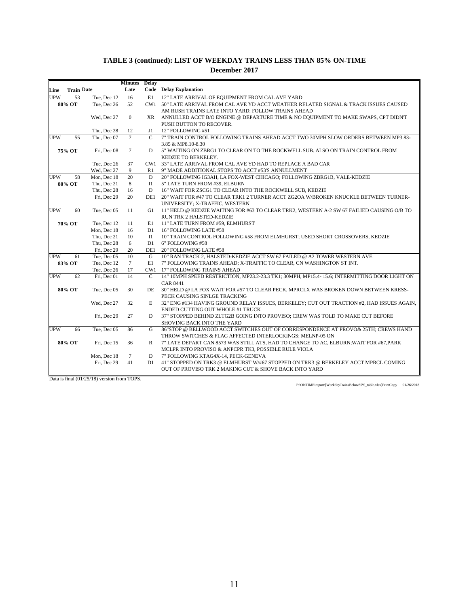|            |                   |             | <b>Minutes</b> | Delay          |                                                                                              |
|------------|-------------------|-------------|----------------|----------------|----------------------------------------------------------------------------------------------|
| Line       | <b>Train Date</b> |             | Late           |                | <b>Code</b> Delay Explanation                                                                |
| <b>UPW</b> | 53                | Tue, Dec 12 | 16             | E1             | 12" LATE ARRIVAL OF EQUIPMENT FROM CAL AVE YARD                                              |
|            | 80% OT            | Tue, Dec 26 | 52             | CW1            | 50" LATE ARRIVAL FROM CAL AVE YD ACCT WEATHER RELATED SIGNAL & TRACK ISSUES CAUSED           |
|            |                   |             |                |                | AM RUSH TRAINS LATE INTO YARD; FOLLOW TRAINS AHEAD                                           |
|            |                   | Wed, Dec 27 | $\mathbf{0}$   | XR.            | ANNULLED ACCT B/O ENGINE @ DEPARTURE TIME & NO EQUIPMENT TO MAKE SWAPS, CPT DIDN'T           |
|            |                   |             |                |                | PUSH BUTTON TO RECOVER.                                                                      |
|            |                   | Thu, Dec 28 | 12             | J1             | 12" FOLLOWING #51                                                                            |
| <b>UPW</b> | 55                | Thu, Dec 07 | $\tau$         | $\overline{C}$ | 7" TRAIN CONTROL FOLLOWING TRAINS AHEAD ACCT TWO 30MPH SLOW ORDERS BETWEEN MP3.83-           |
|            |                   |             |                |                | 3.85 & MP8.10-8.30                                                                           |
|            | 75% OT            | Fri, Dec 08 | $\tau$         | D              | 5" WAITING ON ZBRG1 TO CLEAR ON TO THE ROCKWELL SUB. ALSO ON TRAIN CONTROL FROM              |
|            |                   |             |                |                | KEDZIE TO BERKELEY.                                                                          |
|            |                   | Tue, Dec 26 | 37             | CW1            | 33" LATE ARRIVAL FROM CAL AVE YD HAD TO REPLACE A BAD CAR                                    |
|            |                   | Wed, Dec 27 | 9              | R1             | 9" MADE ADDITIONAL STOPS TO ACCT #53'S ANNULLMENT                                            |
| <b>UPW</b> | 58                | Mon, Dec 18 | 20             | D              | 20" FOLLOWING IG3AH, LA FOX-WEST CHICAGO; FOLLOWING ZBRG1B, VALE-KEDZIE                      |
|            | 80% OT            | Thu, Dec 21 | 8              | I <sub>1</sub> | 5" LATE TURN FROM #39, ELBURN                                                                |
|            |                   | Thu, Dec 28 | 16             | D              | 16" WAIT FOR ZSCG1 TO CLEAR INTO THE ROCKWELL SUB, KEDZIE                                    |
|            |                   | Fri, Dec 29 | 20             | DE1            | 20" WAIT FOR #47 TO CLEAR TRK1 2 TURNER ACCT ZG2OA W/BROKEN KNUCKLE BETWEEN TURNER-          |
|            |                   |             |                |                | UNIVERSITY; X-TRAFFIC, WESTERN                                                               |
| <b>UPW</b> | 60                | Tue, Dec 05 | 11             | G1             | 11" HELD @ KEDZIE WAITING FOR #63 TO CLEAR TRK2, WESTERN A-2 SW 67 FAILIED CAUSING O/B TO    |
|            |                   |             |                |                | RUN TRK 2 HALSTED-KEDZIE                                                                     |
|            | 70% OT            | Tue, Dec 12 | 11             | E1             | 11" LATE TURN FROM #59, ELMHURST                                                             |
|            |                   | Mon, Dec 18 | 16             | D1             | 16" FOLLOWING LATE #58                                                                       |
|            |                   | Thu, Dec 21 | 10             | I <sub>1</sub> | 10" TRAIN CONTROL FOLLOWING #58 FROM ELMHURST; USED SHORT CROSSOVERS, KEDZIE                 |
|            |                   | Thu, Dec 28 | 6              | D1             | 6" FOLLOWING #58                                                                             |
|            |                   | Fri, Dec 29 | 20             | DE1            | 20" FOLLOWING LATE #58                                                                       |
| <b>UPW</b> | 61                | Tue. Dec 05 | 10             | G              | 10" RAN TRACK 2. HALSTED-KEDZIE ACCT SW 67 FAILED @ A2 TOWER WESTERN AVE                     |
|            | 83% OT            | Tue, Dec 12 | $\tau$         | E1             | 7" FOLLOWING TRAINS AHEAD; X-TRAFFIC TO CLEAR, CN WASHINGTON ST INT.                         |
|            |                   | Tue, Dec 26 | 17             | CW1            | 17" FOLLOWING TRAINS AHEAD                                                                   |
| <b>UPW</b> | 62                | Fri, Dec 01 | 14             | $\mathbf C$    | 14" 10MPH SPEED RESTRICTION, MP23.2-23.3 TK1; 30MPH, MP15.4-15.6; INTERMITTING DOOR LIGHT ON |
|            |                   |             |                |                | <b>CAR 8441</b>                                                                              |
|            | 80% OT            | Tue, Dec 05 | 30             | DE             | 30" HELD @ LA FOX WAIT FOR #57 TO CLEAR PECK, MPRCLX WAS BROKEN DOWN BETWEEN KRESS-          |
|            |                   |             |                |                | PECK CAUSING SINLGE TRACKING                                                                 |
|            |                   | Wed, Dec 27 | 32             | E              | 32" ENG #134 HAVING GROUND RELAY ISSUES, BERKELEY; CUT OUT TRACTION #2, HAD ISSUES AGAIN,    |
|            |                   |             |                |                | ENDED CUTTING OUT WHOLE #1 TRUCK                                                             |
|            |                   | Fri, Dec 29 | 27             | D              | 37" STOPPED BEHIND ZLTG2B GOING INTO PROVISO; CREW WAS TOLD TO MAKE CUT BEFORE               |
|            |                   |             |                |                | SHOVING BACK INTO THE YARD                                                                   |
| <b>UPW</b> | 66                | Tue, Dec 05 | 86             | G              | 86"STOP @ BELLWOOD ACCT SWITCHES OUT OF CORRESPONDENCE AT PROVO& 25TH; CREWS HAND            |
|            |                   |             |                |                | THROW SWITCHES & FLAG AFFECTED INTERLOCKINGS; MELNP-05 ON                                    |
|            | 80% OT            | Fri, Dec 15 | 36             | R              | 7" LATE DEPART CAN 8573 WAS STILL ATS, HAD TO CHANGE TO AC, ELBURN; WAIT FOR #67, PARK       |
|            |                   |             |                |                | MCLPR INTO PROVISO & ANPCPR TK3, POSSIBLE RULE VIOLA                                         |
|            |                   | Mon, Dec 18 | $\tau$         | D              | 7" FOLLOWING KTAG4X-14, PECK-GENEVA                                                          |
|            |                   | Fri, Dec 29 | 41             | D1             | 41" STOPPED ON TRK3 @ ELMHURST W/#67 STOPPED ON TRK3 @ BERKELEY ACCT MPRCL COMING            |
|            |                   |             |                |                | OUT OF PROVISO TRK 2 MAKING CUT & SHOVE BACK INTO YARD                                       |
|            |                   |             |                |                |                                                                                              |

Data is final (01/25/18) version from TOPS.

P:\ONTIME\report\[WeekdayTrainsBelow85%\_table.xlsx]PrintCopy 01/26/2018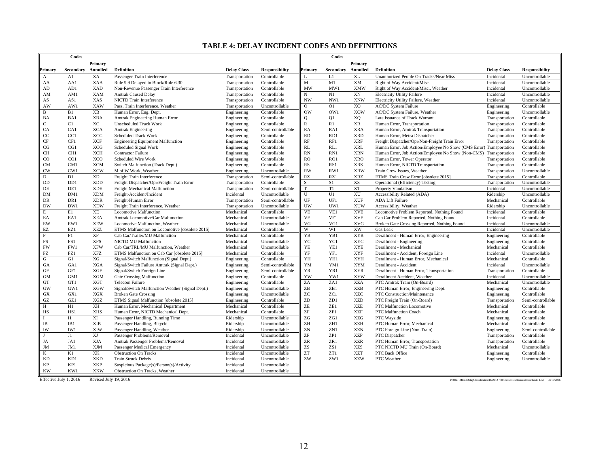#### **TABLE 4: DELAY INCIDENT CODES AND DEFINITIONS**

| Primary<br>Primary<br>Secondary Annulled<br><b>Definition</b><br><b>Delay Class</b><br>Annulled<br><b>Definition</b><br><b>Primary</b><br><b>Responsibility</b><br>Primary<br>Secondary<br><b>Delay Class</b><br><b>Responsibility</b><br>XA<br>XL<br>A1<br>Passenger Train Interference<br>Controllable<br>L1<br>Unauthorized People On Tracks/Near Miss<br>Incidental<br>Uncontrollable<br>Transportation<br>A<br>XM<br>M1<br><b>XAA</b><br>Controllable<br>M<br>Right of Way Accident/Misc.<br>Incidental<br>Uncontrollable<br>AA1<br>Rule 9.9 Delayed in Block/Rule 6.30<br>Transportation<br>AA<br><b>XAD</b><br>MW1<br><b>XMW</b><br>AD<br>AD1<br>Non-Revenue Passenger Train Interference<br>Controllable<br>MW<br>Right of Way Accident/Misc., Weather<br>Incidental<br>Uncontrollable<br>Transportation<br>N1<br>XN<br><b>XAM</b><br>Controllable<br>N<br>Incidental<br>Uncontrollable<br>AM<br>AM1<br><b>Amtrak Caused Delay</b><br>Transportation<br><b>Electricity Utility Failure</b><br>XAS<br>Controllable<br>NW1<br>XNW<br>AS<br>AS1<br>NICTD Train Interference<br>Transportation<br><b>NW</b><br>Electricity Utility Failure, Weather<br>Incidental<br>Uncontrollable<br>X <sub>O</sub><br>AW<br>AW1<br>XAW<br>$\mathbf{O}$<br>O1<br><b>AC/DC</b> System Failure<br>Engineering<br>Controllable<br>Pass. Train Interference, Weather<br>Transportation<br>Uncontrollable<br>B1<br><b>XB</b><br>B<br>Controllable<br>Human Error, Eng. Dept.<br>Engineering<br><b>OW</b><br>OW1<br>XOW<br>AC/DC System Failure, Weather<br>Engineering<br>Uncontrollable<br>XQ<br>Late Issuance of Track Warrant<br>Controllable<br>BA<br>BA1<br><b>XBA</b><br>Amtrak Engineering Human Error<br>Controllable<br>$\circ$<br>O <sub>1</sub><br>Transportation<br>Engineering<br>XR<br>C1<br>XC<br><b>Unscheduled Track Work</b><br>Controllable<br>$\mathbb{R}$<br>R1<br>Human Error, Transportation<br>Controllable<br>C<br>Engineering<br>Transportation<br>CA<br>CA1<br><b>XCA</b><br>RA<br><b>XRA</b><br>Controllable<br><b>Amtrak Engineering</b><br>Engineering<br>Semi-controllable<br>RA1<br>Human Error, Amtrak Transportation<br>Transportation<br>CC<br>CC1<br>XCC<br><b>RD</b><br>RD1<br><b>XRD</b><br>Controllable<br><b>Scheduled Track Work</b><br>Engineering<br>Controllable<br>Human Error, Metra Dispatcher<br>Transportation<br><b>XCF</b><br>RF<br><b>XRF</b><br>CF<br>CF1<br>Controllable<br>RF1<br>Freight Dispatcher/Opr/Non-Freight Train Error<br>Controllable<br><b>Engineering Equipment Malfunction</b><br>Engineering<br>Transportation<br>CG<br>CG1<br><b>XCG</b><br>RL<br>RL1<br><b>XRL</b><br>Scheduled Signal Work<br>Controllable<br>Human Error, Job Action/Employee No Show (CMS Error) Transportation<br>Controllable<br>Engineering<br><b>RN</b><br><b>CH</b><br>CH <sub>1</sub><br>XCH<br><b>Contractor Failure</b><br>Engineering<br>Controllable<br>RN1<br><b>XRN</b><br>Human Error, Job Action/Employee No Show (Non-CMS) Transportation<br>Controllable<br>CO <sub>1</sub><br><b>XCO</b><br>Scheduled Wire Work<br>Controllable<br><b>RO</b><br>RO1<br><b>XRO</b><br>CO<br>Engineering<br>Human Error, Tower Operator<br>Transportation<br>Controllable<br><b>XCM</b><br><b>XRS</b><br><b>CM</b><br>CM1<br>Controllable<br>RS<br>RS1<br>Controllable<br>Switch Malfunction (Track Dept.)<br>Engineering<br>Human Error, NICTD Transportation<br>Transportation<br><b>RW</b><br>RW1<br><b>XRW</b><br>CW<br>CW1<br><b>XCW</b><br>M of W Work, Weather<br>Engineering<br>Uncontrollable<br>Train Crew Issues, Weather<br>Transportation<br>Uncontrollable<br><b>XD</b><br>D1<br>Semi-controllable<br><b>RZ</b><br>D<br>Freight Train Interference<br>Transportation<br>RZ1<br><b>XRZ</b><br>ETMS Train Crew Error [obsolete 2015]<br>Transportation<br>Controllable<br>DD<br>D <sub>D</sub> 1<br><b>XDD</b><br>S<br>S1<br>XS<br>Operational (Efficiency) Testing<br>Uncontrollable<br>Freight Dispatcher/Opr/Freight Train Error<br>Transportation<br>Controllable<br>Transportation<br>T1<br>XT<br>DE<br><b>XDE</b><br>T<br>Property Vandalism<br>Incidental<br>Uncontrollable<br>DE1<br>Freight Mechanical Malfunction<br>Transportation<br>Semi-controllable<br>XU<br>$DM$<br>DM1<br><b>XDM</b><br>Freight-Accident/Incident<br>Incidental<br>Uncontrollable<br>U<br>U1<br>Accessibility Related (ADA)<br>Ridership<br>Uncontrollable<br>DR1<br><b>XDR</b><br>$\mathbf{U}\mathbf{F}$<br>UF1<br>$\ensuremath{\text{XUF}}$<br>DR<br>Freight-Human Error<br>Semi-controllable<br><b>ADA Lift Failure</b><br>Mechanical<br>Controllable<br>Transportation<br><b>XDW</b><br>UW<br><b>XUW</b><br>DW<br>DW1<br>Freight Train Interference, Weather<br>Uncontrollable<br>UW1<br>Accessibility, Weather<br>Ridership<br>Uncontrollable<br>Transportation<br>E1<br>XE<br><b>VE</b><br>VE1<br><b>XVE</b><br>E<br><b>Locomotive Malfunction</b><br>Mechanical<br>Controllable<br>Locomotive Problem Reported, Nothing Found<br>Incidental<br>Controllable<br>EA<br>EA1<br><b>XEA</b><br>VF<br>VF1<br><b>XVF</b><br>Cab Car Problem Reported, Nothing Found<br>Incidental<br>Controllable<br>Amtrak Locomotive/Car Malfunction<br>Mechanical<br>Uncontrollable<br>EW1<br><b>XEW</b><br>VG<br>EW<br>Uncontrollable<br>VG1<br><b>XVG</b><br>Incidental<br>Uncontrollable<br>Locomotive Malfunction, Weather<br>Mechanical<br>Broken Gate Crossing Reported, Nothing Found<br>W1<br>W<br>XW<br>EZ<br>EZ1<br><b>XEZ</b><br>Controllable<br>Gas Leak<br>Incidental<br>Uncontrollable<br>ETMS Malfunction on Locomotive [obsolete 2015]<br>Mechanical<br>F<br>F1<br>XF<br>Mechanical<br>Controllable<br>YB<br>YB1<br><b>XYB</b><br>Controllable<br>Cab Car/Trailer/MU Malfunction<br>Derailment - Human Error, Engineering<br>Engineering<br>FS<br>FS1<br><b>XFS</b><br>YC<br>YC1<br><b>XYC</b><br>Mechanical<br>Uncontrollable<br>Derailment - Engineering<br>Engineering<br>Controllable<br><b>NICTD MU Malfunction</b><br>YE<br>FW<br>FW1<br><b>XFW</b><br>YE1<br><b>XYE</b><br>Derailment - Mechanical<br>Mechanical<br>Controllable<br>Cab Car/TRL/MU Malfunction, Weather<br>Mechanical<br>Uncontrollable<br>${\rm FZ}$<br>YF<br>${\rm XYF}$<br>FZ1<br><b>XFZ</b><br>Controllable<br>YF1<br>Incidental<br>Uncontrollable<br>ETMS Malfunction on Cab Car [obsolete 2015]<br>Mechanical<br>Derailment - Accident, Foreign Line<br>$\mathbf G$<br>G1<br>XG<br>YH<br>YH1<br><b>XYH</b><br>Signal/Switch Malfunction (Signal Dept.)<br>Controllable<br>Derailment - Human Error, Mechanical<br>Mechanical<br>Controllable<br>Engineering<br><b>XYM</b><br>Incidental<br>GA<br>GA1<br><b>XGA</b><br>Signal/Switch Failure Amtrak (Signal Dept.)<br>Semi-controllable<br>YM<br>YM1<br>Derailment - Accident<br>Uncontrollable<br>Engineering<br>GF<br>GF1<br><b>XGF</b><br>Semi-controllable<br>YR<br>YR1<br><b>XYR</b><br>Controllable<br>Signal/Switch Foreign Line<br>Engineering<br>Derailment - Human Error, Transportation<br>Transportation<br><b>GM</b><br>GM1<br><b>XGM</b><br>Controllable<br>YW<br>YW1<br><b>XYW</b><br>Incidental<br>Uncontrollable<br>Gate Crossing Malfunction<br>Engineering<br>Derailment Accident, Weather<br>ZA1<br>ZA<br><b>XZA</b><br>Mechanical<br>GT1<br>XGT<br>Controllable<br>PTC Amtrak Train (On-Board)<br>Uncontrollable<br>GT<br>Telecom Failure<br>Engineering<br><b>XGW</b><br><b>XZB</b><br>GW<br>GW1<br>Signal/Switch Malfunction Weather (Signal Dept.)<br>Uncontrollable<br>ZB<br>ZB1<br>Controllable<br>Engineering<br>PTC Human Error, Engineering Dept.<br>Engineering<br>ZC<br>GX1<br><b>XGX</b><br>ZC1<br><b>XZC</b><br>GX<br><b>Broken Gate Crossing</b><br>Uncontrollable<br>PTC Construction/Maintenance<br>Engineering<br>Controllable<br>Engineering<br>ZD<br>ZD1<br>GZ<br>GZ1<br><b>XZD</b><br>XGZ<br>ETMS Signal Malfunction [obsolete 2015]<br>Engineering<br>Controllable<br>PTC Freight Train (On-Board)<br>Transportation<br>Semi-controllable<br>H<br>H1<br>XH<br>Human Error, Mechanical Department<br>Mechanical<br>Controllable<br>ZE<br>ZE1<br><b>XZE</b><br>Mechanical<br>Controllable<br>PTC Malfunction Locomotive<br><b>XHS</b><br>$\ensuremath{\mathsf{ZF}}$<br>ZF1<br><b>XZF</b><br>HS<br>HS1<br>Controllable<br>Mechanical<br>Controllable<br>Human Error, NICTD Mechanical Dept.<br>Mechanical<br>PTC Malfunction Coach<br>XI<br>ZG<br>$_{11}$<br>ZG1<br>XZG<br>Passenger Handling, Running Time<br>Ridership<br>Uncontrollable<br>PTC Wayside<br>Controllable<br>Engineering<br>$_{\rm IB}$<br><b>XIB</b><br>ZH<br>ZH1<br>IB1<br>Passenger Handling, Bicycle<br>Ridership<br>Uncontrollable<br><b>XZH</b><br>PTC Human Error, Mechanical<br>Mechanical<br>Controllable<br>IW<br>IW1<br>XIW<br>ZN<br>ZN1<br><b>XZN</b><br>Passenger Handling, Weather<br>Ridership<br>Uncontrollable<br>PTC Foreign Line (Non-Train)<br>Engineering<br>Semi-controllable<br>XJ<br>$\ensuremath{\mathsf{ZP}}$<br>J1<br>ZP1<br><b>XZP</b><br>Passenger Problems/Removal<br>Incidental<br>Uncontrollable<br>Controllable<br>PTC Dispatcher<br>Transportation<br><b>XJA</b><br>JA1<br>Incidental<br>Uncontrollable<br>ZR<br>ZR1<br><b>XZR</b><br>Controllable<br>JA<br>Amtrak Passenger Problems/Removal<br>PTC Human Error, Transportation<br>Transportation<br><b>XJM</b><br>ZS<br>ZS1<br><b>XZS</b><br>JM<br>JM1<br>Passenger Medical Emergency<br>Incidental<br>Uncontrollable<br>PTC NICTD MU Train (On-Board)<br>Mechanical<br>Uncontrollable<br>K1<br>XK<br>ZT<br>ZT1<br><b>XZT</b><br>K<br><b>Obstruction On Tracks</b><br>Incidental<br>Uncontrollable<br>PTC Back Office<br>Engineering<br>Controllable<br><b>KD</b><br>KD1<br><b>XKD</b><br>ZW<br>ZW1<br><b>Train Struck Debris</b><br>Incidental<br>Uncontrollable<br><b>XZW</b><br>PTC Weather<br>Engineering<br>Uncontrollable<br><b>XKP</b><br>KP<br>KP1<br>Incidental<br>Uncontrollable<br>Suspicious Package(s)/Person(s)/Activity<br><b>KW</b><br>KW1<br><b>XKW</b><br>Obstruction On Tracks, Weather<br>Incidental<br>Uncontrollable<br>Effective July 1, 2016<br>Revised July 19, 2016<br>P:\ONTIME\ #DelayClassificationTbl2012_v2016mid.xlsx]IncidentCodeTable_Lnd 08/16/2016 | Codes |  |  | Codes |  |  |
|-----------------------------------------------------------------------------------------------------------------------------------------------------------------------------------------------------------------------------------------------------------------------------------------------------------------------------------------------------------------------------------------------------------------------------------------------------------------------------------------------------------------------------------------------------------------------------------------------------------------------------------------------------------------------------------------------------------------------------------------------------------------------------------------------------------------------------------------------------------------------------------------------------------------------------------------------------------------------------------------------------------------------------------------------------------------------------------------------------------------------------------------------------------------------------------------------------------------------------------------------------------------------------------------------------------------------------------------------------------------------------------------------------------------------------------------------------------------------------------------------------------------------------------------------------------------------------------------------------------------------------------------------------------------------------------------------------------------------------------------------------------------------------------------------------------------------------------------------------------------------------------------------------------------------------------------------------------------------------------------------------------------------------------------------------------------------------------------------------------------------------------------------------------------------------------------------------------------------------------------------------------------------------------------------------------------------------------------------------------------------------------------------------------------------------------------------------------------------------------------------------------------------------------------------------------------------------------------------------------------------------------------------------------------------------------------------------------------------------------------------------------------------------------------------------------------------------------------------------------------------------------------------------------------------------------------------------------------------------------------------------------------------------------------------------------------------------------------------------------------------------------------------------------------------------------------------------------------------------------------------------------------------------------------------------------------------------------------------------------------------------------------------------------------------------------------------------------------------------------------------------------------------------------------------------------------------------------------------------------------------------------------------------------------------------------------------------------------------------------------------------------------------------------------------------------------------------------------------------------------------------------------------------------------------------------------------------------------------------------------------------------------------------------------------------------------------------------------------------------------------------------------------------------------------------------------------------------------------------------------------------------------------------------------------------------------------------------------------------------------------------------------------------------------------------------------------------------------------------------------------------------------------------------------------------------------------------------------------------------------------------------------------------------------------------------------------------------------------------------------------------------------------------------------------------------------------------------------------------------------------------------------------------------------------------------------------------------------------------------------------------------------------------------------------------------------------------------------------------------------------------------------------------------------------------------------------------------------------------------------------------------------------------------------------------------------------------------------------------------------------------------------------------------------------------------------------------------------------------------------------------------------------------------------------------------------------------------------------------------------------------------------------------------------------------------------------------------------------------------------------------------------------------------------------------------------------------------------------------------------------------------------------------------------------------------------------------------------------------------------------------------------------------------------------------------------------------------------------------------------------------------------------------------------------------------------------------------------------------------------------------------------------------------------------------------------------------------------------------------------------------------------------------------------------------------------------------------------------------------------------------------------------------------------------------------------------------------------------------------------------------------------------------------------------------------------------------------------------------------------------------------------------------------------------------------------------------------------------------------------------------------------------------------------------------------------------------------------------------------------------------------------------------------------------------------------------------------------------------------------------------------------------------------------------------------------------------------------------------------------------------------------------------------------------------------------------------------------------------------------------------------------------------------------------------------------------------------------------------------------------------------------------------------------------------------------------------------------------------------------------------------------------------------------------------------------------------------------------------------------------------------------------------------------------------------------------------------------------------------------------------------------------------------------------------------------------------------------------------------------------------------------------------------------------------------------------------------------------------------------------------------------------------------------------------------------------------------------------------------------------------------------------------------------------------------------------------------------------------------------------------------------------------------------------------------------------------------------------------------------------------------------------------------------------------------------------------------------------------------------------------------------------------------------------------------------------------------------------------------------------------------------------------------------------------------------------------------------------------------------------------------------------------------------------------------------------------------------------------------------------------------------------------------------------------------------------------------------------------------------------------------------------------------------------------------------------------------------------------------------------------------------------------------------------------------------------------------------------------------------------------------------------------------------------------------------------------------------------------------------------------------------------------------------------------------------------------------------------------------------------------------------------------------------------------------------------------------------------------------------------------------------------------------------------------------------------------------------------------------------------------------------------------------------------------------------------------------------------------------------------------------------------------------------------------------------------------------------------------------------------------------------|-------|--|--|-------|--|--|
|                                                                                                                                                                                                                                                                                                                                                                                                                                                                                                                                                                                                                                                                                                                                                                                                                                                                                                                                                                                                                                                                                                                                                                                                                                                                                                                                                                                                                                                                                                                                                                                                                                                                                                                                                                                                                                                                                                                                                                                                                                                                                                                                                                                                                                                                                                                                                                                                                                                                                                                                                                                                                                                                                                                                                                                                                                                                                                                                                                                                                                                                                                                                                                                                                                                                                                                                                                                                                                                                                                                                                                                                                                                                                                                                                                                                                                                                                                                                                                                                                                                                                                                                                                                                                                                                                                                                                                                                                                                                                                                                                                                                                                                                                                                                                                                                                                                                                                                                                                                                                                                                                                                                                                                                                                                                                                                                                                                                                                                                                                                                                                                                                                                                                                                                                                                                                                                                                                                                                                                                                                                                                                                                                                                                                                                                                                                                                                                                                                                                                                                                                                                                                                                                                                                                                                                                                                                                                                                                                                                                                                                                                                                                                                                                                                                                                                                                                                                                                                                                                                                                                                                                                                                                                                                                                                                                                                                                                                                                                                                                                                                                                                                                                                                                                                                                                                                                                                                                                                                                                                                                                                                                                                                                                                                                                                                                                                                                                                                                                                                                                                                                                                                                                                                                                                                                                                                                                                                                                                                                                                                                                                                                                                                                                                                                                                                                                                                                                                                                                                                                                                                                                                                                         |       |  |  |       |  |  |
|                                                                                                                                                                                                                                                                                                                                                                                                                                                                                                                                                                                                                                                                                                                                                                                                                                                                                                                                                                                                                                                                                                                                                                                                                                                                                                                                                                                                                                                                                                                                                                                                                                                                                                                                                                                                                                                                                                                                                                                                                                                                                                                                                                                                                                                                                                                                                                                                                                                                                                                                                                                                                                                                                                                                                                                                                                                                                                                                                                                                                                                                                                                                                                                                                                                                                                                                                                                                                                                                                                                                                                                                                                                                                                                                                                                                                                                                                                                                                                                                                                                                                                                                                                                                                                                                                                                                                                                                                                                                                                                                                                                                                                                                                                                                                                                                                                                                                                                                                                                                                                                                                                                                                                                                                                                                                                                                                                                                                                                                                                                                                                                                                                                                                                                                                                                                                                                                                                                                                                                                                                                                                                                                                                                                                                                                                                                                                                                                                                                                                                                                                                                                                                                                                                                                                                                                                                                                                                                                                                                                                                                                                                                                                                                                                                                                                                                                                                                                                                                                                                                                                                                                                                                                                                                                                                                                                                                                                                                                                                                                                                                                                                                                                                                                                                                                                                                                                                                                                                                                                                                                                                                                                                                                                                                                                                                                                                                                                                                                                                                                                                                                                                                                                                                                                                                                                                                                                                                                                                                                                                                                                                                                                                                                                                                                                                                                                                                                                                                                                                                                                                                                                                                                         |       |  |  |       |  |  |
|                                                                                                                                                                                                                                                                                                                                                                                                                                                                                                                                                                                                                                                                                                                                                                                                                                                                                                                                                                                                                                                                                                                                                                                                                                                                                                                                                                                                                                                                                                                                                                                                                                                                                                                                                                                                                                                                                                                                                                                                                                                                                                                                                                                                                                                                                                                                                                                                                                                                                                                                                                                                                                                                                                                                                                                                                                                                                                                                                                                                                                                                                                                                                                                                                                                                                                                                                                                                                                                                                                                                                                                                                                                                                                                                                                                                                                                                                                                                                                                                                                                                                                                                                                                                                                                                                                                                                                                                                                                                                                                                                                                                                                                                                                                                                                                                                                                                                                                                                                                                                                                                                                                                                                                                                                                                                                                                                                                                                                                                                                                                                                                                                                                                                                                                                                                                                                                                                                                                                                                                                                                                                                                                                                                                                                                                                                                                                                                                                                                                                                                                                                                                                                                                                                                                                                                                                                                                                                                                                                                                                                                                                                                                                                                                                                                                                                                                                                                                                                                                                                                                                                                                                                                                                                                                                                                                                                                                                                                                                                                                                                                                                                                                                                                                                                                                                                                                                                                                                                                                                                                                                                                                                                                                                                                                                                                                                                                                                                                                                                                                                                                                                                                                                                                                                                                                                                                                                                                                                                                                                                                                                                                                                                                                                                                                                                                                                                                                                                                                                                                                                                                                                                                                         |       |  |  |       |  |  |
|                                                                                                                                                                                                                                                                                                                                                                                                                                                                                                                                                                                                                                                                                                                                                                                                                                                                                                                                                                                                                                                                                                                                                                                                                                                                                                                                                                                                                                                                                                                                                                                                                                                                                                                                                                                                                                                                                                                                                                                                                                                                                                                                                                                                                                                                                                                                                                                                                                                                                                                                                                                                                                                                                                                                                                                                                                                                                                                                                                                                                                                                                                                                                                                                                                                                                                                                                                                                                                                                                                                                                                                                                                                                                                                                                                                                                                                                                                                                                                                                                                                                                                                                                                                                                                                                                                                                                                                                                                                                                                                                                                                                                                                                                                                                                                                                                                                                                                                                                                                                                                                                                                                                                                                                                                                                                                                                                                                                                                                                                                                                                                                                                                                                                                                                                                                                                                                                                                                                                                                                                                                                                                                                                                                                                                                                                                                                                                                                                                                                                                                                                                                                                                                                                                                                                                                                                                                                                                                                                                                                                                                                                                                                                                                                                                                                                                                                                                                                                                                                                                                                                                                                                                                                                                                                                                                                                                                                                                                                                                                                                                                                                                                                                                                                                                                                                                                                                                                                                                                                                                                                                                                                                                                                                                                                                                                                                                                                                                                                                                                                                                                                                                                                                                                                                                                                                                                                                                                                                                                                                                                                                                                                                                                                                                                                                                                                                                                                                                                                                                                                                                                                                                                                         |       |  |  |       |  |  |
|                                                                                                                                                                                                                                                                                                                                                                                                                                                                                                                                                                                                                                                                                                                                                                                                                                                                                                                                                                                                                                                                                                                                                                                                                                                                                                                                                                                                                                                                                                                                                                                                                                                                                                                                                                                                                                                                                                                                                                                                                                                                                                                                                                                                                                                                                                                                                                                                                                                                                                                                                                                                                                                                                                                                                                                                                                                                                                                                                                                                                                                                                                                                                                                                                                                                                                                                                                                                                                                                                                                                                                                                                                                                                                                                                                                                                                                                                                                                                                                                                                                                                                                                                                                                                                                                                                                                                                                                                                                                                                                                                                                                                                                                                                                                                                                                                                                                                                                                                                                                                                                                                                                                                                                                                                                                                                                                                                                                                                                                                                                                                                                                                                                                                                                                                                                                                                                                                                                                                                                                                                                                                                                                                                                                                                                                                                                                                                                                                                                                                                                                                                                                                                                                                                                                                                                                                                                                                                                                                                                                                                                                                                                                                                                                                                                                                                                                                                                                                                                                                                                                                                                                                                                                                                                                                                                                                                                                                                                                                                                                                                                                                                                                                                                                                                                                                                                                                                                                                                                                                                                                                                                                                                                                                                                                                                                                                                                                                                                                                                                                                                                                                                                                                                                                                                                                                                                                                                                                                                                                                                                                                                                                                                                                                                                                                                                                                                                                                                                                                                                                                                                                                                                                         |       |  |  |       |  |  |
|                                                                                                                                                                                                                                                                                                                                                                                                                                                                                                                                                                                                                                                                                                                                                                                                                                                                                                                                                                                                                                                                                                                                                                                                                                                                                                                                                                                                                                                                                                                                                                                                                                                                                                                                                                                                                                                                                                                                                                                                                                                                                                                                                                                                                                                                                                                                                                                                                                                                                                                                                                                                                                                                                                                                                                                                                                                                                                                                                                                                                                                                                                                                                                                                                                                                                                                                                                                                                                                                                                                                                                                                                                                                                                                                                                                                                                                                                                                                                                                                                                                                                                                                                                                                                                                                                                                                                                                                                                                                                                                                                                                                                                                                                                                                                                                                                                                                                                                                                                                                                                                                                                                                                                                                                                                                                                                                                                                                                                                                                                                                                                                                                                                                                                                                                                                                                                                                                                                                                                                                                                                                                                                                                                                                                                                                                                                                                                                                                                                                                                                                                                                                                                                                                                                                                                                                                                                                                                                                                                                                                                                                                                                                                                                                                                                                                                                                                                                                                                                                                                                                                                                                                                                                                                                                                                                                                                                                                                                                                                                                                                                                                                                                                                                                                                                                                                                                                                                                                                                                                                                                                                                                                                                                                                                                                                                                                                                                                                                                                                                                                                                                                                                                                                                                                                                                                                                                                                                                                                                                                                                                                                                                                                                                                                                                                                                                                                                                                                                                                                                                                                                                                                                                         |       |  |  |       |  |  |
|                                                                                                                                                                                                                                                                                                                                                                                                                                                                                                                                                                                                                                                                                                                                                                                                                                                                                                                                                                                                                                                                                                                                                                                                                                                                                                                                                                                                                                                                                                                                                                                                                                                                                                                                                                                                                                                                                                                                                                                                                                                                                                                                                                                                                                                                                                                                                                                                                                                                                                                                                                                                                                                                                                                                                                                                                                                                                                                                                                                                                                                                                                                                                                                                                                                                                                                                                                                                                                                                                                                                                                                                                                                                                                                                                                                                                                                                                                                                                                                                                                                                                                                                                                                                                                                                                                                                                                                                                                                                                                                                                                                                                                                                                                                                                                                                                                                                                                                                                                                                                                                                                                                                                                                                                                                                                                                                                                                                                                                                                                                                                                                                                                                                                                                                                                                                                                                                                                                                                                                                                                                                                                                                                                                                                                                                                                                                                                                                                                                                                                                                                                                                                                                                                                                                                                                                                                                                                                                                                                                                                                                                                                                                                                                                                                                                                                                                                                                                                                                                                                                                                                                                                                                                                                                                                                                                                                                                                                                                                                                                                                                                                                                                                                                                                                                                                                                                                                                                                                                                                                                                                                                                                                                                                                                                                                                                                                                                                                                                                                                                                                                                                                                                                                                                                                                                                                                                                                                                                                                                                                                                                                                                                                                                                                                                                                                                                                                                                                                                                                                                                                                                                                                                         |       |  |  |       |  |  |
|                                                                                                                                                                                                                                                                                                                                                                                                                                                                                                                                                                                                                                                                                                                                                                                                                                                                                                                                                                                                                                                                                                                                                                                                                                                                                                                                                                                                                                                                                                                                                                                                                                                                                                                                                                                                                                                                                                                                                                                                                                                                                                                                                                                                                                                                                                                                                                                                                                                                                                                                                                                                                                                                                                                                                                                                                                                                                                                                                                                                                                                                                                                                                                                                                                                                                                                                                                                                                                                                                                                                                                                                                                                                                                                                                                                                                                                                                                                                                                                                                                                                                                                                                                                                                                                                                                                                                                                                                                                                                                                                                                                                                                                                                                                                                                                                                                                                                                                                                                                                                                                                                                                                                                                                                                                                                                                                                                                                                                                                                                                                                                                                                                                                                                                                                                                                                                                                                                                                                                                                                                                                                                                                                                                                                                                                                                                                                                                                                                                                                                                                                                                                                                                                                                                                                                                                                                                                                                                                                                                                                                                                                                                                                                                                                                                                                                                                                                                                                                                                                                                                                                                                                                                                                                                                                                                                                                                                                                                                                                                                                                                                                                                                                                                                                                                                                                                                                                                                                                                                                                                                                                                                                                                                                                                                                                                                                                                                                                                                                                                                                                                                                                                                                                                                                                                                                                                                                                                                                                                                                                                                                                                                                                                                                                                                                                                                                                                                                                                                                                                                                                                                                                                                         |       |  |  |       |  |  |
|                                                                                                                                                                                                                                                                                                                                                                                                                                                                                                                                                                                                                                                                                                                                                                                                                                                                                                                                                                                                                                                                                                                                                                                                                                                                                                                                                                                                                                                                                                                                                                                                                                                                                                                                                                                                                                                                                                                                                                                                                                                                                                                                                                                                                                                                                                                                                                                                                                                                                                                                                                                                                                                                                                                                                                                                                                                                                                                                                                                                                                                                                                                                                                                                                                                                                                                                                                                                                                                                                                                                                                                                                                                                                                                                                                                                                                                                                                                                                                                                                                                                                                                                                                                                                                                                                                                                                                                                                                                                                                                                                                                                                                                                                                                                                                                                                                                                                                                                                                                                                                                                                                                                                                                                                                                                                                                                                                                                                                                                                                                                                                                                                                                                                                                                                                                                                                                                                                                                                                                                                                                                                                                                                                                                                                                                                                                                                                                                                                                                                                                                                                                                                                                                                                                                                                                                                                                                                                                                                                                                                                                                                                                                                                                                                                                                                                                                                                                                                                                                                                                                                                                                                                                                                                                                                                                                                                                                                                                                                                                                                                                                                                                                                                                                                                                                                                                                                                                                                                                                                                                                                                                                                                                                                                                                                                                                                                                                                                                                                                                                                                                                                                                                                                                                                                                                                                                                                                                                                                                                                                                                                                                                                                                                                                                                                                                                                                                                                                                                                                                                                                                                                                                                         |       |  |  |       |  |  |
|                                                                                                                                                                                                                                                                                                                                                                                                                                                                                                                                                                                                                                                                                                                                                                                                                                                                                                                                                                                                                                                                                                                                                                                                                                                                                                                                                                                                                                                                                                                                                                                                                                                                                                                                                                                                                                                                                                                                                                                                                                                                                                                                                                                                                                                                                                                                                                                                                                                                                                                                                                                                                                                                                                                                                                                                                                                                                                                                                                                                                                                                                                                                                                                                                                                                                                                                                                                                                                                                                                                                                                                                                                                                                                                                                                                                                                                                                                                                                                                                                                                                                                                                                                                                                                                                                                                                                                                                                                                                                                                                                                                                                                                                                                                                                                                                                                                                                                                                                                                                                                                                                                                                                                                                                                                                                                                                                                                                                                                                                                                                                                                                                                                                                                                                                                                                                                                                                                                                                                                                                                                                                                                                                                                                                                                                                                                                                                                                                                                                                                                                                                                                                                                                                                                                                                                                                                                                                                                                                                                                                                                                                                                                                                                                                                                                                                                                                                                                                                                                                                                                                                                                                                                                                                                                                                                                                                                                                                                                                                                                                                                                                                                                                                                                                                                                                                                                                                                                                                                                                                                                                                                                                                                                                                                                                                                                                                                                                                                                                                                                                                                                                                                                                                                                                                                                                                                                                                                                                                                                                                                                                                                                                                                                                                                                                                                                                                                                                                                                                                                                                                                                                                                                         |       |  |  |       |  |  |
|                                                                                                                                                                                                                                                                                                                                                                                                                                                                                                                                                                                                                                                                                                                                                                                                                                                                                                                                                                                                                                                                                                                                                                                                                                                                                                                                                                                                                                                                                                                                                                                                                                                                                                                                                                                                                                                                                                                                                                                                                                                                                                                                                                                                                                                                                                                                                                                                                                                                                                                                                                                                                                                                                                                                                                                                                                                                                                                                                                                                                                                                                                                                                                                                                                                                                                                                                                                                                                                                                                                                                                                                                                                                                                                                                                                                                                                                                                                                                                                                                                                                                                                                                                                                                                                                                                                                                                                                                                                                                                                                                                                                                                                                                                                                                                                                                                                                                                                                                                                                                                                                                                                                                                                                                                                                                                                                                                                                                                                                                                                                                                                                                                                                                                                                                                                                                                                                                                                                                                                                                                                                                                                                                                                                                                                                                                                                                                                                                                                                                                                                                                                                                                                                                                                                                                                                                                                                                                                                                                                                                                                                                                                                                                                                                                                                                                                                                                                                                                                                                                                                                                                                                                                                                                                                                                                                                                                                                                                                                                                                                                                                                                                                                                                                                                                                                                                                                                                                                                                                                                                                                                                                                                                                                                                                                                                                                                                                                                                                                                                                                                                                                                                                                                                                                                                                                                                                                                                                                                                                                                                                                                                                                                                                                                                                                                                                                                                                                                                                                                                                                                                                                                                                         |       |  |  |       |  |  |
|                                                                                                                                                                                                                                                                                                                                                                                                                                                                                                                                                                                                                                                                                                                                                                                                                                                                                                                                                                                                                                                                                                                                                                                                                                                                                                                                                                                                                                                                                                                                                                                                                                                                                                                                                                                                                                                                                                                                                                                                                                                                                                                                                                                                                                                                                                                                                                                                                                                                                                                                                                                                                                                                                                                                                                                                                                                                                                                                                                                                                                                                                                                                                                                                                                                                                                                                                                                                                                                                                                                                                                                                                                                                                                                                                                                                                                                                                                                                                                                                                                                                                                                                                                                                                                                                                                                                                                                                                                                                                                                                                                                                                                                                                                                                                                                                                                                                                                                                                                                                                                                                                                                                                                                                                                                                                                                                                                                                                                                                                                                                                                                                                                                                                                                                                                                                                                                                                                                                                                                                                                                                                                                                                                                                                                                                                                                                                                                                                                                                                                                                                                                                                                                                                                                                                                                                                                                                                                                                                                                                                                                                                                                                                                                                                                                                                                                                                                                                                                                                                                                                                                                                                                                                                                                                                                                                                                                                                                                                                                                                                                                                                                                                                                                                                                                                                                                                                                                                                                                                                                                                                                                                                                                                                                                                                                                                                                                                                                                                                                                                                                                                                                                                                                                                                                                                                                                                                                                                                                                                                                                                                                                                                                                                                                                                                                                                                                                                                                                                                                                                                                                                                                                                         |       |  |  |       |  |  |
|                                                                                                                                                                                                                                                                                                                                                                                                                                                                                                                                                                                                                                                                                                                                                                                                                                                                                                                                                                                                                                                                                                                                                                                                                                                                                                                                                                                                                                                                                                                                                                                                                                                                                                                                                                                                                                                                                                                                                                                                                                                                                                                                                                                                                                                                                                                                                                                                                                                                                                                                                                                                                                                                                                                                                                                                                                                                                                                                                                                                                                                                                                                                                                                                                                                                                                                                                                                                                                                                                                                                                                                                                                                                                                                                                                                                                                                                                                                                                                                                                                                                                                                                                                                                                                                                                                                                                                                                                                                                                                                                                                                                                                                                                                                                                                                                                                                                                                                                                                                                                                                                                                                                                                                                                                                                                                                                                                                                                                                                                                                                                                                                                                                                                                                                                                                                                                                                                                                                                                                                                                                                                                                                                                                                                                                                                                                                                                                                                                                                                                                                                                                                                                                                                                                                                                                                                                                                                                                                                                                                                                                                                                                                                                                                                                                                                                                                                                                                                                                                                                                                                                                                                                                                                                                                                                                                                                                                                                                                                                                                                                                                                                                                                                                                                                                                                                                                                                                                                                                                                                                                                                                                                                                                                                                                                                                                                                                                                                                                                                                                                                                                                                                                                                                                                                                                                                                                                                                                                                                                                                                                                                                                                                                                                                                                                                                                                                                                                                                                                                                                                                                                                                                                         |       |  |  |       |  |  |
|                                                                                                                                                                                                                                                                                                                                                                                                                                                                                                                                                                                                                                                                                                                                                                                                                                                                                                                                                                                                                                                                                                                                                                                                                                                                                                                                                                                                                                                                                                                                                                                                                                                                                                                                                                                                                                                                                                                                                                                                                                                                                                                                                                                                                                                                                                                                                                                                                                                                                                                                                                                                                                                                                                                                                                                                                                                                                                                                                                                                                                                                                                                                                                                                                                                                                                                                                                                                                                                                                                                                                                                                                                                                                                                                                                                                                                                                                                                                                                                                                                                                                                                                                                                                                                                                                                                                                                                                                                                                                                                                                                                                                                                                                                                                                                                                                                                                                                                                                                                                                                                                                                                                                                                                                                                                                                                                                                                                                                                                                                                                                                                                                                                                                                                                                                                                                                                                                                                                                                                                                                                                                                                                                                                                                                                                                                                                                                                                                                                                                                                                                                                                                                                                                                                                                                                                                                                                                                                                                                                                                                                                                                                                                                                                                                                                                                                                                                                                                                                                                                                                                                                                                                                                                                                                                                                                                                                                                                                                                                                                                                                                                                                                                                                                                                                                                                                                                                                                                                                                                                                                                                                                                                                                                                                                                                                                                                                                                                                                                                                                                                                                                                                                                                                                                                                                                                                                                                                                                                                                                                                                                                                                                                                                                                                                                                                                                                                                                                                                                                                                                                                                                                                                         |       |  |  |       |  |  |
|                                                                                                                                                                                                                                                                                                                                                                                                                                                                                                                                                                                                                                                                                                                                                                                                                                                                                                                                                                                                                                                                                                                                                                                                                                                                                                                                                                                                                                                                                                                                                                                                                                                                                                                                                                                                                                                                                                                                                                                                                                                                                                                                                                                                                                                                                                                                                                                                                                                                                                                                                                                                                                                                                                                                                                                                                                                                                                                                                                                                                                                                                                                                                                                                                                                                                                                                                                                                                                                                                                                                                                                                                                                                                                                                                                                                                                                                                                                                                                                                                                                                                                                                                                                                                                                                                                                                                                                                                                                                                                                                                                                                                                                                                                                                                                                                                                                                                                                                                                                                                                                                                                                                                                                                                                                                                                                                                                                                                                                                                                                                                                                                                                                                                                                                                                                                                                                                                                                                                                                                                                                                                                                                                                                                                                                                                                                                                                                                                                                                                                                                                                                                                                                                                                                                                                                                                                                                                                                                                                                                                                                                                                                                                                                                                                                                                                                                                                                                                                                                                                                                                                                                                                                                                                                                                                                                                                                                                                                                                                                                                                                                                                                                                                                                                                                                                                                                                                                                                                                                                                                                                                                                                                                                                                                                                                                                                                                                                                                                                                                                                                                                                                                                                                                                                                                                                                                                                                                                                                                                                                                                                                                                                                                                                                                                                                                                                                                                                                                                                                                                                                                                                                                                         |       |  |  |       |  |  |
|                                                                                                                                                                                                                                                                                                                                                                                                                                                                                                                                                                                                                                                                                                                                                                                                                                                                                                                                                                                                                                                                                                                                                                                                                                                                                                                                                                                                                                                                                                                                                                                                                                                                                                                                                                                                                                                                                                                                                                                                                                                                                                                                                                                                                                                                                                                                                                                                                                                                                                                                                                                                                                                                                                                                                                                                                                                                                                                                                                                                                                                                                                                                                                                                                                                                                                                                                                                                                                                                                                                                                                                                                                                                                                                                                                                                                                                                                                                                                                                                                                                                                                                                                                                                                                                                                                                                                                                                                                                                                                                                                                                                                                                                                                                                                                                                                                                                                                                                                                                                                                                                                                                                                                                                                                                                                                                                                                                                                                                                                                                                                                                                                                                                                                                                                                                                                                                                                                                                                                                                                                                                                                                                                                                                                                                                                                                                                                                                                                                                                                                                                                                                                                                                                                                                                                                                                                                                                                                                                                                                                                                                                                                                                                                                                                                                                                                                                                                                                                                                                                                                                                                                                                                                                                                                                                                                                                                                                                                                                                                                                                                                                                                                                                                                                                                                                                                                                                                                                                                                                                                                                                                                                                                                                                                                                                                                                                                                                                                                                                                                                                                                                                                                                                                                                                                                                                                                                                                                                                                                                                                                                                                                                                                                                                                                                                                                                                                                                                                                                                                                                                                                                                                                         |       |  |  |       |  |  |
|                                                                                                                                                                                                                                                                                                                                                                                                                                                                                                                                                                                                                                                                                                                                                                                                                                                                                                                                                                                                                                                                                                                                                                                                                                                                                                                                                                                                                                                                                                                                                                                                                                                                                                                                                                                                                                                                                                                                                                                                                                                                                                                                                                                                                                                                                                                                                                                                                                                                                                                                                                                                                                                                                                                                                                                                                                                                                                                                                                                                                                                                                                                                                                                                                                                                                                                                                                                                                                                                                                                                                                                                                                                                                                                                                                                                                                                                                                                                                                                                                                                                                                                                                                                                                                                                                                                                                                                                                                                                                                                                                                                                                                                                                                                                                                                                                                                                                                                                                                                                                                                                                                                                                                                                                                                                                                                                                                                                                                                                                                                                                                                                                                                                                                                                                                                                                                                                                                                                                                                                                                                                                                                                                                                                                                                                                                                                                                                                                                                                                                                                                                                                                                                                                                                                                                                                                                                                                                                                                                                                                                                                                                                                                                                                                                                                                                                                                                                                                                                                                                                                                                                                                                                                                                                                                                                                                                                                                                                                                                                                                                                                                                                                                                                                                                                                                                                                                                                                                                                                                                                                                                                                                                                                                                                                                                                                                                                                                                                                                                                                                                                                                                                                                                                                                                                                                                                                                                                                                                                                                                                                                                                                                                                                                                                                                                                                                                                                                                                                                                                                                                                                                                                                         |       |  |  |       |  |  |
|                                                                                                                                                                                                                                                                                                                                                                                                                                                                                                                                                                                                                                                                                                                                                                                                                                                                                                                                                                                                                                                                                                                                                                                                                                                                                                                                                                                                                                                                                                                                                                                                                                                                                                                                                                                                                                                                                                                                                                                                                                                                                                                                                                                                                                                                                                                                                                                                                                                                                                                                                                                                                                                                                                                                                                                                                                                                                                                                                                                                                                                                                                                                                                                                                                                                                                                                                                                                                                                                                                                                                                                                                                                                                                                                                                                                                                                                                                                                                                                                                                                                                                                                                                                                                                                                                                                                                                                                                                                                                                                                                                                                                                                                                                                                                                                                                                                                                                                                                                                                                                                                                                                                                                                                                                                                                                                                                                                                                                                                                                                                                                                                                                                                                                                                                                                                                                                                                                                                                                                                                                                                                                                                                                                                                                                                                                                                                                                                                                                                                                                                                                                                                                                                                                                                                                                                                                                                                                                                                                                                                                                                                                                                                                                                                                                                                                                                                                                                                                                                                                                                                                                                                                                                                                                                                                                                                                                                                                                                                                                                                                                                                                                                                                                                                                                                                                                                                                                                                                                                                                                                                                                                                                                                                                                                                                                                                                                                                                                                                                                                                                                                                                                                                                                                                                                                                                                                                                                                                                                                                                                                                                                                                                                                                                                                                                                                                                                                                                                                                                                                                                                                                                                                         |       |  |  |       |  |  |
|                                                                                                                                                                                                                                                                                                                                                                                                                                                                                                                                                                                                                                                                                                                                                                                                                                                                                                                                                                                                                                                                                                                                                                                                                                                                                                                                                                                                                                                                                                                                                                                                                                                                                                                                                                                                                                                                                                                                                                                                                                                                                                                                                                                                                                                                                                                                                                                                                                                                                                                                                                                                                                                                                                                                                                                                                                                                                                                                                                                                                                                                                                                                                                                                                                                                                                                                                                                                                                                                                                                                                                                                                                                                                                                                                                                                                                                                                                                                                                                                                                                                                                                                                                                                                                                                                                                                                                                                                                                                                                                                                                                                                                                                                                                                                                                                                                                                                                                                                                                                                                                                                                                                                                                                                                                                                                                                                                                                                                                                                                                                                                                                                                                                                                                                                                                                                                                                                                                                                                                                                                                                                                                                                                                                                                                                                                                                                                                                                                                                                                                                                                                                                                                                                                                                                                                                                                                                                                                                                                                                                                                                                                                                                                                                                                                                                                                                                                                                                                                                                                                                                                                                                                                                                                                                                                                                                                                                                                                                                                                                                                                                                                                                                                                                                                                                                                                                                                                                                                                                                                                                                                                                                                                                                                                                                                                                                                                                                                                                                                                                                                                                                                                                                                                                                                                                                                                                                                                                                                                                                                                                                                                                                                                                                                                                                                                                                                                                                                                                                                                                                                                                                                                                         |       |  |  |       |  |  |
|                                                                                                                                                                                                                                                                                                                                                                                                                                                                                                                                                                                                                                                                                                                                                                                                                                                                                                                                                                                                                                                                                                                                                                                                                                                                                                                                                                                                                                                                                                                                                                                                                                                                                                                                                                                                                                                                                                                                                                                                                                                                                                                                                                                                                                                                                                                                                                                                                                                                                                                                                                                                                                                                                                                                                                                                                                                                                                                                                                                                                                                                                                                                                                                                                                                                                                                                                                                                                                                                                                                                                                                                                                                                                                                                                                                                                                                                                                                                                                                                                                                                                                                                                                                                                                                                                                                                                                                                                                                                                                                                                                                                                                                                                                                                                                                                                                                                                                                                                                                                                                                                                                                                                                                                                                                                                                                                                                                                                                                                                                                                                                                                                                                                                                                                                                                                                                                                                                                                                                                                                                                                                                                                                                                                                                                                                                                                                                                                                                                                                                                                                                                                                                                                                                                                                                                                                                                                                                                                                                                                                                                                                                                                                                                                                                                                                                                                                                                                                                                                                                                                                                                                                                                                                                                                                                                                                                                                                                                                                                                                                                                                                                                                                                                                                                                                                                                                                                                                                                                                                                                                                                                                                                                                                                                                                                                                                                                                                                                                                                                                                                                                                                                                                                                                                                                                                                                                                                                                                                                                                                                                                                                                                                                                                                                                                                                                                                                                                                                                                                                                                                                                                                                                         |       |  |  |       |  |  |
|                                                                                                                                                                                                                                                                                                                                                                                                                                                                                                                                                                                                                                                                                                                                                                                                                                                                                                                                                                                                                                                                                                                                                                                                                                                                                                                                                                                                                                                                                                                                                                                                                                                                                                                                                                                                                                                                                                                                                                                                                                                                                                                                                                                                                                                                                                                                                                                                                                                                                                                                                                                                                                                                                                                                                                                                                                                                                                                                                                                                                                                                                                                                                                                                                                                                                                                                                                                                                                                                                                                                                                                                                                                                                                                                                                                                                                                                                                                                                                                                                                                                                                                                                                                                                                                                                                                                                                                                                                                                                                                                                                                                                                                                                                                                                                                                                                                                                                                                                                                                                                                                                                                                                                                                                                                                                                                                                                                                                                                                                                                                                                                                                                                                                                                                                                                                                                                                                                                                                                                                                                                                                                                                                                                                                                                                                                                                                                                                                                                                                                                                                                                                                                                                                                                                                                                                                                                                                                                                                                                                                                                                                                                                                                                                                                                                                                                                                                                                                                                                                                                                                                                                                                                                                                                                                                                                                                                                                                                                                                                                                                                                                                                                                                                                                                                                                                                                                                                                                                                                                                                                                                                                                                                                                                                                                                                                                                                                                                                                                                                                                                                                                                                                                                                                                                                                                                                                                                                                                                                                                                                                                                                                                                                                                                                                                                                                                                                                                                                                                                                                                                                                                                                                         |       |  |  |       |  |  |
|                                                                                                                                                                                                                                                                                                                                                                                                                                                                                                                                                                                                                                                                                                                                                                                                                                                                                                                                                                                                                                                                                                                                                                                                                                                                                                                                                                                                                                                                                                                                                                                                                                                                                                                                                                                                                                                                                                                                                                                                                                                                                                                                                                                                                                                                                                                                                                                                                                                                                                                                                                                                                                                                                                                                                                                                                                                                                                                                                                                                                                                                                                                                                                                                                                                                                                                                                                                                                                                                                                                                                                                                                                                                                                                                                                                                                                                                                                                                                                                                                                                                                                                                                                                                                                                                                                                                                                                                                                                                                                                                                                                                                                                                                                                                                                                                                                                                                                                                                                                                                                                                                                                                                                                                                                                                                                                                                                                                                                                                                                                                                                                                                                                                                                                                                                                                                                                                                                                                                                                                                                                                                                                                                                                                                                                                                                                                                                                                                                                                                                                                                                                                                                                                                                                                                                                                                                                                                                                                                                                                                                                                                                                                                                                                                                                                                                                                                                                                                                                                                                                                                                                                                                                                                                                                                                                                                                                                                                                                                                                                                                                                                                                                                                                                                                                                                                                                                                                                                                                                                                                                                                                                                                                                                                                                                                                                                                                                                                                                                                                                                                                                                                                                                                                                                                                                                                                                                                                                                                                                                                                                                                                                                                                                                                                                                                                                                                                                                                                                                                                                                                                                                                                                         |       |  |  |       |  |  |
|                                                                                                                                                                                                                                                                                                                                                                                                                                                                                                                                                                                                                                                                                                                                                                                                                                                                                                                                                                                                                                                                                                                                                                                                                                                                                                                                                                                                                                                                                                                                                                                                                                                                                                                                                                                                                                                                                                                                                                                                                                                                                                                                                                                                                                                                                                                                                                                                                                                                                                                                                                                                                                                                                                                                                                                                                                                                                                                                                                                                                                                                                                                                                                                                                                                                                                                                                                                                                                                                                                                                                                                                                                                                                                                                                                                                                                                                                                                                                                                                                                                                                                                                                                                                                                                                                                                                                                                                                                                                                                                                                                                                                                                                                                                                                                                                                                                                                                                                                                                                                                                                                                                                                                                                                                                                                                                                                                                                                                                                                                                                                                                                                                                                                                                                                                                                                                                                                                                                                                                                                                                                                                                                                                                                                                                                                                                                                                                                                                                                                                                                                                                                                                                                                                                                                                                                                                                                                                                                                                                                                                                                                                                                                                                                                                                                                                                                                                                                                                                                                                                                                                                                                                                                                                                                                                                                                                                                                                                                                                                                                                                                                                                                                                                                                                                                                                                                                                                                                                                                                                                                                                                                                                                                                                                                                                                                                                                                                                                                                                                                                                                                                                                                                                                                                                                                                                                                                                                                                                                                                                                                                                                                                                                                                                                                                                                                                                                                                                                                                                                                                                                                                                                                         |       |  |  |       |  |  |
|                                                                                                                                                                                                                                                                                                                                                                                                                                                                                                                                                                                                                                                                                                                                                                                                                                                                                                                                                                                                                                                                                                                                                                                                                                                                                                                                                                                                                                                                                                                                                                                                                                                                                                                                                                                                                                                                                                                                                                                                                                                                                                                                                                                                                                                                                                                                                                                                                                                                                                                                                                                                                                                                                                                                                                                                                                                                                                                                                                                                                                                                                                                                                                                                                                                                                                                                                                                                                                                                                                                                                                                                                                                                                                                                                                                                                                                                                                                                                                                                                                                                                                                                                                                                                                                                                                                                                                                                                                                                                                                                                                                                                                                                                                                                                                                                                                                                                                                                                                                                                                                                                                                                                                                                                                                                                                                                                                                                                                                                                                                                                                                                                                                                                                                                                                                                                                                                                                                                                                                                                                                                                                                                                                                                                                                                                                                                                                                                                                                                                                                                                                                                                                                                                                                                                                                                                                                                                                                                                                                                                                                                                                                                                                                                                                                                                                                                                                                                                                                                                                                                                                                                                                                                                                                                                                                                                                                                                                                                                                                                                                                                                                                                                                                                                                                                                                                                                                                                                                                                                                                                                                                                                                                                                                                                                                                                                                                                                                                                                                                                                                                                                                                                                                                                                                                                                                                                                                                                                                                                                                                                                                                                                                                                                                                                                                                                                                                                                                                                                                                                                                                                                                                                         |       |  |  |       |  |  |
|                                                                                                                                                                                                                                                                                                                                                                                                                                                                                                                                                                                                                                                                                                                                                                                                                                                                                                                                                                                                                                                                                                                                                                                                                                                                                                                                                                                                                                                                                                                                                                                                                                                                                                                                                                                                                                                                                                                                                                                                                                                                                                                                                                                                                                                                                                                                                                                                                                                                                                                                                                                                                                                                                                                                                                                                                                                                                                                                                                                                                                                                                                                                                                                                                                                                                                                                                                                                                                                                                                                                                                                                                                                                                                                                                                                                                                                                                                                                                                                                                                                                                                                                                                                                                                                                                                                                                                                                                                                                                                                                                                                                                                                                                                                                                                                                                                                                                                                                                                                                                                                                                                                                                                                                                                                                                                                                                                                                                                                                                                                                                                                                                                                                                                                                                                                                                                                                                                                                                                                                                                                                                                                                                                                                                                                                                                                                                                                                                                                                                                                                                                                                                                                                                                                                                                                                                                                                                                                                                                                                                                                                                                                                                                                                                                                                                                                                                                                                                                                                                                                                                                                                                                                                                                                                                                                                                                                                                                                                                                                                                                                                                                                                                                                                                                                                                                                                                                                                                                                                                                                                                                                                                                                                                                                                                                                                                                                                                                                                                                                                                                                                                                                                                                                                                                                                                                                                                                                                                                                                                                                                                                                                                                                                                                                                                                                                                                                                                                                                                                                                                                                                                                                                         |       |  |  |       |  |  |
|                                                                                                                                                                                                                                                                                                                                                                                                                                                                                                                                                                                                                                                                                                                                                                                                                                                                                                                                                                                                                                                                                                                                                                                                                                                                                                                                                                                                                                                                                                                                                                                                                                                                                                                                                                                                                                                                                                                                                                                                                                                                                                                                                                                                                                                                                                                                                                                                                                                                                                                                                                                                                                                                                                                                                                                                                                                                                                                                                                                                                                                                                                                                                                                                                                                                                                                                                                                                                                                                                                                                                                                                                                                                                                                                                                                                                                                                                                                                                                                                                                                                                                                                                                                                                                                                                                                                                                                                                                                                                                                                                                                                                                                                                                                                                                                                                                                                                                                                                                                                                                                                                                                                                                                                                                                                                                                                                                                                                                                                                                                                                                                                                                                                                                                                                                                                                                                                                                                                                                                                                                                                                                                                                                                                                                                                                                                                                                                                                                                                                                                                                                                                                                                                                                                                                                                                                                                                                                                                                                                                                                                                                                                                                                                                                                                                                                                                                                                                                                                                                                                                                                                                                                                                                                                                                                                                                                                                                                                                                                                                                                                                                                                                                                                                                                                                                                                                                                                                                                                                                                                                                                                                                                                                                                                                                                                                                                                                                                                                                                                                                                                                                                                                                                                                                                                                                                                                                                                                                                                                                                                                                                                                                                                                                                                                                                                                                                                                                                                                                                                                                                                                                                                                         |       |  |  |       |  |  |
|                                                                                                                                                                                                                                                                                                                                                                                                                                                                                                                                                                                                                                                                                                                                                                                                                                                                                                                                                                                                                                                                                                                                                                                                                                                                                                                                                                                                                                                                                                                                                                                                                                                                                                                                                                                                                                                                                                                                                                                                                                                                                                                                                                                                                                                                                                                                                                                                                                                                                                                                                                                                                                                                                                                                                                                                                                                                                                                                                                                                                                                                                                                                                                                                                                                                                                                                                                                                                                                                                                                                                                                                                                                                                                                                                                                                                                                                                                                                                                                                                                                                                                                                                                                                                                                                                                                                                                                                                                                                                                                                                                                                                                                                                                                                                                                                                                                                                                                                                                                                                                                                                                                                                                                                                                                                                                                                                                                                                                                                                                                                                                                                                                                                                                                                                                                                                                                                                                                                                                                                                                                                                                                                                                                                                                                                                                                                                                                                                                                                                                                                                                                                                                                                                                                                                                                                                                                                                                                                                                                                                                                                                                                                                                                                                                                                                                                                                                                                                                                                                                                                                                                                                                                                                                                                                                                                                                                                                                                                                                                                                                                                                                                                                                                                                                                                                                                                                                                                                                                                                                                                                                                                                                                                                                                                                                                                                                                                                                                                                                                                                                                                                                                                                                                                                                                                                                                                                                                                                                                                                                                                                                                                                                                                                                                                                                                                                                                                                                                                                                                                                                                                                                                                         |       |  |  |       |  |  |
|                                                                                                                                                                                                                                                                                                                                                                                                                                                                                                                                                                                                                                                                                                                                                                                                                                                                                                                                                                                                                                                                                                                                                                                                                                                                                                                                                                                                                                                                                                                                                                                                                                                                                                                                                                                                                                                                                                                                                                                                                                                                                                                                                                                                                                                                                                                                                                                                                                                                                                                                                                                                                                                                                                                                                                                                                                                                                                                                                                                                                                                                                                                                                                                                                                                                                                                                                                                                                                                                                                                                                                                                                                                                                                                                                                                                                                                                                                                                                                                                                                                                                                                                                                                                                                                                                                                                                                                                                                                                                                                                                                                                                                                                                                                                                                                                                                                                                                                                                                                                                                                                                                                                                                                                                                                                                                                                                                                                                                                                                                                                                                                                                                                                                                                                                                                                                                                                                                                                                                                                                                                                                                                                                                                                                                                                                                                                                                                                                                                                                                                                                                                                                                                                                                                                                                                                                                                                                                                                                                                                                                                                                                                                                                                                                                                                                                                                                                                                                                                                                                                                                                                                                                                                                                                                                                                                                                                                                                                                                                                                                                                                                                                                                                                                                                                                                                                                                                                                                                                                                                                                                                                                                                                                                                                                                                                                                                                                                                                                                                                                                                                                                                                                                                                                                                                                                                                                                                                                                                                                                                                                                                                                                                                                                                                                                                                                                                                                                                                                                                                                                                                                                                                                         |       |  |  |       |  |  |
|                                                                                                                                                                                                                                                                                                                                                                                                                                                                                                                                                                                                                                                                                                                                                                                                                                                                                                                                                                                                                                                                                                                                                                                                                                                                                                                                                                                                                                                                                                                                                                                                                                                                                                                                                                                                                                                                                                                                                                                                                                                                                                                                                                                                                                                                                                                                                                                                                                                                                                                                                                                                                                                                                                                                                                                                                                                                                                                                                                                                                                                                                                                                                                                                                                                                                                                                                                                                                                                                                                                                                                                                                                                                                                                                                                                                                                                                                                                                                                                                                                                                                                                                                                                                                                                                                                                                                                                                                                                                                                                                                                                                                                                                                                                                                                                                                                                                                                                                                                                                                                                                                                                                                                                                                                                                                                                                                                                                                                                                                                                                                                                                                                                                                                                                                                                                                                                                                                                                                                                                                                                                                                                                                                                                                                                                                                                                                                                                                                                                                                                                                                                                                                                                                                                                                                                                                                                                                                                                                                                                                                                                                                                                                                                                                                                                                                                                                                                                                                                                                                                                                                                                                                                                                                                                                                                                                                                                                                                                                                                                                                                                                                                                                                                                                                                                                                                                                                                                                                                                                                                                                                                                                                                                                                                                                                                                                                                                                                                                                                                                                                                                                                                                                                                                                                                                                                                                                                                                                                                                                                                                                                                                                                                                                                                                                                                                                                                                                                                                                                                                                                                                                                                                         |       |  |  |       |  |  |
|                                                                                                                                                                                                                                                                                                                                                                                                                                                                                                                                                                                                                                                                                                                                                                                                                                                                                                                                                                                                                                                                                                                                                                                                                                                                                                                                                                                                                                                                                                                                                                                                                                                                                                                                                                                                                                                                                                                                                                                                                                                                                                                                                                                                                                                                                                                                                                                                                                                                                                                                                                                                                                                                                                                                                                                                                                                                                                                                                                                                                                                                                                                                                                                                                                                                                                                                                                                                                                                                                                                                                                                                                                                                                                                                                                                                                                                                                                                                                                                                                                                                                                                                                                                                                                                                                                                                                                                                                                                                                                                                                                                                                                                                                                                                                                                                                                                                                                                                                                                                                                                                                                                                                                                                                                                                                                                                                                                                                                                                                                                                                                                                                                                                                                                                                                                                                                                                                                                                                                                                                                                                                                                                                                                                                                                                                                                                                                                                                                                                                                                                                                                                                                                                                                                                                                                                                                                                                                                                                                                                                                                                                                                                                                                                                                                                                                                                                                                                                                                                                                                                                                                                                                                                                                                                                                                                                                                                                                                                                                                                                                                                                                                                                                                                                                                                                                                                                                                                                                                                                                                                                                                                                                                                                                                                                                                                                                                                                                                                                                                                                                                                                                                                                                                                                                                                                                                                                                                                                                                                                                                                                                                                                                                                                                                                                                                                                                                                                                                                                                                                                                                                                                                                         |       |  |  |       |  |  |
|                                                                                                                                                                                                                                                                                                                                                                                                                                                                                                                                                                                                                                                                                                                                                                                                                                                                                                                                                                                                                                                                                                                                                                                                                                                                                                                                                                                                                                                                                                                                                                                                                                                                                                                                                                                                                                                                                                                                                                                                                                                                                                                                                                                                                                                                                                                                                                                                                                                                                                                                                                                                                                                                                                                                                                                                                                                                                                                                                                                                                                                                                                                                                                                                                                                                                                                                                                                                                                                                                                                                                                                                                                                                                                                                                                                                                                                                                                                                                                                                                                                                                                                                                                                                                                                                                                                                                                                                                                                                                                                                                                                                                                                                                                                                                                                                                                                                                                                                                                                                                                                                                                                                                                                                                                                                                                                                                                                                                                                                                                                                                                                                                                                                                                                                                                                                                                                                                                                                                                                                                                                                                                                                                                                                                                                                                                                                                                                                                                                                                                                                                                                                                                                                                                                                                                                                                                                                                                                                                                                                                                                                                                                                                                                                                                                                                                                                                                                                                                                                                                                                                                                                                                                                                                                                                                                                                                                                                                                                                                                                                                                                                                                                                                                                                                                                                                                                                                                                                                                                                                                                                                                                                                                                                                                                                                                                                                                                                                                                                                                                                                                                                                                                                                                                                                                                                                                                                                                                                                                                                                                                                                                                                                                                                                                                                                                                                                                                                                                                                                                                                                                                                                                                         |       |  |  |       |  |  |
|                                                                                                                                                                                                                                                                                                                                                                                                                                                                                                                                                                                                                                                                                                                                                                                                                                                                                                                                                                                                                                                                                                                                                                                                                                                                                                                                                                                                                                                                                                                                                                                                                                                                                                                                                                                                                                                                                                                                                                                                                                                                                                                                                                                                                                                                                                                                                                                                                                                                                                                                                                                                                                                                                                                                                                                                                                                                                                                                                                                                                                                                                                                                                                                                                                                                                                                                                                                                                                                                                                                                                                                                                                                                                                                                                                                                                                                                                                                                                                                                                                                                                                                                                                                                                                                                                                                                                                                                                                                                                                                                                                                                                                                                                                                                                                                                                                                                                                                                                                                                                                                                                                                                                                                                                                                                                                                                                                                                                                                                                                                                                                                                                                                                                                                                                                                                                                                                                                                                                                                                                                                                                                                                                                                                                                                                                                                                                                                                                                                                                                                                                                                                                                                                                                                                                                                                                                                                                                                                                                                                                                                                                                                                                                                                                                                                                                                                                                                                                                                                                                                                                                                                                                                                                                                                                                                                                                                                                                                                                                                                                                                                                                                                                                                                                                                                                                                                                                                                                                                                                                                                                                                                                                                                                                                                                                                                                                                                                                                                                                                                                                                                                                                                                                                                                                                                                                                                                                                                                                                                                                                                                                                                                                                                                                                                                                                                                                                                                                                                                                                                                                                                                                                                         |       |  |  |       |  |  |
|                                                                                                                                                                                                                                                                                                                                                                                                                                                                                                                                                                                                                                                                                                                                                                                                                                                                                                                                                                                                                                                                                                                                                                                                                                                                                                                                                                                                                                                                                                                                                                                                                                                                                                                                                                                                                                                                                                                                                                                                                                                                                                                                                                                                                                                                                                                                                                                                                                                                                                                                                                                                                                                                                                                                                                                                                                                                                                                                                                                                                                                                                                                                                                                                                                                                                                                                                                                                                                                                                                                                                                                                                                                                                                                                                                                                                                                                                                                                                                                                                                                                                                                                                                                                                                                                                                                                                                                                                                                                                                                                                                                                                                                                                                                                                                                                                                                                                                                                                                                                                                                                                                                                                                                                                                                                                                                                                                                                                                                                                                                                                                                                                                                                                                                                                                                                                                                                                                                                                                                                                                                                                                                                                                                                                                                                                                                                                                                                                                                                                                                                                                                                                                                                                                                                                                                                                                                                                                                                                                                                                                                                                                                                                                                                                                                                                                                                                                                                                                                                                                                                                                                                                                                                                                                                                                                                                                                                                                                                                                                                                                                                                                                                                                                                                                                                                                                                                                                                                                                                                                                                                                                                                                                                                                                                                                                                                                                                                                                                                                                                                                                                                                                                                                                                                                                                                                                                                                                                                                                                                                                                                                                                                                                                                                                                                                                                                                                                                                                                                                                                                                                                                                                                         |       |  |  |       |  |  |
|                                                                                                                                                                                                                                                                                                                                                                                                                                                                                                                                                                                                                                                                                                                                                                                                                                                                                                                                                                                                                                                                                                                                                                                                                                                                                                                                                                                                                                                                                                                                                                                                                                                                                                                                                                                                                                                                                                                                                                                                                                                                                                                                                                                                                                                                                                                                                                                                                                                                                                                                                                                                                                                                                                                                                                                                                                                                                                                                                                                                                                                                                                                                                                                                                                                                                                                                                                                                                                                                                                                                                                                                                                                                                                                                                                                                                                                                                                                                                                                                                                                                                                                                                                                                                                                                                                                                                                                                                                                                                                                                                                                                                                                                                                                                                                                                                                                                                                                                                                                                                                                                                                                                                                                                                                                                                                                                                                                                                                                                                                                                                                                                                                                                                                                                                                                                                                                                                                                                                                                                                                                                                                                                                                                                                                                                                                                                                                                                                                                                                                                                                                                                                                                                                                                                                                                                                                                                                                                                                                                                                                                                                                                                                                                                                                                                                                                                                                                                                                                                                                                                                                                                                                                                                                                                                                                                                                                                                                                                                                                                                                                                                                                                                                                                                                                                                                                                                                                                                                                                                                                                                                                                                                                                                                                                                                                                                                                                                                                                                                                                                                                                                                                                                                                                                                                                                                                                                                                                                                                                                                                                                                                                                                                                                                                                                                                                                                                                                                                                                                                                                                                                                                                                         |       |  |  |       |  |  |
|                                                                                                                                                                                                                                                                                                                                                                                                                                                                                                                                                                                                                                                                                                                                                                                                                                                                                                                                                                                                                                                                                                                                                                                                                                                                                                                                                                                                                                                                                                                                                                                                                                                                                                                                                                                                                                                                                                                                                                                                                                                                                                                                                                                                                                                                                                                                                                                                                                                                                                                                                                                                                                                                                                                                                                                                                                                                                                                                                                                                                                                                                                                                                                                                                                                                                                                                                                                                                                                                                                                                                                                                                                                                                                                                                                                                                                                                                                                                                                                                                                                                                                                                                                                                                                                                                                                                                                                                                                                                                                                                                                                                                                                                                                                                                                                                                                                                                                                                                                                                                                                                                                                                                                                                                                                                                                                                                                                                                                                                                                                                                                                                                                                                                                                                                                                                                                                                                                                                                                                                                                                                                                                                                                                                                                                                                                                                                                                                                                                                                                                                                                                                                                                                                                                                                                                                                                                                                                                                                                                                                                                                                                                                                                                                                                                                                                                                                                                                                                                                                                                                                                                                                                                                                                                                                                                                                                                                                                                                                                                                                                                                                                                                                                                                                                                                                                                                                                                                                                                                                                                                                                                                                                                                                                                                                                                                                                                                                                                                                                                                                                                                                                                                                                                                                                                                                                                                                                                                                                                                                                                                                                                                                                                                                                                                                                                                                                                                                                                                                                                                                                                                                                                                         |       |  |  |       |  |  |
|                                                                                                                                                                                                                                                                                                                                                                                                                                                                                                                                                                                                                                                                                                                                                                                                                                                                                                                                                                                                                                                                                                                                                                                                                                                                                                                                                                                                                                                                                                                                                                                                                                                                                                                                                                                                                                                                                                                                                                                                                                                                                                                                                                                                                                                                                                                                                                                                                                                                                                                                                                                                                                                                                                                                                                                                                                                                                                                                                                                                                                                                                                                                                                                                                                                                                                                                                                                                                                                                                                                                                                                                                                                                                                                                                                                                                                                                                                                                                                                                                                                                                                                                                                                                                                                                                                                                                                                                                                                                                                                                                                                                                                                                                                                                                                                                                                                                                                                                                                                                                                                                                                                                                                                                                                                                                                                                                                                                                                                                                                                                                                                                                                                                                                                                                                                                                                                                                                                                                                                                                                                                                                                                                                                                                                                                                                                                                                                                                                                                                                                                                                                                                                                                                                                                                                                                                                                                                                                                                                                                                                                                                                                                                                                                                                                                                                                                                                                                                                                                                                                                                                                                                                                                                                                                                                                                                                                                                                                                                                                                                                                                                                                                                                                                                                                                                                                                                                                                                                                                                                                                                                                                                                                                                                                                                                                                                                                                                                                                                                                                                                                                                                                                                                                                                                                                                                                                                                                                                                                                                                                                                                                                                                                                                                                                                                                                                                                                                                                                                                                                                                                                                                                                         |       |  |  |       |  |  |
|                                                                                                                                                                                                                                                                                                                                                                                                                                                                                                                                                                                                                                                                                                                                                                                                                                                                                                                                                                                                                                                                                                                                                                                                                                                                                                                                                                                                                                                                                                                                                                                                                                                                                                                                                                                                                                                                                                                                                                                                                                                                                                                                                                                                                                                                                                                                                                                                                                                                                                                                                                                                                                                                                                                                                                                                                                                                                                                                                                                                                                                                                                                                                                                                                                                                                                                                                                                                                                                                                                                                                                                                                                                                                                                                                                                                                                                                                                                                                                                                                                                                                                                                                                                                                                                                                                                                                                                                                                                                                                                                                                                                                                                                                                                                                                                                                                                                                                                                                                                                                                                                                                                                                                                                                                                                                                                                                                                                                                                                                                                                                                                                                                                                                                                                                                                                                                                                                                                                                                                                                                                                                                                                                                                                                                                                                                                                                                                                                                                                                                                                                                                                                                                                                                                                                                                                                                                                                                                                                                                                                                                                                                                                                                                                                                                                                                                                                                                                                                                                                                                                                                                                                                                                                                                                                                                                                                                                                                                                                                                                                                                                                                                                                                                                                                                                                                                                                                                                                                                                                                                                                                                                                                                                                                                                                                                                                                                                                                                                                                                                                                                                                                                                                                                                                                                                                                                                                                                                                                                                                                                                                                                                                                                                                                                                                                                                                                                                                                                                                                                                                                                                                                                                         |       |  |  |       |  |  |
|                                                                                                                                                                                                                                                                                                                                                                                                                                                                                                                                                                                                                                                                                                                                                                                                                                                                                                                                                                                                                                                                                                                                                                                                                                                                                                                                                                                                                                                                                                                                                                                                                                                                                                                                                                                                                                                                                                                                                                                                                                                                                                                                                                                                                                                                                                                                                                                                                                                                                                                                                                                                                                                                                                                                                                                                                                                                                                                                                                                                                                                                                                                                                                                                                                                                                                                                                                                                                                                                                                                                                                                                                                                                                                                                                                                                                                                                                                                                                                                                                                                                                                                                                                                                                                                                                                                                                                                                                                                                                                                                                                                                                                                                                                                                                                                                                                                                                                                                                                                                                                                                                                                                                                                                                                                                                                                                                                                                                                                                                                                                                                                                                                                                                                                                                                                                                                                                                                                                                                                                                                                                                                                                                                                                                                                                                                                                                                                                                                                                                                                                                                                                                                                                                                                                                                                                                                                                                                                                                                                                                                                                                                                                                                                                                                                                                                                                                                                                                                                                                                                                                                                                                                                                                                                                                                                                                                                                                                                                                                                                                                                                                                                                                                                                                                                                                                                                                                                                                                                                                                                                                                                                                                                                                                                                                                                                                                                                                                                                                                                                                                                                                                                                                                                                                                                                                                                                                                                                                                                                                                                                                                                                                                                                                                                                                                                                                                                                                                                                                                                                                                                                                                                                         |       |  |  |       |  |  |
|                                                                                                                                                                                                                                                                                                                                                                                                                                                                                                                                                                                                                                                                                                                                                                                                                                                                                                                                                                                                                                                                                                                                                                                                                                                                                                                                                                                                                                                                                                                                                                                                                                                                                                                                                                                                                                                                                                                                                                                                                                                                                                                                                                                                                                                                                                                                                                                                                                                                                                                                                                                                                                                                                                                                                                                                                                                                                                                                                                                                                                                                                                                                                                                                                                                                                                                                                                                                                                                                                                                                                                                                                                                                                                                                                                                                                                                                                                                                                                                                                                                                                                                                                                                                                                                                                                                                                                                                                                                                                                                                                                                                                                                                                                                                                                                                                                                                                                                                                                                                                                                                                                                                                                                                                                                                                                                                                                                                                                                                                                                                                                                                                                                                                                                                                                                                                                                                                                                                                                                                                                                                                                                                                                                                                                                                                                                                                                                                                                                                                                                                                                                                                                                                                                                                                                                                                                                                                                                                                                                                                                                                                                                                                                                                                                                                                                                                                                                                                                                                                                                                                                                                                                                                                                                                                                                                                                                                                                                                                                                                                                                                                                                                                                                                                                                                                                                                                                                                                                                                                                                                                                                                                                                                                                                                                                                                                                                                                                                                                                                                                                                                                                                                                                                                                                                                                                                                                                                                                                                                                                                                                                                                                                                                                                                                                                                                                                                                                                                                                                                                                                                                                                                                         |       |  |  |       |  |  |
|                                                                                                                                                                                                                                                                                                                                                                                                                                                                                                                                                                                                                                                                                                                                                                                                                                                                                                                                                                                                                                                                                                                                                                                                                                                                                                                                                                                                                                                                                                                                                                                                                                                                                                                                                                                                                                                                                                                                                                                                                                                                                                                                                                                                                                                                                                                                                                                                                                                                                                                                                                                                                                                                                                                                                                                                                                                                                                                                                                                                                                                                                                                                                                                                                                                                                                                                                                                                                                                                                                                                                                                                                                                                                                                                                                                                                                                                                                                                                                                                                                                                                                                                                                                                                                                                                                                                                                                                                                                                                                                                                                                                                                                                                                                                                                                                                                                                                                                                                                                                                                                                                                                                                                                                                                                                                                                                                                                                                                                                                                                                                                                                                                                                                                                                                                                                                                                                                                                                                                                                                                                                                                                                                                                                                                                                                                                                                                                                                                                                                                                                                                                                                                                                                                                                                                                                                                                                                                                                                                                                                                                                                                                                                                                                                                                                                                                                                                                                                                                                                                                                                                                                                                                                                                                                                                                                                                                                                                                                                                                                                                                                                                                                                                                                                                                                                                                                                                                                                                                                                                                                                                                                                                                                                                                                                                                                                                                                                                                                                                                                                                                                                                                                                                                                                                                                                                                                                                                                                                                                                                                                                                                                                                                                                                                                                                                                                                                                                                                                                                                                                                                                                                                                         |       |  |  |       |  |  |
|                                                                                                                                                                                                                                                                                                                                                                                                                                                                                                                                                                                                                                                                                                                                                                                                                                                                                                                                                                                                                                                                                                                                                                                                                                                                                                                                                                                                                                                                                                                                                                                                                                                                                                                                                                                                                                                                                                                                                                                                                                                                                                                                                                                                                                                                                                                                                                                                                                                                                                                                                                                                                                                                                                                                                                                                                                                                                                                                                                                                                                                                                                                                                                                                                                                                                                                                                                                                                                                                                                                                                                                                                                                                                                                                                                                                                                                                                                                                                                                                                                                                                                                                                                                                                                                                                                                                                                                                                                                                                                                                                                                                                                                                                                                                                                                                                                                                                                                                                                                                                                                                                                                                                                                                                                                                                                                                                                                                                                                                                                                                                                                                                                                                                                                                                                                                                                                                                                                                                                                                                                                                                                                                                                                                                                                                                                                                                                                                                                                                                                                                                                                                                                                                                                                                                                                                                                                                                                                                                                                                                                                                                                                                                                                                                                                                                                                                                                                                                                                                                                                                                                                                                                                                                                                                                                                                                                                                                                                                                                                                                                                                                                                                                                                                                                                                                                                                                                                                                                                                                                                                                                                                                                                                                                                                                                                                                                                                                                                                                                                                                                                                                                                                                                                                                                                                                                                                                                                                                                                                                                                                                                                                                                                                                                                                                                                                                                                                                                                                                                                                                                                                                                                                         |       |  |  |       |  |  |
|                                                                                                                                                                                                                                                                                                                                                                                                                                                                                                                                                                                                                                                                                                                                                                                                                                                                                                                                                                                                                                                                                                                                                                                                                                                                                                                                                                                                                                                                                                                                                                                                                                                                                                                                                                                                                                                                                                                                                                                                                                                                                                                                                                                                                                                                                                                                                                                                                                                                                                                                                                                                                                                                                                                                                                                                                                                                                                                                                                                                                                                                                                                                                                                                                                                                                                                                                                                                                                                                                                                                                                                                                                                                                                                                                                                                                                                                                                                                                                                                                                                                                                                                                                                                                                                                                                                                                                                                                                                                                                                                                                                                                                                                                                                                                                                                                                                                                                                                                                                                                                                                                                                                                                                                                                                                                                                                                                                                                                                                                                                                                                                                                                                                                                                                                                                                                                                                                                                                                                                                                                                                                                                                                                                                                                                                                                                                                                                                                                                                                                                                                                                                                                                                                                                                                                                                                                                                                                                                                                                                                                                                                                                                                                                                                                                                                                                                                                                                                                                                                                                                                                                                                                                                                                                                                                                                                                                                                                                                                                                                                                                                                                                                                                                                                                                                                                                                                                                                                                                                                                                                                                                                                                                                                                                                                                                                                                                                                                                                                                                                                                                                                                                                                                                                                                                                                                                                                                                                                                                                                                                                                                                                                                                                                                                                                                                                                                                                                                                                                                                                                                                                                                                                         |       |  |  |       |  |  |
|                                                                                                                                                                                                                                                                                                                                                                                                                                                                                                                                                                                                                                                                                                                                                                                                                                                                                                                                                                                                                                                                                                                                                                                                                                                                                                                                                                                                                                                                                                                                                                                                                                                                                                                                                                                                                                                                                                                                                                                                                                                                                                                                                                                                                                                                                                                                                                                                                                                                                                                                                                                                                                                                                                                                                                                                                                                                                                                                                                                                                                                                                                                                                                                                                                                                                                                                                                                                                                                                                                                                                                                                                                                                                                                                                                                                                                                                                                                                                                                                                                                                                                                                                                                                                                                                                                                                                                                                                                                                                                                                                                                                                                                                                                                                                                                                                                                                                                                                                                                                                                                                                                                                                                                                                                                                                                                                                                                                                                                                                                                                                                                                                                                                                                                                                                                                                                                                                                                                                                                                                                                                                                                                                                                                                                                                                                                                                                                                                                                                                                                                                                                                                                                                                                                                                                                                                                                                                                                                                                                                                                                                                                                                                                                                                                                                                                                                                                                                                                                                                                                                                                                                                                                                                                                                                                                                                                                                                                                                                                                                                                                                                                                                                                                                                                                                                                                                                                                                                                                                                                                                                                                                                                                                                                                                                                                                                                                                                                                                                                                                                                                                                                                                                                                                                                                                                                                                                                                                                                                                                                                                                                                                                                                                                                                                                                                                                                                                                                                                                                                                                                                                                                                                         |       |  |  |       |  |  |
|                                                                                                                                                                                                                                                                                                                                                                                                                                                                                                                                                                                                                                                                                                                                                                                                                                                                                                                                                                                                                                                                                                                                                                                                                                                                                                                                                                                                                                                                                                                                                                                                                                                                                                                                                                                                                                                                                                                                                                                                                                                                                                                                                                                                                                                                                                                                                                                                                                                                                                                                                                                                                                                                                                                                                                                                                                                                                                                                                                                                                                                                                                                                                                                                                                                                                                                                                                                                                                                                                                                                                                                                                                                                                                                                                                                                                                                                                                                                                                                                                                                                                                                                                                                                                                                                                                                                                                                                                                                                                                                                                                                                                                                                                                                                                                                                                                                                                                                                                                                                                                                                                                                                                                                                                                                                                                                                                                                                                                                                                                                                                                                                                                                                                                                                                                                                                                                                                                                                                                                                                                                                                                                                                                                                                                                                                                                                                                                                                                                                                                                                                                                                                                                                                                                                                                                                                                                                                                                                                                                                                                                                                                                                                                                                                                                                                                                                                                                                                                                                                                                                                                                                                                                                                                                                                                                                                                                                                                                                                                                                                                                                                                                                                                                                                                                                                                                                                                                                                                                                                                                                                                                                                                                                                                                                                                                                                                                                                                                                                                                                                                                                                                                                                                                                                                                                                                                                                                                                                                                                                                                                                                                                                                                                                                                                                                                                                                                                                                                                                                                                                                                                                                                                         |       |  |  |       |  |  |
|                                                                                                                                                                                                                                                                                                                                                                                                                                                                                                                                                                                                                                                                                                                                                                                                                                                                                                                                                                                                                                                                                                                                                                                                                                                                                                                                                                                                                                                                                                                                                                                                                                                                                                                                                                                                                                                                                                                                                                                                                                                                                                                                                                                                                                                                                                                                                                                                                                                                                                                                                                                                                                                                                                                                                                                                                                                                                                                                                                                                                                                                                                                                                                                                                                                                                                                                                                                                                                                                                                                                                                                                                                                                                                                                                                                                                                                                                                                                                                                                                                                                                                                                                                                                                                                                                                                                                                                                                                                                                                                                                                                                                                                                                                                                                                                                                                                                                                                                                                                                                                                                                                                                                                                                                                                                                                                                                                                                                                                                                                                                                                                                                                                                                                                                                                                                                                                                                                                                                                                                                                                                                                                                                                                                                                                                                                                                                                                                                                                                                                                                                                                                                                                                                                                                                                                                                                                                                                                                                                                                                                                                                                                                                                                                                                                                                                                                                                                                                                                                                                                                                                                                                                                                                                                                                                                                                                                                                                                                                                                                                                                                                                                                                                                                                                                                                                                                                                                                                                                                                                                                                                                                                                                                                                                                                                                                                                                                                                                                                                                                                                                                                                                                                                                                                                                                                                                                                                                                                                                                                                                                                                                                                                                                                                                                                                                                                                                                                                                                                                                                                                                                                                                                         |       |  |  |       |  |  |
|                                                                                                                                                                                                                                                                                                                                                                                                                                                                                                                                                                                                                                                                                                                                                                                                                                                                                                                                                                                                                                                                                                                                                                                                                                                                                                                                                                                                                                                                                                                                                                                                                                                                                                                                                                                                                                                                                                                                                                                                                                                                                                                                                                                                                                                                                                                                                                                                                                                                                                                                                                                                                                                                                                                                                                                                                                                                                                                                                                                                                                                                                                                                                                                                                                                                                                                                                                                                                                                                                                                                                                                                                                                                                                                                                                                                                                                                                                                                                                                                                                                                                                                                                                                                                                                                                                                                                                                                                                                                                                                                                                                                                                                                                                                                                                                                                                                                                                                                                                                                                                                                                                                                                                                                                                                                                                                                                                                                                                                                                                                                                                                                                                                                                                                                                                                                                                                                                                                                                                                                                                                                                                                                                                                                                                                                                                                                                                                                                                                                                                                                                                                                                                                                                                                                                                                                                                                                                                                                                                                                                                                                                                                                                                                                                                                                                                                                                                                                                                                                                                                                                                                                                                                                                                                                                                                                                                                                                                                                                                                                                                                                                                                                                                                                                                                                                                                                                                                                                                                                                                                                                                                                                                                                                                                                                                                                                                                                                                                                                                                                                                                                                                                                                                                                                                                                                                                                                                                                                                                                                                                                                                                                                                                                                                                                                                                                                                                                                                                                                                                                                                                                                                                                         |       |  |  |       |  |  |
|                                                                                                                                                                                                                                                                                                                                                                                                                                                                                                                                                                                                                                                                                                                                                                                                                                                                                                                                                                                                                                                                                                                                                                                                                                                                                                                                                                                                                                                                                                                                                                                                                                                                                                                                                                                                                                                                                                                                                                                                                                                                                                                                                                                                                                                                                                                                                                                                                                                                                                                                                                                                                                                                                                                                                                                                                                                                                                                                                                                                                                                                                                                                                                                                                                                                                                                                                                                                                                                                                                                                                                                                                                                                                                                                                                                                                                                                                                                                                                                                                                                                                                                                                                                                                                                                                                                                                                                                                                                                                                                                                                                                                                                                                                                                                                                                                                                                                                                                                                                                                                                                                                                                                                                                                                                                                                                                                                                                                                                                                                                                                                                                                                                                                                                                                                                                                                                                                                                                                                                                                                                                                                                                                                                                                                                                                                                                                                                                                                                                                                                                                                                                                                                                                                                                                                                                                                                                                                                                                                                                                                                                                                                                                                                                                                                                                                                                                                                                                                                                                                                                                                                                                                                                                                                                                                                                                                                                                                                                                                                                                                                                                                                                                                                                                                                                                                                                                                                                                                                                                                                                                                                                                                                                                                                                                                                                                                                                                                                                                                                                                                                                                                                                                                                                                                                                                                                                                                                                                                                                                                                                                                                                                                                                                                                                                                                                                                                                                                                                                                                                                                                                                                                                         |       |  |  |       |  |  |
|                                                                                                                                                                                                                                                                                                                                                                                                                                                                                                                                                                                                                                                                                                                                                                                                                                                                                                                                                                                                                                                                                                                                                                                                                                                                                                                                                                                                                                                                                                                                                                                                                                                                                                                                                                                                                                                                                                                                                                                                                                                                                                                                                                                                                                                                                                                                                                                                                                                                                                                                                                                                                                                                                                                                                                                                                                                                                                                                                                                                                                                                                                                                                                                                                                                                                                                                                                                                                                                                                                                                                                                                                                                                                                                                                                                                                                                                                                                                                                                                                                                                                                                                                                                                                                                                                                                                                                                                                                                                                                                                                                                                                                                                                                                                                                                                                                                                                                                                                                                                                                                                                                                                                                                                                                                                                                                                                                                                                                                                                                                                                                                                                                                                                                                                                                                                                                                                                                                                                                                                                                                                                                                                                                                                                                                                                                                                                                                                                                                                                                                                                                                                                                                                                                                                                                                                                                                                                                                                                                                                                                                                                                                                                                                                                                                                                                                                                                                                                                                                                                                                                                                                                                                                                                                                                                                                                                                                                                                                                                                                                                                                                                                                                                                                                                                                                                                                                                                                                                                                                                                                                                                                                                                                                                                                                                                                                                                                                                                                                                                                                                                                                                                                                                                                                                                                                                                                                                                                                                                                                                                                                                                                                                                                                                                                                                                                                                                                                                                                                                                                                                                                                                                                         |       |  |  |       |  |  |
|                                                                                                                                                                                                                                                                                                                                                                                                                                                                                                                                                                                                                                                                                                                                                                                                                                                                                                                                                                                                                                                                                                                                                                                                                                                                                                                                                                                                                                                                                                                                                                                                                                                                                                                                                                                                                                                                                                                                                                                                                                                                                                                                                                                                                                                                                                                                                                                                                                                                                                                                                                                                                                                                                                                                                                                                                                                                                                                                                                                                                                                                                                                                                                                                                                                                                                                                                                                                                                                                                                                                                                                                                                                                                                                                                                                                                                                                                                                                                                                                                                                                                                                                                                                                                                                                                                                                                                                                                                                                                                                                                                                                                                                                                                                                                                                                                                                                                                                                                                                                                                                                                                                                                                                                                                                                                                                                                                                                                                                                                                                                                                                                                                                                                                                                                                                                                                                                                                                                                                                                                                                                                                                                                                                                                                                                                                                                                                                                                                                                                                                                                                                                                                                                                                                                                                                                                                                                                                                                                                                                                                                                                                                                                                                                                                                                                                                                                                                                                                                                                                                                                                                                                                                                                                                                                                                                                                                                                                                                                                                                                                                                                                                                                                                                                                                                                                                                                                                                                                                                                                                                                                                                                                                                                                                                                                                                                                                                                                                                                                                                                                                                                                                                                                                                                                                                                                                                                                                                                                                                                                                                                                                                                                                                                                                                                                                                                                                                                                                                                                                                                                                                                                                                         |       |  |  |       |  |  |
|                                                                                                                                                                                                                                                                                                                                                                                                                                                                                                                                                                                                                                                                                                                                                                                                                                                                                                                                                                                                                                                                                                                                                                                                                                                                                                                                                                                                                                                                                                                                                                                                                                                                                                                                                                                                                                                                                                                                                                                                                                                                                                                                                                                                                                                                                                                                                                                                                                                                                                                                                                                                                                                                                                                                                                                                                                                                                                                                                                                                                                                                                                                                                                                                                                                                                                                                                                                                                                                                                                                                                                                                                                                                                                                                                                                                                                                                                                                                                                                                                                                                                                                                                                                                                                                                                                                                                                                                                                                                                                                                                                                                                                                                                                                                                                                                                                                                                                                                                                                                                                                                                                                                                                                                                                                                                                                                                                                                                                                                                                                                                                                                                                                                                                                                                                                                                                                                                                                                                                                                                                                                                                                                                                                                                                                                                                                                                                                                                                                                                                                                                                                                                                                                                                                                                                                                                                                                                                                                                                                                                                                                                                                                                                                                                                                                                                                                                                                                                                                                                                                                                                                                                                                                                                                                                                                                                                                                                                                                                                                                                                                                                                                                                                                                                                                                                                                                                                                                                                                                                                                                                                                                                                                                                                                                                                                                                                                                                                                                                                                                                                                                                                                                                                                                                                                                                                                                                                                                                                                                                                                                                                                                                                                                                                                                                                                                                                                                                                                                                                                                                                                                                                                                         |       |  |  |       |  |  |
|                                                                                                                                                                                                                                                                                                                                                                                                                                                                                                                                                                                                                                                                                                                                                                                                                                                                                                                                                                                                                                                                                                                                                                                                                                                                                                                                                                                                                                                                                                                                                                                                                                                                                                                                                                                                                                                                                                                                                                                                                                                                                                                                                                                                                                                                                                                                                                                                                                                                                                                                                                                                                                                                                                                                                                                                                                                                                                                                                                                                                                                                                                                                                                                                                                                                                                                                                                                                                                                                                                                                                                                                                                                                                                                                                                                                                                                                                                                                                                                                                                                                                                                                                                                                                                                                                                                                                                                                                                                                                                                                                                                                                                                                                                                                                                                                                                                                                                                                                                                                                                                                                                                                                                                                                                                                                                                                                                                                                                                                                                                                                                                                                                                                                                                                                                                                                                                                                                                                                                                                                                                                                                                                                                                                                                                                                                                                                                                                                                                                                                                                                                                                                                                                                                                                                                                                                                                                                                                                                                                                                                                                                                                                                                                                                                                                                                                                                                                                                                                                                                                                                                                                                                                                                                                                                                                                                                                                                                                                                                                                                                                                                                                                                                                                                                                                                                                                                                                                                                                                                                                                                                                                                                                                                                                                                                                                                                                                                                                                                                                                                                                                                                                                                                                                                                                                                                                                                                                                                                                                                                                                                                                                                                                                                                                                                                                                                                                                                                                                                                                                                                                                                                                                         |       |  |  |       |  |  |
|                                                                                                                                                                                                                                                                                                                                                                                                                                                                                                                                                                                                                                                                                                                                                                                                                                                                                                                                                                                                                                                                                                                                                                                                                                                                                                                                                                                                                                                                                                                                                                                                                                                                                                                                                                                                                                                                                                                                                                                                                                                                                                                                                                                                                                                                                                                                                                                                                                                                                                                                                                                                                                                                                                                                                                                                                                                                                                                                                                                                                                                                                                                                                                                                                                                                                                                                                                                                                                                                                                                                                                                                                                                                                                                                                                                                                                                                                                                                                                                                                                                                                                                                                                                                                                                                                                                                                                                                                                                                                                                                                                                                                                                                                                                                                                                                                                                                                                                                                                                                                                                                                                                                                                                                                                                                                                                                                                                                                                                                                                                                                                                                                                                                                                                                                                                                                                                                                                                                                                                                                                                                                                                                                                                                                                                                                                                                                                                                                                                                                                                                                                                                                                                                                                                                                                                                                                                                                                                                                                                                                                                                                                                                                                                                                                                                                                                                                                                                                                                                                                                                                                                                                                                                                                                                                                                                                                                                                                                                                                                                                                                                                                                                                                                                                                                                                                                                                                                                                                                                                                                                                                                                                                                                                                                                                                                                                                                                                                                                                                                                                                                                                                                                                                                                                                                                                                                                                                                                                                                                                                                                                                                                                                                                                                                                                                                                                                                                                                                                                                                                                                                                                                                                         |       |  |  |       |  |  |
|                                                                                                                                                                                                                                                                                                                                                                                                                                                                                                                                                                                                                                                                                                                                                                                                                                                                                                                                                                                                                                                                                                                                                                                                                                                                                                                                                                                                                                                                                                                                                                                                                                                                                                                                                                                                                                                                                                                                                                                                                                                                                                                                                                                                                                                                                                                                                                                                                                                                                                                                                                                                                                                                                                                                                                                                                                                                                                                                                                                                                                                                                                                                                                                                                                                                                                                                                                                                                                                                                                                                                                                                                                                                                                                                                                                                                                                                                                                                                                                                                                                                                                                                                                                                                                                                                                                                                                                                                                                                                                                                                                                                                                                                                                                                                                                                                                                                                                                                                                                                                                                                                                                                                                                                                                                                                                                                                                                                                                                                                                                                                                                                                                                                                                                                                                                                                                                                                                                                                                                                                                                                                                                                                                                                                                                                                                                                                                                                                                                                                                                                                                                                                                                                                                                                                                                                                                                                                                                                                                                                                                                                                                                                                                                                                                                                                                                                                                                                                                                                                                                                                                                                                                                                                                                                                                                                                                                                                                                                                                                                                                                                                                                                                                                                                                                                                                                                                                                                                                                                                                                                                                                                                                                                                                                                                                                                                                                                                                                                                                                                                                                                                                                                                                                                                                                                                                                                                                                                                                                                                                                                                                                                                                                                                                                                                                                                                                                                                                                                                                                                                                                                                                                                         |       |  |  |       |  |  |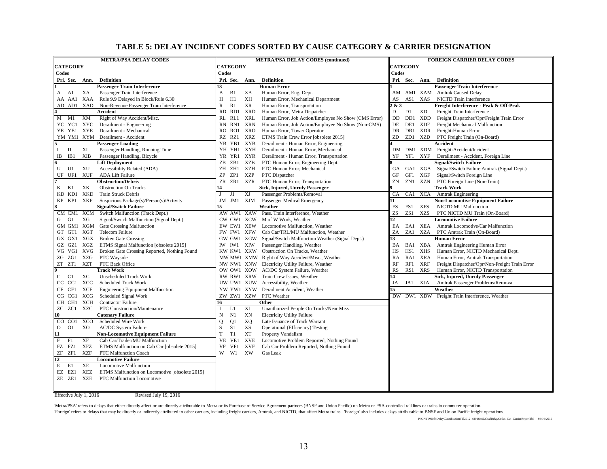#### **TABLE 5: DELAY INCIDENT CODES SORTED BY CAUSE CATEGORY & CARRIER DESIGNATION**

| <b>METRA/PSA DELAY CODES</b>                                          | <b>METRA/PSA DELAY CODES (continued)</b>                                      | <b>FOREIGN CARRIER DELAY CODES</b>                                               |  |  |  |  |  |
|-----------------------------------------------------------------------|-------------------------------------------------------------------------------|----------------------------------------------------------------------------------|--|--|--|--|--|
| <b>CATEGORY</b>                                                       | <b>CATEGORY</b>                                                               | <b>CATEGORY</b>                                                                  |  |  |  |  |  |
| Codes                                                                 | Codes                                                                         | Codes                                                                            |  |  |  |  |  |
| Pri. Sec.<br><b>Definition</b><br>Ann.                                | Pri. Sec.<br><b>Definition</b><br>Ann.                                        | Pri. Sec. Ann.<br><b>Definition</b>                                              |  |  |  |  |  |
| <b>Passenger Train Interference</b>                                   | <b>Human Error</b><br>13                                                      | <b>Passenger Train Interference</b>                                              |  |  |  |  |  |
| Passenger Train Interference<br>A1<br>XA<br>A                         | B<br>B <sub>1</sub><br>XВ<br>Human Error, Eng. Dept.                          | AM1 XAM Amtrak Caused Delay<br>AM                                                |  |  |  |  |  |
| XAA<br>Rule 9.9 Delayed in Block/Rule 6.30<br>AA AA1                  | XH<br>H<br>H1<br>Human Error, Mechanical Department                           | NICTD Train Interference<br>AS1 XAS<br>AS                                        |  |  |  |  |  |
| AD AD1<br>XAD<br>Non-Revenue Passenger Train Interference             | $\mathbb{R}$<br><b>XR</b><br>R1<br>Human Error, Transportation                | & 3<br>Freight Interference - Peak & Off-Peak                                    |  |  |  |  |  |
| Accident                                                              | XRD<br>Human Error, Metra Dispatcher<br>RD<br>RD1                             | D<br><b>XD</b><br>D <sub>1</sub><br>Freight Train Interference                   |  |  |  |  |  |
| XM<br>Right of Way Accident/Misc.<br>$M$ $M1$                         | <b>XRL</b><br>Human Error, Job Action/Employee No Show (CMS Error)<br>RL RL1  | $\rm DD$<br>DD1<br>XDD<br>Freight Dispatcher/Opr/Freight Train Error             |  |  |  |  |  |
| YC YC1 XYC<br>Derailment - Engineering                                | <b>XRN</b><br>Human Error, Job Action/Employee No Show (Non-CMS)<br>RN<br>RN1 | DE<br><b>XDE</b><br>DE1<br>Freight Mechanical Malfunction                        |  |  |  |  |  |
| Derailment - Mechanical<br>YE YE1 XYE                                 | XRO<br>Human Error, Tower Operator<br>RO RO1                                  | DR<br>DR1 XDR<br>Freight-Human Error                                             |  |  |  |  |  |
| YM YM1 XYM Derailment - Accident                                      | RZ RZ1<br>XRZ<br>ETMS Train Crew Error [obsolete 2015]                        | ZD<br>ZD1<br>XZD<br>PTC Freight Train (On-Board)                                 |  |  |  |  |  |
| <b>Passenger Loading</b>                                              | Derailment - Human Error, Engineering<br>YB YB1<br>XYB                        | Accident                                                                         |  |  |  |  |  |
| XI<br>Passenger Handling, Running Time<br><b>I1</b><br>$\mathbf{I}$   | YH YH1<br>XYH<br>Derailment - Human Error, Mechanical                         | DM1 XDM Freight-Accident/Incident<br>DM                                          |  |  |  |  |  |
| <b>XIB</b><br>IB1<br>Passenger Handling, Bicycle<br>IB                | YR YR1<br>XYR<br>Derailment - Human Error, Transportation                     | YF1<br><b>XYF</b><br>Derailment - Accident, Foreign Line<br>YF                   |  |  |  |  |  |
| <b>Lift Deployment</b>                                                | XZB<br>ZB 1<br>PTC Human Error, Engineering Dept.<br>ZΒ                       | <b>Signal/Switch Failure</b>                                                     |  |  |  |  |  |
| U<br>XU<br>Accessibility Related (ADA)<br>U1                          | XZH<br>ZH ZH1<br>PTC Human Error, Mechanical                                  | Signal/Switch Failure Amtrak (Signal Dept.)<br>GA1 XGA<br><b>GA</b>              |  |  |  |  |  |
| <b>XUF</b><br><b>ADA Lift Failure</b><br>UF UF1                       | ZP<br>ZP1<br>XZP<br>PTC Dispatcher                                            | GF1<br>XGF<br>Signal/Switch Foreign Line<br>GF                                   |  |  |  |  |  |
| <b>Obstruction/Debris</b>                                             | ZR ZR1<br>PTC Human Error, Transportation<br>XZR                              | ZN<br>ZN1<br>XZN<br>PTC Foreign Line (Non-Train)                                 |  |  |  |  |  |
| XK<br>K<br>K1<br><b>Obstruction On Tracks</b>                         | Sick, Injured, Unruly Passenger<br>14                                         | <b>Track Work</b>                                                                |  |  |  |  |  |
| <b>XKD</b><br>KD KD1<br><b>Train Struck Debris</b>                    | XJ<br>Passenger Problems/Removal<br>J1<br>J                                   | CA<br>CA1 XCA<br><b>Amtrak Engineering</b>                                       |  |  |  |  |  |
| XKP<br>KP KP1<br>Suspicious Package(s)/Person(s)/Activity             | JM JM1 XJM<br>Passenger Medical Emergency                                     | <b>Non-Locomotive Equipment Failure</b>                                          |  |  |  |  |  |
| <b>Signal/Switch Failure</b>                                          | Weather<br>15                                                                 | FS1<br><b>XFS</b><br>FS<br><b>NICTD MU Malfunction</b>                           |  |  |  |  |  |
| CM CM1 XCM<br>Switch Malfunction (Track Dept.)                        | AW AW1 XAW Pass. Train Interference, Weather                                  | ZS<br>ZS1<br>XZS<br>PTC NICTD MU Train (On-Board)                                |  |  |  |  |  |
| XG<br>G1<br>Signal/Switch Malfunction (Signal Dept.)<br>G             | M of W Work, Weather<br>CW CW1 XCW                                            | $\overline{2}$<br><b>Locomotive Failure</b>                                      |  |  |  |  |  |
| GM GM1 XGM<br><b>Gate Crossing Malfunction</b>                        | EW EW1 XEW<br>Locomotive Malfunction, Weather                                 | XEA<br>EA<br>EA1<br>Amtrak Locomotive/Car Malfunction                            |  |  |  |  |  |
| GT GT1 XGT<br><b>Telecom Failure</b>                                  | FW FW1 XFW<br>Cab Car/TRL/MU Malfunction, Weather                             | ZA<br>ZA1<br>XZA<br>PTC Amtrak Train (On-Board)                                  |  |  |  |  |  |
| GX GX1 XGX<br><b>Broken Gate Crossing</b>                             | GW GW1 XGW<br>Signal/Switch Malfunction Weather (Signal Dept.)                | <b>Human Error</b><br>13                                                         |  |  |  |  |  |
| XGZ<br>ETMS Signal Malfunction [obsolete 2015]<br>GZ GZ1              | Passenger Handling, Weather<br>IW IW1<br>XIW                                  | Amtrak Engineering Human Error<br>BA1<br>XBA<br>BA                               |  |  |  |  |  |
| VG VG1 XVG<br>Broken Gate Crossing Reported, Nothing Found            | KW KW1 XKW<br>Obstruction On Tracks, Weather                                  | HS1<br>XHS<br>Human Error, NICTD Mechanical Dept.<br>HS                          |  |  |  |  |  |
| XZG<br>PTC Wayside<br>ZG ZG1                                          | MW MW1 XMW Right of Way Accident/Misc., Weather                               | Human Error, Amtrak Transportation<br>RA<br>RA1<br>XRA                           |  |  |  |  |  |
| <b>XZT</b><br>ZT ZT1<br>PTC Back Office                               | Electricity Utility Failure, Weather<br>NW NW1 XNW                            | <b>RF</b><br>RF1<br><b>XRF</b><br>Freight Dispatcher/Opr/Non-Freight Train Error |  |  |  |  |  |
| <b>Track Work</b>                                                     | AC/DC System Failure, Weather<br>OW OW1 XOW                                   | RS1<br><b>XRS</b><br>Human Error, NICTD Transportation<br>RS                     |  |  |  |  |  |
| XC<br><b>Unscheduled Track Work</b><br>C<br>C1                        | Train Crew Issues, Weather<br>RW RW1 XRW                                      | Sick, Injured, Unruly Passenger<br>ι4                                            |  |  |  |  |  |
| XCC<br>CC CC1<br><b>Scheduled Track Work</b>                          | UW UW1 XUW<br>Accessibility, Weather                                          | <b>XJA</b><br>JA<br>JA1<br>Amtrak Passenger Problems/Removal                     |  |  |  |  |  |
| <b>XCF</b><br>CF CF1<br><b>Engineering Equipment Malfunction</b>      | YW YW1 XYW<br>Derailment Accident, Weather                                    | Weather<br>15                                                                    |  |  |  |  |  |
| Scheduled Signal Work<br>XCG<br>CG CG1                                | ZW ZW1 XZW<br>PTC Weather                                                     | DW DW1 XDW Freight Train Interference, Weather                                   |  |  |  |  |  |
| CH CH1<br>XCH<br><b>Contractor Failure</b>                            | 16<br>Other                                                                   |                                                                                  |  |  |  |  |  |
| PTC Construction/Maintenance<br>ZC ZC1<br>XZC                         | <b>XL</b><br>Unauthorized People On Tracks/Near Miss<br>L<br>L1               |                                                                                  |  |  |  |  |  |
| <b>Catenary Failure</b><br>10                                         | XN<br><b>Electricity Utility Failure</b><br>N<br>N1                           |                                                                                  |  |  |  |  |  |
| XCO<br>Scheduled Wire Work<br>CO CO1                                  | Q1<br>XQ<br>Late Issuance of Track Warrant<br>Q                               |                                                                                  |  |  |  |  |  |
| $\overline{O}$<br>XO<br>O <sub>1</sub><br><b>AC/DC</b> System Failure | $\mathbf S$<br>XS<br>Operational (Efficiency) Testing<br>S1                   |                                                                                  |  |  |  |  |  |
| 11<br><b>Non-Locomotive Equipment Failure</b>                         | T<br>T1<br>XT<br>Property Vandalism                                           |                                                                                  |  |  |  |  |  |
| $\mathbf{F}$<br>XF<br>Cab Car/Trailer/MU Malfunction<br>F1            | VE<br><b>XVE</b><br>Locomotive Problem Reported, Nothing Found<br>VE1         |                                                                                  |  |  |  |  |  |
| FZ FZ1<br>XFZ<br>ETMS Malfunction on Cab Car [obsolete 2015]          | <b>XVF</b><br>VF<br>Cab Car Problem Reported, Nothing Found<br>VF1            |                                                                                  |  |  |  |  |  |
| ZF<br>ZF1<br>XZF<br>PTC Malfunction Coach                             | XW<br>W<br>W1<br>Gas Leak                                                     |                                                                                  |  |  |  |  |  |
| 12<br><b>Locomotive Failure</b>                                       |                                                                               |                                                                                  |  |  |  |  |  |
| E<br>E1<br>XE<br><b>Locomotive Malfunction</b>                        |                                                                               |                                                                                  |  |  |  |  |  |
| EZ EZ1<br>XEZ<br>ETMS Malfunction on Locomotive [obsolete 2015]       |                                                                               |                                                                                  |  |  |  |  |  |
| ZE ZE1<br><b>XZE</b><br>PTC Malfunction Locomotive                    |                                                                               |                                                                                  |  |  |  |  |  |
|                                                                       |                                                                               |                                                                                  |  |  |  |  |  |

Effective July 1, 2016 Revised July 19, 2016

'Metra/PSA' refers to delays that either directly affect or are directly attributable to Metra or its Purchase of Service Agreement partners (BNSF and Union Pacific) on Metra or PSA-controlled rail lines or trains in commu

Toreign' refers to delays that may be directly or indirectly attributed to other carriers, including freight carriers, Amtrak, and NICTD, that affect Metra trains. Toreign' also includes delays attributable to BNSF and Uni

P:\ONTIME\[#DelayClassificationTbl2012\_v2016mid.xlsx]DelayCodes\_Cat\_CarrierReportTbl 08/16/2016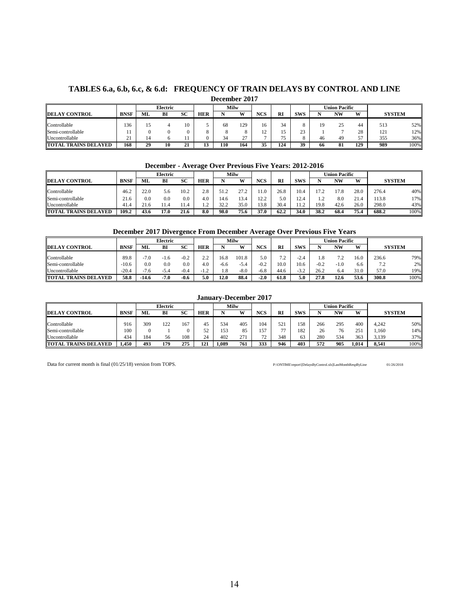#### **TABLES 6.a, 6.b, 6.c, & 6.d: FREQUENCY OF TRAIN DELAYS BY CONTROL AND LINE December 2017**

|                             |             | Electric |    |                    | Milw       |     |            |                |           |              |    | Union Pacific |         |               |      |
|-----------------------------|-------------|----------|----|--------------------|------------|-----|------------|----------------|-----------|--------------|----|---------------|---------|---------------|------|
| <b>DELAY CONTROL</b>        | <b>BNSF</b> | ML       | BI | SC                 | <b>HER</b> |     | <b>XX7</b> | <b>NCS</b>     | <b>RI</b> | <b>SWS</b>   |    | NW            | W       | <b>SYSTEM</b> |      |
| Controllable                | 136         | ιJ       |    | 10                 |            | 68  | 129        | 16             | 34        |              |    | 25            | 44      | 513           | 52%  |
| Semi-controllable           |             |          |    |                    |            |     |            | $\overline{ }$ |           | $\sim$<br>23 |    |               | 28      | 121           | 12%  |
| Uncontrollable              | . .         |          |    |                    |            | 34  | $\sim$     |                |           |              | 46 | 49            | 57<br>◡ | 355           | 36%  |
| <b>TOTAL TRAINS DELAYED</b> | 168         | 29       | 10 | $^{\bullet}$<br>41 |            | 110 | 164        | 25<br>ມມ       | 124       | 39           | 66 | 81            | 129     | 989           | 100% |

#### **December - Average Over Previous Five Years: 2012-2016**

|                             |             |          | Electric |      |            | Milw |      |            |           |            |      | U <b>nion Pacific</b> |      |               |      |
|-----------------------------|-------------|----------|----------|------|------------|------|------|------------|-----------|------------|------|-----------------------|------|---------------|------|
| <b>DELAY CONTROL</b>        | <b>BNSF</b> | ML       | ВI       | SC   | <b>HER</b> |      | W    | <b>NCS</b> | <b>RI</b> | <b>SWS</b> |      | <b>NW</b>             | W    | <b>SYSTEM</b> |      |
| Controllable                | 46.2        | 22.0     | 5.6      | 10.2 | 2.8        |      | າາ າ | 1.0        | 26.8      | 10.4       | 17.2 | 17.8                  | 28.0 | 276.4         | 40%  |
| Semi-controllable           | 21.6        | $_{0.0}$ | 0.0      | 0.0  | 4.0        | 4.6  | 13.4 | 122        | 5.0       | 12.4       |      | 8.0                   | 21.4 | 113.8         | 17%  |
| Uncontrollable              | 41.4        | 21.6     | 1.4      |      |            |      | 35.0 | 13.8       | 30.4      | 12<br>.    | 19.8 | 42.6                  | 26.0 | 298.0         | 43%  |
| <b>TOTAL TRAINS DELAYED</b> | 109.2       | 43.6     | 17.0     | 21.6 | 8.0        | 98.0 | 75.6 | 37.0       | 62.2      | 34.0       | 38.2 | 68.4                  | 75.4 | 688.2         | 100% |

#### **December 2017 Divergence From December Average Over Previous Five Years**

|                                      |             |          | Electric |        |          |      | Milw   |            |                |                       |        | <b>Union Pacific</b> |      |                       |      |
|--------------------------------------|-------------|----------|----------|--------|----------|------|--------|------------|----------------|-----------------------|--------|----------------------|------|-----------------------|------|
| <sup>7</sup> CONTROL<br><b>DELAY</b> | <b>BNSF</b> | ML       | Bl       | SC     | HER      |      | W.     | <b>NCS</b> | <b>RI</b>      | <b>SWS</b>            |        | NW                   | W    | <b>SYSTEM</b>         |      |
| Controllable                         | 89.8        | -7.0     | 1.6      | $-0.2$ | $\Omega$ | 16.8 | 101.8  | 5.0        | 7 <sub>2</sub> | $\sim$<br>$-L1$       |        | 72<br>. .            | 16.0 | 236.6                 | 79%  |
| Semi-controllable                    | $-10.6$     | $_{0.0}$ | 0.0      | 0.0    | 4.0      | -6.6 | $-5$   | $-0.2$     | 10.0           | 10.6                  | $-0.2$ | $-1.0$               | 6.6  | $\overline{ }$<br>ے ، | 2%   |
| Uncontrollable                       | $-20.4$     | -7.6     | 3.4      | $-0.4$ |          | 1.8  | $-8.0$ | -6.8       | 44.6           | $-3$ $\circ$<br>ے . _ | 26.2   | 6.4                  | 31.0 | 57.0                  | 19%  |
| <b>TOTAL</b><br>. TRAINS DELAYED     | 58.8        | 14.6     | -7.0     | $-0.6$ | 5.0      | 12.0 | 88.4   | $-2.0$     | 61.8           | 5.0                   | 27.8   | 12.6                 | 53.6 | 300.8                 | 100% |

#### **January-December 2017**

|                             |             |     | Electric |           |            | Milw  |     |            |                          |            |     | Union Pacific |       |               |      |
|-----------------------------|-------------|-----|----------|-----------|------------|-------|-----|------------|--------------------------|------------|-----|---------------|-------|---------------|------|
| <b>DELAY CONTROL</b>        | <b>BNSF</b> | ML  | BI       | <b>SC</b> | <b>HER</b> |       | w   | <b>NCS</b> | <b>RI</b>                | <b>SWS</b> |     | <b>NW</b>     | W     | <b>SYSTEM</b> |      |
| Controllable                | 916         | 309 | 122      | 167       | 45         | 534   | 405 | 104        | 52                       | 158        | 266 | 295           | 400   | 4.242         | 50%  |
| Semi-controllable           | 100         |     |          |           | 52         | 153   | 85  | 157        | $\overline{\phantom{a}}$ | 182        | 26  | 76            | 251   | 1.160         | 14%  |
| Uncontrollable              | 434         | 184 | 56       | 108       | 24         | 402   | 271 | 72         | 348                      | 63         | 280 | 534           | 363   | 3.139         | 37%  |
| <b>TOTAL TRAINS DELAYED</b> | .450        | 493 | 179      | 275       | 121        | 1,089 | 761 | 333        | 946                      | 403        | 572 | 905           | 1.014 | 8.541         | 100% |

Data for current month is final (01/25/18) version from TOPS. P:\ONTIME\report\[DelaysByControl.xls]LastMonthRespByLine 01/26/2018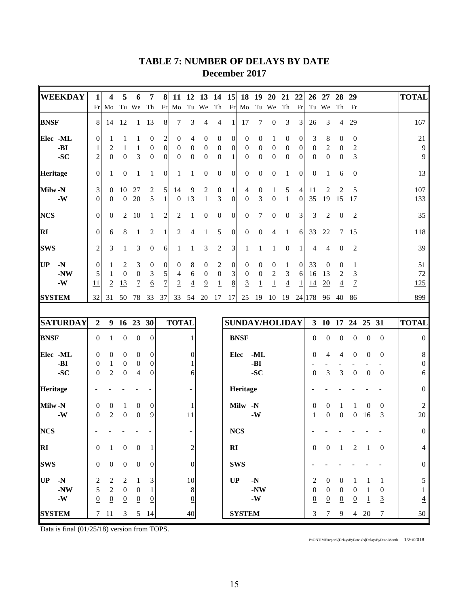| <b>WEEKDAY</b>  | 1                | 4                | 5                | 6                | 7                | 8                | 11               | 12               | <b>13</b>        | 14               | <b>15</b>        | 18                    | 19                              | <b>20</b>        | 21               | 22               | 26               | 27               | 28               | 29               |                  |                  | <b>TOTAL</b>     |
|-----------------|------------------|------------------|------------------|------------------|------------------|------------------|------------------|------------------|------------------|------------------|------------------|-----------------------|---------------------------------|------------------|------------------|------------------|------------------|------------------|------------------|------------------|------------------|------------------|------------------|
|                 | Fr               | Mo               |                  | Tu We            | Th               | Fr               | Mo               |                  | Tu We            | Th               | Fr               | Mo                    |                                 | Tu We            | Th               | Fr               |                  | Tu We            | Th               | Fr               |                  |                  |                  |
| <b>BNSF</b>     | 8                | 14               | 12               | $\mathbf{1}$     | 13               | $\,8\,$          | 7                | 3                | 4                | 4                | $\mathbf{1}$     | 17                    | 7                               | $\boldsymbol{0}$ | 3                | 3                | 26               | 3                | $\overline{4}$   | 29               |                  |                  | 167              |
| Elec -ML        | $\boldsymbol{0}$ | 1                | 1                | 1                | 0                | $\boldsymbol{2}$ | $\boldsymbol{0}$ | 4                | 0                | 0                | $\boldsymbol{0}$ | $\mathbf{0}$          | $\mathbf{0}$                    | 1                | $\boldsymbol{0}$ | 0                | 3                | 8                | 0                | $\mathbf{0}$     |                  |                  | 21               |
| -BI             | $\mathbf{1}$     | $\overline{2}$   | 1                | $\mathbf{1}$     | $\boldsymbol{0}$ | $\boldsymbol{0}$ | $\boldsymbol{0}$ | $\boldsymbol{0}$ | $\boldsymbol{0}$ | $\boldsymbol{0}$ | $\boldsymbol{0}$ | $\mathbf{0}$          | $\boldsymbol{0}$                | $\boldsymbol{0}$ | $\boldsymbol{0}$ | $\boldsymbol{0}$ | $\boldsymbol{0}$ | $\overline{2}$   | $\boldsymbol{0}$ | $\sqrt{2}$       |                  |                  | 9                |
| $-SC$           | $\overline{c}$   | $\overline{0}$   | $\boldsymbol{0}$ | 3                | $\boldsymbol{0}$ | $\mathbf{0}$     | $\boldsymbol{0}$ | $\boldsymbol{0}$ | $\boldsymbol{0}$ | $\boldsymbol{0}$ | $\mathbf{1}$     | $\mathbf{0}$          | $\mathbf{0}$                    | $\boldsymbol{0}$ | $\boldsymbol{0}$ | $\theta$         | $\boldsymbol{0}$ | $\boldsymbol{0}$ | $\boldsymbol{0}$ | 3                |                  |                  | 9                |
| Heritage        | $\theta$         | 1                | $\mathbf{0}$     | 1                | 1                | $\overline{0}$   | 1                | 1                | $\boldsymbol{0}$ | $\boldsymbol{0}$ | $\boldsymbol{0}$ | $\boldsymbol{0}$      | $\boldsymbol{0}$                | $\boldsymbol{0}$ | 1                | $\boldsymbol{0}$ | 0                | 1                | 6                | $\boldsymbol{0}$ |                  |                  | 13               |
| Milw-N          | 3                | $\mathbf{0}$     | 10               | 27               | 2                | 5                | 14               | 9                | $\boldsymbol{2}$ | $\boldsymbol{0}$ | 1                | 4                     | $\boldsymbol{0}$                | $\mathbf{1}$     | 5                | 4                | 11               | 2                | 2                | 5                |                  |                  | 107              |
| $-W$            | $\theta$         | $\overline{0}$   | $\mathbf{0}$     | 20               | 5                | 1                | $\boldsymbol{0}$ | 13               | $\mathbf{1}$     | 3                | $\boldsymbol{0}$ | $\mathbf{0}$          | 3                               | $\boldsymbol{0}$ | 1                | $\theta$         | 35               | 19               | 15               | 17               |                  |                  | 133              |
| <b>NCS</b>      | $\theta$         | $\boldsymbol{0}$ | 2                | 10               | 1                | 2                | 2                | 1                | $\boldsymbol{0}$ | $\boldsymbol{0}$ | $\boldsymbol{0}$ | $\boldsymbol{0}$      | 7                               | $\boldsymbol{0}$ | $\boldsymbol{0}$ | 3                | 3                | 2                | $\boldsymbol{0}$ | $\overline{2}$   |                  |                  | 35               |
| <b>RI</b>       | $\mathbf{0}$     | 6                | 8                | $\mathbf{1}$     | 2                | $\mathbf{1}$     | 2                | 4                | 1                | 5                | $\boldsymbol{0}$ | $\theta$              | $\boldsymbol{0}$                | 4                | 1                | 6                | 33               | 22               | 7                | 15               |                  |                  | 118              |
| <b>SWS</b>      | $\overline{c}$   | 3                | 1                | 3                | $\boldsymbol{0}$ | 6                | 1                | 1                | 3                | 2                | 3                | 1                     | 1                               | 1                | $\theta$         | 1                | 4                | 4                | $\overline{0}$   | $\overline{2}$   |                  |                  | 39               |
| UP<br>$-N$      | $\boldsymbol{0}$ | 1                | 2                | 3                | $\boldsymbol{0}$ | $\boldsymbol{0}$ | $\boldsymbol{0}$ | 8                | $\boldsymbol{0}$ | $\overline{2}$   | $\boldsymbol{0}$ | $\boldsymbol{0}$      | $\mathbf{0}$                    | 0                | $\mathbf{1}$     | $\mathbf{0}$     | 33               | $\boldsymbol{0}$ | $\mathbf{0}$     | 1                |                  |                  | 51               |
| $-NW$           | 5                | 1                | $\mathbf{0}$     | $\boldsymbol{0}$ | 3                | 5                | 4                | 6                | $\boldsymbol{0}$ | $\boldsymbol{0}$ | 3                | $\mathbf{0}$          | $\boldsymbol{0}$                | 2                | 3                | 6                | 16               | 13               | $\overline{2}$   | 3                |                  |                  | 72               |
| $-W$            | 11               | $\overline{2}$   | <u>13</u>        | $\overline{1}$   | <u>6</u>         | $\overline{7}$   | $\overline{2}$   | $\overline{4}$   | $\overline{9}$   | $\overline{1}$   | 8                | $\overline{3}$        | $\overline{1}$                  | $\overline{1}$   | $\overline{4}$   | <u>1</u>         | <u>14</u>        | 20               | $\overline{4}$   | $\overline{1}$   |                  |                  | 125              |
| <b>SYSTEM</b>   | 32               | 31               | 50               | 78               | 33               | 37               | 33               | 54               | 20               | 17               | 17               | 25                    | 19                              | 10               | 19               |                  | 24 178           | 96               | 40               | 86               |                  |                  | 899              |
|                 |                  |                  |                  |                  |                  |                  |                  |                  |                  |                  |                  |                       |                                 |                  |                  |                  |                  |                  |                  |                  |                  |                  |                  |
| <b>SATURDAY</b> | $\overline{2}$   |                  | 9 16 23 30       |                  |                  |                  | <b>TOTAL</b>     |                  |                  |                  |                  | <b>SUNDAY/HOLIDAY</b> |                                 |                  |                  |                  |                  |                  |                  | 3 10 17 24 25 31 |                  |                  | <b>TOTAL</b>     |
| <b>BNSF</b>     | $\mathbf{0}$     | 1                | $\mathbf{0}$     | $\boldsymbol{0}$ | $\boldsymbol{0}$ |                  |                  | 1                |                  |                  |                  | <b>BNSF</b>           |                                 |                  |                  |                  | $\theta$         | $\boldsymbol{0}$ | $\boldsymbol{0}$ | $\boldsymbol{0}$ | $\boldsymbol{0}$ | $\mathbf{0}$     | $\boldsymbol{0}$ |
| Elec -ML        | $\boldsymbol{0}$ | $\mathbf{0}$     | $\boldsymbol{0}$ | $\boldsymbol{0}$ | $\boldsymbol{0}$ |                  |                  | 0                |                  |                  | Elec             |                       | $-ML$                           |                  |                  |                  | 0                | 4                | 4                | $\boldsymbol{0}$ | 0                | 0                | 8                |
| $-BI$           | $\mathbf{0}$     | $\mathbf{1}$     | $\boldsymbol{0}$ | $\boldsymbol{0}$ | $\boldsymbol{0}$ |                  |                  |                  |                  |                  |                  |                       | -BI                             |                  |                  |                  |                  |                  |                  |                  |                  |                  | 0                |
| $-SC$           | $\mathbf{0}$     | 2                | $\boldsymbol{0}$ | $\overline{4}$   | $\theta$         |                  |                  | 6                |                  |                  |                  |                       | $-SC$                           |                  |                  |                  | $\theta$         | 3                | 3                | $\boldsymbol{0}$ | $\boldsymbol{0}$ | $\mathbf{0}$     | 6                |
| Heritage        |                  |                  |                  |                  |                  |                  |                  |                  |                  |                  |                  | Heritage              |                                 |                  |                  |                  |                  |                  |                  |                  |                  |                  | 0                |
| Milw-N          | $\boldsymbol{0}$ | $\boldsymbol{0}$ | 1                | 0                | $\boldsymbol{0}$ |                  |                  |                  |                  |                  |                  | <b>Milw</b>           | $-N$                            |                  |                  |                  | 0                | 0                |                  |                  | $\mathbf{0}$     | 0                | 2                |
| $-W$            | $\mathbf{0}$     | $\overline{2}$   | $\boldsymbol{0}$ | $\boldsymbol{0}$ | 9                |                  |                  | 11               |                  |                  |                  |                       | $-W$                            |                  |                  |                  | 1                | $\boldsymbol{0}$ | $\boldsymbol{0}$ | 0                | 16               | 3                | 20               |
| <b>NCS</b>      |                  |                  |                  |                  |                  |                  |                  |                  |                  |                  |                  | NCS                   |                                 |                  |                  |                  |                  |                  |                  |                  |                  |                  | $\overline{0}$   |
| RI              | $\boldsymbol{0}$ | -1               | $\boldsymbol{0}$ | $\boldsymbol{0}$ | -1               |                  |                  | $\overline{c}$   |                  |                  | RI               |                       |                                 |                  |                  |                  | $\mathbf{0}$     | $\overline{0}$   | -1               | 2                | $\overline{1}$   | $\overline{0}$   | 4                |
| <b>SWS</b>      | $\boldsymbol{0}$ | $\overline{0}$   | $\boldsymbol{0}$ | $\boldsymbol{0}$ | $\boldsymbol{0}$ |                  |                  | $\theta$         |                  |                  |                  | <b>SWS</b>            |                                 |                  |                  |                  |                  |                  |                  |                  |                  |                  | 0                |
| UP -N           | $\sqrt{2}$       | $\overline{c}$   | 2                | 1                | 3                |                  |                  | 10               |                  |                  | UP               |                       | $-N$                            |                  |                  |                  | $\boldsymbol{2}$ | $\boldsymbol{0}$ | $\overline{0}$   | 1                | 1                | $\mathbf{1}$     | 5                |
| $-NW$           | 5                | $\sqrt{2}$       | $\overline{0}$   | $\boldsymbol{0}$ | 1                |                  |                  | 8                |                  |                  |                  |                       | $-NW$                           |                  |                  |                  | $\boldsymbol{0}$ | $\boldsymbol{0}$ | $\boldsymbol{0}$ | $\overline{0}$   | -1               | $\boldsymbol{0}$ |                  |
| $-W$            | $\underline{0}$  | $\underline{0}$  | $\overline{0}$   | $\underline{0}$  | $\overline{0}$   |                  |                  | $\overline{0}$   |                  |                  |                  |                       | $\boldsymbol{\cdot} \mathbf{W}$ |                  |                  |                  | $\underline{0}$  | $\overline{0}$   | $\underline{0}$  | $\overline{0}$   | $\overline{1}$   | $\overline{3}$   | $\overline{4}$   |
| <b>SYSTEM</b>   |                  | $7\quad11$       | 3                |                  | $5 \t14$         |                  |                  | 40               |                  |                  |                  | <b>SYSTEM</b>         |                                 |                  |                  |                  | 3                | $\tau$           | 9                |                  | 4 20             | 7                | 50               |

# **TABLE 7: NUMBER OF DELAYS BY DATE December 2017**

Data is final (01/25/18) version from TOPS.

P:\ONTIME\report\[DelaysByDate.xls]DelaysByDate-Month 1/26/2018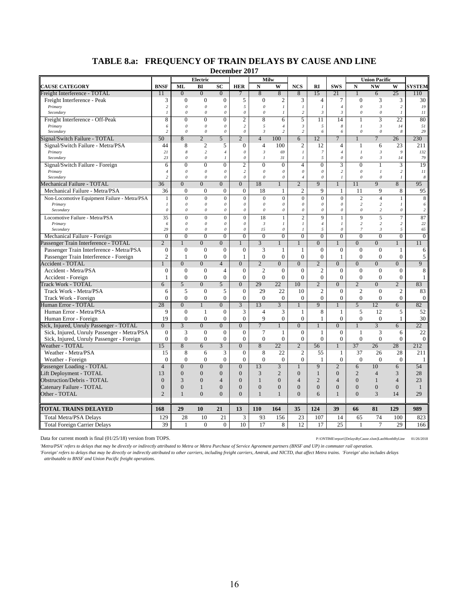| <b>NW</b><br><b>BNSF</b><br>ML<br>BI<br><b>SC</b><br><b>HER</b><br>N<br>W<br><b>NCS</b><br><b>SWS</b><br>$\mathbf N$<br>W<br><b>SYSTEM</b><br>RI<br>25<br>$\overline{0}$<br>8<br>8<br>15<br>$\Omega$<br>$\Omega$<br>8<br>21<br>6<br>110<br>11<br>3<br>3<br>$\mathbf{0}$<br>$\mathbf{0}$<br>$\overline{0}$<br>5<br>$\overline{0}$<br>$\overline{c}$<br>3<br>$\tau$<br>$\mathbf{0}$<br>3<br>30<br>Freight Interference - Peak<br>$\overline{4}$<br>$\sqrt{2}$<br>$\boldsymbol{\mathit{0}}$<br>$\boldsymbol{o}$<br>5<br>$\boldsymbol{\mathit{0}}$<br>$\boldsymbol{\beta}$<br>19<br>$\theta$<br>$\mathcal O$<br>$\cal I$<br>$\cal I$<br>$\overline{l}$<br>$\overline{c}$<br>Primary<br>$\sqrt{4}$<br>$\theta$<br>$\theta$<br>$\theta$<br>11<br>Secondary<br>$\mathcal{I}$<br>$\theta$<br>$\theta$<br>0<br>$\theta$<br>$\mathcal{I}$<br>$\overline{c}$<br>$\mathfrak{Z}$<br>$\mathfrak{Z}$<br>$\mathbf{I}$<br>8<br>$\theta$<br>$\theta$<br>$\overline{c}$<br>5<br>14<br>3<br>22<br>80<br>Freight Interference - Off-Peak<br>$\Omega$<br>8<br>6<br>11<br>1<br>$\theta$<br>$\boldsymbol{\mathit{0}}$<br>$\overline{c}$<br>5<br>$\cal I$<br>$\mathfrak{Z}$<br>51<br>0<br>5<br>$\mathfrak{z}$<br>8<br>14<br>Primary<br>6<br>$\overline{4}$<br>$\mathcal O$<br>$\overline{c}$<br>$\theta$<br>$\boldsymbol{\mathit{0}}$<br>$\theta$<br>$\boldsymbol{\theta}$<br>$\mathfrak{Z}$<br>$\overline{c}$<br>$\boldsymbol{2}$<br>6<br>6<br>$\boldsymbol{\mathit{0}}$<br>8<br>29<br>Secondary<br>$\overline{26}$<br>230<br>Signal/Switch Failure - TOTAL<br>50<br>8<br>$\overline{2}$<br>5<br>$\overline{2}$<br>$\overline{4}$<br>100<br>6<br>12<br>$\overline{7}$<br>$\overline{7}$<br>1<br>8<br>$\overline{2}$<br>5<br>$\overline{4}$<br>$\mathbf{2}$<br>Signal/Switch Failure - Metra/PSA<br>44<br>100<br>12<br>$\overline{4}$<br>6<br>211<br>$\Omega$<br>$\mathbf{1}$<br>23<br>$\overline{c}$<br>$\overline{\mathcal{I}}$<br>21<br>8<br>$\theta$<br>69<br>$\mathfrak{1}$<br>$\overline{I}$<br>$\mathfrak{z}$<br>$\overline{Q}$<br>132<br>Primary<br>$\overline{4}$<br>$\mathfrak{Z}$<br>$\overline{4}$<br>$\theta$<br>Secondary<br>23<br>$\theta$<br>$\mathcal{O}$<br>31<br>5<br>$\theta$<br>$\theta$<br>$\mathfrak z$<br>14<br>79<br>$\boldsymbol{l}$<br>$\overline{I}$<br>$\mathfrak{I}$<br>$\overline{\mathbf{3}}$<br>$\overline{2}$<br>3<br>$\overline{0}$<br>$\overline{0}$<br>$\overline{0}$<br>$\overline{4}$<br>$\overline{0}$<br>$\overline{0}$<br>19<br>Signal/Switch Failure - Foreign<br>6<br>$\Omega$<br>$\mathbf{0}$<br>1<br>$\theta$<br>$\theta$<br>$\theta$<br>$\overline{c}$<br>$\theta$<br>$\theta$<br>$\theta$<br>$\overline{c}$<br>$\theta$<br>$\cal{I}$<br>Primary<br>$\overline{4}$<br>$\theta$<br>$\mathbf{I}$<br>2<br>$\theta$<br>$\theta$<br>$\theta$<br>$\theta$<br>$\theta$<br>$\theta$<br>8<br>Secondary<br>$\overline{c}$<br>$\theta$<br>$\theta$<br>$\theta$<br>$\mathcal{I}$<br>$\overline{4}$<br>$\mathcal{I}_{\mathcal{I}}$<br>$\overline{2}$<br>$\overline{9}$<br>$\overline{9}$<br>95<br>Mechanical Failure - TOTAL<br>36<br>$\Omega$<br>$\Omega$<br>$\Omega$<br>$\Omega$<br>18<br>11<br>8<br>1<br>$\mathbf{1}$<br>$\overline{2}$<br>$\mathbf{0}$<br>9<br>95<br>Mechanical Failure - Metra/PSA<br>36<br>$\mathbf{0}$<br>$\mathbf{0}$<br>$\mathbf{0}$<br>18<br>$\mathbf{1}$<br>11<br>9<br>8<br>1<br>$\mathbf{0}$<br>$\overline{0}$<br>$\overline{0}$<br>$\overline{0}$<br>$\overline{0}$<br>$\mathbf{0}$<br>$\overline{0}$<br>$\overline{c}$<br>$\overline{4}$<br>8<br>Non-Locomotive Equipment Failure - Metra/PSA<br>$\overline{0}$<br>$\mathbf{0}$<br>$\mathbf{1}$<br>$\mathbf{1}$<br>$\theta$<br>$\theta$<br>$\theta$<br>$\theta$<br>$\boldsymbol{\theta}$<br>$\mathcal O$<br>$\theta$<br>$\boldsymbol{\mathit{0}}$<br>$\mathcal O$<br>$\overline{c}$<br>$\overline{c}$<br>$\mathcal{I}_{\mathcal{I}}$<br>6<br>Primary<br>$\overline{I}$<br>$\theta$<br>$\mathcal{O}$<br>$\theta$<br>$\theta$<br>$\boldsymbol{\theta}$<br>$\theta$<br>$\theta$<br>$\theta$<br>$\theta$<br>$\theta$<br>$\boldsymbol{\theta}$<br>$\boldsymbol{2}$<br>$\theta$<br>$\overline{c}$<br>Secondary<br>Locomotive Failure - Metra/PSA<br>35<br>$\theta$<br>$\overline{0}$<br>$\overline{0}$<br>$\mathbf{0}$<br>18<br>$\overline{c}$<br>9<br>$\mathbf{1}$<br>9<br>5<br>$\overline{7}$<br>87<br>$\mathbf{1}$<br>22<br>$\theta$<br>$\boldsymbol{\mathit{0}}$<br>$\boldsymbol{\mathit{0}}$<br>$\theta$<br>$\boldsymbol{\beta}$<br>$\sqrt{2}$<br>$\sqrt{2}$<br>Primary<br>6<br>$\mathcal{I}_{\mathcal{I}}$<br>$\cal I$<br>$\boldsymbol{4}$<br>$\cal I$<br>$\overline{c}$<br>29<br>$\theta$<br>$\theta$<br>$\theta$<br>$\theta$<br>15<br>$\theta$<br>5<br>$\theta$<br>$\overline{7}$<br>$\mathfrak{z}$<br>65<br>Secondary<br>$\overline{I}$<br>5<br>$\overline{0}$<br>$\overline{0}$<br>$\overline{0}$<br>$\overline{0}$<br>$\overline{0}$<br>$\overline{0}$<br>$\overline{0}$<br>Mechanical Failure - Foreign<br>$\Omega$<br>$\Omega$<br>$\Omega$<br>$\mathbf{0}$<br>$\mathbf{0}$<br>$\Omega$<br>$\Omega$<br>$\overline{2}$<br>$\overline{0}$<br>$\overline{0}$<br>$\overline{3}$<br>$\overline{0}$<br>$\overline{0}$<br>$\overline{0}$<br>Passenger Train Interference - TOTAL<br>$\mathbf{1}$<br>$\mathbf{1}$<br>$\mathbf{1}$<br>$\mathbf{1}$<br>11<br>1<br>$\mathbf{1}$<br>$\overline{3}$<br>$\overline{0}$<br>$\Omega$<br>$\Omega$<br>$\Omega$<br>$\Omega$<br>$\overline{0}$<br>$\theta$<br>$\mathbf{0}$<br>$\Omega$<br>6<br>Passenger Train Interference - Metra/PSA<br>$\mathbf{1}$<br>$\mathbf{1}$<br>1<br>$\overline{2}$<br>Passenger Train Interference - Foreign<br>$\mathbf{1}$<br>$\overline{0}$<br>$\theta$<br>$\overline{0}$<br>$\overline{0}$<br>$\mathbf{0}$<br>$\overline{0}$<br>$\mathbf{1}$<br>$\mathbf{0}$<br>$\Omega$<br>$\mathbf{0}$<br>5<br>$\mathbf{1}$<br>$\overline{0}$<br>$\overline{2}$<br>$\overline{0}$<br>$\overline{2}$<br><b>Accident - TOTAL</b><br>$\Omega$<br>$\overline{4}$<br>$\Omega$<br>$\Omega$<br>$\Omega$<br>$\Omega$<br>$\Omega$<br>$\Omega$<br>9<br>$\mathbf{1}$<br>$\overline{8}$<br>$\Omega$<br>$\overline{c}$<br>$\mathbf{0}$<br>Accident - Metra/PSA<br>$\theta$<br>$\Omega$<br>$\overline{4}$<br>$\mathbf{0}$<br>$\mathbf{0}$<br>$\mathfrak{2}$<br>$\mathbf{0}$<br>$\mathbf{0}$<br>$\Omega$<br>$\Omega$<br>$\Omega$<br>$\Omega$<br>$\theta$<br>$\theta$<br>$\theta$<br>$\theta$<br>Accident - Foreign<br>$\Omega$<br>$\Omega$<br>$\Omega$<br>$\mathbf{0}$<br>$\theta$<br>$\Omega$<br>$\mathbf{1}$<br>$\mathbf{1}$<br>$\overline{0}$<br>29<br>22<br>10<br>$\overline{2}$<br>$\overline{0}$<br>$\overline{2}$<br>$\overline{0}$<br>$\overline{2}$<br>83<br><b>Track Work - TOTAL</b><br>6<br>5<br>$\Omega$<br>5<br>5<br>$\mathbf{0}$<br>5<br>$\mathbf{0}$<br>29<br>22<br>10<br>$\overline{c}$<br>$\mathbf{0}$<br>$\overline{2}$<br>$\mathbf{0}$<br>$\overline{c}$<br>83<br>Track Work - Metra/PSA<br>6<br>$\boldsymbol{0}$<br>$\overline{0}$<br>$\mathbf{0}$<br>$\mathbf{0}$<br>$\mathbf{0}$<br>$\mathbf{0}$<br>$\overline{0}$<br>$\boldsymbol{0}$<br>$\overline{0}$<br>$\boldsymbol{0}$<br>$\mathbf{0}$<br>$\mathbf{0}$<br>$\boldsymbol{0}$<br>Track Work - Foreign<br>$\mathbf{0}$<br>28<br>$\overline{0}$<br>$\overline{0}$<br>$\overline{3}$<br>13<br>$\overline{3}$<br>$\overline{9}$<br>5<br>12<br>82<br>Human Error - TOTAL<br>$\mathbf{1}$<br>$\mathbf{1}$<br>$\mathbf{1}$<br>6<br>9<br>$\Omega$<br>$\mathbf{1}$<br>$\Omega$<br>3<br>$\overline{4}$<br>3<br>8<br>5<br>12<br>5<br>52<br>Human Error - Metra/PSA<br>$\mathbf{1}$<br>$\mathbf{1}$<br>$\overline{0}$<br>9<br>$\mathbf{0}$<br>Human Error - Foreign<br>19<br>$\mathbf{0}$<br>$\Omega$<br>$\mathbf{0}$<br>$\overline{0}$<br>$\mathbf{0}$<br>$\mathbf{0}$<br>$\theta$<br>30<br>1<br>1<br>$\overline{0}$<br>$\overline{0}$<br>Sick, Injured, Unruly Passenger - TOTAL<br>$\overline{0}$<br>$\overline{3}$<br>$\overline{0}$<br>$\overline{0}$<br>$\overline{7}$<br>$\overline{3}$<br>$22^{2}$<br>$\overline{0}$<br>$\overline{1}$<br>$6 \overline{6}$<br>$\mathbf{1}$<br>$\mathbf{1}$<br>$\overline{\mathbf{3}}$<br>$\overline{0}$<br>$\overline{0}$<br>Sick, Injured, Unruly Passenger - Metra/PSA<br>$\overline{0}$<br>$\overline{0}$<br>$\Omega$<br>$\mathbf{0}$<br>$\overline{7}$<br>3<br>6<br>22<br>$\mathbf{1}$<br>$\mathbf{1}$<br>1<br>$\mathbf{0}$<br>$\mathbf{0}$<br>$\overline{0}$<br>$\overline{0}$<br>$\mathbf{0}$<br>$\boldsymbol{0}$<br>$\overline{0}$<br>$\mathbf{0}$<br>$\mathbf{0}$<br>$\mathbf{0}$<br>$\mathbf{0}$<br>$\overline{0}$<br>$\mathbf{0}$<br>$\mathbf{0}$<br>Sick, Injured, Unruly Passenger - Foreign<br>Weather - TOTAL<br>15<br>8<br>$\overline{3}$<br>$\overline{0}$<br>8<br>22<br>$\overline{2}$<br>56<br>37<br>26<br>28<br>212<br>6<br>$\mathbf{1}$<br>8<br>8<br>$\overline{2}$<br>Weather - Metra/PSA<br>15<br>6<br>3<br>$\mathbf{0}$<br>22<br>55<br>37<br>26<br>28<br>211<br>1<br>$\theta$<br>$\theta$<br>$\Omega$<br>$\theta$<br>$\theta$<br>$\Omega$<br>$\theta$<br>$\Omega$<br>$\Omega$<br>$\Omega$<br>$\Omega$<br>$\Omega$<br>Weather - Foreign<br>1<br>$\mathbf{1}$<br>9<br>54<br>Passenger Loading - TOTAL<br>$\overline{4}$<br>$\overline{0}$<br>$\overline{0}$<br>$\overline{0}$<br>$\overline{0}$<br>13<br>$\overline{3}$<br>$\overline{2}$<br>$\overline{6}$<br>10<br>$\overline{6}$<br>$\mathbf{1}$<br>$\overline{0}$<br>3<br>$\overline{2}$<br>$\overline{0}$<br>$\overline{2}$<br>3<br>28<br>Lift Deployment - TOTAL<br>13<br>$\overline{0}$<br>$\overline{0}$<br>$\overline{0}$<br>$\mathbf{1}$<br>$\overline{0}$<br>$\overline{4}$<br>$\boldsymbol{0}$<br>$\overline{2}$<br>23<br><b>Obstruction/Debris - TOTAL</b><br>$\overline{0}$<br>3<br>$\overline{0}$<br>$\overline{4}$<br>$\overline{0}$<br>$\mathbf{1}$<br>$\overline{4}$<br>$\overline{4}$<br>$\overline{0}$<br>$\overline{4}$<br>1<br>$\overline{0}$<br>$\Omega$<br>$\overline{0}$<br>$\overline{0}$<br>$\theta$<br>$\overline{0}$<br>Catenary Failure - TOTAL<br>$\Omega$<br>$\overline{0}$<br>$\overline{0}$<br>$\overline{0}$<br>$\mathbf{0}$<br>$\mathbf{1}$<br>$\mathbf{1}$<br>$\mathbf{0}$<br>$\mathfrak{D}$<br>$\Omega$<br>$\Omega$<br>$\Omega$<br>$\Omega$<br>3<br>29<br>Other - TOTAL<br>$\mathbf{1}$<br>$\mathbf{1}$<br>$\mathbf{1}$<br>$\Omega$<br>6<br>14<br>$\mathbf{1}$ |                              |  | Electric |  | Milw |  |  | <b>Union Pacific</b> |  |
|-------------------------------------------------------------------------------------------------------------------------------------------------------------------------------------------------------------------------------------------------------------------------------------------------------------------------------------------------------------------------------------------------------------------------------------------------------------------------------------------------------------------------------------------------------------------------------------------------------------------------------------------------------------------------------------------------------------------------------------------------------------------------------------------------------------------------------------------------------------------------------------------------------------------------------------------------------------------------------------------------------------------------------------------------------------------------------------------------------------------------------------------------------------------------------------------------------------------------------------------------------------------------------------------------------------------------------------------------------------------------------------------------------------------------------------------------------------------------------------------------------------------------------------------------------------------------------------------------------------------------------------------------------------------------------------------------------------------------------------------------------------------------------------------------------------------------------------------------------------------------------------------------------------------------------------------------------------------------------------------------------------------------------------------------------------------------------------------------------------------------------------------------------------------------------------------------------------------------------------------------------------------------------------------------------------------------------------------------------------------------------------------------------------------------------------------------------------------------------------------------------------------------------------------------------------------------------------------------------------------------------------------------------------------------------------------------------------------------------------------------------------------------------------------------------------------------------------------------------------------------------------------------------------------------------------------------------------------------------------------------------------------------------------------------------------------------------------------------------------------------------------------------------------------------------------------------------------------------------------------------------------------------------------------------------------------------------------------------------------------------------------------------------------------------------------------------------------------------------------------------------------------------------------------------------------------------------------------------------------------------------------------------------------------------------------------------------------------------------------------------------------------------------------------------------------------------------------------------------------------------------------------------------------------------------------------------------------------------------------------------------------------------------------------------------------------------------------------------------------------------------------------------------------------------------------------------------------------------------------------------------------------------------------------------------------------------------------------------------------------------------------------------------------------------------------------------------------------------------------------------------------------------------------------------------------------------------------------------------------------------------------------------------------------------------------------------------------------------------------------------------------------------------------------------------------------------------------------------------------------------------------------------------------------------------------------------------------------------------------------------------------------------------------------------------------------------------------------------------------------------------------------------------------------------------------------------------------------------------------------------------------------------------------------------------------------------------------------------------------------------------------------------------------------------------------------------------------------------------------------------------------------------------------------------------------------------------------------------------------------------------------------------------------------------------------------------------------------------------------------------------------------------------------------------------------------------------------------------------------------------------------------------------------------------------------------------------------------------------------------------------------------------------------------------------------------------------------------------------------------------------------------------------------------------------------------------------------------------------------------------------------------------------------------------------------------------------------------------------------------------------------------------------------------------------------------------------------------------------------------------------------------------------------------------------------------------------------------------------------------------------------------------------------------------------------------------------------------------------------------------------------------------------------------------------------------------------------------------------------------------------------------------------------------------------------------------------------------------------------------------------------------------------------------------------------------------------------------------------------------------------------------------------------------------------------------------------------------------------------------------------------------------------------------------------------------------------------------------------------------------------------------------------------------------------------------------------------------------------------------------------------------------------------------------------------------------------------------------------------------------------------------------------------------------------------------------------------------------------------------------------------------------------------------------------------------------------------------------------------------------------------------------------------------------------------------------------------------------------------------------------------------------------------------------------------------------------------------------------------------------------------------------------------------------------------------------------------------------------------------------------------------------------------------------------------------------------------------------------------------------------------------------------------------------------------------------------------------------------------------------------------------------------------------------------------------------------------------------------------------------------------------------------------------------------------------------------------------------------------------------------------------------------------------------------------------------------------------------------------------------------------------------------------------------------------------------------------------------------------------------------------------------------------------------------------------------------------------------------------------------------------------------------------------------------------------------------------------------------------------------------------------------------------------------------------------------------------------------------------------------------------------------------------------------------------------------------------------------------------------------------------------------------------------------------------------------------------------------------------------------------------------------------------------------------------------------------------------------------------------------------------------------------------------------------------------------------------------------------------------------------------------------------------------------------------------------------------------------------------------------------------------------------------------------------------------------------------------------------------------------------------------------------------------------------------------------------------|------------------------------|--|----------|--|------|--|--|----------------------|--|
|                                                                                                                                                                                                                                                                                                                                                                                                                                                                                                                                                                                                                                                                                                                                                                                                                                                                                                                                                                                                                                                                                                                                                                                                                                                                                                                                                                                                                                                                                                                                                                                                                                                                                                                                                                                                                                                                                                                                                                                                                                                                                                                                                                                                                                                                                                                                                                                                                                                                                                                                                                                                                                                                                                                                                                                                                                                                                                                                                                                                                                                                                                                                                                                                                                                                                                                                                                                                                                                                                                                                                                                                                                                                                                                                                                                                                                                                                                                                                                                                                                                                                                                                                                                                                                                                                                                                                                                                                                                                                                                                                                                                                                                                                                                                                                                                                                                                                                                                                                                                                                                                                                                                                                                                                                                                                                                                                                                                                                                                                                                                                                                                                                                                                                                                                                                                                                                                                                                                                                                                                                                                                                                                                                                                                                                                                                                                                                                                                                                                                                                                                                                                                                                                                                                                                                                                                                                                                                                                                                                                                                                                                                                                                                                                                                                                                                                                                                                                                                                                                                                                                                                                                                                                                                                                                                                                                                                                                                                                                                                                                                                                                                                                                                                                                                                                                                                                                                                                                                                                                                                                                                                                                                                                                                                                                                                                                                                                                                                                                                                                                                                                                                                                                                                                                                                                                                                                                                                                                                                                                                                                                                                                                                                                                                                                                                                                                                                                                                                                                                                                                                                                                                                                                                                                             | <b>CAUSE CATEGORY</b>        |  |          |  |      |  |  |                      |  |
|                                                                                                                                                                                                                                                                                                                                                                                                                                                                                                                                                                                                                                                                                                                                                                                                                                                                                                                                                                                                                                                                                                                                                                                                                                                                                                                                                                                                                                                                                                                                                                                                                                                                                                                                                                                                                                                                                                                                                                                                                                                                                                                                                                                                                                                                                                                                                                                                                                                                                                                                                                                                                                                                                                                                                                                                                                                                                                                                                                                                                                                                                                                                                                                                                                                                                                                                                                                                                                                                                                                                                                                                                                                                                                                                                                                                                                                                                                                                                                                                                                                                                                                                                                                                                                                                                                                                                                                                                                                                                                                                                                                                                                                                                                                                                                                                                                                                                                                                                                                                                                                                                                                                                                                                                                                                                                                                                                                                                                                                                                                                                                                                                                                                                                                                                                                                                                                                                                                                                                                                                                                                                                                                                                                                                                                                                                                                                                                                                                                                                                                                                                                                                                                                                                                                                                                                                                                                                                                                                                                                                                                                                                                                                                                                                                                                                                                                                                                                                                                                                                                                                                                                                                                                                                                                                                                                                                                                                                                                                                                                                                                                                                                                                                                                                                                                                                                                                                                                                                                                                                                                                                                                                                                                                                                                                                                                                                                                                                                                                                                                                                                                                                                                                                                                                                                                                                                                                                                                                                                                                                                                                                                                                                                                                                                                                                                                                                                                                                                                                                                                                                                                                                                                                                                                             | Freight Interference - TOTAL |  |          |  |      |  |  |                      |  |
|                                                                                                                                                                                                                                                                                                                                                                                                                                                                                                                                                                                                                                                                                                                                                                                                                                                                                                                                                                                                                                                                                                                                                                                                                                                                                                                                                                                                                                                                                                                                                                                                                                                                                                                                                                                                                                                                                                                                                                                                                                                                                                                                                                                                                                                                                                                                                                                                                                                                                                                                                                                                                                                                                                                                                                                                                                                                                                                                                                                                                                                                                                                                                                                                                                                                                                                                                                                                                                                                                                                                                                                                                                                                                                                                                                                                                                                                                                                                                                                                                                                                                                                                                                                                                                                                                                                                                                                                                                                                                                                                                                                                                                                                                                                                                                                                                                                                                                                                                                                                                                                                                                                                                                                                                                                                                                                                                                                                                                                                                                                                                                                                                                                                                                                                                                                                                                                                                                                                                                                                                                                                                                                                                                                                                                                                                                                                                                                                                                                                                                                                                                                                                                                                                                                                                                                                                                                                                                                                                                                                                                                                                                                                                                                                                                                                                                                                                                                                                                                                                                                                                                                                                                                                                                                                                                                                                                                                                                                                                                                                                                                                                                                                                                                                                                                                                                                                                                                                                                                                                                                                                                                                                                                                                                                                                                                                                                                                                                                                                                                                                                                                                                                                                                                                                                                                                                                                                                                                                                                                                                                                                                                                                                                                                                                                                                                                                                                                                                                                                                                                                                                                                                                                                                                                             |                              |  |          |  |      |  |  |                      |  |
|                                                                                                                                                                                                                                                                                                                                                                                                                                                                                                                                                                                                                                                                                                                                                                                                                                                                                                                                                                                                                                                                                                                                                                                                                                                                                                                                                                                                                                                                                                                                                                                                                                                                                                                                                                                                                                                                                                                                                                                                                                                                                                                                                                                                                                                                                                                                                                                                                                                                                                                                                                                                                                                                                                                                                                                                                                                                                                                                                                                                                                                                                                                                                                                                                                                                                                                                                                                                                                                                                                                                                                                                                                                                                                                                                                                                                                                                                                                                                                                                                                                                                                                                                                                                                                                                                                                                                                                                                                                                                                                                                                                                                                                                                                                                                                                                                                                                                                                                                                                                                                                                                                                                                                                                                                                                                                                                                                                                                                                                                                                                                                                                                                                                                                                                                                                                                                                                                                                                                                                                                                                                                                                                                                                                                                                                                                                                                                                                                                                                                                                                                                                                                                                                                                                                                                                                                                                                                                                                                                                                                                                                                                                                                                                                                                                                                                                                                                                                                                                                                                                                                                                                                                                                                                                                                                                                                                                                                                                                                                                                                                                                                                                                                                                                                                                                                                                                                                                                                                                                                                                                                                                                                                                                                                                                                                                                                                                                                                                                                                                                                                                                                                                                                                                                                                                                                                                                                                                                                                                                                                                                                                                                                                                                                                                                                                                                                                                                                                                                                                                                                                                                                                                                                                                                             |                              |  |          |  |      |  |  |                      |  |
|                                                                                                                                                                                                                                                                                                                                                                                                                                                                                                                                                                                                                                                                                                                                                                                                                                                                                                                                                                                                                                                                                                                                                                                                                                                                                                                                                                                                                                                                                                                                                                                                                                                                                                                                                                                                                                                                                                                                                                                                                                                                                                                                                                                                                                                                                                                                                                                                                                                                                                                                                                                                                                                                                                                                                                                                                                                                                                                                                                                                                                                                                                                                                                                                                                                                                                                                                                                                                                                                                                                                                                                                                                                                                                                                                                                                                                                                                                                                                                                                                                                                                                                                                                                                                                                                                                                                                                                                                                                                                                                                                                                                                                                                                                                                                                                                                                                                                                                                                                                                                                                                                                                                                                                                                                                                                                                                                                                                                                                                                                                                                                                                                                                                                                                                                                                                                                                                                                                                                                                                                                                                                                                                                                                                                                                                                                                                                                                                                                                                                                                                                                                                                                                                                                                                                                                                                                                                                                                                                                                                                                                                                                                                                                                                                                                                                                                                                                                                                                                                                                                                                                                                                                                                                                                                                                                                                                                                                                                                                                                                                                                                                                                                                                                                                                                                                                                                                                                                                                                                                                                                                                                                                                                                                                                                                                                                                                                                                                                                                                                                                                                                                                                                                                                                                                                                                                                                                                                                                                                                                                                                                                                                                                                                                                                                                                                                                                                                                                                                                                                                                                                                                                                                                                                                             |                              |  |          |  |      |  |  |                      |  |
|                                                                                                                                                                                                                                                                                                                                                                                                                                                                                                                                                                                                                                                                                                                                                                                                                                                                                                                                                                                                                                                                                                                                                                                                                                                                                                                                                                                                                                                                                                                                                                                                                                                                                                                                                                                                                                                                                                                                                                                                                                                                                                                                                                                                                                                                                                                                                                                                                                                                                                                                                                                                                                                                                                                                                                                                                                                                                                                                                                                                                                                                                                                                                                                                                                                                                                                                                                                                                                                                                                                                                                                                                                                                                                                                                                                                                                                                                                                                                                                                                                                                                                                                                                                                                                                                                                                                                                                                                                                                                                                                                                                                                                                                                                                                                                                                                                                                                                                                                                                                                                                                                                                                                                                                                                                                                                                                                                                                                                                                                                                                                                                                                                                                                                                                                                                                                                                                                                                                                                                                                                                                                                                                                                                                                                                                                                                                                                                                                                                                                                                                                                                                                                                                                                                                                                                                                                                                                                                                                                                                                                                                                                                                                                                                                                                                                                                                                                                                                                                                                                                                                                                                                                                                                                                                                                                                                                                                                                                                                                                                                                                                                                                                                                                                                                                                                                                                                                                                                                                                                                                                                                                                                                                                                                                                                                                                                                                                                                                                                                                                                                                                                                                                                                                                                                                                                                                                                                                                                                                                                                                                                                                                                                                                                                                                                                                                                                                                                                                                                                                                                                                                                                                                                                                                             |                              |  |          |  |      |  |  |                      |  |
|                                                                                                                                                                                                                                                                                                                                                                                                                                                                                                                                                                                                                                                                                                                                                                                                                                                                                                                                                                                                                                                                                                                                                                                                                                                                                                                                                                                                                                                                                                                                                                                                                                                                                                                                                                                                                                                                                                                                                                                                                                                                                                                                                                                                                                                                                                                                                                                                                                                                                                                                                                                                                                                                                                                                                                                                                                                                                                                                                                                                                                                                                                                                                                                                                                                                                                                                                                                                                                                                                                                                                                                                                                                                                                                                                                                                                                                                                                                                                                                                                                                                                                                                                                                                                                                                                                                                                                                                                                                                                                                                                                                                                                                                                                                                                                                                                                                                                                                                                                                                                                                                                                                                                                                                                                                                                                                                                                                                                                                                                                                                                                                                                                                                                                                                                                                                                                                                                                                                                                                                                                                                                                                                                                                                                                                                                                                                                                                                                                                                                                                                                                                                                                                                                                                                                                                                                                                                                                                                                                                                                                                                                                                                                                                                                                                                                                                                                                                                                                                                                                                                                                                                                                                                                                                                                                                                                                                                                                                                                                                                                                                                                                                                                                                                                                                                                                                                                                                                                                                                                                                                                                                                                                                                                                                                                                                                                                                                                                                                                                                                                                                                                                                                                                                                                                                                                                                                                                                                                                                                                                                                                                                                                                                                                                                                                                                                                                                                                                                                                                                                                                                                                                                                                                                                             |                              |  |          |  |      |  |  |                      |  |
|                                                                                                                                                                                                                                                                                                                                                                                                                                                                                                                                                                                                                                                                                                                                                                                                                                                                                                                                                                                                                                                                                                                                                                                                                                                                                                                                                                                                                                                                                                                                                                                                                                                                                                                                                                                                                                                                                                                                                                                                                                                                                                                                                                                                                                                                                                                                                                                                                                                                                                                                                                                                                                                                                                                                                                                                                                                                                                                                                                                                                                                                                                                                                                                                                                                                                                                                                                                                                                                                                                                                                                                                                                                                                                                                                                                                                                                                                                                                                                                                                                                                                                                                                                                                                                                                                                                                                                                                                                                                                                                                                                                                                                                                                                                                                                                                                                                                                                                                                                                                                                                                                                                                                                                                                                                                                                                                                                                                                                                                                                                                                                                                                                                                                                                                                                                                                                                                                                                                                                                                                                                                                                                                                                                                                                                                                                                                                                                                                                                                                                                                                                                                                                                                                                                                                                                                                                                                                                                                                                                                                                                                                                                                                                                                                                                                                                                                                                                                                                                                                                                                                                                                                                                                                                                                                                                                                                                                                                                                                                                                                                                                                                                                                                                                                                                                                                                                                                                                                                                                                                                                                                                                                                                                                                                                                                                                                                                                                                                                                                                                                                                                                                                                                                                                                                                                                                                                                                                                                                                                                                                                                                                                                                                                                                                                                                                                                                                                                                                                                                                                                                                                                                                                                                                                             |                              |  |          |  |      |  |  |                      |  |
|                                                                                                                                                                                                                                                                                                                                                                                                                                                                                                                                                                                                                                                                                                                                                                                                                                                                                                                                                                                                                                                                                                                                                                                                                                                                                                                                                                                                                                                                                                                                                                                                                                                                                                                                                                                                                                                                                                                                                                                                                                                                                                                                                                                                                                                                                                                                                                                                                                                                                                                                                                                                                                                                                                                                                                                                                                                                                                                                                                                                                                                                                                                                                                                                                                                                                                                                                                                                                                                                                                                                                                                                                                                                                                                                                                                                                                                                                                                                                                                                                                                                                                                                                                                                                                                                                                                                                                                                                                                                                                                                                                                                                                                                                                                                                                                                                                                                                                                                                                                                                                                                                                                                                                                                                                                                                                                                                                                                                                                                                                                                                                                                                                                                                                                                                                                                                                                                                                                                                                                                                                                                                                                                                                                                                                                                                                                                                                                                                                                                                                                                                                                                                                                                                                                                                                                                                                                                                                                                                                                                                                                                                                                                                                                                                                                                                                                                                                                                                                                                                                                                                                                                                                                                                                                                                                                                                                                                                                                                                                                                                                                                                                                                                                                                                                                                                                                                                                                                                                                                                                                                                                                                                                                                                                                                                                                                                                                                                                                                                                                                                                                                                                                                                                                                                                                                                                                                                                                                                                                                                                                                                                                                                                                                                                                                                                                                                                                                                                                                                                                                                                                                                                                                                                                                             |                              |  |          |  |      |  |  |                      |  |
|                                                                                                                                                                                                                                                                                                                                                                                                                                                                                                                                                                                                                                                                                                                                                                                                                                                                                                                                                                                                                                                                                                                                                                                                                                                                                                                                                                                                                                                                                                                                                                                                                                                                                                                                                                                                                                                                                                                                                                                                                                                                                                                                                                                                                                                                                                                                                                                                                                                                                                                                                                                                                                                                                                                                                                                                                                                                                                                                                                                                                                                                                                                                                                                                                                                                                                                                                                                                                                                                                                                                                                                                                                                                                                                                                                                                                                                                                                                                                                                                                                                                                                                                                                                                                                                                                                                                                                                                                                                                                                                                                                                                                                                                                                                                                                                                                                                                                                                                                                                                                                                                                                                                                                                                                                                                                                                                                                                                                                                                                                                                                                                                                                                                                                                                                                                                                                                                                                                                                                                                                                                                                                                                                                                                                                                                                                                                                                                                                                                                                                                                                                                                                                                                                                                                                                                                                                                                                                                                                                                                                                                                                                                                                                                                                                                                                                                                                                                                                                                                                                                                                                                                                                                                                                                                                                                                                                                                                                                                                                                                                                                                                                                                                                                                                                                                                                                                                                                                                                                                                                                                                                                                                                                                                                                                                                                                                                                                                                                                                                                                                                                                                                                                                                                                                                                                                                                                                                                                                                                                                                                                                                                                                                                                                                                                                                                                                                                                                                                                                                                                                                                                                                                                                                                                             |                              |  |          |  |      |  |  |                      |  |
|                                                                                                                                                                                                                                                                                                                                                                                                                                                                                                                                                                                                                                                                                                                                                                                                                                                                                                                                                                                                                                                                                                                                                                                                                                                                                                                                                                                                                                                                                                                                                                                                                                                                                                                                                                                                                                                                                                                                                                                                                                                                                                                                                                                                                                                                                                                                                                                                                                                                                                                                                                                                                                                                                                                                                                                                                                                                                                                                                                                                                                                                                                                                                                                                                                                                                                                                                                                                                                                                                                                                                                                                                                                                                                                                                                                                                                                                                                                                                                                                                                                                                                                                                                                                                                                                                                                                                                                                                                                                                                                                                                                                                                                                                                                                                                                                                                                                                                                                                                                                                                                                                                                                                                                                                                                                                                                                                                                                                                                                                                                                                                                                                                                                                                                                                                                                                                                                                                                                                                                                                                                                                                                                                                                                                                                                                                                                                                                                                                                                                                                                                                                                                                                                                                                                                                                                                                                                                                                                                                                                                                                                                                                                                                                                                                                                                                                                                                                                                                                                                                                                                                                                                                                                                                                                                                                                                                                                                                                                                                                                                                                                                                                                                                                                                                                                                                                                                                                                                                                                                                                                                                                                                                                                                                                                                                                                                                                                                                                                                                                                                                                                                                                                                                                                                                                                                                                                                                                                                                                                                                                                                                                                                                                                                                                                                                                                                                                                                                                                                                                                                                                                                                                                                                                                             |                              |  |          |  |      |  |  |                      |  |
|                                                                                                                                                                                                                                                                                                                                                                                                                                                                                                                                                                                                                                                                                                                                                                                                                                                                                                                                                                                                                                                                                                                                                                                                                                                                                                                                                                                                                                                                                                                                                                                                                                                                                                                                                                                                                                                                                                                                                                                                                                                                                                                                                                                                                                                                                                                                                                                                                                                                                                                                                                                                                                                                                                                                                                                                                                                                                                                                                                                                                                                                                                                                                                                                                                                                                                                                                                                                                                                                                                                                                                                                                                                                                                                                                                                                                                                                                                                                                                                                                                                                                                                                                                                                                                                                                                                                                                                                                                                                                                                                                                                                                                                                                                                                                                                                                                                                                                                                                                                                                                                                                                                                                                                                                                                                                                                                                                                                                                                                                                                                                                                                                                                                                                                                                                                                                                                                                                                                                                                                                                                                                                                                                                                                                                                                                                                                                                                                                                                                                                                                                                                                                                                                                                                                                                                                                                                                                                                                                                                                                                                                                                                                                                                                                                                                                                                                                                                                                                                                                                                                                                                                                                                                                                                                                                                                                                                                                                                                                                                                                                                                                                                                                                                                                                                                                                                                                                                                                                                                                                                                                                                                                                                                                                                                                                                                                                                                                                                                                                                                                                                                                                                                                                                                                                                                                                                                                                                                                                                                                                                                                                                                                                                                                                                                                                                                                                                                                                                                                                                                                                                                                                                                                                                                             |                              |  |          |  |      |  |  |                      |  |
|                                                                                                                                                                                                                                                                                                                                                                                                                                                                                                                                                                                                                                                                                                                                                                                                                                                                                                                                                                                                                                                                                                                                                                                                                                                                                                                                                                                                                                                                                                                                                                                                                                                                                                                                                                                                                                                                                                                                                                                                                                                                                                                                                                                                                                                                                                                                                                                                                                                                                                                                                                                                                                                                                                                                                                                                                                                                                                                                                                                                                                                                                                                                                                                                                                                                                                                                                                                                                                                                                                                                                                                                                                                                                                                                                                                                                                                                                                                                                                                                                                                                                                                                                                                                                                                                                                                                                                                                                                                                                                                                                                                                                                                                                                                                                                                                                                                                                                                                                                                                                                                                                                                                                                                                                                                                                                                                                                                                                                                                                                                                                                                                                                                                                                                                                                                                                                                                                                                                                                                                                                                                                                                                                                                                                                                                                                                                                                                                                                                                                                                                                                                                                                                                                                                                                                                                                                                                                                                                                                                                                                                                                                                                                                                                                                                                                                                                                                                                                                                                                                                                                                                                                                                                                                                                                                                                                                                                                                                                                                                                                                                                                                                                                                                                                                                                                                                                                                                                                                                                                                                                                                                                                                                                                                                                                                                                                                                                                                                                                                                                                                                                                                                                                                                                                                                                                                                                                                                                                                                                                                                                                                                                                                                                                                                                                                                                                                                                                                                                                                                                                                                                                                                                                                                                             |                              |  |          |  |      |  |  |                      |  |
|                                                                                                                                                                                                                                                                                                                                                                                                                                                                                                                                                                                                                                                                                                                                                                                                                                                                                                                                                                                                                                                                                                                                                                                                                                                                                                                                                                                                                                                                                                                                                                                                                                                                                                                                                                                                                                                                                                                                                                                                                                                                                                                                                                                                                                                                                                                                                                                                                                                                                                                                                                                                                                                                                                                                                                                                                                                                                                                                                                                                                                                                                                                                                                                                                                                                                                                                                                                                                                                                                                                                                                                                                                                                                                                                                                                                                                                                                                                                                                                                                                                                                                                                                                                                                                                                                                                                                                                                                                                                                                                                                                                                                                                                                                                                                                                                                                                                                                                                                                                                                                                                                                                                                                                                                                                                                                                                                                                                                                                                                                                                                                                                                                                                                                                                                                                                                                                                                                                                                                                                                                                                                                                                                                                                                                                                                                                                                                                                                                                                                                                                                                                                                                                                                                                                                                                                                                                                                                                                                                                                                                                                                                                                                                                                                                                                                                                                                                                                                                                                                                                                                                                                                                                                                                                                                                                                                                                                                                                                                                                                                                                                                                                                                                                                                                                                                                                                                                                                                                                                                                                                                                                                                                                                                                                                                                                                                                                                                                                                                                                                                                                                                                                                                                                                                                                                                                                                                                                                                                                                                                                                                                                                                                                                                                                                                                                                                                                                                                                                                                                                                                                                                                                                                                                                             |                              |  |          |  |      |  |  |                      |  |
|                                                                                                                                                                                                                                                                                                                                                                                                                                                                                                                                                                                                                                                                                                                                                                                                                                                                                                                                                                                                                                                                                                                                                                                                                                                                                                                                                                                                                                                                                                                                                                                                                                                                                                                                                                                                                                                                                                                                                                                                                                                                                                                                                                                                                                                                                                                                                                                                                                                                                                                                                                                                                                                                                                                                                                                                                                                                                                                                                                                                                                                                                                                                                                                                                                                                                                                                                                                                                                                                                                                                                                                                                                                                                                                                                                                                                                                                                                                                                                                                                                                                                                                                                                                                                                                                                                                                                                                                                                                                                                                                                                                                                                                                                                                                                                                                                                                                                                                                                                                                                                                                                                                                                                                                                                                                                                                                                                                                                                                                                                                                                                                                                                                                                                                                                                                                                                                                                                                                                                                                                                                                                                                                                                                                                                                                                                                                                                                                                                                                                                                                                                                                                                                                                                                                                                                                                                                                                                                                                                                                                                                                                                                                                                                                                                                                                                                                                                                                                                                                                                                                                                                                                                                                                                                                                                                                                                                                                                                                                                                                                                                                                                                                                                                                                                                                                                                                                                                                                                                                                                                                                                                                                                                                                                                                                                                                                                                                                                                                                                                                                                                                                                                                                                                                                                                                                                                                                                                                                                                                                                                                                                                                                                                                                                                                                                                                                                                                                                                                                                                                                                                                                                                                                                                                             |                              |  |          |  |      |  |  |                      |  |
|                                                                                                                                                                                                                                                                                                                                                                                                                                                                                                                                                                                                                                                                                                                                                                                                                                                                                                                                                                                                                                                                                                                                                                                                                                                                                                                                                                                                                                                                                                                                                                                                                                                                                                                                                                                                                                                                                                                                                                                                                                                                                                                                                                                                                                                                                                                                                                                                                                                                                                                                                                                                                                                                                                                                                                                                                                                                                                                                                                                                                                                                                                                                                                                                                                                                                                                                                                                                                                                                                                                                                                                                                                                                                                                                                                                                                                                                                                                                                                                                                                                                                                                                                                                                                                                                                                                                                                                                                                                                                                                                                                                                                                                                                                                                                                                                                                                                                                                                                                                                                                                                                                                                                                                                                                                                                                                                                                                                                                                                                                                                                                                                                                                                                                                                                                                                                                                                                                                                                                                                                                                                                                                                                                                                                                                                                                                                                                                                                                                                                                                                                                                                                                                                                                                                                                                                                                                                                                                                                                                                                                                                                                                                                                                                                                                                                                                                                                                                                                                                                                                                                                                                                                                                                                                                                                                                                                                                                                                                                                                                                                                                                                                                                                                                                                                                                                                                                                                                                                                                                                                                                                                                                                                                                                                                                                                                                                                                                                                                                                                                                                                                                                                                                                                                                                                                                                                                                                                                                                                                                                                                                                                                                                                                                                                                                                                                                                                                                                                                                                                                                                                                                                                                                                                                             |                              |  |          |  |      |  |  |                      |  |
|                                                                                                                                                                                                                                                                                                                                                                                                                                                                                                                                                                                                                                                                                                                                                                                                                                                                                                                                                                                                                                                                                                                                                                                                                                                                                                                                                                                                                                                                                                                                                                                                                                                                                                                                                                                                                                                                                                                                                                                                                                                                                                                                                                                                                                                                                                                                                                                                                                                                                                                                                                                                                                                                                                                                                                                                                                                                                                                                                                                                                                                                                                                                                                                                                                                                                                                                                                                                                                                                                                                                                                                                                                                                                                                                                                                                                                                                                                                                                                                                                                                                                                                                                                                                                                                                                                                                                                                                                                                                                                                                                                                                                                                                                                                                                                                                                                                                                                                                                                                                                                                                                                                                                                                                                                                                                                                                                                                                                                                                                                                                                                                                                                                                                                                                                                                                                                                                                                                                                                                                                                                                                                                                                                                                                                                                                                                                                                                                                                                                                                                                                                                                                                                                                                                                                                                                                                                                                                                                                                                                                                                                                                                                                                                                                                                                                                                                                                                                                                                                                                                                                                                                                                                                                                                                                                                                                                                                                                                                                                                                                                                                                                                                                                                                                                                                                                                                                                                                                                                                                                                                                                                                                                                                                                                                                                                                                                                                                                                                                                                                                                                                                                                                                                                                                                                                                                                                                                                                                                                                                                                                                                                                                                                                                                                                                                                                                                                                                                                                                                                                                                                                                                                                                                                                             |                              |  |          |  |      |  |  |                      |  |
|                                                                                                                                                                                                                                                                                                                                                                                                                                                                                                                                                                                                                                                                                                                                                                                                                                                                                                                                                                                                                                                                                                                                                                                                                                                                                                                                                                                                                                                                                                                                                                                                                                                                                                                                                                                                                                                                                                                                                                                                                                                                                                                                                                                                                                                                                                                                                                                                                                                                                                                                                                                                                                                                                                                                                                                                                                                                                                                                                                                                                                                                                                                                                                                                                                                                                                                                                                                                                                                                                                                                                                                                                                                                                                                                                                                                                                                                                                                                                                                                                                                                                                                                                                                                                                                                                                                                                                                                                                                                                                                                                                                                                                                                                                                                                                                                                                                                                                                                                                                                                                                                                                                                                                                                                                                                                                                                                                                                                                                                                                                                                                                                                                                                                                                                                                                                                                                                                                                                                                                                                                                                                                                                                                                                                                                                                                                                                                                                                                                                                                                                                                                                                                                                                                                                                                                                                                                                                                                                                                                                                                                                                                                                                                                                                                                                                                                                                                                                                                                                                                                                                                                                                                                                                                                                                                                                                                                                                                                                                                                                                                                                                                                                                                                                                                                                                                                                                                                                                                                                                                                                                                                                                                                                                                                                                                                                                                                                                                                                                                                                                                                                                                                                                                                                                                                                                                                                                                                                                                                                                                                                                                                                                                                                                                                                                                                                                                                                                                                                                                                                                                                                                                                                                                                                             |                              |  |          |  |      |  |  |                      |  |
|                                                                                                                                                                                                                                                                                                                                                                                                                                                                                                                                                                                                                                                                                                                                                                                                                                                                                                                                                                                                                                                                                                                                                                                                                                                                                                                                                                                                                                                                                                                                                                                                                                                                                                                                                                                                                                                                                                                                                                                                                                                                                                                                                                                                                                                                                                                                                                                                                                                                                                                                                                                                                                                                                                                                                                                                                                                                                                                                                                                                                                                                                                                                                                                                                                                                                                                                                                                                                                                                                                                                                                                                                                                                                                                                                                                                                                                                                                                                                                                                                                                                                                                                                                                                                                                                                                                                                                                                                                                                                                                                                                                                                                                                                                                                                                                                                                                                                                                                                                                                                                                                                                                                                                                                                                                                                                                                                                                                                                                                                                                                                                                                                                                                                                                                                                                                                                                                                                                                                                                                                                                                                                                                                                                                                                                                                                                                                                                                                                                                                                                                                                                                                                                                                                                                                                                                                                                                                                                                                                                                                                                                                                                                                                                                                                                                                                                                                                                                                                                                                                                                                                                                                                                                                                                                                                                                                                                                                                                                                                                                                                                                                                                                                                                                                                                                                                                                                                                                                                                                                                                                                                                                                                                                                                                                                                                                                                                                                                                                                                                                                                                                                                                                                                                                                                                                                                                                                                                                                                                                                                                                                                                                                                                                                                                                                                                                                                                                                                                                                                                                                                                                                                                                                                                                             |                              |  |          |  |      |  |  |                      |  |
|                                                                                                                                                                                                                                                                                                                                                                                                                                                                                                                                                                                                                                                                                                                                                                                                                                                                                                                                                                                                                                                                                                                                                                                                                                                                                                                                                                                                                                                                                                                                                                                                                                                                                                                                                                                                                                                                                                                                                                                                                                                                                                                                                                                                                                                                                                                                                                                                                                                                                                                                                                                                                                                                                                                                                                                                                                                                                                                                                                                                                                                                                                                                                                                                                                                                                                                                                                                                                                                                                                                                                                                                                                                                                                                                                                                                                                                                                                                                                                                                                                                                                                                                                                                                                                                                                                                                                                                                                                                                                                                                                                                                                                                                                                                                                                                                                                                                                                                                                                                                                                                                                                                                                                                                                                                                                                                                                                                                                                                                                                                                                                                                                                                                                                                                                                                                                                                                                                                                                                                                                                                                                                                                                                                                                                                                                                                                                                                                                                                                                                                                                                                                                                                                                                                                                                                                                                                                                                                                                                                                                                                                                                                                                                                                                                                                                                                                                                                                                                                                                                                                                                                                                                                                                                                                                                                                                                                                                                                                                                                                                                                                                                                                                                                                                                                                                                                                                                                                                                                                                                                                                                                                                                                                                                                                                                                                                                                                                                                                                                                                                                                                                                                                                                                                                                                                                                                                                                                                                                                                                                                                                                                                                                                                                                                                                                                                                                                                                                                                                                                                                                                                                                                                                                                                             |                              |  |          |  |      |  |  |                      |  |
|                                                                                                                                                                                                                                                                                                                                                                                                                                                                                                                                                                                                                                                                                                                                                                                                                                                                                                                                                                                                                                                                                                                                                                                                                                                                                                                                                                                                                                                                                                                                                                                                                                                                                                                                                                                                                                                                                                                                                                                                                                                                                                                                                                                                                                                                                                                                                                                                                                                                                                                                                                                                                                                                                                                                                                                                                                                                                                                                                                                                                                                                                                                                                                                                                                                                                                                                                                                                                                                                                                                                                                                                                                                                                                                                                                                                                                                                                                                                                                                                                                                                                                                                                                                                                                                                                                                                                                                                                                                                                                                                                                                                                                                                                                                                                                                                                                                                                                                                                                                                                                                                                                                                                                                                                                                                                                                                                                                                                                                                                                                                                                                                                                                                                                                                                                                                                                                                                                                                                                                                                                                                                                                                                                                                                                                                                                                                                                                                                                                                                                                                                                                                                                                                                                                                                                                                                                                                                                                                                                                                                                                                                                                                                                                                                                                                                                                                                                                                                                                                                                                                                                                                                                                                                                                                                                                                                                                                                                                                                                                                                                                                                                                                                                                                                                                                                                                                                                                                                                                                                                                                                                                                                                                                                                                                                                                                                                                                                                                                                                                                                                                                                                                                                                                                                                                                                                                                                                                                                                                                                                                                                                                                                                                                                                                                                                                                                                                                                                                                                                                                                                                                                                                                                                                                             |                              |  |          |  |      |  |  |                      |  |
|                                                                                                                                                                                                                                                                                                                                                                                                                                                                                                                                                                                                                                                                                                                                                                                                                                                                                                                                                                                                                                                                                                                                                                                                                                                                                                                                                                                                                                                                                                                                                                                                                                                                                                                                                                                                                                                                                                                                                                                                                                                                                                                                                                                                                                                                                                                                                                                                                                                                                                                                                                                                                                                                                                                                                                                                                                                                                                                                                                                                                                                                                                                                                                                                                                                                                                                                                                                                                                                                                                                                                                                                                                                                                                                                                                                                                                                                                                                                                                                                                                                                                                                                                                                                                                                                                                                                                                                                                                                                                                                                                                                                                                                                                                                                                                                                                                                                                                                                                                                                                                                                                                                                                                                                                                                                                                                                                                                                                                                                                                                                                                                                                                                                                                                                                                                                                                                                                                                                                                                                                                                                                                                                                                                                                                                                                                                                                                                                                                                                                                                                                                                                                                                                                                                                                                                                                                                                                                                                                                                                                                                                                                                                                                                                                                                                                                                                                                                                                                                                                                                                                                                                                                                                                                                                                                                                                                                                                                                                                                                                                                                                                                                                                                                                                                                                                                                                                                                                                                                                                                                                                                                                                                                                                                                                                                                                                                                                                                                                                                                                                                                                                                                                                                                                                                                                                                                                                                                                                                                                                                                                                                                                                                                                                                                                                                                                                                                                                                                                                                                                                                                                                                                                                                                                             |                              |  |          |  |      |  |  |                      |  |
|                                                                                                                                                                                                                                                                                                                                                                                                                                                                                                                                                                                                                                                                                                                                                                                                                                                                                                                                                                                                                                                                                                                                                                                                                                                                                                                                                                                                                                                                                                                                                                                                                                                                                                                                                                                                                                                                                                                                                                                                                                                                                                                                                                                                                                                                                                                                                                                                                                                                                                                                                                                                                                                                                                                                                                                                                                                                                                                                                                                                                                                                                                                                                                                                                                                                                                                                                                                                                                                                                                                                                                                                                                                                                                                                                                                                                                                                                                                                                                                                                                                                                                                                                                                                                                                                                                                                                                                                                                                                                                                                                                                                                                                                                                                                                                                                                                                                                                                                                                                                                                                                                                                                                                                                                                                                                                                                                                                                                                                                                                                                                                                                                                                                                                                                                                                                                                                                                                                                                                                                                                                                                                                                                                                                                                                                                                                                                                                                                                                                                                                                                                                                                                                                                                                                                                                                                                                                                                                                                                                                                                                                                                                                                                                                                                                                                                                                                                                                                                                                                                                                                                                                                                                                                                                                                                                                                                                                                                                                                                                                                                                                                                                                                                                                                                                                                                                                                                                                                                                                                                                                                                                                                                                                                                                                                                                                                                                                                                                                                                                                                                                                                                                                                                                                                                                                                                                                                                                                                                                                                                                                                                                                                                                                                                                                                                                                                                                                                                                                                                                                                                                                                                                                                                                                             |                              |  |          |  |      |  |  |                      |  |
|                                                                                                                                                                                                                                                                                                                                                                                                                                                                                                                                                                                                                                                                                                                                                                                                                                                                                                                                                                                                                                                                                                                                                                                                                                                                                                                                                                                                                                                                                                                                                                                                                                                                                                                                                                                                                                                                                                                                                                                                                                                                                                                                                                                                                                                                                                                                                                                                                                                                                                                                                                                                                                                                                                                                                                                                                                                                                                                                                                                                                                                                                                                                                                                                                                                                                                                                                                                                                                                                                                                                                                                                                                                                                                                                                                                                                                                                                                                                                                                                                                                                                                                                                                                                                                                                                                                                                                                                                                                                                                                                                                                                                                                                                                                                                                                                                                                                                                                                                                                                                                                                                                                                                                                                                                                                                                                                                                                                                                                                                                                                                                                                                                                                                                                                                                                                                                                                                                                                                                                                                                                                                                                                                                                                                                                                                                                                                                                                                                                                                                                                                                                                                                                                                                                                                                                                                                                                                                                                                                                                                                                                                                                                                                                                                                                                                                                                                                                                                                                                                                                                                                                                                                                                                                                                                                                                                                                                                                                                                                                                                                                                                                                                                                                                                                                                                                                                                                                                                                                                                                                                                                                                                                                                                                                                                                                                                                                                                                                                                                                                                                                                                                                                                                                                                                                                                                                                                                                                                                                                                                                                                                                                                                                                                                                                                                                                                                                                                                                                                                                                                                                                                                                                                                                                             |                              |  |          |  |      |  |  |                      |  |
|                                                                                                                                                                                                                                                                                                                                                                                                                                                                                                                                                                                                                                                                                                                                                                                                                                                                                                                                                                                                                                                                                                                                                                                                                                                                                                                                                                                                                                                                                                                                                                                                                                                                                                                                                                                                                                                                                                                                                                                                                                                                                                                                                                                                                                                                                                                                                                                                                                                                                                                                                                                                                                                                                                                                                                                                                                                                                                                                                                                                                                                                                                                                                                                                                                                                                                                                                                                                                                                                                                                                                                                                                                                                                                                                                                                                                                                                                                                                                                                                                                                                                                                                                                                                                                                                                                                                                                                                                                                                                                                                                                                                                                                                                                                                                                                                                                                                                                                                                                                                                                                                                                                                                                                                                                                                                                                                                                                                                                                                                                                                                                                                                                                                                                                                                                                                                                                                                                                                                                                                                                                                                                                                                                                                                                                                                                                                                                                                                                                                                                                                                                                                                                                                                                                                                                                                                                                                                                                                                                                                                                                                                                                                                                                                                                                                                                                                                                                                                                                                                                                                                                                                                                                                                                                                                                                                                                                                                                                                                                                                                                                                                                                                                                                                                                                                                                                                                                                                                                                                                                                                                                                                                                                                                                                                                                                                                                                                                                                                                                                                                                                                                                                                                                                                                                                                                                                                                                                                                                                                                                                                                                                                                                                                                                                                                                                                                                                                                                                                                                                                                                                                                                                                                                                                             |                              |  |          |  |      |  |  |                      |  |
|                                                                                                                                                                                                                                                                                                                                                                                                                                                                                                                                                                                                                                                                                                                                                                                                                                                                                                                                                                                                                                                                                                                                                                                                                                                                                                                                                                                                                                                                                                                                                                                                                                                                                                                                                                                                                                                                                                                                                                                                                                                                                                                                                                                                                                                                                                                                                                                                                                                                                                                                                                                                                                                                                                                                                                                                                                                                                                                                                                                                                                                                                                                                                                                                                                                                                                                                                                                                                                                                                                                                                                                                                                                                                                                                                                                                                                                                                                                                                                                                                                                                                                                                                                                                                                                                                                                                                                                                                                                                                                                                                                                                                                                                                                                                                                                                                                                                                                                                                                                                                                                                                                                                                                                                                                                                                                                                                                                                                                                                                                                                                                                                                                                                                                                                                                                                                                                                                                                                                                                                                                                                                                                                                                                                                                                                                                                                                                                                                                                                                                                                                                                                                                                                                                                                                                                                                                                                                                                                                                                                                                                                                                                                                                                                                                                                                                                                                                                                                                                                                                                                                                                                                                                                                                                                                                                                                                                                                                                                                                                                                                                                                                                                                                                                                                                                                                                                                                                                                                                                                                                                                                                                                                                                                                                                                                                                                                                                                                                                                                                                                                                                                                                                                                                                                                                                                                                                                                                                                                                                                                                                                                                                                                                                                                                                                                                                                                                                                                                                                                                                                                                                                                                                                                                                             |                              |  |          |  |      |  |  |                      |  |
|                                                                                                                                                                                                                                                                                                                                                                                                                                                                                                                                                                                                                                                                                                                                                                                                                                                                                                                                                                                                                                                                                                                                                                                                                                                                                                                                                                                                                                                                                                                                                                                                                                                                                                                                                                                                                                                                                                                                                                                                                                                                                                                                                                                                                                                                                                                                                                                                                                                                                                                                                                                                                                                                                                                                                                                                                                                                                                                                                                                                                                                                                                                                                                                                                                                                                                                                                                                                                                                                                                                                                                                                                                                                                                                                                                                                                                                                                                                                                                                                                                                                                                                                                                                                                                                                                                                                                                                                                                                                                                                                                                                                                                                                                                                                                                                                                                                                                                                                                                                                                                                                                                                                                                                                                                                                                                                                                                                                                                                                                                                                                                                                                                                                                                                                                                                                                                                                                                                                                                                                                                                                                                                                                                                                                                                                                                                                                                                                                                                                                                                                                                                                                                                                                                                                                                                                                                                                                                                                                                                                                                                                                                                                                                                                                                                                                                                                                                                                                                                                                                                                                                                                                                                                                                                                                                                                                                                                                                                                                                                                                                                                                                                                                                                                                                                                                                                                                                                                                                                                                                                                                                                                                                                                                                                                                                                                                                                                                                                                                                                                                                                                                                                                                                                                                                                                                                                                                                                                                                                                                                                                                                                                                                                                                                                                                                                                                                                                                                                                                                                                                                                                                                                                                                                                             |                              |  |          |  |      |  |  |                      |  |
|                                                                                                                                                                                                                                                                                                                                                                                                                                                                                                                                                                                                                                                                                                                                                                                                                                                                                                                                                                                                                                                                                                                                                                                                                                                                                                                                                                                                                                                                                                                                                                                                                                                                                                                                                                                                                                                                                                                                                                                                                                                                                                                                                                                                                                                                                                                                                                                                                                                                                                                                                                                                                                                                                                                                                                                                                                                                                                                                                                                                                                                                                                                                                                                                                                                                                                                                                                                                                                                                                                                                                                                                                                                                                                                                                                                                                                                                                                                                                                                                                                                                                                                                                                                                                                                                                                                                                                                                                                                                                                                                                                                                                                                                                                                                                                                                                                                                                                                                                                                                                                                                                                                                                                                                                                                                                                                                                                                                                                                                                                                                                                                                                                                                                                                                                                                                                                                                                                                                                                                                                                                                                                                                                                                                                                                                                                                                                                                                                                                                                                                                                                                                                                                                                                                                                                                                                                                                                                                                                                                                                                                                                                                                                                                                                                                                                                                                                                                                                                                                                                                                                                                                                                                                                                                                                                                                                                                                                                                                                                                                                                                                                                                                                                                                                                                                                                                                                                                                                                                                                                                                                                                                                                                                                                                                                                                                                                                                                                                                                                                                                                                                                                                                                                                                                                                                                                                                                                                                                                                                                                                                                                                                                                                                                                                                                                                                                                                                                                                                                                                                                                                                                                                                                                                                             |                              |  |          |  |      |  |  |                      |  |
|                                                                                                                                                                                                                                                                                                                                                                                                                                                                                                                                                                                                                                                                                                                                                                                                                                                                                                                                                                                                                                                                                                                                                                                                                                                                                                                                                                                                                                                                                                                                                                                                                                                                                                                                                                                                                                                                                                                                                                                                                                                                                                                                                                                                                                                                                                                                                                                                                                                                                                                                                                                                                                                                                                                                                                                                                                                                                                                                                                                                                                                                                                                                                                                                                                                                                                                                                                                                                                                                                                                                                                                                                                                                                                                                                                                                                                                                                                                                                                                                                                                                                                                                                                                                                                                                                                                                                                                                                                                                                                                                                                                                                                                                                                                                                                                                                                                                                                                                                                                                                                                                                                                                                                                                                                                                                                                                                                                                                                                                                                                                                                                                                                                                                                                                                                                                                                                                                                                                                                                                                                                                                                                                                                                                                                                                                                                                                                                                                                                                                                                                                                                                                                                                                                                                                                                                                                                                                                                                                                                                                                                                                                                                                                                                                                                                                                                                                                                                                                                                                                                                                                                                                                                                                                                                                                                                                                                                                                                                                                                                                                                                                                                                                                                                                                                                                                                                                                                                                                                                                                                                                                                                                                                                                                                                                                                                                                                                                                                                                                                                                                                                                                                                                                                                                                                                                                                                                                                                                                                                                                                                                                                                                                                                                                                                                                                                                                                                                                                                                                                                                                                                                                                                                                                                             |                              |  |          |  |      |  |  |                      |  |
|                                                                                                                                                                                                                                                                                                                                                                                                                                                                                                                                                                                                                                                                                                                                                                                                                                                                                                                                                                                                                                                                                                                                                                                                                                                                                                                                                                                                                                                                                                                                                                                                                                                                                                                                                                                                                                                                                                                                                                                                                                                                                                                                                                                                                                                                                                                                                                                                                                                                                                                                                                                                                                                                                                                                                                                                                                                                                                                                                                                                                                                                                                                                                                                                                                                                                                                                                                                                                                                                                                                                                                                                                                                                                                                                                                                                                                                                                                                                                                                                                                                                                                                                                                                                                                                                                                                                                                                                                                                                                                                                                                                                                                                                                                                                                                                                                                                                                                                                                                                                                                                                                                                                                                                                                                                                                                                                                                                                                                                                                                                                                                                                                                                                                                                                                                                                                                                                                                                                                                                                                                                                                                                                                                                                                                                                                                                                                                                                                                                                                                                                                                                                                                                                                                                                                                                                                                                                                                                                                                                                                                                                                                                                                                                                                                                                                                                                                                                                                                                                                                                                                                                                                                                                                                                                                                                                                                                                                                                                                                                                                                                                                                                                                                                                                                                                                                                                                                                                                                                                                                                                                                                                                                                                                                                                                                                                                                                                                                                                                                                                                                                                                                                                                                                                                                                                                                                                                                                                                                                                                                                                                                                                                                                                                                                                                                                                                                                                                                                                                                                                                                                                                                                                                                                                             |                              |  |          |  |      |  |  |                      |  |
|                                                                                                                                                                                                                                                                                                                                                                                                                                                                                                                                                                                                                                                                                                                                                                                                                                                                                                                                                                                                                                                                                                                                                                                                                                                                                                                                                                                                                                                                                                                                                                                                                                                                                                                                                                                                                                                                                                                                                                                                                                                                                                                                                                                                                                                                                                                                                                                                                                                                                                                                                                                                                                                                                                                                                                                                                                                                                                                                                                                                                                                                                                                                                                                                                                                                                                                                                                                                                                                                                                                                                                                                                                                                                                                                                                                                                                                                                                                                                                                                                                                                                                                                                                                                                                                                                                                                                                                                                                                                                                                                                                                                                                                                                                                                                                                                                                                                                                                                                                                                                                                                                                                                                                                                                                                                                                                                                                                                                                                                                                                                                                                                                                                                                                                                                                                                                                                                                                                                                                                                                                                                                                                                                                                                                                                                                                                                                                                                                                                                                                                                                                                                                                                                                                                                                                                                                                                                                                                                                                                                                                                                                                                                                                                                                                                                                                                                                                                                                                                                                                                                                                                                                                                                                                                                                                                                                                                                                                                                                                                                                                                                                                                                                                                                                                                                                                                                                                                                                                                                                                                                                                                                                                                                                                                                                                                                                                                                                                                                                                                                                                                                                                                                                                                                                                                                                                                                                                                                                                                                                                                                                                                                                                                                                                                                                                                                                                                                                                                                                                                                                                                                                                                                                                                                             |                              |  |          |  |      |  |  |                      |  |
|                                                                                                                                                                                                                                                                                                                                                                                                                                                                                                                                                                                                                                                                                                                                                                                                                                                                                                                                                                                                                                                                                                                                                                                                                                                                                                                                                                                                                                                                                                                                                                                                                                                                                                                                                                                                                                                                                                                                                                                                                                                                                                                                                                                                                                                                                                                                                                                                                                                                                                                                                                                                                                                                                                                                                                                                                                                                                                                                                                                                                                                                                                                                                                                                                                                                                                                                                                                                                                                                                                                                                                                                                                                                                                                                                                                                                                                                                                                                                                                                                                                                                                                                                                                                                                                                                                                                                                                                                                                                                                                                                                                                                                                                                                                                                                                                                                                                                                                                                                                                                                                                                                                                                                                                                                                                                                                                                                                                                                                                                                                                                                                                                                                                                                                                                                                                                                                                                                                                                                                                                                                                                                                                                                                                                                                                                                                                                                                                                                                                                                                                                                                                                                                                                                                                                                                                                                                                                                                                                                                                                                                                                                                                                                                                                                                                                                                                                                                                                                                                                                                                                                                                                                                                                                                                                                                                                                                                                                                                                                                                                                                                                                                                                                                                                                                                                                                                                                                                                                                                                                                                                                                                                                                                                                                                                                                                                                                                                                                                                                                                                                                                                                                                                                                                                                                                                                                                                                                                                                                                                                                                                                                                                                                                                                                                                                                                                                                                                                                                                                                                                                                                                                                                                                                                             |                              |  |          |  |      |  |  |                      |  |
|                                                                                                                                                                                                                                                                                                                                                                                                                                                                                                                                                                                                                                                                                                                                                                                                                                                                                                                                                                                                                                                                                                                                                                                                                                                                                                                                                                                                                                                                                                                                                                                                                                                                                                                                                                                                                                                                                                                                                                                                                                                                                                                                                                                                                                                                                                                                                                                                                                                                                                                                                                                                                                                                                                                                                                                                                                                                                                                                                                                                                                                                                                                                                                                                                                                                                                                                                                                                                                                                                                                                                                                                                                                                                                                                                                                                                                                                                                                                                                                                                                                                                                                                                                                                                                                                                                                                                                                                                                                                                                                                                                                                                                                                                                                                                                                                                                                                                                                                                                                                                                                                                                                                                                                                                                                                                                                                                                                                                                                                                                                                                                                                                                                                                                                                                                                                                                                                                                                                                                                                                                                                                                                                                                                                                                                                                                                                                                                                                                                                                                                                                                                                                                                                                                                                                                                                                                                                                                                                                                                                                                                                                                                                                                                                                                                                                                                                                                                                                                                                                                                                                                                                                                                                                                                                                                                                                                                                                                                                                                                                                                                                                                                                                                                                                                                                                                                                                                                                                                                                                                                                                                                                                                                                                                                                                                                                                                                                                                                                                                                                                                                                                                                                                                                                                                                                                                                                                                                                                                                                                                                                                                                                                                                                                                                                                                                                                                                                                                                                                                                                                                                                                                                                                                                                             |                              |  |          |  |      |  |  |                      |  |
|                                                                                                                                                                                                                                                                                                                                                                                                                                                                                                                                                                                                                                                                                                                                                                                                                                                                                                                                                                                                                                                                                                                                                                                                                                                                                                                                                                                                                                                                                                                                                                                                                                                                                                                                                                                                                                                                                                                                                                                                                                                                                                                                                                                                                                                                                                                                                                                                                                                                                                                                                                                                                                                                                                                                                                                                                                                                                                                                                                                                                                                                                                                                                                                                                                                                                                                                                                                                                                                                                                                                                                                                                                                                                                                                                                                                                                                                                                                                                                                                                                                                                                                                                                                                                                                                                                                                                                                                                                                                                                                                                                                                                                                                                                                                                                                                                                                                                                                                                                                                                                                                                                                                                                                                                                                                                                                                                                                                                                                                                                                                                                                                                                                                                                                                                                                                                                                                                                                                                                                                                                                                                                                                                                                                                                                                                                                                                                                                                                                                                                                                                                                                                                                                                                                                                                                                                                                                                                                                                                                                                                                                                                                                                                                                                                                                                                                                                                                                                                                                                                                                                                                                                                                                                                                                                                                                                                                                                                                                                                                                                                                                                                                                                                                                                                                                                                                                                                                                                                                                                                                                                                                                                                                                                                                                                                                                                                                                                                                                                                                                                                                                                                                                                                                                                                                                                                                                                                                                                                                                                                                                                                                                                                                                                                                                                                                                                                                                                                                                                                                                                                                                                                                                                                                                             |                              |  |          |  |      |  |  |                      |  |
|                                                                                                                                                                                                                                                                                                                                                                                                                                                                                                                                                                                                                                                                                                                                                                                                                                                                                                                                                                                                                                                                                                                                                                                                                                                                                                                                                                                                                                                                                                                                                                                                                                                                                                                                                                                                                                                                                                                                                                                                                                                                                                                                                                                                                                                                                                                                                                                                                                                                                                                                                                                                                                                                                                                                                                                                                                                                                                                                                                                                                                                                                                                                                                                                                                                                                                                                                                                                                                                                                                                                                                                                                                                                                                                                                                                                                                                                                                                                                                                                                                                                                                                                                                                                                                                                                                                                                                                                                                                                                                                                                                                                                                                                                                                                                                                                                                                                                                                                                                                                                                                                                                                                                                                                                                                                                                                                                                                                                                                                                                                                                                                                                                                                                                                                                                                                                                                                                                                                                                                                                                                                                                                                                                                                                                                                                                                                                                                                                                                                                                                                                                                                                                                                                                                                                                                                                                                                                                                                                                                                                                                                                                                                                                                                                                                                                                                                                                                                                                                                                                                                                                                                                                                                                                                                                                                                                                                                                                                                                                                                                                                                                                                                                                                                                                                                                                                                                                                                                                                                                                                                                                                                                                                                                                                                                                                                                                                                                                                                                                                                                                                                                                                                                                                                                                                                                                                                                                                                                                                                                                                                                                                                                                                                                                                                                                                                                                                                                                                                                                                                                                                                                                                                                                                                             |                              |  |          |  |      |  |  |                      |  |
|                                                                                                                                                                                                                                                                                                                                                                                                                                                                                                                                                                                                                                                                                                                                                                                                                                                                                                                                                                                                                                                                                                                                                                                                                                                                                                                                                                                                                                                                                                                                                                                                                                                                                                                                                                                                                                                                                                                                                                                                                                                                                                                                                                                                                                                                                                                                                                                                                                                                                                                                                                                                                                                                                                                                                                                                                                                                                                                                                                                                                                                                                                                                                                                                                                                                                                                                                                                                                                                                                                                                                                                                                                                                                                                                                                                                                                                                                                                                                                                                                                                                                                                                                                                                                                                                                                                                                                                                                                                                                                                                                                                                                                                                                                                                                                                                                                                                                                                                                                                                                                                                                                                                                                                                                                                                                                                                                                                                                                                                                                                                                                                                                                                                                                                                                                                                                                                                                                                                                                                                                                                                                                                                                                                                                                                                                                                                                                                                                                                                                                                                                                                                                                                                                                                                                                                                                                                                                                                                                                                                                                                                                                                                                                                                                                                                                                                                                                                                                                                                                                                                                                                                                                                                                                                                                                                                                                                                                                                                                                                                                                                                                                                                                                                                                                                                                                                                                                                                                                                                                                                                                                                                                                                                                                                                                                                                                                                                                                                                                                                                                                                                                                                                                                                                                                                                                                                                                                                                                                                                                                                                                                                                                                                                                                                                                                                                                                                                                                                                                                                                                                                                                                                                                                                                             |                              |  |          |  |      |  |  |                      |  |
|                                                                                                                                                                                                                                                                                                                                                                                                                                                                                                                                                                                                                                                                                                                                                                                                                                                                                                                                                                                                                                                                                                                                                                                                                                                                                                                                                                                                                                                                                                                                                                                                                                                                                                                                                                                                                                                                                                                                                                                                                                                                                                                                                                                                                                                                                                                                                                                                                                                                                                                                                                                                                                                                                                                                                                                                                                                                                                                                                                                                                                                                                                                                                                                                                                                                                                                                                                                                                                                                                                                                                                                                                                                                                                                                                                                                                                                                                                                                                                                                                                                                                                                                                                                                                                                                                                                                                                                                                                                                                                                                                                                                                                                                                                                                                                                                                                                                                                                                                                                                                                                                                                                                                                                                                                                                                                                                                                                                                                                                                                                                                                                                                                                                                                                                                                                                                                                                                                                                                                                                                                                                                                                                                                                                                                                                                                                                                                                                                                                                                                                                                                                                                                                                                                                                                                                                                                                                                                                                                                                                                                                                                                                                                                                                                                                                                                                                                                                                                                                                                                                                                                                                                                                                                                                                                                                                                                                                                                                                                                                                                                                                                                                                                                                                                                                                                                                                                                                                                                                                                                                                                                                                                                                                                                                                                                                                                                                                                                                                                                                                                                                                                                                                                                                                                                                                                                                                                                                                                                                                                                                                                                                                                                                                                                                                                                                                                                                                                                                                                                                                                                                                                                                                                                                                             |                              |  |          |  |      |  |  |                      |  |
|                                                                                                                                                                                                                                                                                                                                                                                                                                                                                                                                                                                                                                                                                                                                                                                                                                                                                                                                                                                                                                                                                                                                                                                                                                                                                                                                                                                                                                                                                                                                                                                                                                                                                                                                                                                                                                                                                                                                                                                                                                                                                                                                                                                                                                                                                                                                                                                                                                                                                                                                                                                                                                                                                                                                                                                                                                                                                                                                                                                                                                                                                                                                                                                                                                                                                                                                                                                                                                                                                                                                                                                                                                                                                                                                                                                                                                                                                                                                                                                                                                                                                                                                                                                                                                                                                                                                                                                                                                                                                                                                                                                                                                                                                                                                                                                                                                                                                                                                                                                                                                                                                                                                                                                                                                                                                                                                                                                                                                                                                                                                                                                                                                                                                                                                                                                                                                                                                                                                                                                                                                                                                                                                                                                                                                                                                                                                                                                                                                                                                                                                                                                                                                                                                                                                                                                                                                                                                                                                                                                                                                                                                                                                                                                                                                                                                                                                                                                                                                                                                                                                                                                                                                                                                                                                                                                                                                                                                                                                                                                                                                                                                                                                                                                                                                                                                                                                                                                                                                                                                                                                                                                                                                                                                                                                                                                                                                                                                                                                                                                                                                                                                                                                                                                                                                                                                                                                                                                                                                                                                                                                                                                                                                                                                                                                                                                                                                                                                                                                                                                                                                                                                                                                                                                                             |                              |  |          |  |      |  |  |                      |  |
|                                                                                                                                                                                                                                                                                                                                                                                                                                                                                                                                                                                                                                                                                                                                                                                                                                                                                                                                                                                                                                                                                                                                                                                                                                                                                                                                                                                                                                                                                                                                                                                                                                                                                                                                                                                                                                                                                                                                                                                                                                                                                                                                                                                                                                                                                                                                                                                                                                                                                                                                                                                                                                                                                                                                                                                                                                                                                                                                                                                                                                                                                                                                                                                                                                                                                                                                                                                                                                                                                                                                                                                                                                                                                                                                                                                                                                                                                                                                                                                                                                                                                                                                                                                                                                                                                                                                                                                                                                                                                                                                                                                                                                                                                                                                                                                                                                                                                                                                                                                                                                                                                                                                                                                                                                                                                                                                                                                                                                                                                                                                                                                                                                                                                                                                                                                                                                                                                                                                                                                                                                                                                                                                                                                                                                                                                                                                                                                                                                                                                                                                                                                                                                                                                                                                                                                                                                                                                                                                                                                                                                                                                                                                                                                                                                                                                                                                                                                                                                                                                                                                                                                                                                                                                                                                                                                                                                                                                                                                                                                                                                                                                                                                                                                                                                                                                                                                                                                                                                                                                                                                                                                                                                                                                                                                                                                                                                                                                                                                                                                                                                                                                                                                                                                                                                                                                                                                                                                                                                                                                                                                                                                                                                                                                                                                                                                                                                                                                                                                                                                                                                                                                                                                                                                                             |                              |  |          |  |      |  |  |                      |  |
|                                                                                                                                                                                                                                                                                                                                                                                                                                                                                                                                                                                                                                                                                                                                                                                                                                                                                                                                                                                                                                                                                                                                                                                                                                                                                                                                                                                                                                                                                                                                                                                                                                                                                                                                                                                                                                                                                                                                                                                                                                                                                                                                                                                                                                                                                                                                                                                                                                                                                                                                                                                                                                                                                                                                                                                                                                                                                                                                                                                                                                                                                                                                                                                                                                                                                                                                                                                                                                                                                                                                                                                                                                                                                                                                                                                                                                                                                                                                                                                                                                                                                                                                                                                                                                                                                                                                                                                                                                                                                                                                                                                                                                                                                                                                                                                                                                                                                                                                                                                                                                                                                                                                                                                                                                                                                                                                                                                                                                                                                                                                                                                                                                                                                                                                                                                                                                                                                                                                                                                                                                                                                                                                                                                                                                                                                                                                                                                                                                                                                                                                                                                                                                                                                                                                                                                                                                                                                                                                                                                                                                                                                                                                                                                                                                                                                                                                                                                                                                                                                                                                                                                                                                                                                                                                                                                                                                                                                                                                                                                                                                                                                                                                                                                                                                                                                                                                                                                                                                                                                                                                                                                                                                                                                                                                                                                                                                                                                                                                                                                                                                                                                                                                                                                                                                                                                                                                                                                                                                                                                                                                                                                                                                                                                                                                                                                                                                                                                                                                                                                                                                                                                                                                                                                                             |                              |  |          |  |      |  |  |                      |  |
|                                                                                                                                                                                                                                                                                                                                                                                                                                                                                                                                                                                                                                                                                                                                                                                                                                                                                                                                                                                                                                                                                                                                                                                                                                                                                                                                                                                                                                                                                                                                                                                                                                                                                                                                                                                                                                                                                                                                                                                                                                                                                                                                                                                                                                                                                                                                                                                                                                                                                                                                                                                                                                                                                                                                                                                                                                                                                                                                                                                                                                                                                                                                                                                                                                                                                                                                                                                                                                                                                                                                                                                                                                                                                                                                                                                                                                                                                                                                                                                                                                                                                                                                                                                                                                                                                                                                                                                                                                                                                                                                                                                                                                                                                                                                                                                                                                                                                                                                                                                                                                                                                                                                                                                                                                                                                                                                                                                                                                                                                                                                                                                                                                                                                                                                                                                                                                                                                                                                                                                                                                                                                                                                                                                                                                                                                                                                                                                                                                                                                                                                                                                                                                                                                                                                                                                                                                                                                                                                                                                                                                                                                                                                                                                                                                                                                                                                                                                                                                                                                                                                                                                                                                                                                                                                                                                                                                                                                                                                                                                                                                                                                                                                                                                                                                                                                                                                                                                                                                                                                                                                                                                                                                                                                                                                                                                                                                                                                                                                                                                                                                                                                                                                                                                                                                                                                                                                                                                                                                                                                                                                                                                                                                                                                                                                                                                                                                                                                                                                                                                                                                                                                                                                                                                                             |                              |  |          |  |      |  |  |                      |  |
|                                                                                                                                                                                                                                                                                                                                                                                                                                                                                                                                                                                                                                                                                                                                                                                                                                                                                                                                                                                                                                                                                                                                                                                                                                                                                                                                                                                                                                                                                                                                                                                                                                                                                                                                                                                                                                                                                                                                                                                                                                                                                                                                                                                                                                                                                                                                                                                                                                                                                                                                                                                                                                                                                                                                                                                                                                                                                                                                                                                                                                                                                                                                                                                                                                                                                                                                                                                                                                                                                                                                                                                                                                                                                                                                                                                                                                                                                                                                                                                                                                                                                                                                                                                                                                                                                                                                                                                                                                                                                                                                                                                                                                                                                                                                                                                                                                                                                                                                                                                                                                                                                                                                                                                                                                                                                                                                                                                                                                                                                                                                                                                                                                                                                                                                                                                                                                                                                                                                                                                                                                                                                                                                                                                                                                                                                                                                                                                                                                                                                                                                                                                                                                                                                                                                                                                                                                                                                                                                                                                                                                                                                                                                                                                                                                                                                                                                                                                                                                                                                                                                                                                                                                                                                                                                                                                                                                                                                                                                                                                                                                                                                                                                                                                                                                                                                                                                                                                                                                                                                                                                                                                                                                                                                                                                                                                                                                                                                                                                                                                                                                                                                                                                                                                                                                                                                                                                                                                                                                                                                                                                                                                                                                                                                                                                                                                                                                                                                                                                                                                                                                                                                                                                                                                                             |                              |  |          |  |      |  |  |                      |  |
|                                                                                                                                                                                                                                                                                                                                                                                                                                                                                                                                                                                                                                                                                                                                                                                                                                                                                                                                                                                                                                                                                                                                                                                                                                                                                                                                                                                                                                                                                                                                                                                                                                                                                                                                                                                                                                                                                                                                                                                                                                                                                                                                                                                                                                                                                                                                                                                                                                                                                                                                                                                                                                                                                                                                                                                                                                                                                                                                                                                                                                                                                                                                                                                                                                                                                                                                                                                                                                                                                                                                                                                                                                                                                                                                                                                                                                                                                                                                                                                                                                                                                                                                                                                                                                                                                                                                                                                                                                                                                                                                                                                                                                                                                                                                                                                                                                                                                                                                                                                                                                                                                                                                                                                                                                                                                                                                                                                                                                                                                                                                                                                                                                                                                                                                                                                                                                                                                                                                                                                                                                                                                                                                                                                                                                                                                                                                                                                                                                                                                                                                                                                                                                                                                                                                                                                                                                                                                                                                                                                                                                                                                                                                                                                                                                                                                                                                                                                                                                                                                                                                                                                                                                                                                                                                                                                                                                                                                                                                                                                                                                                                                                                                                                                                                                                                                                                                                                                                                                                                                                                                                                                                                                                                                                                                                                                                                                                                                                                                                                                                                                                                                                                                                                                                                                                                                                                                                                                                                                                                                                                                                                                                                                                                                                                                                                                                                                                                                                                                                                                                                                                                                                                                                                                                             |                              |  |          |  |      |  |  |                      |  |
|                                                                                                                                                                                                                                                                                                                                                                                                                                                                                                                                                                                                                                                                                                                                                                                                                                                                                                                                                                                                                                                                                                                                                                                                                                                                                                                                                                                                                                                                                                                                                                                                                                                                                                                                                                                                                                                                                                                                                                                                                                                                                                                                                                                                                                                                                                                                                                                                                                                                                                                                                                                                                                                                                                                                                                                                                                                                                                                                                                                                                                                                                                                                                                                                                                                                                                                                                                                                                                                                                                                                                                                                                                                                                                                                                                                                                                                                                                                                                                                                                                                                                                                                                                                                                                                                                                                                                                                                                                                                                                                                                                                                                                                                                                                                                                                                                                                                                                                                                                                                                                                                                                                                                                                                                                                                                                                                                                                                                                                                                                                                                                                                                                                                                                                                                                                                                                                                                                                                                                                                                                                                                                                                                                                                                                                                                                                                                                                                                                                                                                                                                                                                                                                                                                                                                                                                                                                                                                                                                                                                                                                                                                                                                                                                                                                                                                                                                                                                                                                                                                                                                                                                                                                                                                                                                                                                                                                                                                                                                                                                                                                                                                                                                                                                                                                                                                                                                                                                                                                                                                                                                                                                                                                                                                                                                                                                                                                                                                                                                                                                                                                                                                                                                                                                                                                                                                                                                                                                                                                                                                                                                                                                                                                                                                                                                                                                                                                                                                                                                                                                                                                                                                                                                                                                             |                              |  |          |  |      |  |  |                      |  |
|                                                                                                                                                                                                                                                                                                                                                                                                                                                                                                                                                                                                                                                                                                                                                                                                                                                                                                                                                                                                                                                                                                                                                                                                                                                                                                                                                                                                                                                                                                                                                                                                                                                                                                                                                                                                                                                                                                                                                                                                                                                                                                                                                                                                                                                                                                                                                                                                                                                                                                                                                                                                                                                                                                                                                                                                                                                                                                                                                                                                                                                                                                                                                                                                                                                                                                                                                                                                                                                                                                                                                                                                                                                                                                                                                                                                                                                                                                                                                                                                                                                                                                                                                                                                                                                                                                                                                                                                                                                                                                                                                                                                                                                                                                                                                                                                                                                                                                                                                                                                                                                                                                                                                                                                                                                                                                                                                                                                                                                                                                                                                                                                                                                                                                                                                                                                                                                                                                                                                                                                                                                                                                                                                                                                                                                                                                                                                                                                                                                                                                                                                                                                                                                                                                                                                                                                                                                                                                                                                                                                                                                                                                                                                                                                                                                                                                                                                                                                                                                                                                                                                                                                                                                                                                                                                                                                                                                                                                                                                                                                                                                                                                                                                                                                                                                                                                                                                                                                                                                                                                                                                                                                                                                                                                                                                                                                                                                                                                                                                                                                                                                                                                                                                                                                                                                                                                                                                                                                                                                                                                                                                                                                                                                                                                                                                                                                                                                                                                                                                                                                                                                                                                                                                                                                             |                              |  |          |  |      |  |  |                      |  |
|                                                                                                                                                                                                                                                                                                                                                                                                                                                                                                                                                                                                                                                                                                                                                                                                                                                                                                                                                                                                                                                                                                                                                                                                                                                                                                                                                                                                                                                                                                                                                                                                                                                                                                                                                                                                                                                                                                                                                                                                                                                                                                                                                                                                                                                                                                                                                                                                                                                                                                                                                                                                                                                                                                                                                                                                                                                                                                                                                                                                                                                                                                                                                                                                                                                                                                                                                                                                                                                                                                                                                                                                                                                                                                                                                                                                                                                                                                                                                                                                                                                                                                                                                                                                                                                                                                                                                                                                                                                                                                                                                                                                                                                                                                                                                                                                                                                                                                                                                                                                                                                                                                                                                                                                                                                                                                                                                                                                                                                                                                                                                                                                                                                                                                                                                                                                                                                                                                                                                                                                                                                                                                                                                                                                                                                                                                                                                                                                                                                                                                                                                                                                                                                                                                                                                                                                                                                                                                                                                                                                                                                                                                                                                                                                                                                                                                                                                                                                                                                                                                                                                                                                                                                                                                                                                                                                                                                                                                                                                                                                                                                                                                                                                                                                                                                                                                                                                                                                                                                                                                                                                                                                                                                                                                                                                                                                                                                                                                                                                                                                                                                                                                                                                                                                                                                                                                                                                                                                                                                                                                                                                                                                                                                                                                                                                                                                                                                                                                                                                                                                                                                                                                                                                                                                             |                              |  |          |  |      |  |  |                      |  |
| <b>TOTAL TRAINS DELAYED</b><br>29<br>10<br>21<br>13<br>110<br>164<br>35<br>124<br>81<br>989<br>168<br>39<br>66<br>129                                                                                                                                                                                                                                                                                                                                                                                                                                                                                                                                                                                                                                                                                                                                                                                                                                                                                                                                                                                                                                                                                                                                                                                                                                                                                                                                                                                                                                                                                                                                                                                                                                                                                                                                                                                                                                                                                                                                                                                                                                                                                                                                                                                                                                                                                                                                                                                                                                                                                                                                                                                                                                                                                                                                                                                                                                                                                                                                                                                                                                                                                                                                                                                                                                                                                                                                                                                                                                                                                                                                                                                                                                                                                                                                                                                                                                                                                                                                                                                                                                                                                                                                                                                                                                                                                                                                                                                                                                                                                                                                                                                                                                                                                                                                                                                                                                                                                                                                                                                                                                                                                                                                                                                                                                                                                                                                                                                                                                                                                                                                                                                                                                                                                                                                                                                                                                                                                                                                                                                                                                                                                                                                                                                                                                                                                                                                                                                                                                                                                                                                                                                                                                                                                                                                                                                                                                                                                                                                                                                                                                                                                                                                                                                                                                                                                                                                                                                                                                                                                                                                                                                                                                                                                                                                                                                                                                                                                                                                                                                                                                                                                                                                                                                                                                                                                                                                                                                                                                                                                                                                                                                                                                                                                                                                                                                                                                                                                                                                                                                                                                                                                                                                                                                                                                                                                                                                                                                                                                                                                                                                                                                                                                                                                                                                                                                                                                                                                                                                                                                                                                                                                       |                              |  |          |  |      |  |  |                      |  |
| 74<br>28<br>21<br>3<br>93<br>156<br>23<br>14<br>100<br>823<br>Total Metra/PSA Delays<br>129<br>10<br>107<br>65                                                                                                                                                                                                                                                                                                                                                                                                                                                                                                                                                                                                                                                                                                                                                                                                                                                                                                                                                                                                                                                                                                                                                                                                                                                                                                                                                                                                                                                                                                                                                                                                                                                                                                                                                                                                                                                                                                                                                                                                                                                                                                                                                                                                                                                                                                                                                                                                                                                                                                                                                                                                                                                                                                                                                                                                                                                                                                                                                                                                                                                                                                                                                                                                                                                                                                                                                                                                                                                                                                                                                                                                                                                                                                                                                                                                                                                                                                                                                                                                                                                                                                                                                                                                                                                                                                                                                                                                                                                                                                                                                                                                                                                                                                                                                                                                                                                                                                                                                                                                                                                                                                                                                                                                                                                                                                                                                                                                                                                                                                                                                                                                                                                                                                                                                                                                                                                                                                                                                                                                                                                                                                                                                                                                                                                                                                                                                                                                                                                                                                                                                                                                                                                                                                                                                                                                                                                                                                                                                                                                                                                                                                                                                                                                                                                                                                                                                                                                                                                                                                                                                                                                                                                                                                                                                                                                                                                                                                                                                                                                                                                                                                                                                                                                                                                                                                                                                                                                                                                                                                                                                                                                                                                                                                                                                                                                                                                                                                                                                                                                                                                                                                                                                                                                                                                                                                                                                                                                                                                                                                                                                                                                                                                                                                                                                                                                                                                                                                                                                                                                                                                                                              |                              |  |          |  |      |  |  |                      |  |
| 10<br>17<br>25<br>39<br>$\theta$<br>$\Omega$<br>8<br>12<br>17<br>$\overline{7}$<br>29<br>$\mathbf{1}$<br>$\mathbf{1}$<br>166<br><b>Total Foreign Carrier Delays</b>                                                                                                                                                                                                                                                                                                                                                                                                                                                                                                                                                                                                                                                                                                                                                                                                                                                                                                                                                                                                                                                                                                                                                                                                                                                                                                                                                                                                                                                                                                                                                                                                                                                                                                                                                                                                                                                                                                                                                                                                                                                                                                                                                                                                                                                                                                                                                                                                                                                                                                                                                                                                                                                                                                                                                                                                                                                                                                                                                                                                                                                                                                                                                                                                                                                                                                                                                                                                                                                                                                                                                                                                                                                                                                                                                                                                                                                                                                                                                                                                                                                                                                                                                                                                                                                                                                                                                                                                                                                                                                                                                                                                                                                                                                                                                                                                                                                                                                                                                                                                                                                                                                                                                                                                                                                                                                                                                                                                                                                                                                                                                                                                                                                                                                                                                                                                                                                                                                                                                                                                                                                                                                                                                                                                                                                                                                                                                                                                                                                                                                                                                                                                                                                                                                                                                                                                                                                                                                                                                                                                                                                                                                                                                                                                                                                                                                                                                                                                                                                                                                                                                                                                                                                                                                                                                                                                                                                                                                                                                                                                                                                                                                                                                                                                                                                                                                                                                                                                                                                                                                                                                                                                                                                                                                                                                                                                                                                                                                                                                                                                                                                                                                                                                                                                                                                                                                                                                                                                                                                                                                                                                                                                                                                                                                                                                                                                                                                                                                                                                                                                                                         |                              |  |          |  |      |  |  |                      |  |

# **TABLE 8.a: FREQUENCY OF TRAIN DELAYS BY CAUSE AND LINE**

**December 2017**

Data for current month is final (01/25/18) version from TOPS. P:\ONTIME\report\[DelaysByCause.xlsm]LastMonthByLine 01/26/2018

*'Metra/PSA' refers to delays that may be directly or indirectly attributed to Metra or Metra Purchase of Service Agreement partners (BNSF and UP) in commuter rail operation. 'Foreign' refers to delays that may be directly or indirectly attributed to other carriers, including freight carriers, Amtrak, and NICTD, that affect Metra trains. 'Foreign' also includes delays attributable to BNSF and Union Pacific freight operations.*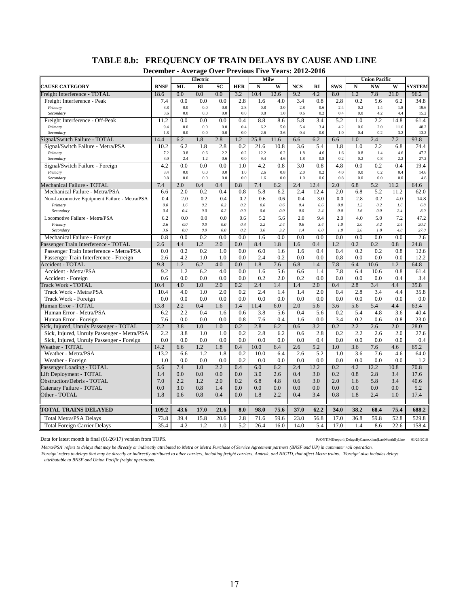# **TABLE 8.b: FREQUENCY OF TRAIN DELAYS BY CAUSE AND LINE**

**December - Average Over Previous Five Years: 2012-2016**

| $\overline{BI}$<br><b>NCS</b><br><b>SWS</b><br>$N\bar{W}$<br><b>CAUSE CATEGORY</b><br><b>BNSF</b><br>ML<br>SC<br><b>HER</b><br>N<br>W<br><b>RI</b><br>$\mathbf N$<br>W<br><b>SYSTEM</b><br>0.0<br>0.0<br>0.0<br>10.4<br>12.6<br>9.2<br>4.2<br>8.0<br>1.2<br>7.8<br>21.0<br>Freight Interference - TOTAL<br>3.2<br>96.2<br>18.6<br>0.0<br>0.0<br>0.0<br>2.8<br>1.6<br>4.0<br>0.8<br>2.8<br>0.2<br>5.6<br>6.2<br>34.8<br>Freight Interference - Peak<br>7.4<br>3.4<br>0.0<br>0.0<br>0.0<br>2.8<br>0.8<br>3.0<br>2.8<br>0.6<br>2.4<br>0.2<br>19.6<br>Primary<br>3.8<br>1.4<br>1.8<br>0.0<br>1.0<br>3.6<br>0.0<br>0.0<br>0.0<br>0.8<br>0.6<br>0.2<br>0.4<br>0.0<br>4.2<br>4.4<br>15.2<br>Secondary<br>11.2<br>0.0<br>0.4<br>8.8<br>5.8<br>3.4<br>5.2<br>1.0<br>2.2<br>Freight Interference - Off-Peak<br>0.0<br>0.0<br>8.6<br>14.8<br>61.4<br>0.0<br>0.0<br>0.4<br>3.4<br>2.0<br>48.2<br>Primary<br>9.4<br>0.0<br>6.2<br>5.0<br>5.4<br>4.2<br>0.6<br>11.6<br>0.0<br>0.0<br>1.0<br>1.8<br>0.0<br>0.0<br>0.0<br>2.6<br>3.6<br>0.4<br>0.4<br>0.2<br>3.2<br>13.2<br>Secondary<br>6.2<br>2.8<br>6.2<br>2.4<br>Signal/Switch Failure - TOTAL<br>14.4<br>1.8<br>1.2<br>25.8<br>11.6<br>6.6<br>6.6<br>1.0<br>7.2<br>93.8<br>10.2<br>6.2<br>1.8<br>0.2<br>21.6<br>10.8<br>3.6<br>5.4<br>1.8<br>2.2<br>74.4<br>Signal/Switch Failure - Metra/PSA<br>2.8<br>1.0<br>6.8<br>0.8<br>7.2<br>3.8<br>0.6<br>2.2<br>0.2<br>12.2<br>6.2<br>1.8<br>4.6<br>1.4<br>47.2<br>Primary<br>1.6<br>4.6<br>3.0<br>Secondary<br>2.4<br>1.2<br>0.6<br>0.0<br>9.4<br>4.6<br>1.8<br>0.8<br>0.2<br>0.2<br>0.8<br>2.2<br>27.2<br>0.8<br>4.2<br>0.0<br>0.0<br>0.0<br>1.0<br>4.2<br>0.8<br>3.0<br>4.8<br>0.0<br>0.2<br>0.4<br>19.4<br>Signal/Switch Failure - Foreign<br>0.0<br>0.0<br>0.0<br>0.0<br>1.0<br>0.8<br>2.0<br>0.2<br>4.0<br>0.2<br>14.6<br>Primary<br>3.4<br>2.6<br>0.4<br>Secondary<br>0.8<br>0.0<br>0.0<br>0.0<br>0.0<br>1.6<br>0.0<br>1.0<br>0.6<br>0.8<br>0.0<br>0.0<br>0.0<br>4.8<br>7.4<br>2.4<br>Mechanical Failure - TOTAL<br>2.0<br>0.4<br>0.4<br>0.8<br>7.4<br>6.2<br>12.4<br>2.0<br>5.2<br>64.6<br>6.8<br>11.2<br>6.6<br>2.0<br>0.2<br>0.4<br>0.8<br>5.8<br>6.2<br>2.4<br>12.4<br>2.0<br>6.8<br>5.2<br>11.2<br>62.0<br>Mechanical Failure - Metra/PSA<br>0.4<br>2.0<br>0.2<br>0.4<br>0.2<br>0.6<br>0.6<br>0.4<br>3.0<br>0.0<br>2.8<br>0.2<br>4.0<br>14.8<br>Non-Locomotive Equipment Failure - Metra/PSA<br>0.4<br>0.0<br>1.6<br>0.2<br>0.2<br>0.2<br>$0.0\,$<br>0.6<br>0.6<br>0.0<br>1.2<br>0.2<br>Primary<br>1.6<br>6.8<br>0.4<br>0.4<br>0.0<br>0.2<br>$0.0\,$<br>0.6<br>0.0<br>0.0<br>0.0<br>2.4<br>1.6<br>0.0<br>2.4<br>8.0<br>Secondary<br>2.0<br>9.4<br>2.0<br>4.0<br>Locomotive Failure - Metra/PSA<br>6.2<br>0.0<br>0.0<br>0.0<br>0.6<br>5.2<br>5.6<br>5.0<br>7.2<br>47.2<br>2.6<br>0.0<br>0.0<br>0.0<br>0.4<br>2.2<br>0.6<br>3.4<br>1.0<br>2.0<br>3.2<br>2.4<br>20.2<br>Primary<br>2.4<br>3.6<br>0.0<br>0.0<br>0.0<br>0.2<br>3.0<br>3.2<br>6.0<br>1.0<br>2.0<br>27.0<br>1.4<br>1.8<br>4.8<br>Secondary<br>0.8<br>0.0<br>0.2<br>0.0<br>0.0<br>0.0<br>0.0<br>0.0<br>0.0<br>0.0<br>0.0<br>0.0<br>2.6<br>Mechanical Failure - Foreign<br>1.6<br>Passenger Train Interference - TOTAL<br>2.6<br>4.4<br>1.2<br>2.0<br>0.0<br>8.4<br>1.8<br>0.4<br>1.2<br>0.2<br>0.2<br>0.8<br>1.6<br>24.8<br>0.0<br>0.2<br>0.0<br>6.0<br>0.4<br>Passenger Train Interference - Metra/PSA<br>0.2<br>1.0<br>1.6<br>1.6<br>0.4<br>0.2<br>0.2<br>0.8<br>12.6<br>0.8<br>2.6<br>4.2<br>1.0<br>1.0<br>0.0<br>2.4<br>0.2<br>0.0<br>0.0<br>0.0<br>0.0<br>0.0<br>12.2<br>Passenger Train Interference - Foreign<br>4.0<br>7.6<br>6.8<br>10.6<br>Accident - TOTAL<br>9.8<br>1.2<br>6.2<br>0.0<br>1.8<br>1.4<br>7.8<br>6.4<br>1.2<br>64.8<br>9.2<br>1.2<br>6.2<br>4.0<br>0.0<br>5.6<br>7.8<br>6.4<br>10.6<br>61.4<br>Accident - Metra/PSA<br>1.6<br>6.6<br>1.4<br>0.8<br>0.6<br>0.0<br>0.0<br>0.0<br>0.0<br>0.2<br>2.0<br>0.2<br>0.0<br>0.0<br>0.0<br>0.0<br>0.4<br>3.4<br>Accident - Foreign<br>3.4<br>Track Work - TOTAL<br>10.4<br>4.0<br>1.0<br>2.0<br>0.2<br>2.4<br>1.4<br>1.4<br>2.0<br>0.4<br>2.8<br>4.4<br>35.8<br>10.4<br>4.0<br>1.0<br>2.0<br>0.2<br>2.4<br>1.4<br>2.0<br>0.4<br>2.8<br>3.4<br>4.4<br>35.8<br>Track Work - Metra/PSA<br>1.4<br>0.0<br>0.0<br>0.0<br>0.0<br>0.0<br>0.0<br>0.0<br>0.0<br>0.0<br>Track Work - Foreign<br>0.0<br>0.0<br>0.0<br>0.0<br>0.0<br>Human Error - TOTAL<br>13.8<br>2.2<br>0.4<br>1.4<br>6.0<br>2.0<br>5.6<br>5.4<br>4.4<br>63.4<br>1.6<br>11.4<br>3.6<br>5.6<br>Human Error - Metra/PSA<br>6.2<br>2.2<br>0.4<br>1.6<br>0.6<br>3.8<br>5.6<br>0.4<br>5.6<br>0.2<br>5.4<br>4.8<br>3.6<br>40.4<br>7.6<br>0.0<br>0.0<br>0.0<br>0.8<br>7.6<br>0.4<br>0.2<br>23.0<br>1.6<br>0.0<br>3.4<br>0.6<br>0.8<br>Human Error - Foreign<br>2.2<br>Sick, Injured, Unruly Passenger - TOTAL<br>3.8<br>1.0<br>1.0<br>0.2<br>2.8<br>6.2<br>0.6<br>3.2<br>0.2<br>2.2<br>2.6<br>2.0<br>28.0<br>Sick, Injured, Unruly Passenger - Metra/PSA<br>2.2<br>3.8<br>1.0<br>1.0<br>0.2<br>2.8<br>6.2<br>0.6<br>2.8<br>0.2<br>2.2<br>2.6<br>2.0<br>27.6<br>0.0<br>0.0<br>0.0<br>0.0<br>0.0<br>0.0<br>0.0<br>0.0<br>0.0<br>0.4<br>0.0<br>0.0<br>0.0<br>0.4<br>Sick, Injured, Unruly Passenger - Foreign<br>Weather - TOTAL<br>14.2<br>6.6<br>1.2<br>1.8<br>0.4<br>10.0<br>6.4<br>2.6<br>5.2<br>1.0<br>3.6<br>7.6<br>4.6<br>65.2<br>Weather - Metra/PSA<br>13.2<br>1.2<br>1.8<br>0.2<br>10.0<br>6.4<br>2.6<br>5.2<br>1.0<br>3.6<br>7.6<br>64.0<br>6.6<br>4.6<br>1.0<br>0.0<br>0.2<br>0.0<br>0.0<br>0.0<br>0.0<br>0.0<br>0.0<br>0.0<br>0.0<br>0.0<br>0.0<br>1.2<br>Weather - Foreign<br>2.2<br>0.4<br>6.2<br>4.2<br>12.2<br>Passenger Loading - TOTAL<br>5.6<br>7.4<br>1.0<br>6.0<br>2.4<br>12.2<br>0.2<br>10.8<br>70.8<br>Lift Deployment - TOTAL<br>0.0<br>0.0<br>0.0<br>0.0<br>3.0<br>2.6<br>0.4<br>3.0<br>0.2<br>0.8<br>2.8<br>17.6<br>1.4<br>3.4<br>4.8<br><b>Obstruction/Debris - TOTAL</b><br>7.0<br>2.2<br>1.2<br>2.0<br>0.2<br>6.8<br>0.6<br>3.0<br>2.0<br>1.6<br>5.8<br>3.4<br>40.6<br>0.0<br>5.2<br>0.0<br>3.0<br>0.8<br>0.0<br>0.0<br>0.0<br>0.0<br>0.0<br>0.0<br>0.0<br>0.0<br>Catenary Failure - TOTAL<br>1.4<br>Other - TOTAL<br>1.8<br>0.6<br>0.8<br>0.4<br>0.0<br>1.8<br>2.2<br>0.4<br>3.4<br>0.8<br>1.8<br>2.4<br>1.0<br>17.4<br><b>TOTAL TRAINS DELAYED</b><br>109.2<br>17.0<br>21.6<br>8.0<br>98.0<br>75.6<br>37.0<br>62.2<br>34.0<br>38.2<br>68.4<br>75.4<br>688.2<br>43.6<br>73.8<br>39.4<br>15.8<br>20.6<br>2.8<br>71.6<br>59.6<br>23.0<br>56.8<br>17.0<br>36.8<br>59.8<br>52.8<br>529.8<br><b>Total Metra/PSA Delays</b><br>35.4<br>4.2<br>1.2<br>5.2<br>14.0<br>5.4<br>17.0<br>8.6<br>22.6<br>158.4<br><b>Total Foreign Carrier Delays</b><br>1.0<br>26.4<br>16.0<br>1.4 | Decenidei | - Average Over Trevious Prve Tears. 2012<br>Electric |  | Milw |  |  | <b>Union Pacific</b> |  |
|-------------------------------------------------------------------------------------------------------------------------------------------------------------------------------------------------------------------------------------------------------------------------------------------------------------------------------------------------------------------------------------------------------------------------------------------------------------------------------------------------------------------------------------------------------------------------------------------------------------------------------------------------------------------------------------------------------------------------------------------------------------------------------------------------------------------------------------------------------------------------------------------------------------------------------------------------------------------------------------------------------------------------------------------------------------------------------------------------------------------------------------------------------------------------------------------------------------------------------------------------------------------------------------------------------------------------------------------------------------------------------------------------------------------------------------------------------------------------------------------------------------------------------------------------------------------------------------------------------------------------------------------------------------------------------------------------------------------------------------------------------------------------------------------------------------------------------------------------------------------------------------------------------------------------------------------------------------------------------------------------------------------------------------------------------------------------------------------------------------------------------------------------------------------------------------------------------------------------------------------------------------------------------------------------------------------------------------------------------------------------------------------------------------------------------------------------------------------------------------------------------------------------------------------------------------------------------------------------------------------------------------------------------------------------------------------------------------------------------------------------------------------------------------------------------------------------------------------------------------------------------------------------------------------------------------------------------------------------------------------------------------------------------------------------------------------------------------------------------------------------------------------------------------------------------------------------------------------------------------------------------------------------------------------------------------------------------------------------------------------------------------------------------------------------------------------------------------------------------------------------------------------------------------------------------------------------------------------------------------------------------------------------------------------------------------------------------------------------------------------------------------------------------------------------------------------------------------------------------------------------------------------------------------------------------------------------------------------------------------------------------------------------------------------------------------------------------------------------------------------------------------------------------------------------------------------------------------------------------------------------------------------------------------------------------------------------------------------------------------------------------------------------------------------------------------------------------------------------------------------------------------------------------------------------------------------------------------------------------------------------------------------------------------------------------------------------------------------------------------------------------------------------------------------------------------------------------------------------------------------------------------------------------------------------------------------------------------------------------------------------------------------------------------------------------------------------------------------------------------------------------------------------------------------------------------------------------------------------------------------------------------------------------------------------------------------------------------------------------------------------------------------------------------------------------------------------------------------------------------------------------------------------------------------------------------------------------------------------------------------------------------------------------------------------------------------------------------------------------------------------------------------------------------------------------------------------------------------------------------------------------------------------------------------------------------------------------------------------------------------------------------------------------------------------------------------------------------------------------------------------------------------------------------------------------------------------------------------------------------------------------------------------------------------------------------------------------------------------------------------------------------------------------------------------------------------------------------------------------------------------------------------------------------------------------------------------------------------------------------------------------------------------------------------|-----------|------------------------------------------------------|--|------|--|--|----------------------|--|
|                                                                                                                                                                                                                                                                                                                                                                                                                                                                                                                                                                                                                                                                                                                                                                                                                                                                                                                                                                                                                                                                                                                                                                                                                                                                                                                                                                                                                                                                                                                                                                                                                                                                                                                                                                                                                                                                                                                                                                                                                                                                                                                                                                                                                                                                                                                                                                                                                                                                                                                                                                                                                                                                                                                                                                                                                                                                                                                                                                                                                                                                                                                                                                                                                                                                                                                                                                                                                                                                                                                                                                                                                                                                                                                                                                                                                                                                                                                                                                                                                                                                                                                                                                                                                                                                                                                                                                                                                                                                                                                                                                                                                                                                                                                                                                                                                                                                                                                                                                                                                                                                                                                                                                                                                                                                                                                                                                                                                                                                                                                                                                                                                                                                                                                                                                                                                                                                                                                                                                                                                                                                                                                                                                                                                                                                                                                                                                                                                                                                                                                                                                                                                                                                   |           |                                                      |  |      |  |  |                      |  |
|                                                                                                                                                                                                                                                                                                                                                                                                                                                                                                                                                                                                                                                                                                                                                                                                                                                                                                                                                                                                                                                                                                                                                                                                                                                                                                                                                                                                                                                                                                                                                                                                                                                                                                                                                                                                                                                                                                                                                                                                                                                                                                                                                                                                                                                                                                                                                                                                                                                                                                                                                                                                                                                                                                                                                                                                                                                                                                                                                                                                                                                                                                                                                                                                                                                                                                                                                                                                                                                                                                                                                                                                                                                                                                                                                                                                                                                                                                                                                                                                                                                                                                                                                                                                                                                                                                                                                                                                                                                                                                                                                                                                                                                                                                                                                                                                                                                                                                                                                                                                                                                                                                                                                                                                                                                                                                                                                                                                                                                                                                                                                                                                                                                                                                                                                                                                                                                                                                                                                                                                                                                                                                                                                                                                                                                                                                                                                                                                                                                                                                                                                                                                                                                                   |           |                                                      |  |      |  |  |                      |  |
|                                                                                                                                                                                                                                                                                                                                                                                                                                                                                                                                                                                                                                                                                                                                                                                                                                                                                                                                                                                                                                                                                                                                                                                                                                                                                                                                                                                                                                                                                                                                                                                                                                                                                                                                                                                                                                                                                                                                                                                                                                                                                                                                                                                                                                                                                                                                                                                                                                                                                                                                                                                                                                                                                                                                                                                                                                                                                                                                                                                                                                                                                                                                                                                                                                                                                                                                                                                                                                                                                                                                                                                                                                                                                                                                                                                                                                                                                                                                                                                                                                                                                                                                                                                                                                                                                                                                                                                                                                                                                                                                                                                                                                                                                                                                                                                                                                                                                                                                                                                                                                                                                                                                                                                                                                                                                                                                                                                                                                                                                                                                                                                                                                                                                                                                                                                                                                                                                                                                                                                                                                                                                                                                                                                                                                                                                                                                                                                                                                                                                                                                                                                                                                                                   |           |                                                      |  |      |  |  |                      |  |
|                                                                                                                                                                                                                                                                                                                                                                                                                                                                                                                                                                                                                                                                                                                                                                                                                                                                                                                                                                                                                                                                                                                                                                                                                                                                                                                                                                                                                                                                                                                                                                                                                                                                                                                                                                                                                                                                                                                                                                                                                                                                                                                                                                                                                                                                                                                                                                                                                                                                                                                                                                                                                                                                                                                                                                                                                                                                                                                                                                                                                                                                                                                                                                                                                                                                                                                                                                                                                                                                                                                                                                                                                                                                                                                                                                                                                                                                                                                                                                                                                                                                                                                                                                                                                                                                                                                                                                                                                                                                                                                                                                                                                                                                                                                                                                                                                                                                                                                                                                                                                                                                                                                                                                                                                                                                                                                                                                                                                                                                                                                                                                                                                                                                                                                                                                                                                                                                                                                                                                                                                                                                                                                                                                                                                                                                                                                                                                                                                                                                                                                                                                                                                                                                   |           |                                                      |  |      |  |  |                      |  |
|                                                                                                                                                                                                                                                                                                                                                                                                                                                                                                                                                                                                                                                                                                                                                                                                                                                                                                                                                                                                                                                                                                                                                                                                                                                                                                                                                                                                                                                                                                                                                                                                                                                                                                                                                                                                                                                                                                                                                                                                                                                                                                                                                                                                                                                                                                                                                                                                                                                                                                                                                                                                                                                                                                                                                                                                                                                                                                                                                                                                                                                                                                                                                                                                                                                                                                                                                                                                                                                                                                                                                                                                                                                                                                                                                                                                                                                                                                                                                                                                                                                                                                                                                                                                                                                                                                                                                                                                                                                                                                                                                                                                                                                                                                                                                                                                                                                                                                                                                                                                                                                                                                                                                                                                                                                                                                                                                                                                                                                                                                                                                                                                                                                                                                                                                                                                                                                                                                                                                                                                                                                                                                                                                                                                                                                                                                                                                                                                                                                                                                                                                                                                                                                                   |           |                                                      |  |      |  |  |                      |  |
|                                                                                                                                                                                                                                                                                                                                                                                                                                                                                                                                                                                                                                                                                                                                                                                                                                                                                                                                                                                                                                                                                                                                                                                                                                                                                                                                                                                                                                                                                                                                                                                                                                                                                                                                                                                                                                                                                                                                                                                                                                                                                                                                                                                                                                                                                                                                                                                                                                                                                                                                                                                                                                                                                                                                                                                                                                                                                                                                                                                                                                                                                                                                                                                                                                                                                                                                                                                                                                                                                                                                                                                                                                                                                                                                                                                                                                                                                                                                                                                                                                                                                                                                                                                                                                                                                                                                                                                                                                                                                                                                                                                                                                                                                                                                                                                                                                                                                                                                                                                                                                                                                                                                                                                                                                                                                                                                                                                                                                                                                                                                                                                                                                                                                                                                                                                                                                                                                                                                                                                                                                                                                                                                                                                                                                                                                                                                                                                                                                                                                                                                                                                                                                                                   |           |                                                      |  |      |  |  |                      |  |
|                                                                                                                                                                                                                                                                                                                                                                                                                                                                                                                                                                                                                                                                                                                                                                                                                                                                                                                                                                                                                                                                                                                                                                                                                                                                                                                                                                                                                                                                                                                                                                                                                                                                                                                                                                                                                                                                                                                                                                                                                                                                                                                                                                                                                                                                                                                                                                                                                                                                                                                                                                                                                                                                                                                                                                                                                                                                                                                                                                                                                                                                                                                                                                                                                                                                                                                                                                                                                                                                                                                                                                                                                                                                                                                                                                                                                                                                                                                                                                                                                                                                                                                                                                                                                                                                                                                                                                                                                                                                                                                                                                                                                                                                                                                                                                                                                                                                                                                                                                                                                                                                                                                                                                                                                                                                                                                                                                                                                                                                                                                                                                                                                                                                                                                                                                                                                                                                                                                                                                                                                                                                                                                                                                                                                                                                                                                                                                                                                                                                                                                                                                                                                                                                   |           |                                                      |  |      |  |  |                      |  |
|                                                                                                                                                                                                                                                                                                                                                                                                                                                                                                                                                                                                                                                                                                                                                                                                                                                                                                                                                                                                                                                                                                                                                                                                                                                                                                                                                                                                                                                                                                                                                                                                                                                                                                                                                                                                                                                                                                                                                                                                                                                                                                                                                                                                                                                                                                                                                                                                                                                                                                                                                                                                                                                                                                                                                                                                                                                                                                                                                                                                                                                                                                                                                                                                                                                                                                                                                                                                                                                                                                                                                                                                                                                                                                                                                                                                                                                                                                                                                                                                                                                                                                                                                                                                                                                                                                                                                                                                                                                                                                                                                                                                                                                                                                                                                                                                                                                                                                                                                                                                                                                                                                                                                                                                                                                                                                                                                                                                                                                                                                                                                                                                                                                                                                                                                                                                                                                                                                                                                                                                                                                                                                                                                                                                                                                                                                                                                                                                                                                                                                                                                                                                                                                                   |           |                                                      |  |      |  |  |                      |  |
|                                                                                                                                                                                                                                                                                                                                                                                                                                                                                                                                                                                                                                                                                                                                                                                                                                                                                                                                                                                                                                                                                                                                                                                                                                                                                                                                                                                                                                                                                                                                                                                                                                                                                                                                                                                                                                                                                                                                                                                                                                                                                                                                                                                                                                                                                                                                                                                                                                                                                                                                                                                                                                                                                                                                                                                                                                                                                                                                                                                                                                                                                                                                                                                                                                                                                                                                                                                                                                                                                                                                                                                                                                                                                                                                                                                                                                                                                                                                                                                                                                                                                                                                                                                                                                                                                                                                                                                                                                                                                                                                                                                                                                                                                                                                                                                                                                                                                                                                                                                                                                                                                                                                                                                                                                                                                                                                                                                                                                                                                                                                                                                                                                                                                                                                                                                                                                                                                                                                                                                                                                                                                                                                                                                                                                                                                                                                                                                                                                                                                                                                                                                                                                                                   |           |                                                      |  |      |  |  |                      |  |
|                                                                                                                                                                                                                                                                                                                                                                                                                                                                                                                                                                                                                                                                                                                                                                                                                                                                                                                                                                                                                                                                                                                                                                                                                                                                                                                                                                                                                                                                                                                                                                                                                                                                                                                                                                                                                                                                                                                                                                                                                                                                                                                                                                                                                                                                                                                                                                                                                                                                                                                                                                                                                                                                                                                                                                                                                                                                                                                                                                                                                                                                                                                                                                                                                                                                                                                                                                                                                                                                                                                                                                                                                                                                                                                                                                                                                                                                                                                                                                                                                                                                                                                                                                                                                                                                                                                                                                                                                                                                                                                                                                                                                                                                                                                                                                                                                                                                                                                                                                                                                                                                                                                                                                                                                                                                                                                                                                                                                                                                                                                                                                                                                                                                                                                                                                                                                                                                                                                                                                                                                                                                                                                                                                                                                                                                                                                                                                                                                                                                                                                                                                                                                                                                   |           |                                                      |  |      |  |  |                      |  |
|                                                                                                                                                                                                                                                                                                                                                                                                                                                                                                                                                                                                                                                                                                                                                                                                                                                                                                                                                                                                                                                                                                                                                                                                                                                                                                                                                                                                                                                                                                                                                                                                                                                                                                                                                                                                                                                                                                                                                                                                                                                                                                                                                                                                                                                                                                                                                                                                                                                                                                                                                                                                                                                                                                                                                                                                                                                                                                                                                                                                                                                                                                                                                                                                                                                                                                                                                                                                                                                                                                                                                                                                                                                                                                                                                                                                                                                                                                                                                                                                                                                                                                                                                                                                                                                                                                                                                                                                                                                                                                                                                                                                                                                                                                                                                                                                                                                                                                                                                                                                                                                                                                                                                                                                                                                                                                                                                                                                                                                                                                                                                                                                                                                                                                                                                                                                                                                                                                                                                                                                                                                                                                                                                                                                                                                                                                                                                                                                                                                                                                                                                                                                                                                                   |           |                                                      |  |      |  |  |                      |  |
|                                                                                                                                                                                                                                                                                                                                                                                                                                                                                                                                                                                                                                                                                                                                                                                                                                                                                                                                                                                                                                                                                                                                                                                                                                                                                                                                                                                                                                                                                                                                                                                                                                                                                                                                                                                                                                                                                                                                                                                                                                                                                                                                                                                                                                                                                                                                                                                                                                                                                                                                                                                                                                                                                                                                                                                                                                                                                                                                                                                                                                                                                                                                                                                                                                                                                                                                                                                                                                                                                                                                                                                                                                                                                                                                                                                                                                                                                                                                                                                                                                                                                                                                                                                                                                                                                                                                                                                                                                                                                                                                                                                                                                                                                                                                                                                                                                                                                                                                                                                                                                                                                                                                                                                                                                                                                                                                                                                                                                                                                                                                                                                                                                                                                                                                                                                                                                                                                                                                                                                                                                                                                                                                                                                                                                                                                                                                                                                                                                                                                                                                                                                                                                                                   |           |                                                      |  |      |  |  |                      |  |
|                                                                                                                                                                                                                                                                                                                                                                                                                                                                                                                                                                                                                                                                                                                                                                                                                                                                                                                                                                                                                                                                                                                                                                                                                                                                                                                                                                                                                                                                                                                                                                                                                                                                                                                                                                                                                                                                                                                                                                                                                                                                                                                                                                                                                                                                                                                                                                                                                                                                                                                                                                                                                                                                                                                                                                                                                                                                                                                                                                                                                                                                                                                                                                                                                                                                                                                                                                                                                                                                                                                                                                                                                                                                                                                                                                                                                                                                                                                                                                                                                                                                                                                                                                                                                                                                                                                                                                                                                                                                                                                                                                                                                                                                                                                                                                                                                                                                                                                                                                                                                                                                                                                                                                                                                                                                                                                                                                                                                                                                                                                                                                                                                                                                                                                                                                                                                                                                                                                                                                                                                                                                                                                                                                                                                                                                                                                                                                                                                                                                                                                                                                                                                                                                   |           |                                                      |  |      |  |  |                      |  |
|                                                                                                                                                                                                                                                                                                                                                                                                                                                                                                                                                                                                                                                                                                                                                                                                                                                                                                                                                                                                                                                                                                                                                                                                                                                                                                                                                                                                                                                                                                                                                                                                                                                                                                                                                                                                                                                                                                                                                                                                                                                                                                                                                                                                                                                                                                                                                                                                                                                                                                                                                                                                                                                                                                                                                                                                                                                                                                                                                                                                                                                                                                                                                                                                                                                                                                                                                                                                                                                                                                                                                                                                                                                                                                                                                                                                                                                                                                                                                                                                                                                                                                                                                                                                                                                                                                                                                                                                                                                                                                                                                                                                                                                                                                                                                                                                                                                                                                                                                                                                                                                                                                                                                                                                                                                                                                                                                                                                                                                                                                                                                                                                                                                                                                                                                                                                                                                                                                                                                                                                                                                                                                                                                                                                                                                                                                                                                                                                                                                                                                                                                                                                                                                                   |           |                                                      |  |      |  |  |                      |  |
|                                                                                                                                                                                                                                                                                                                                                                                                                                                                                                                                                                                                                                                                                                                                                                                                                                                                                                                                                                                                                                                                                                                                                                                                                                                                                                                                                                                                                                                                                                                                                                                                                                                                                                                                                                                                                                                                                                                                                                                                                                                                                                                                                                                                                                                                                                                                                                                                                                                                                                                                                                                                                                                                                                                                                                                                                                                                                                                                                                                                                                                                                                                                                                                                                                                                                                                                                                                                                                                                                                                                                                                                                                                                                                                                                                                                                                                                                                                                                                                                                                                                                                                                                                                                                                                                                                                                                                                                                                                                                                                                                                                                                                                                                                                                                                                                                                                                                                                                                                                                                                                                                                                                                                                                                                                                                                                                                                                                                                                                                                                                                                                                                                                                                                                                                                                                                                                                                                                                                                                                                                                                                                                                                                                                                                                                                                                                                                                                                                                                                                                                                                                                                                                                   |           |                                                      |  |      |  |  |                      |  |
|                                                                                                                                                                                                                                                                                                                                                                                                                                                                                                                                                                                                                                                                                                                                                                                                                                                                                                                                                                                                                                                                                                                                                                                                                                                                                                                                                                                                                                                                                                                                                                                                                                                                                                                                                                                                                                                                                                                                                                                                                                                                                                                                                                                                                                                                                                                                                                                                                                                                                                                                                                                                                                                                                                                                                                                                                                                                                                                                                                                                                                                                                                                                                                                                                                                                                                                                                                                                                                                                                                                                                                                                                                                                                                                                                                                                                                                                                                                                                                                                                                                                                                                                                                                                                                                                                                                                                                                                                                                                                                                                                                                                                                                                                                                                                                                                                                                                                                                                                                                                                                                                                                                                                                                                                                                                                                                                                                                                                                                                                                                                                                                                                                                                                                                                                                                                                                                                                                                                                                                                                                                                                                                                                                                                                                                                                                                                                                                                                                                                                                                                                                                                                                                                   |           |                                                      |  |      |  |  |                      |  |
|                                                                                                                                                                                                                                                                                                                                                                                                                                                                                                                                                                                                                                                                                                                                                                                                                                                                                                                                                                                                                                                                                                                                                                                                                                                                                                                                                                                                                                                                                                                                                                                                                                                                                                                                                                                                                                                                                                                                                                                                                                                                                                                                                                                                                                                                                                                                                                                                                                                                                                                                                                                                                                                                                                                                                                                                                                                                                                                                                                                                                                                                                                                                                                                                                                                                                                                                                                                                                                                                                                                                                                                                                                                                                                                                                                                                                                                                                                                                                                                                                                                                                                                                                                                                                                                                                                                                                                                                                                                                                                                                                                                                                                                                                                                                                                                                                                                                                                                                                                                                                                                                                                                                                                                                                                                                                                                                                                                                                                                                                                                                                                                                                                                                                                                                                                                                                                                                                                                                                                                                                                                                                                                                                                                                                                                                                                                                                                                                                                                                                                                                                                                                                                                                   |           |                                                      |  |      |  |  |                      |  |
|                                                                                                                                                                                                                                                                                                                                                                                                                                                                                                                                                                                                                                                                                                                                                                                                                                                                                                                                                                                                                                                                                                                                                                                                                                                                                                                                                                                                                                                                                                                                                                                                                                                                                                                                                                                                                                                                                                                                                                                                                                                                                                                                                                                                                                                                                                                                                                                                                                                                                                                                                                                                                                                                                                                                                                                                                                                                                                                                                                                                                                                                                                                                                                                                                                                                                                                                                                                                                                                                                                                                                                                                                                                                                                                                                                                                                                                                                                                                                                                                                                                                                                                                                                                                                                                                                                                                                                                                                                                                                                                                                                                                                                                                                                                                                                                                                                                                                                                                                                                                                                                                                                                                                                                                                                                                                                                                                                                                                                                                                                                                                                                                                                                                                                                                                                                                                                                                                                                                                                                                                                                                                                                                                                                                                                                                                                                                                                                                                                                                                                                                                                                                                                                                   |           |                                                      |  |      |  |  |                      |  |
|                                                                                                                                                                                                                                                                                                                                                                                                                                                                                                                                                                                                                                                                                                                                                                                                                                                                                                                                                                                                                                                                                                                                                                                                                                                                                                                                                                                                                                                                                                                                                                                                                                                                                                                                                                                                                                                                                                                                                                                                                                                                                                                                                                                                                                                                                                                                                                                                                                                                                                                                                                                                                                                                                                                                                                                                                                                                                                                                                                                                                                                                                                                                                                                                                                                                                                                                                                                                                                                                                                                                                                                                                                                                                                                                                                                                                                                                                                                                                                                                                                                                                                                                                                                                                                                                                                                                                                                                                                                                                                                                                                                                                                                                                                                                                                                                                                                                                                                                                                                                                                                                                                                                                                                                                                                                                                                                                                                                                                                                                                                                                                                                                                                                                                                                                                                                                                                                                                                                                                                                                                                                                                                                                                                                                                                                                                                                                                                                                                                                                                                                                                                                                                                                   |           |                                                      |  |      |  |  |                      |  |
|                                                                                                                                                                                                                                                                                                                                                                                                                                                                                                                                                                                                                                                                                                                                                                                                                                                                                                                                                                                                                                                                                                                                                                                                                                                                                                                                                                                                                                                                                                                                                                                                                                                                                                                                                                                                                                                                                                                                                                                                                                                                                                                                                                                                                                                                                                                                                                                                                                                                                                                                                                                                                                                                                                                                                                                                                                                                                                                                                                                                                                                                                                                                                                                                                                                                                                                                                                                                                                                                                                                                                                                                                                                                                                                                                                                                                                                                                                                                                                                                                                                                                                                                                                                                                                                                                                                                                                                                                                                                                                                                                                                                                                                                                                                                                                                                                                                                                                                                                                                                                                                                                                                                                                                                                                                                                                                                                                                                                                                                                                                                                                                                                                                                                                                                                                                                                                                                                                                                                                                                                                                                                                                                                                                                                                                                                                                                                                                                                                                                                                                                                                                                                                                                   |           |                                                      |  |      |  |  |                      |  |
|                                                                                                                                                                                                                                                                                                                                                                                                                                                                                                                                                                                                                                                                                                                                                                                                                                                                                                                                                                                                                                                                                                                                                                                                                                                                                                                                                                                                                                                                                                                                                                                                                                                                                                                                                                                                                                                                                                                                                                                                                                                                                                                                                                                                                                                                                                                                                                                                                                                                                                                                                                                                                                                                                                                                                                                                                                                                                                                                                                                                                                                                                                                                                                                                                                                                                                                                                                                                                                                                                                                                                                                                                                                                                                                                                                                                                                                                                                                                                                                                                                                                                                                                                                                                                                                                                                                                                                                                                                                                                                                                                                                                                                                                                                                                                                                                                                                                                                                                                                                                                                                                                                                                                                                                                                                                                                                                                                                                                                                                                                                                                                                                                                                                                                                                                                                                                                                                                                                                                                                                                                                                                                                                                                                                                                                                                                                                                                                                                                                                                                                                                                                                                                                                   |           |                                                      |  |      |  |  |                      |  |
|                                                                                                                                                                                                                                                                                                                                                                                                                                                                                                                                                                                                                                                                                                                                                                                                                                                                                                                                                                                                                                                                                                                                                                                                                                                                                                                                                                                                                                                                                                                                                                                                                                                                                                                                                                                                                                                                                                                                                                                                                                                                                                                                                                                                                                                                                                                                                                                                                                                                                                                                                                                                                                                                                                                                                                                                                                                                                                                                                                                                                                                                                                                                                                                                                                                                                                                                                                                                                                                                                                                                                                                                                                                                                                                                                                                                                                                                                                                                                                                                                                                                                                                                                                                                                                                                                                                                                                                                                                                                                                                                                                                                                                                                                                                                                                                                                                                                                                                                                                                                                                                                                                                                                                                                                                                                                                                                                                                                                                                                                                                                                                                                                                                                                                                                                                                                                                                                                                                                                                                                                                                                                                                                                                                                                                                                                                                                                                                                                                                                                                                                                                                                                                                                   |           |                                                      |  |      |  |  |                      |  |
|                                                                                                                                                                                                                                                                                                                                                                                                                                                                                                                                                                                                                                                                                                                                                                                                                                                                                                                                                                                                                                                                                                                                                                                                                                                                                                                                                                                                                                                                                                                                                                                                                                                                                                                                                                                                                                                                                                                                                                                                                                                                                                                                                                                                                                                                                                                                                                                                                                                                                                                                                                                                                                                                                                                                                                                                                                                                                                                                                                                                                                                                                                                                                                                                                                                                                                                                                                                                                                                                                                                                                                                                                                                                                                                                                                                                                                                                                                                                                                                                                                                                                                                                                                                                                                                                                                                                                                                                                                                                                                                                                                                                                                                                                                                                                                                                                                                                                                                                                                                                                                                                                                                                                                                                                                                                                                                                                                                                                                                                                                                                                                                                                                                                                                                                                                                                                                                                                                                                                                                                                                                                                                                                                                                                                                                                                                                                                                                                                                                                                                                                                                                                                                                                   |           |                                                      |  |      |  |  |                      |  |
|                                                                                                                                                                                                                                                                                                                                                                                                                                                                                                                                                                                                                                                                                                                                                                                                                                                                                                                                                                                                                                                                                                                                                                                                                                                                                                                                                                                                                                                                                                                                                                                                                                                                                                                                                                                                                                                                                                                                                                                                                                                                                                                                                                                                                                                                                                                                                                                                                                                                                                                                                                                                                                                                                                                                                                                                                                                                                                                                                                                                                                                                                                                                                                                                                                                                                                                                                                                                                                                                                                                                                                                                                                                                                                                                                                                                                                                                                                                                                                                                                                                                                                                                                                                                                                                                                                                                                                                                                                                                                                                                                                                                                                                                                                                                                                                                                                                                                                                                                                                                                                                                                                                                                                                                                                                                                                                                                                                                                                                                                                                                                                                                                                                                                                                                                                                                                                                                                                                                                                                                                                                                                                                                                                                                                                                                                                                                                                                                                                                                                                                                                                                                                                                                   |           |                                                      |  |      |  |  |                      |  |
|                                                                                                                                                                                                                                                                                                                                                                                                                                                                                                                                                                                                                                                                                                                                                                                                                                                                                                                                                                                                                                                                                                                                                                                                                                                                                                                                                                                                                                                                                                                                                                                                                                                                                                                                                                                                                                                                                                                                                                                                                                                                                                                                                                                                                                                                                                                                                                                                                                                                                                                                                                                                                                                                                                                                                                                                                                                                                                                                                                                                                                                                                                                                                                                                                                                                                                                                                                                                                                                                                                                                                                                                                                                                                                                                                                                                                                                                                                                                                                                                                                                                                                                                                                                                                                                                                                                                                                                                                                                                                                                                                                                                                                                                                                                                                                                                                                                                                                                                                                                                                                                                                                                                                                                                                                                                                                                                                                                                                                                                                                                                                                                                                                                                                                                                                                                                                                                                                                                                                                                                                                                                                                                                                                                                                                                                                                                                                                                                                                                                                                                                                                                                                                                                   |           |                                                      |  |      |  |  |                      |  |
|                                                                                                                                                                                                                                                                                                                                                                                                                                                                                                                                                                                                                                                                                                                                                                                                                                                                                                                                                                                                                                                                                                                                                                                                                                                                                                                                                                                                                                                                                                                                                                                                                                                                                                                                                                                                                                                                                                                                                                                                                                                                                                                                                                                                                                                                                                                                                                                                                                                                                                                                                                                                                                                                                                                                                                                                                                                                                                                                                                                                                                                                                                                                                                                                                                                                                                                                                                                                                                                                                                                                                                                                                                                                                                                                                                                                                                                                                                                                                                                                                                                                                                                                                                                                                                                                                                                                                                                                                                                                                                                                                                                                                                                                                                                                                                                                                                                                                                                                                                                                                                                                                                                                                                                                                                                                                                                                                                                                                                                                                                                                                                                                                                                                                                                                                                                                                                                                                                                                                                                                                                                                                                                                                                                                                                                                                                                                                                                                                                                                                                                                                                                                                                                                   |           |                                                      |  |      |  |  |                      |  |
|                                                                                                                                                                                                                                                                                                                                                                                                                                                                                                                                                                                                                                                                                                                                                                                                                                                                                                                                                                                                                                                                                                                                                                                                                                                                                                                                                                                                                                                                                                                                                                                                                                                                                                                                                                                                                                                                                                                                                                                                                                                                                                                                                                                                                                                                                                                                                                                                                                                                                                                                                                                                                                                                                                                                                                                                                                                                                                                                                                                                                                                                                                                                                                                                                                                                                                                                                                                                                                                                                                                                                                                                                                                                                                                                                                                                                                                                                                                                                                                                                                                                                                                                                                                                                                                                                                                                                                                                                                                                                                                                                                                                                                                                                                                                                                                                                                                                                                                                                                                                                                                                                                                                                                                                                                                                                                                                                                                                                                                                                                                                                                                                                                                                                                                                                                                                                                                                                                                                                                                                                                                                                                                                                                                                                                                                                                                                                                                                                                                                                                                                                                                                                                                                   |           |                                                      |  |      |  |  |                      |  |
|                                                                                                                                                                                                                                                                                                                                                                                                                                                                                                                                                                                                                                                                                                                                                                                                                                                                                                                                                                                                                                                                                                                                                                                                                                                                                                                                                                                                                                                                                                                                                                                                                                                                                                                                                                                                                                                                                                                                                                                                                                                                                                                                                                                                                                                                                                                                                                                                                                                                                                                                                                                                                                                                                                                                                                                                                                                                                                                                                                                                                                                                                                                                                                                                                                                                                                                                                                                                                                                                                                                                                                                                                                                                                                                                                                                                                                                                                                                                                                                                                                                                                                                                                                                                                                                                                                                                                                                                                                                                                                                                                                                                                                                                                                                                                                                                                                                                                                                                                                                                                                                                                                                                                                                                                                                                                                                                                                                                                                                                                                                                                                                                                                                                                                                                                                                                                                                                                                                                                                                                                                                                                                                                                                                                                                                                                                                                                                                                                                                                                                                                                                                                                                                                   |           |                                                      |  |      |  |  |                      |  |
|                                                                                                                                                                                                                                                                                                                                                                                                                                                                                                                                                                                                                                                                                                                                                                                                                                                                                                                                                                                                                                                                                                                                                                                                                                                                                                                                                                                                                                                                                                                                                                                                                                                                                                                                                                                                                                                                                                                                                                                                                                                                                                                                                                                                                                                                                                                                                                                                                                                                                                                                                                                                                                                                                                                                                                                                                                                                                                                                                                                                                                                                                                                                                                                                                                                                                                                                                                                                                                                                                                                                                                                                                                                                                                                                                                                                                                                                                                                                                                                                                                                                                                                                                                                                                                                                                                                                                                                                                                                                                                                                                                                                                                                                                                                                                                                                                                                                                                                                                                                                                                                                                                                                                                                                                                                                                                                                                                                                                                                                                                                                                                                                                                                                                                                                                                                                                                                                                                                                                                                                                                                                                                                                                                                                                                                                                                                                                                                                                                                                                                                                                                                                                                                                   |           |                                                      |  |      |  |  |                      |  |
|                                                                                                                                                                                                                                                                                                                                                                                                                                                                                                                                                                                                                                                                                                                                                                                                                                                                                                                                                                                                                                                                                                                                                                                                                                                                                                                                                                                                                                                                                                                                                                                                                                                                                                                                                                                                                                                                                                                                                                                                                                                                                                                                                                                                                                                                                                                                                                                                                                                                                                                                                                                                                                                                                                                                                                                                                                                                                                                                                                                                                                                                                                                                                                                                                                                                                                                                                                                                                                                                                                                                                                                                                                                                                                                                                                                                                                                                                                                                                                                                                                                                                                                                                                                                                                                                                                                                                                                                                                                                                                                                                                                                                                                                                                                                                                                                                                                                                                                                                                                                                                                                                                                                                                                                                                                                                                                                                                                                                                                                                                                                                                                                                                                                                                                                                                                                                                                                                                                                                                                                                                                                                                                                                                                                                                                                                                                                                                                                                                                                                                                                                                                                                                                                   |           |                                                      |  |      |  |  |                      |  |
|                                                                                                                                                                                                                                                                                                                                                                                                                                                                                                                                                                                                                                                                                                                                                                                                                                                                                                                                                                                                                                                                                                                                                                                                                                                                                                                                                                                                                                                                                                                                                                                                                                                                                                                                                                                                                                                                                                                                                                                                                                                                                                                                                                                                                                                                                                                                                                                                                                                                                                                                                                                                                                                                                                                                                                                                                                                                                                                                                                                                                                                                                                                                                                                                                                                                                                                                                                                                                                                                                                                                                                                                                                                                                                                                                                                                                                                                                                                                                                                                                                                                                                                                                                                                                                                                                                                                                                                                                                                                                                                                                                                                                                                                                                                                                                                                                                                                                                                                                                                                                                                                                                                                                                                                                                                                                                                                                                                                                                                                                                                                                                                                                                                                                                                                                                                                                                                                                                                                                                                                                                                                                                                                                                                                                                                                                                                                                                                                                                                                                                                                                                                                                                                                   |           |                                                      |  |      |  |  |                      |  |
|                                                                                                                                                                                                                                                                                                                                                                                                                                                                                                                                                                                                                                                                                                                                                                                                                                                                                                                                                                                                                                                                                                                                                                                                                                                                                                                                                                                                                                                                                                                                                                                                                                                                                                                                                                                                                                                                                                                                                                                                                                                                                                                                                                                                                                                                                                                                                                                                                                                                                                                                                                                                                                                                                                                                                                                                                                                                                                                                                                                                                                                                                                                                                                                                                                                                                                                                                                                                                                                                                                                                                                                                                                                                                                                                                                                                                                                                                                                                                                                                                                                                                                                                                                                                                                                                                                                                                                                                                                                                                                                                                                                                                                                                                                                                                                                                                                                                                                                                                                                                                                                                                                                                                                                                                                                                                                                                                                                                                                                                                                                                                                                                                                                                                                                                                                                                                                                                                                                                                                                                                                                                                                                                                                                                                                                                                                                                                                                                                                                                                                                                                                                                                                                                   |           |                                                      |  |      |  |  |                      |  |
|                                                                                                                                                                                                                                                                                                                                                                                                                                                                                                                                                                                                                                                                                                                                                                                                                                                                                                                                                                                                                                                                                                                                                                                                                                                                                                                                                                                                                                                                                                                                                                                                                                                                                                                                                                                                                                                                                                                                                                                                                                                                                                                                                                                                                                                                                                                                                                                                                                                                                                                                                                                                                                                                                                                                                                                                                                                                                                                                                                                                                                                                                                                                                                                                                                                                                                                                                                                                                                                                                                                                                                                                                                                                                                                                                                                                                                                                                                                                                                                                                                                                                                                                                                                                                                                                                                                                                                                                                                                                                                                                                                                                                                                                                                                                                                                                                                                                                                                                                                                                                                                                                                                                                                                                                                                                                                                                                                                                                                                                                                                                                                                                                                                                                                                                                                                                                                                                                                                                                                                                                                                                                                                                                                                                                                                                                                                                                                                                                                                                                                                                                                                                                                                                   |           |                                                      |  |      |  |  |                      |  |
|                                                                                                                                                                                                                                                                                                                                                                                                                                                                                                                                                                                                                                                                                                                                                                                                                                                                                                                                                                                                                                                                                                                                                                                                                                                                                                                                                                                                                                                                                                                                                                                                                                                                                                                                                                                                                                                                                                                                                                                                                                                                                                                                                                                                                                                                                                                                                                                                                                                                                                                                                                                                                                                                                                                                                                                                                                                                                                                                                                                                                                                                                                                                                                                                                                                                                                                                                                                                                                                                                                                                                                                                                                                                                                                                                                                                                                                                                                                                                                                                                                                                                                                                                                                                                                                                                                                                                                                                                                                                                                                                                                                                                                                                                                                                                                                                                                                                                                                                                                                                                                                                                                                                                                                                                                                                                                                                                                                                                                                                                                                                                                                                                                                                                                                                                                                                                                                                                                                                                                                                                                                                                                                                                                                                                                                                                                                                                                                                                                                                                                                                                                                                                                                                   |           |                                                      |  |      |  |  |                      |  |
|                                                                                                                                                                                                                                                                                                                                                                                                                                                                                                                                                                                                                                                                                                                                                                                                                                                                                                                                                                                                                                                                                                                                                                                                                                                                                                                                                                                                                                                                                                                                                                                                                                                                                                                                                                                                                                                                                                                                                                                                                                                                                                                                                                                                                                                                                                                                                                                                                                                                                                                                                                                                                                                                                                                                                                                                                                                                                                                                                                                                                                                                                                                                                                                                                                                                                                                                                                                                                                                                                                                                                                                                                                                                                                                                                                                                                                                                                                                                                                                                                                                                                                                                                                                                                                                                                                                                                                                                                                                                                                                                                                                                                                                                                                                                                                                                                                                                                                                                                                                                                                                                                                                                                                                                                                                                                                                                                                                                                                                                                                                                                                                                                                                                                                                                                                                                                                                                                                                                                                                                                                                                                                                                                                                                                                                                                                                                                                                                                                                                                                                                                                                                                                                                   |           |                                                      |  |      |  |  |                      |  |
|                                                                                                                                                                                                                                                                                                                                                                                                                                                                                                                                                                                                                                                                                                                                                                                                                                                                                                                                                                                                                                                                                                                                                                                                                                                                                                                                                                                                                                                                                                                                                                                                                                                                                                                                                                                                                                                                                                                                                                                                                                                                                                                                                                                                                                                                                                                                                                                                                                                                                                                                                                                                                                                                                                                                                                                                                                                                                                                                                                                                                                                                                                                                                                                                                                                                                                                                                                                                                                                                                                                                                                                                                                                                                                                                                                                                                                                                                                                                                                                                                                                                                                                                                                                                                                                                                                                                                                                                                                                                                                                                                                                                                                                                                                                                                                                                                                                                                                                                                                                                                                                                                                                                                                                                                                                                                                                                                                                                                                                                                                                                                                                                                                                                                                                                                                                                                                                                                                                                                                                                                                                                                                                                                                                                                                                                                                                                                                                                                                                                                                                                                                                                                                                                   |           |                                                      |  |      |  |  |                      |  |
|                                                                                                                                                                                                                                                                                                                                                                                                                                                                                                                                                                                                                                                                                                                                                                                                                                                                                                                                                                                                                                                                                                                                                                                                                                                                                                                                                                                                                                                                                                                                                                                                                                                                                                                                                                                                                                                                                                                                                                                                                                                                                                                                                                                                                                                                                                                                                                                                                                                                                                                                                                                                                                                                                                                                                                                                                                                                                                                                                                                                                                                                                                                                                                                                                                                                                                                                                                                                                                                                                                                                                                                                                                                                                                                                                                                                                                                                                                                                                                                                                                                                                                                                                                                                                                                                                                                                                                                                                                                                                                                                                                                                                                                                                                                                                                                                                                                                                                                                                                                                                                                                                                                                                                                                                                                                                                                                                                                                                                                                                                                                                                                                                                                                                                                                                                                                                                                                                                                                                                                                                                                                                                                                                                                                                                                                                                                                                                                                                                                                                                                                                                                                                                                                   |           |                                                      |  |      |  |  |                      |  |
|                                                                                                                                                                                                                                                                                                                                                                                                                                                                                                                                                                                                                                                                                                                                                                                                                                                                                                                                                                                                                                                                                                                                                                                                                                                                                                                                                                                                                                                                                                                                                                                                                                                                                                                                                                                                                                                                                                                                                                                                                                                                                                                                                                                                                                                                                                                                                                                                                                                                                                                                                                                                                                                                                                                                                                                                                                                                                                                                                                                                                                                                                                                                                                                                                                                                                                                                                                                                                                                                                                                                                                                                                                                                                                                                                                                                                                                                                                                                                                                                                                                                                                                                                                                                                                                                                                                                                                                                                                                                                                                                                                                                                                                                                                                                                                                                                                                                                                                                                                                                                                                                                                                                                                                                                                                                                                                                                                                                                                                                                                                                                                                                                                                                                                                                                                                                                                                                                                                                                                                                                                                                                                                                                                                                                                                                                                                                                                                                                                                                                                                                                                                                                                                                   |           |                                                      |  |      |  |  |                      |  |
|                                                                                                                                                                                                                                                                                                                                                                                                                                                                                                                                                                                                                                                                                                                                                                                                                                                                                                                                                                                                                                                                                                                                                                                                                                                                                                                                                                                                                                                                                                                                                                                                                                                                                                                                                                                                                                                                                                                                                                                                                                                                                                                                                                                                                                                                                                                                                                                                                                                                                                                                                                                                                                                                                                                                                                                                                                                                                                                                                                                                                                                                                                                                                                                                                                                                                                                                                                                                                                                                                                                                                                                                                                                                                                                                                                                                                                                                                                                                                                                                                                                                                                                                                                                                                                                                                                                                                                                                                                                                                                                                                                                                                                                                                                                                                                                                                                                                                                                                                                                                                                                                                                                                                                                                                                                                                                                                                                                                                                                                                                                                                                                                                                                                                                                                                                                                                                                                                                                                                                                                                                                                                                                                                                                                                                                                                                                                                                                                                                                                                                                                                                                                                                                                   |           |                                                      |  |      |  |  |                      |  |
|                                                                                                                                                                                                                                                                                                                                                                                                                                                                                                                                                                                                                                                                                                                                                                                                                                                                                                                                                                                                                                                                                                                                                                                                                                                                                                                                                                                                                                                                                                                                                                                                                                                                                                                                                                                                                                                                                                                                                                                                                                                                                                                                                                                                                                                                                                                                                                                                                                                                                                                                                                                                                                                                                                                                                                                                                                                                                                                                                                                                                                                                                                                                                                                                                                                                                                                                                                                                                                                                                                                                                                                                                                                                                                                                                                                                                                                                                                                                                                                                                                                                                                                                                                                                                                                                                                                                                                                                                                                                                                                                                                                                                                                                                                                                                                                                                                                                                                                                                                                                                                                                                                                                                                                                                                                                                                                                                                                                                                                                                                                                                                                                                                                                                                                                                                                                                                                                                                                                                                                                                                                                                                                                                                                                                                                                                                                                                                                                                                                                                                                                                                                                                                                                   |           |                                                      |  |      |  |  |                      |  |
|                                                                                                                                                                                                                                                                                                                                                                                                                                                                                                                                                                                                                                                                                                                                                                                                                                                                                                                                                                                                                                                                                                                                                                                                                                                                                                                                                                                                                                                                                                                                                                                                                                                                                                                                                                                                                                                                                                                                                                                                                                                                                                                                                                                                                                                                                                                                                                                                                                                                                                                                                                                                                                                                                                                                                                                                                                                                                                                                                                                                                                                                                                                                                                                                                                                                                                                                                                                                                                                                                                                                                                                                                                                                                                                                                                                                                                                                                                                                                                                                                                                                                                                                                                                                                                                                                                                                                                                                                                                                                                                                                                                                                                                                                                                                                                                                                                                                                                                                                                                                                                                                                                                                                                                                                                                                                                                                                                                                                                                                                                                                                                                                                                                                                                                                                                                                                                                                                                                                                                                                                                                                                                                                                                                                                                                                                                                                                                                                                                                                                                                                                                                                                                                                   |           |                                                      |  |      |  |  |                      |  |
|                                                                                                                                                                                                                                                                                                                                                                                                                                                                                                                                                                                                                                                                                                                                                                                                                                                                                                                                                                                                                                                                                                                                                                                                                                                                                                                                                                                                                                                                                                                                                                                                                                                                                                                                                                                                                                                                                                                                                                                                                                                                                                                                                                                                                                                                                                                                                                                                                                                                                                                                                                                                                                                                                                                                                                                                                                                                                                                                                                                                                                                                                                                                                                                                                                                                                                                                                                                                                                                                                                                                                                                                                                                                                                                                                                                                                                                                                                                                                                                                                                                                                                                                                                                                                                                                                                                                                                                                                                                                                                                                                                                                                                                                                                                                                                                                                                                                                                                                                                                                                                                                                                                                                                                                                                                                                                                                                                                                                                                                                                                                                                                                                                                                                                                                                                                                                                                                                                                                                                                                                                                                                                                                                                                                                                                                                                                                                                                                                                                                                                                                                                                                                                                                   |           |                                                      |  |      |  |  |                      |  |
|                                                                                                                                                                                                                                                                                                                                                                                                                                                                                                                                                                                                                                                                                                                                                                                                                                                                                                                                                                                                                                                                                                                                                                                                                                                                                                                                                                                                                                                                                                                                                                                                                                                                                                                                                                                                                                                                                                                                                                                                                                                                                                                                                                                                                                                                                                                                                                                                                                                                                                                                                                                                                                                                                                                                                                                                                                                                                                                                                                                                                                                                                                                                                                                                                                                                                                                                                                                                                                                                                                                                                                                                                                                                                                                                                                                                                                                                                                                                                                                                                                                                                                                                                                                                                                                                                                                                                                                                                                                                                                                                                                                                                                                                                                                                                                                                                                                                                                                                                                                                                                                                                                                                                                                                                                                                                                                                                                                                                                                                                                                                                                                                                                                                                                                                                                                                                                                                                                                                                                                                                                                                                                                                                                                                                                                                                                                                                                                                                                                                                                                                                                                                                                                                   |           |                                                      |  |      |  |  |                      |  |
|                                                                                                                                                                                                                                                                                                                                                                                                                                                                                                                                                                                                                                                                                                                                                                                                                                                                                                                                                                                                                                                                                                                                                                                                                                                                                                                                                                                                                                                                                                                                                                                                                                                                                                                                                                                                                                                                                                                                                                                                                                                                                                                                                                                                                                                                                                                                                                                                                                                                                                                                                                                                                                                                                                                                                                                                                                                                                                                                                                                                                                                                                                                                                                                                                                                                                                                                                                                                                                                                                                                                                                                                                                                                                                                                                                                                                                                                                                                                                                                                                                                                                                                                                                                                                                                                                                                                                                                                                                                                                                                                                                                                                                                                                                                                                                                                                                                                                                                                                                                                                                                                                                                                                                                                                                                                                                                                                                                                                                                                                                                                                                                                                                                                                                                                                                                                                                                                                                                                                                                                                                                                                                                                                                                                                                                                                                                                                                                                                                                                                                                                                                                                                                                                   |           |                                                      |  |      |  |  |                      |  |
|                                                                                                                                                                                                                                                                                                                                                                                                                                                                                                                                                                                                                                                                                                                                                                                                                                                                                                                                                                                                                                                                                                                                                                                                                                                                                                                                                                                                                                                                                                                                                                                                                                                                                                                                                                                                                                                                                                                                                                                                                                                                                                                                                                                                                                                                                                                                                                                                                                                                                                                                                                                                                                                                                                                                                                                                                                                                                                                                                                                                                                                                                                                                                                                                                                                                                                                                                                                                                                                                                                                                                                                                                                                                                                                                                                                                                                                                                                                                                                                                                                                                                                                                                                                                                                                                                                                                                                                                                                                                                                                                                                                                                                                                                                                                                                                                                                                                                                                                                                                                                                                                                                                                                                                                                                                                                                                                                                                                                                                                                                                                                                                                                                                                                                                                                                                                                                                                                                                                                                                                                                                                                                                                                                                                                                                                                                                                                                                                                                                                                                                                                                                                                                                                   |           |                                                      |  |      |  |  |                      |  |
|                                                                                                                                                                                                                                                                                                                                                                                                                                                                                                                                                                                                                                                                                                                                                                                                                                                                                                                                                                                                                                                                                                                                                                                                                                                                                                                                                                                                                                                                                                                                                                                                                                                                                                                                                                                                                                                                                                                                                                                                                                                                                                                                                                                                                                                                                                                                                                                                                                                                                                                                                                                                                                                                                                                                                                                                                                                                                                                                                                                                                                                                                                                                                                                                                                                                                                                                                                                                                                                                                                                                                                                                                                                                                                                                                                                                                                                                                                                                                                                                                                                                                                                                                                                                                                                                                                                                                                                                                                                                                                                                                                                                                                                                                                                                                                                                                                                                                                                                                                                                                                                                                                                                                                                                                                                                                                                                                                                                                                                                                                                                                                                                                                                                                                                                                                                                                                                                                                                                                                                                                                                                                                                                                                                                                                                                                                                                                                                                                                                                                                                                                                                                                                                                   |           |                                                      |  |      |  |  |                      |  |
|                                                                                                                                                                                                                                                                                                                                                                                                                                                                                                                                                                                                                                                                                                                                                                                                                                                                                                                                                                                                                                                                                                                                                                                                                                                                                                                                                                                                                                                                                                                                                                                                                                                                                                                                                                                                                                                                                                                                                                                                                                                                                                                                                                                                                                                                                                                                                                                                                                                                                                                                                                                                                                                                                                                                                                                                                                                                                                                                                                                                                                                                                                                                                                                                                                                                                                                                                                                                                                                                                                                                                                                                                                                                                                                                                                                                                                                                                                                                                                                                                                                                                                                                                                                                                                                                                                                                                                                                                                                                                                                                                                                                                                                                                                                                                                                                                                                                                                                                                                                                                                                                                                                                                                                                                                                                                                                                                                                                                                                                                                                                                                                                                                                                                                                                                                                                                                                                                                                                                                                                                                                                                                                                                                                                                                                                                                                                                                                                                                                                                                                                                                                                                                                                   |           |                                                      |  |      |  |  |                      |  |
|                                                                                                                                                                                                                                                                                                                                                                                                                                                                                                                                                                                                                                                                                                                                                                                                                                                                                                                                                                                                                                                                                                                                                                                                                                                                                                                                                                                                                                                                                                                                                                                                                                                                                                                                                                                                                                                                                                                                                                                                                                                                                                                                                                                                                                                                                                                                                                                                                                                                                                                                                                                                                                                                                                                                                                                                                                                                                                                                                                                                                                                                                                                                                                                                                                                                                                                                                                                                                                                                                                                                                                                                                                                                                                                                                                                                                                                                                                                                                                                                                                                                                                                                                                                                                                                                                                                                                                                                                                                                                                                                                                                                                                                                                                                                                                                                                                                                                                                                                                                                                                                                                                                                                                                                                                                                                                                                                                                                                                                                                                                                                                                                                                                                                                                                                                                                                                                                                                                                                                                                                                                                                                                                                                                                                                                                                                                                                                                                                                                                                                                                                                                                                                                                   |           |                                                      |  |      |  |  |                      |  |
|                                                                                                                                                                                                                                                                                                                                                                                                                                                                                                                                                                                                                                                                                                                                                                                                                                                                                                                                                                                                                                                                                                                                                                                                                                                                                                                                                                                                                                                                                                                                                                                                                                                                                                                                                                                                                                                                                                                                                                                                                                                                                                                                                                                                                                                                                                                                                                                                                                                                                                                                                                                                                                                                                                                                                                                                                                                                                                                                                                                                                                                                                                                                                                                                                                                                                                                                                                                                                                                                                                                                                                                                                                                                                                                                                                                                                                                                                                                                                                                                                                                                                                                                                                                                                                                                                                                                                                                                                                                                                                                                                                                                                                                                                                                                                                                                                                                                                                                                                                                                                                                                                                                                                                                                                                                                                                                                                                                                                                                                                                                                                                                                                                                                                                                                                                                                                                                                                                                                                                                                                                                                                                                                                                                                                                                                                                                                                                                                                                                                                                                                                                                                                                                                   |           |                                                      |  |      |  |  |                      |  |

Data for latest month is final (01/26/17) version from TOPS. P:\ONTIME\report\{DelaysByCause.xlsm}LastMonthByLine 01/26/2018

*'Metra/PSA' refers to delays that may be directly or indirectly attributed to Metra or Metra Purchase of Service Agreement partners (BNSF and UP) in commuter rail operation. 'Foreign' refers to delays that may be directly or indirectly attributed to other carriers, including freight carriers, Amtrak, and NICTD, that affect Metra trains. 'Foreign' also includes delays attributable to BNSF and Union Pacific freight operations.*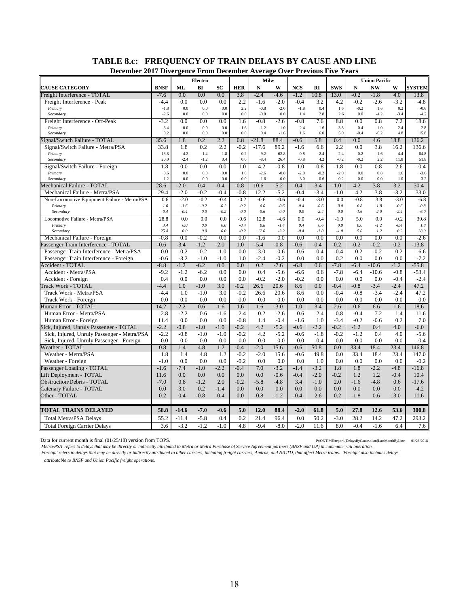| <b>December 2017 Divergence From December Average Over Previous Five Years</b> |               |                  |                  |                  |                  |                  |                  |               |                  |               |               |                      |               |                  |
|--------------------------------------------------------------------------------|---------------|------------------|------------------|------------------|------------------|------------------|------------------|---------------|------------------|---------------|---------------|----------------------|---------------|------------------|
|                                                                                |               |                  | Electric         |                  |                  | Milw             |                  |               |                  |               |               | <b>Union Pacific</b> |               |                  |
| <b>CAUSE CATEGORY</b>                                                          | <b>BNSF</b>   | <b>ML</b>        | BI               | SC               | <b>HER</b>       | $\mathbf N$      | W                | <b>NCS</b>    | RI               | <b>SWS</b>    | $\mathbf N$   | <b>NW</b>            | W             | <b>SYSTEM</b>    |
| Freight Interference - TOTAL                                                   | $-7.6$        | 0.0              | 0.0              | 0.0              | 3.8              | $-2.4$           | $-4.6$           | $-1.2$        | 10.8             | 13.0          | $-0.2$        | $-1.8$               | 4.0           | 13.8             |
| Freight Interference - Peak                                                    | $-4.4$        | 0.0              | 0.0              | 0.0              | 2.2              | $-1.6$           | $-2.0$           | $-0.4$        | 3.2              | 4.2           | $-0.2$        | $-2.6$               | $-3.2$        | $-4.8$           |
| Primary                                                                        | $-1.8$        | 0.0              | 0.0              | 0.0              | 2.2              | $-0.8$           | $-2.0$           | $-1.8$        | 0.4              | 1.6           | $-0.2$        | 1.6                  | 0.2           | $-0.6$           |
| Secondary                                                                      | $-2.6$        | 0.0              | 0.0              | 0.0              | 0.0              | $-0.8$           | 0.0              | 1.4           | 2.8              | 2.6           | 0.0           | $-4.2$               | $-3.4$        | $-4.2$           |
| Freight Interference - Off-Peak                                                | $-3.2$        | 0.0              | 0.0              | 0.0              | 1.6              | $-0.8$           | $-2.6$           | $-0.8$        | 7.6              | 8.8           | 0.0           | 0.8                  | 7.2           | 18.6             |
| Primary<br>Secondary                                                           | $-3.4$<br>0.2 | 0.0<br>0.0       | 0.0<br>0.0       | 0.0<br>0.0       | 1.6<br>0.0       | $-1.2$<br>0.4    | $-1.0$<br>$-1.6$ | $-2.4$<br>1.6 | 1.6<br>6.0       | 3.8<br>5.0    | 0.4<br>$-0.4$ | 1.0<br>$-0.2$        | 2.4<br>4.8    | 2.8<br>15.8      |
| Signal/Switch Failure - TOTAL                                                  | 35.6          | 1.8              | 0.2              | 2.2              | 0.8              | $-21.8$          | 88.4             | $-0.6$        | 5.8              | 0.4           | 0.0           | 4.6                  | 18.8          | 136.2            |
| Signal/Switch Failure - Metra/PSA                                              | 33.8          | 1.8              | 0.2              | 2.2              | $-0.2$           | $-17.6$          | 89.2             | $-1.6$        | 6.6              | 2.2           | 0.0           | 3.8                  | 16.2          | 136.6            |
| Primary                                                                        | 13.8          | 4.2              | 1.4              | 1.8              | $-0.2$           | $-9.2$           | 62.8             | $-0.8$        | 2.4              | 2.4           | 0.2           | 1.6                  | 4.4           | 84.8             |
| Secondary                                                                      | 20.0          | $-2.4$           | $-1.2$           | 0.4              | 0.0              | $-8.4$           | 26.4             | $-0.8$        | 4.2              | $-0.2$        | $-0.2$        | 2.2                  | 11.8          | 51.8             |
| Signal/Switch Failure - Foreign                                                | 1.8           | 0.0              | 0.0              | 0.0              | 1.0              | $-4.2$           | $-0.8$           | 1.0           | $-0.8$           | $-1.8$        | 0.0           | 0.8                  | 2.6           | $-0.4$           |
| Primary                                                                        | 0.6           | 0.0              | 0.0              | 0.0              | 1.0              | $-2.6$           | $-0.8$           | $-2.0$        | $-0.2$           | $-2.0$        | 0.0           | 0.8                  | 1.6           | $-3.6$           |
| Secondary                                                                      | 1.2           | 0.0              | 0.0              | 0.0              | 0.0              | $-1.6$           | 0.0              | 3.0           | $-0.6$           | 0.2           | 0.0           | 0.0                  | 1.0           | 3.2              |
| Mechanical Failure - TOTAL                                                     | 28.6          | $-2.0$           | $-0.4$           | $-0.4$           | $-0.8$           | 10.6             | $-5.2$           | $-0.4$        | $-3.4$           | $-1.0$        | 4.2           | 3.8                  | $-3.2$        | 30.4             |
| Mechanical Failure - Metra/PSA                                                 | 29.4          | $-2.0$           | $-0.2$           | $-0.4$           | $-0.8$           | 12.2             | $-5.2$           | $-0.4$        | $-3.4$           | $-1.0$        | 4.2           | 3.8                  | $-3.2$        | 33.0             |
| Non-Locomotive Equipment Failure - Metra/PSA                                   | 0.6           | $-2.0$           | $-0.2$           | $-0.4$           | $-0.2$           | $-0.6$           | $-0.6$           | $-0.4$        | $-3.0$           | 0.0           | $-0.8$        | 3.8                  | $-3.0$        | $-6.8$           |
| Primary                                                                        | $1.0$         | $-1.6$           | $-0.2$           | $-0.2$           | $-0.2$           | $0.0\,$          | $-0.6$           | $-0.4$        | $-0.6$           | $0.0\,$       | $0.8\,$       | 1.8                  | $-0.6$        | $-0.8\,$         |
| Secondary                                                                      | $-0.4$        | $-0.4$           | 0.0              | $-0.2$           | 0.0              | $-0.6$           | 0.0              | 0.0           | $-2.4$           | 0.0           | $-1.6$        | 2.0                  | $-2.4$        | $-6.0$           |
| Locomotive Failure - Metra/PSA                                                 | 28.8          | 0.0              | 0.0              | 0.0              | $-0.6$           | 12.8             | $-4.6$           | 0.0           | $-0.4$           | $-1.0$        | 5.0           | 0.0                  | $-0.2$        | 39.8             |
| Primary                                                                        | 3.4<br>25.4   | 0.0              | 0.0              | 0.0              | $-0.4$<br>$-0.2$ | 0.8<br>12.0      | $-1.4$           | 0.4<br>$-0.4$ | 0.6              | 0.0           | 0.0           | $-1.2$               | $-0.4$<br>0.2 | 1.8<br>38.0      |
| Secondary                                                                      |               | 0.0              | 0.0              | 0.0              |                  |                  | $-3.2$           |               | $-1.0$           | $-1.0$        | 5.0           | 1.2                  |               |                  |
| Mechanical Failure - Foreign                                                   | $-0.8$        | 0.0              | $-0.2$           | 0.0              | 0.0              | $-1.6$           | 0.0              | 0.0           | 0.0              | 0.0           | 0.0           | 0.0                  | 0.0           | $-2.6$           |
| Passenger Train Interference - TOTAL                                           | $-0.6$        | $-3.4$           | $-1.2$           | $-2.0$           | 1.0              | $-5.4$           | $-0.8$           | $-0.6$        | $-0.4$<br>$-0.4$ | $-0.2$        | $-0.2$        | $-0.2$               | 0.2           | $-13.8$          |
| Passenger Train Interference - Metra/PSA                                       | 0.0<br>$-0.6$ | $-0.2$<br>$-3.2$ | $-0.2$<br>$-1.0$ | $-1.0$<br>$-1.0$ | 0.0<br>1.0       | $-3.0$<br>$-2.4$ | $-0.6$<br>$-0.2$ | $-0.6$<br>0.0 | 0.0              | $-0.4$<br>0.2 | $-0.2$<br>0.0 | $-0.2$<br>0.0        | 0.2<br>0.0    | $-6.6$<br>$-7.2$ |
| Passenger Train Interference - Foreign<br>Accident - TOTAL                     | $-8.8$        | $-1.2$           | $-6.2$           | 0.0              | 0.0              | 0.2              | $-7.6$           | $-6.8$        | 0.6              | $-7.8$        | $-6.4$        | $-10.6$              | $-1.2$        | $-55.8$          |
| Accident - Metra/PSA                                                           | $-9.2$        | $-1.2$           | $-6.2$           | 0.0              | 0.0              | 0.4              | $-5.6$           | $-6.6$        | 0.6              | $-7.8$        | $-6.4$        | $-10.6$              | $-0.8$        | $-53.4$          |
| Accident - Foreign                                                             | 0.4           | 0.0              | 0.0              | 0.0              | 0.0              | $-0.2$           | $-2.0$           | $-0.2$        | 0.0              | 0.0           | 0.0           | 0.0                  | $-0.4$        | $-2.4$           |
| Track Work - TOTAL                                                             | $-4.4$        | 1.0              | $-1.0$           | 3.0              | $-0.2$           | 26.6             | 20.6             | 8.6           | 0.0              | $-0.4$        | $-0.8$        | $-3.4$               | $-2.4$        | 47.2             |
| Track Work - Metra/PSA                                                         | $-4.4$        | 1.0              | $-1.0$           | 3.0              | $-0.2$           | 26.6             | 20.6             | 8.6           | 0.0              | $-0.4$        | $-0.8$        | $-3.4$               | $-2.4$        | 47.2             |
| Track Work - Foreign                                                           | 0.0           | 0.0              | 0.0              | 0.0              | 0.0              | 0.0              | 0.0              | 0.0           | 0.0              | 0.0           | 0.0           | 0.0                  | 0.0           | 0.0              |
| Human Error - TOTAL                                                            | 14.2          | $-2.2$           | 0.6              | $-1.6$           | 1.6              | 1.6              | $-3.0$           | $-1.0$        | 3.4              | $-2.6$        | $-0.6$        | 6.6                  | 1.6           | 18.6             |
| Human Error - Metra/PSA                                                        | 2.8           | $-2.2$           | 0.6              | $-1.6$           | 2.4              | 0.2              | $-2.6$           | 0.6           | 2.4              | 0.8           | $-0.4$        | 7.2                  | 1.4           | 11.6             |
| Human Error - Foreign                                                          | 11.4          | 0.0              | 0.0              | 0.0              | $-0.8$           | 1.4              | $-0.4$           | $-1.6$        | 1.0              | $-3.4$        | $-0.2$        | $-0.6$               | 0.2           | 7.0              |
| Sick, Injured, Unruly Passenger - TOTAL                                        | $-2.2$        | $-0.8$           | $-1.0$           | $-1.0$           | $-0.2$           | 4.2              | $-5.2$           | $-0.6$        | $-2.2$           | $-0.2$        | $-1.2$        | 0.4                  | 4.0           | $-6.0$           |
| Sick, Injured, Unruly Passenger - Metra/PSA                                    | $-2.2$        | $-0.8$           | $-1.0$           | $-1.0$           | $-0.2$           | 4.2              | $-5.2$           | $-0.6$        | $-1.8$           | $-0.2$        | $-1.2$        | 0.4                  | 4.0           | $-5.6$           |
| Sick, Injured, Unruly Passenger - Foreign                                      | 0.0           | 0.0              | 0.0              | 0.0              | 0.0              | 0.0              | 0.0              | 0.0           | $-0.4$           | 0.0           | 0.0           | 0.0                  | 0.0           | $-0.4$           |
| Weather - TOTAL                                                                | 0.8           | 1.4              | 4.8              | 1.2              | $-0.4$           | $-2.0$           | 15.6             | $-0.6$        | 50.8             | 0.0           | 33.4          | 18.4                 | 23.4          | 146.8            |
| Weather - Metra/PSA                                                            | 1.8           | 1.4              | 4.8              | 1.2              | $-0.2$           | $-2.0$           | 15.6             | $-0.6$        | 49.8             | 0.0           | 33.4          | 18.4                 | 23.4          | 147.0            |
| Weather - Foreign                                                              | $-1.0$        | 0.0              | 0.0              | 0.0              | $-0.2$           | 0.0              | 0.0              | 0.0           | 1.0              | 0.0           | 0.0           | 0.0                  | 0.0           | $-0.2$           |
| Passenger Loading - TOTAL                                                      | $-1.6$        | $-7.4$           | $-1.0$           | $-2.2$           | $-0.4$           | 7.0              | $-3.2$           | $-1.4$        | $-3.2$           | 1.8           | 1.8           | $-2.2$               | $-4.8$        | $-16.8$          |
| Lift Deployment - TOTAL                                                        | 11.6          | 0.0              | 0.0              | 0.0              | 0.0              | 0.0              | $-0.6$           | $-0.4$        | $-2.0$           | $-0.2$        | 1.2           | 1.2                  | $-0.4$        | 10.4             |
| <b>Obstruction/Debris - TOTAL</b>                                              | $-7.0$        | 0.8              | $-1.2$           | 2.0              | $-0.2$           | $-5.8$           | $-4.8$           | 3.4           | $-1.0$           | 2.0           | $-1.6$        | $-4.8$               | 0.6           | $-17.6$          |
| Catenary Failure - TOTAL                                                       | 0.0           | $-3.0$           | 0.2              | $-1.4$           | 0.0              | 0.0              | 0.0              | 0.0           | 0.0              | 0.0           | 0.0           | 0.0                  | 0.0           | $-4.2$           |
| Other - TOTAL                                                                  | 0.2           | 0.4              | $-0.8$           | $-0.4$           | 0.0              | $-0.8$           | $-1.2$           | $-0.4$        | 2.6              | 0.2           | $-1.8$        | 0.6                  | 13.0          | 11.6             |
| <b>TOTAL TRAINS DELAYED</b>                                                    | 58.8          | $-14.6$          | $-7.0$           | $-0.6$           | 5.0              | 12.0             | 88.4             | $-2.0$        | 61.8             | 5.0           | 27.8          | 12.6                 | 53.6          | 300.8            |
| <b>Total Metra/PSA Delays</b>                                                  | 55.2          | $-11.4$          | $-5.8$           | 0.4              | 0.2              | 21.4             | 96.4             | 0.0           | 50.2             | $-3.0$        | 28.2          | 14.2                 | 47.2          | 293.2            |
| <b>Total Foreign Carrier Delays</b>                                            | 3.6           | $-3.2$           | $-1.2$           | $-1.0$           | 4.8              | $-9.4$           | $-8.0$           | $-2.0$        | 11.6             | 8.0           | $-0.4$        | $-1.6$               | 6.4           | 7.6              |
|                                                                                |               |                  |                  |                  |                  |                  |                  |               |                  |               |               |                      |               |                  |

# **TABLE 8.c: FREQUENCY OF TRAIN DELAYS BY CAUSE AND LINE**

Data for current month is final (01/25/18) version from TOPS. P:\ONTIME\report\[DelaysByCause.xlsm]LastMonthByLine 01/26/2018

*'Metra/PSA' refers to delays that may be directly or indirectly attributed to Metra or Metra Purchase of Service Agreement partners (BNSF and UP) in commuter rail operation. 'Foreign' refers to delays that may be directly or indirectly attributed to other carriers, including freight carriers, Amtrak, and NICTD, that affect Metra trains. 'Foreign' also includes delays* 

*attributable to BNSF and Union Pacific freight operations.*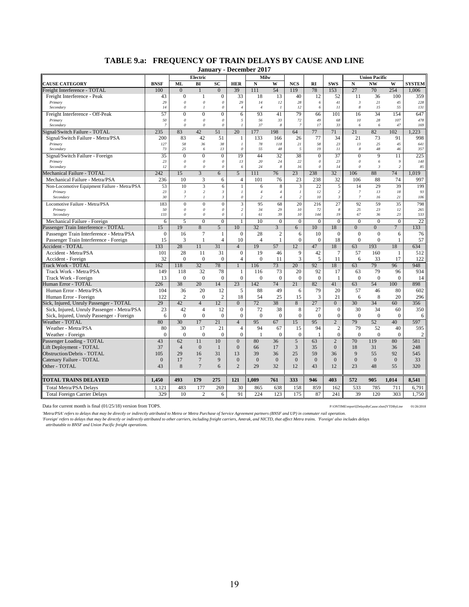|                                              |                      |                                   |                              |                                  |                                               | <b>January - December 2017</b>            |                              |                                |                           |                                  |                                  |                         |                |                |
|----------------------------------------------|----------------------|-----------------------------------|------------------------------|----------------------------------|-----------------------------------------------|-------------------------------------------|------------------------------|--------------------------------|---------------------------|----------------------------------|----------------------------------|-------------------------|----------------|----------------|
|                                              |                      |                                   | Electric                     |                                  |                                               | Milw                                      |                              |                                |                           |                                  |                                  | <b>Union Pacific</b>    |                |                |
| <b>CAUSE CATEGORY</b>                        | <b>BNSF</b>          | ML                                | BI                           | SC                               | <b>HER</b>                                    | $\mathbf N$                               | W                            | <b>NCS</b>                     | RI                        | <b>SWS</b>                       | ${\bf N}$                        | <b>NW</b>               | W              | <b>SYSTEM</b>  |
| Freight Interference - TOTAL                 | 100                  | $\overline{0}$                    |                              | $\overline{0}$                   | 39                                            | 111                                       | 54                           | 119                            | 78                        | 153                              | 27                               | 70                      | 254            | 1.006          |
| Freight Interference - Peak                  | 43                   | $\mathbf{0}$                      | 1                            | $\overline{0}$                   | 33                                            | 18                                        | 13                           | 40                             | 12                        | 52                               | 11                               | 36                      | 100            | 359            |
| Primary                                      | 29                   | $\theta$                          | $\boldsymbol{\theta}$        | $\theta$                         | 29                                            | 14                                        | 12                           | 28                             | 6                         | 41                               | $\mathfrak{Z}$                   | 21                      | 45             | 228            |
| Secondary                                    | 14                   | $\boldsymbol{\theta}$             | $\overline{I}$               | $\theta$                         | $\overline{4}$                                | $\overline{4}$                            | $\mathcal{I}$                | 12                             | 6                         | II                               | 8                                | 15                      | 55             | 131            |
| Freight Interference - Off-Peak              | 57                   | $\overline{0}$                    | $\overline{0}$               | $\overline{0}$                   | 6                                             | 93                                        | 41                           | 79                             | 66                        | 101                              | 16                               | 34                      | 154            | 647            |
| Primary<br>Secondary                         | 50<br>$\overline{7}$ | $\boldsymbol{\theta}$<br>$\theta$ | $\theta$<br>$\theta$         | $\theta$<br>0                    | 5<br>$\mathcal{I}$                            | 56<br>37                                  | 33<br>8                      | 72<br>$\overline{7}$           | 49<br>17                  | 68<br>33                         | 10<br>6                          | 28<br>6                 | 107<br>47      | 478<br>169     |
| Signal/Switch Failure - TOTAL                | 235                  | 83                                | 42                           | 51                               | 20                                            | 177                                       | 198                          | 64                             | 77                        | 71                               | 21                               | 82                      | 102            | 1.223          |
| Signal/Switch Failure - Metra/PSA            | 200                  | 83                                | 42                           | 51                               | $\mathbf{1}$                                  | 133                                       | 166                          | 26                             | 77                        | 34                               | 21                               | 73                      | 91             | 998            |
| Primary                                      | 127                  | 58                                | 36                           | 38                               | $\overline{I}$                                | 78                                        | 118                          | 21                             | 58                        | 23                               | 13                               | 25                      | 45             | 641            |
| Secondary                                    | 73                   | 25                                | 6                            | 13                               | $\theta$                                      | 55                                        | 48                           | $\sqrt{2}$                     | 19                        | $_{II}$                          | 8                                | 48                      | 46             | 357            |
| Signal/Switch Failure - Foreign              | 35                   | $\theta$                          | $\overline{0}$               | $\overline{0}$                   | 19                                            | 44                                        | 32                           | 38                             | $\overline{0}$            | 37                               | $\mathbf{0}$                     | 9                       | 11             | 225            |
| Primary                                      | 23                   | $\theta$                          | $\boldsymbol{\theta}$        | $\theta$                         | 13                                            | 20                                        | 24                           | 22                             | $\boldsymbol{\mathit{0}}$ | 23                               | $\theta$                         | 6                       | $\overline{9}$ | 140            |
| Secondary                                    | 12                   | $\theta$                          | $\boldsymbol{\theta}$        | $\theta$                         | 6                                             | 24                                        | $\boldsymbol{8}$             | 16                             | $\theta$                  | 14                               | $\theta$                         | $\overline{\mathbf{3}}$ | $\overline{c}$ | 85             |
| Mechanical Failure - TOTAL                   | 242                  | 15                                | 3                            | 6                                | 5                                             | 111                                       | 76                           | 23                             | 238                       | 32                               | 106                              | 88                      | 74             | 1.019          |
| Mechanical Failure - Metra/PSA               | 236                  | 10                                | 3                            | 6                                | $\overline{4}$                                | 101                                       | 76                           | 23                             | 238                       | 32                               | 106                              | 88                      | 74             | 997            |
| Non-Locomotive Equipment Failure - Metra/PSA | 53                   | 10                                | 3                            | 6                                | $\mathbf{1}$                                  | 6                                         | 8                            | $\overline{3}$                 | 22                        | 5                                | 14                               | 29                      | 39             | 199            |
| Primary                                      | 23<br>30             | $\mathfrak{Z}$<br>$\overline{7}$  | $\sqrt{2}$<br>$\overline{I}$ | $\mathfrak{Z}$<br>$\mathfrak{Z}$ | $\boldsymbol{l}$<br>$\boldsymbol{\mathit{0}}$ | $\overline{4}$<br>$\overline{\mathbf{c}}$ | $\sqrt{4}$<br>$\overline{4}$ | $\boldsymbol{l}$<br>$\sqrt{2}$ | 12<br>10                  | $\overline{c}$<br>$\mathfrak{Z}$ | $\overline{7}$<br>$\overline{7}$ | 13<br>16                | 18<br>21       | 93<br>106      |
| Secondary                                    |                      |                                   |                              |                                  |                                               |                                           |                              |                                |                           |                                  |                                  |                         |                |                |
| Locomotive Failure - Metra/PSA<br>Primary    | 183<br>50            | $\Omega$<br>$\theta$              | $\theta$<br>$\theta$         | $\theta$<br>$\theta$             | $\overline{\mathbf{3}}$<br>$\overline{c}$     | 95<br>34                                  | 68<br>29                     | 20<br>$10\,$                   | 216<br>72                 | 27<br>8                          | 92<br>25                         | 59<br>23                | 35<br>12       | 798<br>265     |
| Secondary                                    | 133                  | $\theta$                          | $\theta$                     | $\theta$                         | $\boldsymbol{l}$                              | 61                                        | 39                           | 10                             | 144                       | 19                               | 67                               | 36                      | 23             | 533            |
| Mechanical Failure - Foreign                 | 6                    | 5                                 | $\Omega$                     | $\theta$                         | 1                                             | 10                                        | $\overline{0}$               | $\overline{0}$                 | $\overline{0}$            | $\overline{0}$                   | $\Omega$                         | $\Omega$                | $\overline{0}$ | 22             |
| Passenger Train Interference - TOTAL         | 15                   | 19                                | 8                            | 5                                | 10                                            | 32                                        | $\overline{3}$               | 6                              | 10 <sup>10</sup>          | 18                               | $\overline{0}$                   | $\overline{0}$          | $\overline{7}$ | 133            |
| Passenger Train Interference - Metra/PSA     | $\overline{0}$       | 16                                | $\tau$                       | $\mathbf{1}$                     | $\overline{0}$                                | 28                                        | $\overline{2}$               | 6                              | 10                        | $\mathbf{0}$                     | $\mathbf{0}$                     | $\mathbf{0}$            | 6              | 76             |
| Passenger Train Interference - Foreign       | 15                   | 3                                 | $\mathbf{1}$                 | $\overline{4}$                   | 10                                            | $\overline{4}$                            | $\mathbf{1}$                 | $\mathbf{0}$                   | $\theta$                  | 18                               | $\overline{0}$                   | $\theta$                | 1              | 57             |
| Accident - TOTAL                             | 133                  | 28                                | 11                           | $\overline{31}$                  | $\overline{4}$                                | 19                                        | 57                           | 12                             | 47                        | 18                               | 63                               | 193                     | 18             | 634            |
| Accident - Metra/PSA                         | 101                  | 28                                | 11                           | 31                               | $\mathbf{0}$                                  | 19                                        | 46                           | 9                              | 42                        | $\tau$                           | 57                               | 160                     | -1             | 512            |
| Accident - Foreign                           | 32                   | $\theta$                          | $\overline{0}$               | $\mathbf{0}$                     | $\overline{4}$                                | $\overline{0}$                            | 11                           | 3                              | 5                         | 11                               | 6                                | 33                      | 17             | 122            |
| <b>Track Work - TOTAL</b>                    | 162                  | 118                               | 32                           | 78                               | $\overline{1}$                                | 116                                       | 73                           | 20 <sup>2</sup>                | 92                        | 18                               | 63                               | 79                      | 96             | 948            |
| Track Work - Metra/PSA                       | 149                  | 118                               | 32                           | 78                               | 1                                             | 116                                       | 73                           | 20                             | 92                        | 17                               | 63                               | 79                      | 96             | 934            |
| Track Work - Foreign                         | 13                   | $\Omega$                          | $\overline{0}$               | $\mathbf{0}$                     | $\overline{0}$                                | $\overline{0}$                            | $\boldsymbol{0}$             | $\boldsymbol{0}$               | $\theta$                  | $\mathbf{1}$                     | $\mathbf{0}$                     | $\mathbf{0}$            | $\mathbf{0}$   | 14             |
| Human Error - TOTAL                          | 226                  | 38                                | 20                           | 14                               | 23                                            | 142                                       | 74                           | 21                             | 82                        | 41                               | 63                               | 54                      | 100            | 898            |
| Human Error - Metra/PSA                      | 104                  | 36                                | 20                           | 12                               | 5                                             | 88                                        | 49                           | 6                              | 79                        | 20                               | 57                               | 46                      | 80             | 602            |
| Human Error - Foreign                        | 122                  | $\overline{2}$                    | $\Omega$                     | $\overline{c}$                   | 18                                            | 54                                        | 25                           | 15                             | 3                         | 21                               | 6                                | 8                       | 20             | 296            |
| Sick, Injured, Unruly Passenger - TOTAL      | 29                   | 42                                | $\overline{4}$               | 12                               | $\overline{0}$                                | 72                                        | 38                           | 8                              | 27                        | $\overline{0}$                   | 30                               | 34                      | 60             | 356            |
| Sick, Injured, Unruly Passenger - Metra/PSA  | 23                   | 42                                | $\overline{4}$               | 12                               | $\overline{0}$                                | 72                                        | 38                           | $\overline{8}$                 | 27                        | $\overline{0}$                   | 30                               | 34                      | 60             | 350            |
| Sick, Injured, Unruly Passenger - Foreign    | 6                    | $\Omega$                          | $\overline{0}$               | $\theta$                         | $\Omega$                                      | $\theta$                                  | $\Omega$                     | $\mathbf{0}$                   | $\theta$                  | $\Omega$                         | $\Omega$                         | $\Omega$                | $\Omega$       | 6              |
| Weather - TOTAL                              | 80                   | 30                                | 17                           | 21                               | $\overline{4}$                                | 95                                        | 67                           | 15                             | 95                        | $\overline{2}$                   | 79                               | 52                      | 40             | 597            |
| Weather - Metra/PSA                          | 80                   | 30                                | 17                           | 21                               | $\overline{4}$                                | 94                                        | 67                           | 15                             | 94                        | $\overline{c}$                   | 79                               | 52                      | 40             | 595            |
| Weather - Foreign                            | $\theta$             | $\Omega$                          | $\overline{0}$               | $\theta$                         | $\overline{0}$                                | $\overline{1}$                            | $\boldsymbol{0}$             | $\mathbf{0}$                   | 1                         | $\mathbf{0}$                     | $\theta$                         | $\mathbf{0}$            | $\mathbf{0}$   | $\mathfrak{2}$ |
| Passenger Loading - TOTAL                    | 43                   | 62                                | 11                           | 10                               | $\overline{0}$                                | 80                                        | 36                           | 5                              | 63                        | $\overline{2}$                   | 70                               | 119                     | 80             | 581            |
| Lift Deployment - TOTAL                      | 37                   | $\overline{4}$                    | $\Omega$                     | $\mathbf{1}$                     | $\Omega$                                      | 66                                        | 17                           | 3                              | 35                        | $\overline{0}$                   | 18                               | 31                      | 36             | 248            |
| Obstruction/Debris - TOTAL                   | 105                  | 29                                | 16                           | 31                               | 13                                            | 39                                        | 36                           | 25                             | 59                        | 36                               | 9                                | 55                      | 92             | 545            |
| Catenary Failure - TOTAL                     | $\overline{0}$       | 17                                | $\overline{7}$               | 9                                | $\overline{0}$                                | $\overline{0}$                            | $\overline{0}$               | $\overline{0}$                 | $\mathbf{0}$              | $\overline{0}$                   | $\overline{0}$                   | $\overline{0}$          | $\overline{0}$ | 33             |
| Other - TOTAL                                | 43                   | 8                                 | $\overline{7}$               | 6                                | $\overline{2}$                                | 29                                        | 32                           | 12                             | 43                        | 12                               | 23                               | 48                      | 55             | 320            |
|                                              |                      |                                   |                              |                                  |                                               |                                           |                              |                                |                           |                                  |                                  |                         |                |                |
| <b>TOTAL TRAINS DELAYED</b>                  | 1,450                | 493                               | 179                          | 275                              | 121                                           | 1,089                                     | 761                          | 333                            | 946                       | 403                              | 572                              | 905                     | 1,014          | 8,541          |
| <b>Total Metra/PSA Delays</b>                | 1,121                | 483                               | 177                          | 269                              | 30                                            | 865                                       | 638                          | 158                            | 859                       | 162                              | 533                              | 785                     | 711            | 6,791          |
| <b>Total Foreign Carrier Delays</b>          | 329                  | 10                                | $\overline{c}$               | 6                                | 91                                            | 224                                       | 123                          | 175                            | 87                        | 241                              | 39                               | 120                     | 303            | 1,750          |

## **TABLE 9.a: FREQUENCY OF TRAIN DELAYS BY CAUSE AND LINE**

Data for current month is final (01/25/18) version from TOPS. P:\ONTIME\export\[DelaysByCause.xlsm]YTDByLine 01/26/2018

'Metra/PSA' refers to delays that may be directly or indirectly attributed to Metra o Metra Purchase of Service Agreement partners (BNSF and UP) in commuter rail operation.<br>'Foreign' refers to delays that may be directly o

*attributable to BNSF and Union Pacific freight operations.*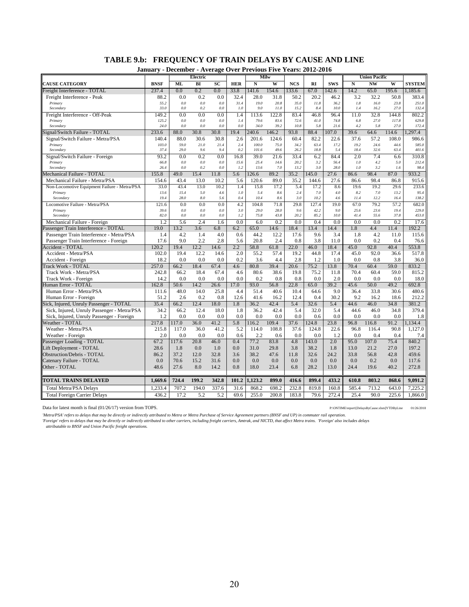|  | TABLE 9.b: FREQUENCY OF TRAIN DELAYS BY CAUSE AND LINE            |  |  |
|--|-------------------------------------------------------------------|--|--|
|  | Journamy, December, American Orien Ductions Five Vector 2012 2016 |  |  |

|                                              | January - December - Average Over Previous Five Years: 2012-2016 |                |            |            |             |               |               |              |              |              |              |                      |                |                |
|----------------------------------------------|------------------------------------------------------------------|----------------|------------|------------|-------------|---------------|---------------|--------------|--------------|--------------|--------------|----------------------|----------------|----------------|
|                                              |                                                                  |                | Electric   |            |             |               | Milw          |              |              |              |              | <b>Union Pacific</b> |                |                |
| <b>CAUSE CATEGORY</b>                        | <b>BNSF</b>                                                      | ML             | BI         | <b>SC</b>  | <b>HER</b>  | N             | W             | <b>NCS</b>   | RI           | <b>SWS</b>   | N            | <b>NW</b>            | W              | <b>SYSTEM</b>  |
| Freight Interference - TOTAL                 | 237.4                                                            | 0.0            | 0.2        | 0.0        | 33.8        | 141.6         | 154.6         | 133.6        | 67.0         | 42.6         | 14.2         | 65.0                 | 195.6          | 1.185.6        |
| Freight Interference - Peak                  | 88.2                                                             | 0.0            | 0.2        | 0.0        | 32.4        | 28.0          | 31.8          | 50.2         | 20.2         | 46.2         | 3.2          | 32.2                 | 50.8           | 383.4          |
| Primary                                      | 55.2<br>33.0                                                     | $0.0\,$<br>0.0 | 0.0<br>0.2 | 0.0<br>0.0 | 31.4<br>1.0 | 19.0<br>9.0   | 20.8<br>11.0  | 35.0<br>15.2 | 11.8<br>8.4  | 36.2<br>10.0 | 1.8<br>1.4   | 16.0<br>16.2         | 23.8<br>27.0   | 251.0<br>132.4 |
| Secondary                                    |                                                                  |                |            |            |             |               |               |              |              |              |              |                      |                |                |
| Freight Interference - Off-Peak<br>Primary   | 149.2<br>125.2                                                   | 0.0<br>0.0     | 0.0<br>0.0 | 0.0<br>0.0 | 1.4<br>1.4  | 113.6<br>79.6 | 122.8<br>83.6 | 83.4<br>72.6 | 46.8<br>41.0 | 96.4<br>74.8 | 11.0<br>6.8  | 32.8<br>27.0         | 144.8<br>117.8 | 802.2<br>629.8 |
| Secondary                                    | 24.0                                                             | 0.0            | 0.0        | 0.0        | 0.0         | 34.0          | 39.2          | 10.8         | 5.8          | 21.6         | 4.2          | 5.8                  | 27.0           | 172.4          |
| Signal/Switch Failure - TOTAL                | 233.6                                                            | 88.0           | 30.8       | 30.8       | 19.4        | 240.6         | 146.2         | 93.8         | 88.4         | 107.0        | 39.6         | 64.6                 | 114.6          | 1.297.4        |
| Signal/Switch Failure - Metra/PSA            | 140.4                                                            | 88.0           | 30.6       | 30.8       | 2.6         | 201.6         | 124.6         | 60.4         | 82.2         | 22.6         | 37.6         | 57.2                 | 108.0          | 986.6          |
| Primary                                      | 103.0                                                            | 59.0           | 21.0       | 21.4       | 2.4         | 100.0         | 75.0          | 34.2         | 63.4         | 17.2         | 19.2         | 24.6                 | 44.6           | 585.0          |
| Secondary                                    | 37.4                                                             | 29.0           | 9.6        | 9.4        | 0.2         | 101.6         | 49.6          | 26.2         | 18.8         | 5.4          | 18.4         | 32.6                 | 63.4           | 401.6          |
| Signal/Switch Failure - Foreign              | 93.2                                                             | 0.0            | 0.2        | 0.0        | 16.8        | 39.0          | 21.6          | 33.4         | 6.2          | 84.4         | 2.0          | 7.4                  | 6.6            | 310.8          |
| Primary                                      | 66.8                                                             | 0.0            | 0.0        | 0.0        | 15.6        | 25.4          | 14.6          | 20.2         | 3.2          | 56.4         | 1.0          | 4.2                  | 5.0            | 212.4          |
| Secondary                                    | 26.4                                                             | 0.0            | 0.2        | 0.0        | 1.2         | 13.6          | 7.0           | 13.2         | 3.0          | 28.0         | 1.0          | 3.2                  | 1.6            | 98.4           |
| Mechanical Failure - TOTAL                   | 155.8                                                            | 49.0           | 15.4       | 11.8       | 5.6         | 126.6         | 89.2          | 35.2         | 45.0         | 27.6         | 86.6         | 98.4                 | 87.0           | 933.2          |
| Mechanical Failure - Metra/PSA               | 154.6                                                            | 43.4           | 13.0       | 10.2       | 5.6         | 120.6         | 89.0          | 35.2         | 144.6        | 27.6         | 86.6         | 98.4                 | 86.8           | 915.6          |
| Non-Locomotive Equipment Failure - Metra/PSA | 33.0                                                             | 43.4           | 13.0       | 10.2       | 1.4         | 15.8          | 17.2          | 5.4          | 17.2         | 8.6          | 19.6         | 19.2                 | 29.6           | 233.6          |
| Primary                                      | 13.6                                                             | 15.4           | 5.0        | 4.6        | 1.0         | 5.4           | 8.6           | 2.4          | 7.0          | 4.0          | 8.2          | 7.0                  | 13.2           | 95.4           |
| Secondary                                    | 19.4                                                             | 28.0           | 8.0        | 5.6        | 0.4         | 10.4          | 8.6           | 3.0          | 10.2         | 4.6          | 11.4         | 12.2                 | 16.4           | 138.2          |
| Locomotive Failure - Metra/PSA               | 121.6                                                            | 0.0            | 0.0        | 0.0        | 4.2         | 104.8         | 71.8          | 29.8         | 127.4        | 19.0         | 67.0         | 79.2                 | 57.2           | 682.0          |
| Primary<br>Secondary                         | 39.6<br>82.0                                                     | 0.0<br>0.0     | 0.0<br>0.0 | 0.0<br>0.0 | 3.0<br>1.2  | 29.0<br>75.8  | 28.0<br>43.8  | 9.6<br>20.2  | 42.2<br>85.2 | 9.0<br>10.0  | 25.6<br>41.4 | 23.6<br>55.6         | 19.4<br>37.8   | 229.0<br>453.0 |
| Mechanical Failure - Foreign                 | 1.2                                                              | 5.6            | 2.4        | 1.6        | 0.0         | 6.0           | 0.2           | 0.0          | 0.4          | 0.0          | 0.0          | 0.0                  | 0.2            | 17.6           |
| Passenger Train Interference - TOTAL         | 19.0                                                             | 13.2           | 3.6        | 6.8        | 6.2         | 65.0          | 14.6          | 18.4         | 13.4         | 14.4         | 1.8          | 4.4                  | 11.4           | 192.2          |
| Passenger Train Interference - Metra/PSA     | 1.4                                                              | 4.2            | 1.4        | 4.0        | 0.6         | 44.2          | 12.2          | 17.6         | 9.6          | 3.4          | 1.8          | 4.2                  | 11.0           | 115.6          |
| Passenger Train Interference - Foreign       | 17.6                                                             | 9.0            | 2.2        | 2.8        | 5.6         | 20.8          | 2.4           | 0.8          | 3.8          | 11.0         | 0.0          | 0.2                  | 0.4            | 76.6           |
| Accident - TOTAL                             | 120.2                                                            | 19.4           | 12.2       | 14.6       | $2.2\,$     | 58.8          | 61.8          | 22.0         | 46.0         | 18.4         | 45.0         | 92.8                 | 40.4           | 553.8          |
| Accident - Metra/PSA                         | 102.0                                                            | 19.4           | 12.2       | 14.6       | 2.0         | 55.2          | 57.4          | 19.2         | 44.8         | 17.4         | 45.0         | 92.0                 | 36.6           | 517.8          |
| Accident - Foreign                           | 18.2                                                             | 0.0            | 0.0        | 0.0        | 0.2         | 3.6           | 4.4           | 2.8          | 1.2          | 1.0          | 0.0          | 0.8                  | 3.8            | 36.0           |
| <b>Track Work - TOTAL</b>                    | 257.0                                                            | 66.2           | 18.4       | 67.4       | 4.6         | 80.8          | 39.4          | 20.6         | 75.2         | 13.8         | 70.4         | 60.4                 | 59.0           | 833.2          |
| Track Work - Metra/PSA                       | 242.8                                                            | 66.2           | 18.4       | 67.4       | 4.6         | 80.6          | 38.6          | 19.8         | 75.2         | 11.8         | 70.4         | 60.4                 | 59.0           | 815.2          |
| Track Work - Foreign                         | 14.2                                                             | 0.0            | 0.0        | 0.0        | 0.0         | 0.2           | 0.8           | 0.8          | 0.0          | 2.0          | 0.0          | 0.0                  | 0.0            | 18.0           |
| Iuman Error - TOTAL                          | 162.8                                                            | 50.6           | 14.2       | 26.6       | 17.0        | 93.0          | 56.8          | 22.8         | 65.0         | 39.2         | 45.6         | 50.0                 | 49.2           | 692.8          |
| Human Error - Metra/PSA                      | 111.6                                                            | 48.0           | 14.0       | 25.8       | 4.4         | 51.4          | 40.6          | 10.4         | 64.6         | 9.0          | 36.4         | 33.8                 | 30.6           | 480.6          |
| Human Error - Foreign                        | 51.2                                                             | 2.6            | 0.2        | 0.8        | 12.6        | 41.6          | 16.2          | 12.4         | 0.4          | 30.2         | 9.2          | 16.2                 | 18.6           | 212.2          |
| Sick, Injured, Unruly Passenger - TOTAL      | 35.4                                                             | 66.2           | 12.4       | 18.0       | 1.8         | 36.2          | 42.4          | 5.4          | 32.6         | 5.4          | 44.6         | 46.0                 | 34.8           | 381.2          |
| Sick, Injured, Unruly Passenger - Metra/PSA  | 34.2                                                             | 66.2           | 12.4       | 18.0       | 1.8         | 36.2          | 42.4          | 5.4          | 32.0         | 5.4          | 44.6         | 46.0                 | 34.8           | 379.4          |
| Sick, Injured, Unruly Passenger - Foreign    | 1.2                                                              | 0.0            | 0.0        | 0.0        | 0.0         | 0.0           | 0.0           | 0.0          | 0.6          | 0.0          | 0.0          | 0.0                  | 0.0            | 1.8            |
| <b>Weather - TOTAL</b>                       | 217.8                                                            | 117.0          | 36.0       | 41.2       | 5.8         | 116.2         | 109.4         | 37.6         | 124.8        | 23.8         | 96.8         | 116.8                | 91.2           | 1.134.4        |
| Weather - Metra/PSA                          | 215.8                                                            | 117.0          | 36.0       | 41.2       | 5.2         | 114.0         | 108.8         | 37.6         | 124.8        | 22.6         | 96.8         | 116.4                | 90.8           | 1,127.0        |
| Weather - Foreign                            | 2.0                                                              | 0.0            | 0.0        | 0.0        | 0.6         | 2.2           | 0.6           | 0.0          | 0.0          | 1.2          | 0.0          | 0.4                  | 0.4            | 7.4            |
| Passenger Loading - TOTAL                    | 67.2                                                             | 117.6          | 20.8       | 46.0       | 0.4         | 77.2          | 83.8          | 4.8          | 143.0        | 2.0          | 95.0         | 107.0                | 75.4           | 840.2          |
| Lift Deployment - TOTAL                      | 28.6                                                             | 1.8            | 0.0        | 1.0        | 0.0         | 31.0          | 29.8          | 3.8          | 38.2         | 1.8          | 13.0         | 21.2                 | 27.0           | 197.2          |
| <b>Obstruction/Debris - TOTAL</b>            | 86.2                                                             | 37.2           | 12.0       | 32.8       | 3.6         | 38.2          | 47.6          | 11.8         | 32.6         | 24.2         | 33.8         | 56.8                 | 42.8           | 459.6          |
| Catenary Failure - TOTAL                     | 0.0                                                              | 70.6           | 15.2       | 31.6       | 0.0         | 0.0           | 0.0           | 0.0          | 0.0          | 0.0          | 0.0          | 0.2                  | 0.0            | 117.6          |
| Other - TOTAL                                | 48.6                                                             | 27.6           | 8.0        | 14.2       | 0.8         | 18.0          | 23.4          | 6.8          | 28.2         | 13.0         | 24.4         | 19.6                 | 40.2           | 272.8          |
|                                              |                                                                  |                |            |            |             |               |               |              |              |              |              |                      |                |                |
| <b>FOTAL TRAINS DELAYED</b>                  | 1,669.6                                                          | 724.4          | 199.2      | 342.8      | 101.2       | 1.123.2       | 899.0         | 416.6        | 899.4        | 433.2        | 610.8        | 803.2                | 868.6          | 9,091.2        |
| <b>Total Metra/PSA Delays</b>                | 1,233.4                                                          | 707.2          | 194.0      | 337.6      | 31.6        | 868.2         | 698.2         | 232.8        | 819.8        | 160.8        | 585.4        | 713.2                | 643.0          | 7,225.2        |
| <b>Total Foreign Carrier Delays</b>          | 436.2                                                            | 17.2           | 5.2        | 5.2        | 69.6        | 255.0         | 200.8         | 183.8        | 79.6         | 272.4        | 25.4         | 90.0                 | 225.6          | 1,866.0        |

Data for latest month is final (01/26/17) version from TOPS. P:\ONTIME\report\[DelaysByCause.xlsm]YTDByLine 01/26/2018

Metra/PSA' refers to delays that may be directly or indirectly attributed to Metra Purchase of Service Agreement partners (BNSF and UP) in commuter rail operation.<br>'Foreign' refers to delays that may be directly or indirec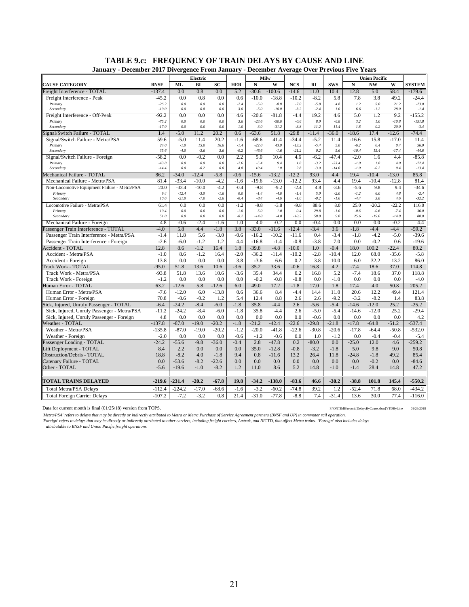| Electric<br>Milw<br><b>Union Pacific</b><br><b>BNSF</b><br>BI<br><b>SC</b><br>N<br>W<br><b>NCS</b><br>RI<br><b>SWS</b><br>N<br><b>NW</b><br><b>ML</b><br><b>HER</b><br>W<br><b>SYSTEM</b><br>0.0<br>0.8<br>0.0<br>$-30.6$<br>$-100.6$<br>11.0<br>10.4<br>12.8<br>Freight Interference - TOTAL<br>$-137.4$<br>5.2<br>$-14.6$<br>5.0<br>58.4<br>$-179.6$<br>Freight Interference - Peak<br>$-45.2$<br>0.0<br>0.8<br>0.0<br>0.6<br>$-10.0$<br>$-18.8$<br>$-10.2$<br>$-8.2$<br>5.8<br>7.8<br>3.8<br>49.2<br>$-24.4$<br>0.0<br>$0.0\,$<br>$0.0\,$<br>$-2.4$<br>$-5.0$<br>$-8.8$<br>$-7.0$<br>$-5.8$<br>4.8<br>1.2<br>5.0<br>21.2<br>$-23.0$<br>Primary<br>$-26.2$<br>$-19.0$<br>$0.8\,$<br>3.0<br>$-5.0$<br>$-10.0$<br>$-3.2$<br>28.0<br>$-1.4$<br>Secondary<br>0.0<br>0.0<br>$-2.4$<br>1.0<br>6.6<br>$-1.2$<br>$-81.8$<br>19.2<br>$-92.2$<br>0.0<br>0.0<br>0.0<br>4.6<br>$-20.6$<br>$-4.4$<br>4.6<br>5.0<br>9.2<br>$-155.2$<br>Freight Interference - Off-Peak<br>1.2<br>$-75.2$<br>0.0<br>$0.0\,$<br>0.0<br>3.6<br>$-23.6$<br>$-50.6$<br>$-0.6$<br>$8.0\,$<br>$-6.8$<br>3.2<br>1.0<br>$-10.8$<br>$-151.8$<br>Primary<br>11.4<br>$-17.0$<br>0.0<br>0.0<br>1.0<br>3.0<br>$-31.2$<br>$-3.8$<br>11.2<br>1.8<br>0.2<br>20.0<br>$-3.4$<br>Secondary<br>0.0<br>11.2<br>20.2<br>51.8<br>$-29.8$<br>$-36.0$<br>17.4<br>$-12.6$<br>$-74.4$<br>Signal/Switch Failure - TOTAL<br>1.4<br>$-5.0$<br>0.6<br>$-63.6$<br>$-11.4$<br>$-18.6$<br>Signal/Switch Failure - Metra/PSA<br>59.6<br>$-5.0$<br>11.4<br>20.2<br>$-1.6$<br>$-68.6$<br>41.4<br>$-34.4$<br>$-5.2$<br>11.4<br>$-16.6$<br>15.8<br>$-17.0$<br>11.4<br>24.0<br>16.6<br>$-1.4$<br>$-22.0$<br>43.0<br>$-13.2$<br>$-5.4$<br>Primary<br>$-1.0$<br>15.0<br>5.8<br>$-6.2$<br>0.4<br>0.4<br>56.0<br>35.6<br>$-0.2$<br>$-46.6$<br>$-21.2$<br>0.2<br>$-10.4$<br>$-17.4$<br>$-44.6$<br>Secondary<br>$-4.0$<br>$-3.6$<br>3.6<br>$-1.6$<br>5.6<br>15.4<br>2.2<br>$-58.2$<br>0.0<br>$-0.2$<br>0.0<br>5.0<br>4.6<br>$-6.2$<br>$-47.4$<br>$-2.0$<br>$-85.8$<br>Signal/Switch Failure - Foreign<br>10.4<br>1.6<br>4.4<br>Primary<br>$-43.8$<br>0.0<br>$0.0\,$<br>0.0<br>$-2.6$<br>$-5.4$<br>9.4<br>1.8<br>$-3.2$<br>$-33.4$<br>$-1.0$<br>1.8<br>4.0<br>$-72.4$<br>$-14.4$<br>0.0<br>$-0.2$<br>0.0<br>4.8<br>10.4<br>1.0<br>2.8<br>$-3.0$<br>$-14.0$<br>$-1.0$<br>$-0.2$<br>$-13.4$<br>Secondary<br>0.4<br>4.4<br>Mechanical Failure - TOTAL<br>$-34.0$<br>$-12.4$<br>$-5.8$<br>$-0.6$<br>$-15.6$<br>$-13.2$<br>$-12.2$<br>93.0<br>19.4<br>$-10.4$<br>$-13.0$<br>85.8<br>86.2<br>81.4<br>$-33.4$<br>$-10.0$<br>$-4.2$<br>$-1.6$<br>$-19.6$<br>$-13.0$<br>$-12.2$<br>93.4<br>4.4<br>19.4<br>$-10.4$<br>$-12.8$<br>81.4<br>Mechanical Failure - Metra/PSA<br>20.0<br>$-33.4$<br>$-10.0$<br>$-4.2$<br>$-0.4$<br>$-9.8$<br>$-9.2$<br>$-2.4$<br>4.8<br>$-3.6$<br>$-5.6$<br>9.8<br>9.4<br>$-34.6$<br>Non-Locomotive Equipment Failure - Metra/PSA<br>9.4<br>$-12.4$<br>$-3.0$<br>$-1.6$<br>0.0<br>$-1.4$<br>$-4.6$<br>$-1.4$<br>5.0<br>$-2.0$<br>$-1.2$<br>6.0<br>4.8<br>$-2.4$<br>Primary<br>10.6<br>$-21.0$<br>$-7.0$<br>$-8.4$<br>$-1.0$<br>$-0.2$<br>$-1.6$<br>$-4.4$<br>$-32.2$<br>Secondary<br>$-2.6$<br>$-0.4$<br>$-4.6$<br>3.8<br>4.6<br>$-9.8$<br>$-3.8$<br>$-9.8$<br>88.6<br>8.0<br>116.0<br>Locomotive Failure - Metra/PSA<br>61.4<br>0.0<br>0.0<br>0.0<br>$-1.2$<br>25.0<br>$-20.2$<br>$-22.2$<br>10.4<br>0.0<br>$0.0\,$<br>0.0<br>$-1.0$<br>5.0<br>$1.0\,$<br>0.4<br>29.8<br>$-1.0$<br>$-0.6$<br>$-0.6$<br>$-7.4$<br>36.0<br>Primary<br>51.0<br>0.0<br>$0.0\,$<br>0.0<br>$-0.2$<br>$-14.8$<br>$-4.8$<br>$-10.2$<br>58.8<br>9.0<br>25.6<br>$-19.6$<br>$-14.8$<br>80.0<br>Secondary<br>$-0.2$<br>4.8<br>$-0.6$<br>$-2.4$<br>$-1.6$<br>1.0<br>4.0<br>0.0<br>$-0.4$<br>0.0<br>0.0<br>0.0<br>$-0.2$<br>Mechanical Failure - Foreign<br>4.4<br>5.8<br>Passenger Train Interference - TOTAL<br>$-4.0$<br>4.4<br>$-1.8$<br>3.8<br>$-33.0$<br>$-11.6$<br>$-12.4$<br>$-3.4$<br>3.6<br>$-1.8$<br>$-4.4$<br>$-4.4$<br>$-59.2$<br>$-1.4$<br>5.6<br>$-3.0$<br>$-0.6$<br>$-16.2$<br>$-10.2$<br>0.4<br>$-3.4$<br>$-1.8$<br>$-4.2$<br>$-5.0$<br>$-39.6$<br>Passenger Train Interference - Metra/PSA<br>11.8<br>$-11.6$<br>1.2<br>$-0.8$<br>$-3.8$<br>0.0<br>$-0.2$<br>$-19.6$<br>$-2.6$<br>$-6.0$<br>$-1.2$<br>4.4<br>$-16.8$<br>$-1.4$<br>7.0<br>0.6<br>Passenger Train Interference - Foreign<br>$-39.8$<br>$-10.0$<br>Accident - TOTAL<br>12.8<br>8.6<br>$-1.2$<br>16.4<br>1.8<br>$-4.8$<br>1.0<br>$-0.4$<br>18.0<br>100.2<br>$-22.4$<br>80.2<br>$-10.4$<br>Accident - Metra/PSA<br>8.6<br>$-1.2$<br>$-2.0$<br>$-36.2$<br>$-11.4$<br>$-10.2$<br>$-2.8$<br>12.0<br>68.0<br>$-35.6$<br>$-5.8$<br>$-1.0$<br>16.4<br>13.8<br>0.0<br>0.0<br>3.8<br>0.2<br>3.8<br>10.0<br>86.0<br>Accident - Foreign<br>0.0<br>$-3.6$<br>6.6<br>6.0<br>32.2<br>13.2<br>$-95.0$<br>13.6<br>$-3.6$<br>35.2<br>4.2<br>$-7.4$<br>37.0<br>Track Work - TOTAL<br>51.8<br>10.6<br>33.6<br>$-0.6$<br>16.8<br>18.6<br>114.8<br>Track Work - Metra/PSA<br>$-93.8$<br>51.8<br>$-3.6$<br>35.4<br>34.4<br>0.2<br>16.8<br>5.2<br>$-7.4$<br>18.6<br>37.0<br>118.8<br>13.6<br>10.6<br>0.0<br>$-0.8$<br>$-1.0$<br>Track Work - Foreign<br>$-1.2$<br>0.0<br>0.0<br>0.0<br>$-0.2$<br>$-0.8$<br>0.0<br>0.0<br>0.0<br>0.0<br>$-4.0$<br>4.0<br>5.8<br>$-12.6$<br>6.0<br>49.0<br>17.2<br>$-1.8$<br>17.0<br>1.8<br>17.4<br>50.8<br>205.2<br><b>Juman Error - TOTAL</b><br>63.2<br>$-12.6$<br>Human Error - Metra/PSA<br>$-7.6$<br>$-12.0$<br>6.0<br>$-13.8$<br>0.6<br>36.6<br>8.4<br>$-4.4$<br>14.4<br>11.0<br>20.6<br>12.2<br>49.4<br>121.4<br>70.8<br>$-0.2$<br>1.2<br>5.4<br>8.8<br>2.6<br>$-9.2$<br>$-3.2$<br>$-8.2$<br>83.8<br>Human Error - Foreign<br>$-0.6$<br>12.4<br>2.6<br>1.4<br>$-6.4$<br>$-8.4$<br>$-6.0$<br>$-1.8$<br>35.8<br>$-4.4$<br>$-5.6$<br>$-5.4$<br>$-12.0$<br>25.2<br>$-25.2$<br>Sick, Injured, Unruly Passenger - TOTAL<br>$-24.2$<br>2.6<br>$-14.6$<br>$-24.2$<br>$-8.4$<br>$-1.8$<br>$-4.4$<br>$-5.0$<br>$-29.4$<br>Sick, Injured, Unruly Passenger - Metra/PSA<br>$-11.2$<br>$-6.0$<br>35.8<br>2.6<br>$-5.4$<br>$-14.6$<br>$-12.0$<br>25.2<br>4.8<br>0.0<br>0.0<br>0.0<br>0.0<br>0.0<br>0.0<br>0.0<br>$-0.6$<br>0.0<br>0.0<br>0.0<br>0.0<br>4.2<br>Sick, Injured, Unruly Passenger - Foreign<br>$-137.8$<br>$-21.2$<br>$-42.4$<br>$-22.6$<br>$-29.8$<br>$-87.0$<br>$-19.0$<br>$-20.2$<br>$-1.8$<br>$-21.8$<br>$-17.8$<br>$-64.8$<br>$-51.2$<br>$-537.4$<br>Weather - TOTAL<br>$-87.0$<br>$-19.0$<br>$-20.2$<br>$-1.2$<br>$-20.0$<br>$-41.8$<br>$-22.6$<br>$-30.8$<br>$-17.8$<br>$-532.0$<br>Weather - Metra/PSA<br>$-135.8$<br>$-20.6$<br>$-64.4$<br>$-50.8$<br>$-2.0$<br>0.0<br>0.0<br>0.0<br>$-0.6$<br>$-1.2$<br>$-0.6$<br>0.0<br>1.0<br>$-1.2$<br>0.0<br>$-0.4$<br>$-0.4$<br>Weather - Foreign<br>$-5.4$<br>$-0.4$<br>2.8<br>$-47.8$<br>0.0<br>$-24.2$<br>$-55.6$<br>$-9.8$<br>$-36.0$<br>0.2<br>$-80.0$<br>$-25.0$<br>12.0<br>4.6<br>$-259.2$<br>Passenger Loading - TOTAL<br>0.0<br>0.0<br>35.0<br>$-12.8$<br>$-0.8$<br>$-1.8$<br>Lift Deployment - TOTAL<br>8.4<br>2.2<br>0.0<br>$-3.2$<br>5.0<br>9.8<br>9.0<br>50.8<br>$-8.2$<br><b>Obstruction/Debris - TOTAL</b><br>18.8<br>4.0<br>$-1.8$<br>9.4<br>0.8<br>$-11.6$<br>13.2<br>26.4<br>11.8<br>$-24.8$<br>$-1.8$<br>49.2<br>85.4<br>$-8.2$<br>$-22.6$<br>0.0<br>0.0<br>0.0<br>0.0<br>0.0<br>$-53.6$<br>0.0<br>0.0<br>0.0<br>$-0.2$<br>0.0<br>$-84.6$<br>Catenary Failure - TOTAL<br>$-1.0$<br>$-8.2$<br>5.2<br>28.4<br>Other - TOTAL<br>$-5.6$<br>$-19.6$<br>1.2<br>11.0<br>8.6<br>14.8<br>$-1.0$<br>$-1.4$<br>14.8<br>47.2 | January - December 2017 Divergence From January - December Average Over Previous Five Years |  |  |  |  |  |  |  |
|--------------------------------------------------------------------------------------------------------------------------------------------------------------------------------------------------------------------------------------------------------------------------------------------------------------------------------------------------------------------------------------------------------------------------------------------------------------------------------------------------------------------------------------------------------------------------------------------------------------------------------------------------------------------------------------------------------------------------------------------------------------------------------------------------------------------------------------------------------------------------------------------------------------------------------------------------------------------------------------------------------------------------------------------------------------------------------------------------------------------------------------------------------------------------------------------------------------------------------------------------------------------------------------------------------------------------------------------------------------------------------------------------------------------------------------------------------------------------------------------------------------------------------------------------------------------------------------------------------------------------------------------------------------------------------------------------------------------------------------------------------------------------------------------------------------------------------------------------------------------------------------------------------------------------------------------------------------------------------------------------------------------------------------------------------------------------------------------------------------------------------------------------------------------------------------------------------------------------------------------------------------------------------------------------------------------------------------------------------------------------------------------------------------------------------------------------------------------------------------------------------------------------------------------------------------------------------------------------------------------------------------------------------------------------------------------------------------------------------------------------------------------------------------------------------------------------------------------------------------------------------------------------------------------------------------------------------------------------------------------------------------------------------------------------------------------------------------------------------------------------------------------------------------------------------------------------------------------------------------------------------------------------------------------------------------------------------------------------------------------------------------------------------------------------------------------------------------------------------------------------------------------------------------------------------------------------------------------------------------------------------------------------------------------------------------------------------------------------------------------------------------------------------------------------------------------------------------------------------------------------------------------------------------------------------------------------------------------------------------------------------------------------------------------------------------------------------------------------------------------------------------------------------------------------------------------------------------------------------------------------------------------------------------------------------------------------------------------------------------------------------------------------------------------------------------------------------------------------------------------------------------------------------------------------------------------------------------------------------------------------------------------------------------------------------------------------------------------------------------------------------------------------------------------------------------------------------------------------------------------------------------------------------------------------------------------------------------------------------------------------------------------------------------------------------------------------------------------------------------------------------------------------------------------------------------------------------------------------------------------------------------------------------------------------------------------------------------------------------------------------------------------------------------------------------------------------------------------------------------------------------------------------------------------------------------------------------------------------------------------------------------------------------------------------------------------------------------------------------------------------------------------------------------------------------------------------------------------------------------------------------------------------------------------------------------------------------------------------------------------------------------------------------------------------------------------------------------------------------------------------------------------------------------------------------------------------------------------------------------------------------------------------------------------------------------------------------------------------------------------------------------------------------------------------------------------------------------------------------------------------------------------------------------------------------------------------------------------------------------------------------------------------------------------------------------------------------------------------------------------------------------------------------------------------------------------------------------------------------------------------------------------------------------------------------------------------------------------------------------------------------------------------------------------------------------------------------------------------------------------------------------------------------------------------------------------------------------------------------------------------------------------------------------------------------------------------------------------------------------------------------------------------------------------------------------------------------------------------------------|---------------------------------------------------------------------------------------------|--|--|--|--|--|--|--|
|                                                                                                                                                                                                                                                                                                                                                                                                                                                                                                                                                                                                                                                                                                                                                                                                                                                                                                                                                                                                                                                                                                                                                                                                                                                                                                                                                                                                                                                                                                                                                                                                                                                                                                                                                                                                                                                                                                                                                                                                                                                                                                                                                                                                                                                                                                                                                                                                                                                                                                                                                                                                                                                                                                                                                                                                                                                                                                                                                                                                                                                                                                                                                                                                                                                                                                                                                                                                                                                                                                                                                                                                                                                                                                                                                                                                                                                                                                                                                                                                                                                                                                                                                                                                                                                                                                                                                                                                                                                                                                                                                                                                                                                                                                                                                                                                                                                                                                                                                                                                                                                                                                                                                                                                                                                                                                                                                                                                                                                                                                                                                                                                                                                                                                                                                                                                                                                                                                                                                                                                                                                                                                                                                                                                                                                                                                                                                                                                                                                                                                                                                                                                                                                                                                                                                                                                                                                                                                                                                                                                                                                                                                                                                                                                                                                                                                                                                                                                                                                                                      |                                                                                             |  |  |  |  |  |  |  |
|                                                                                                                                                                                                                                                                                                                                                                                                                                                                                                                                                                                                                                                                                                                                                                                                                                                                                                                                                                                                                                                                                                                                                                                                                                                                                                                                                                                                                                                                                                                                                                                                                                                                                                                                                                                                                                                                                                                                                                                                                                                                                                                                                                                                                                                                                                                                                                                                                                                                                                                                                                                                                                                                                                                                                                                                                                                                                                                                                                                                                                                                                                                                                                                                                                                                                                                                                                                                                                                                                                                                                                                                                                                                                                                                                                                                                                                                                                                                                                                                                                                                                                                                                                                                                                                                                                                                                                                                                                                                                                                                                                                                                                                                                                                                                                                                                                                                                                                                                                                                                                                                                                                                                                                                                                                                                                                                                                                                                                                                                                                                                                                                                                                                                                                                                                                                                                                                                                                                                                                                                                                                                                                                                                                                                                                                                                                                                                                                                                                                                                                                                                                                                                                                                                                                                                                                                                                                                                                                                                                                                                                                                                                                                                                                                                                                                                                                                                                                                                                                                      | <b>CAUSE CATEGORY</b>                                                                       |  |  |  |  |  |  |  |
|                                                                                                                                                                                                                                                                                                                                                                                                                                                                                                                                                                                                                                                                                                                                                                                                                                                                                                                                                                                                                                                                                                                                                                                                                                                                                                                                                                                                                                                                                                                                                                                                                                                                                                                                                                                                                                                                                                                                                                                                                                                                                                                                                                                                                                                                                                                                                                                                                                                                                                                                                                                                                                                                                                                                                                                                                                                                                                                                                                                                                                                                                                                                                                                                                                                                                                                                                                                                                                                                                                                                                                                                                                                                                                                                                                                                                                                                                                                                                                                                                                                                                                                                                                                                                                                                                                                                                                                                                                                                                                                                                                                                                                                                                                                                                                                                                                                                                                                                                                                                                                                                                                                                                                                                                                                                                                                                                                                                                                                                                                                                                                                                                                                                                                                                                                                                                                                                                                                                                                                                                                                                                                                                                                                                                                                                                                                                                                                                                                                                                                                                                                                                                                                                                                                                                                                                                                                                                                                                                                                                                                                                                                                                                                                                                                                                                                                                                                                                                                                                                      |                                                                                             |  |  |  |  |  |  |  |
|                                                                                                                                                                                                                                                                                                                                                                                                                                                                                                                                                                                                                                                                                                                                                                                                                                                                                                                                                                                                                                                                                                                                                                                                                                                                                                                                                                                                                                                                                                                                                                                                                                                                                                                                                                                                                                                                                                                                                                                                                                                                                                                                                                                                                                                                                                                                                                                                                                                                                                                                                                                                                                                                                                                                                                                                                                                                                                                                                                                                                                                                                                                                                                                                                                                                                                                                                                                                                                                                                                                                                                                                                                                                                                                                                                                                                                                                                                                                                                                                                                                                                                                                                                                                                                                                                                                                                                                                                                                                                                                                                                                                                                                                                                                                                                                                                                                                                                                                                                                                                                                                                                                                                                                                                                                                                                                                                                                                                                                                                                                                                                                                                                                                                                                                                                                                                                                                                                                                                                                                                                                                                                                                                                                                                                                                                                                                                                                                                                                                                                                                                                                                                                                                                                                                                                                                                                                                                                                                                                                                                                                                                                                                                                                                                                                                                                                                                                                                                                                                                      |                                                                                             |  |  |  |  |  |  |  |
|                                                                                                                                                                                                                                                                                                                                                                                                                                                                                                                                                                                                                                                                                                                                                                                                                                                                                                                                                                                                                                                                                                                                                                                                                                                                                                                                                                                                                                                                                                                                                                                                                                                                                                                                                                                                                                                                                                                                                                                                                                                                                                                                                                                                                                                                                                                                                                                                                                                                                                                                                                                                                                                                                                                                                                                                                                                                                                                                                                                                                                                                                                                                                                                                                                                                                                                                                                                                                                                                                                                                                                                                                                                                                                                                                                                                                                                                                                                                                                                                                                                                                                                                                                                                                                                                                                                                                                                                                                                                                                                                                                                                                                                                                                                                                                                                                                                                                                                                                                                                                                                                                                                                                                                                                                                                                                                                                                                                                                                                                                                                                                                                                                                                                                                                                                                                                                                                                                                                                                                                                                                                                                                                                                                                                                                                                                                                                                                                                                                                                                                                                                                                                                                                                                                                                                                                                                                                                                                                                                                                                                                                                                                                                                                                                                                                                                                                                                                                                                                                                      |                                                                                             |  |  |  |  |  |  |  |
|                                                                                                                                                                                                                                                                                                                                                                                                                                                                                                                                                                                                                                                                                                                                                                                                                                                                                                                                                                                                                                                                                                                                                                                                                                                                                                                                                                                                                                                                                                                                                                                                                                                                                                                                                                                                                                                                                                                                                                                                                                                                                                                                                                                                                                                                                                                                                                                                                                                                                                                                                                                                                                                                                                                                                                                                                                                                                                                                                                                                                                                                                                                                                                                                                                                                                                                                                                                                                                                                                                                                                                                                                                                                                                                                                                                                                                                                                                                                                                                                                                                                                                                                                                                                                                                                                                                                                                                                                                                                                                                                                                                                                                                                                                                                                                                                                                                                                                                                                                                                                                                                                                                                                                                                                                                                                                                                                                                                                                                                                                                                                                                                                                                                                                                                                                                                                                                                                                                                                                                                                                                                                                                                                                                                                                                                                                                                                                                                                                                                                                                                                                                                                                                                                                                                                                                                                                                                                                                                                                                                                                                                                                                                                                                                                                                                                                                                                                                                                                                                                      |                                                                                             |  |  |  |  |  |  |  |
|                                                                                                                                                                                                                                                                                                                                                                                                                                                                                                                                                                                                                                                                                                                                                                                                                                                                                                                                                                                                                                                                                                                                                                                                                                                                                                                                                                                                                                                                                                                                                                                                                                                                                                                                                                                                                                                                                                                                                                                                                                                                                                                                                                                                                                                                                                                                                                                                                                                                                                                                                                                                                                                                                                                                                                                                                                                                                                                                                                                                                                                                                                                                                                                                                                                                                                                                                                                                                                                                                                                                                                                                                                                                                                                                                                                                                                                                                                                                                                                                                                                                                                                                                                                                                                                                                                                                                                                                                                                                                                                                                                                                                                                                                                                                                                                                                                                                                                                                                                                                                                                                                                                                                                                                                                                                                                                                                                                                                                                                                                                                                                                                                                                                                                                                                                                                                                                                                                                                                                                                                                                                                                                                                                                                                                                                                                                                                                                                                                                                                                                                                                                                                                                                                                                                                                                                                                                                                                                                                                                                                                                                                                                                                                                                                                                                                                                                                                                                                                                                                      |                                                                                             |  |  |  |  |  |  |  |
|                                                                                                                                                                                                                                                                                                                                                                                                                                                                                                                                                                                                                                                                                                                                                                                                                                                                                                                                                                                                                                                                                                                                                                                                                                                                                                                                                                                                                                                                                                                                                                                                                                                                                                                                                                                                                                                                                                                                                                                                                                                                                                                                                                                                                                                                                                                                                                                                                                                                                                                                                                                                                                                                                                                                                                                                                                                                                                                                                                                                                                                                                                                                                                                                                                                                                                                                                                                                                                                                                                                                                                                                                                                                                                                                                                                                                                                                                                                                                                                                                                                                                                                                                                                                                                                                                                                                                                                                                                                                                                                                                                                                                                                                                                                                                                                                                                                                                                                                                                                                                                                                                                                                                                                                                                                                                                                                                                                                                                                                                                                                                                                                                                                                                                                                                                                                                                                                                                                                                                                                                                                                                                                                                                                                                                                                                                                                                                                                                                                                                                                                                                                                                                                                                                                                                                                                                                                                                                                                                                                                                                                                                                                                                                                                                                                                                                                                                                                                                                                                                      |                                                                                             |  |  |  |  |  |  |  |
|                                                                                                                                                                                                                                                                                                                                                                                                                                                                                                                                                                                                                                                                                                                                                                                                                                                                                                                                                                                                                                                                                                                                                                                                                                                                                                                                                                                                                                                                                                                                                                                                                                                                                                                                                                                                                                                                                                                                                                                                                                                                                                                                                                                                                                                                                                                                                                                                                                                                                                                                                                                                                                                                                                                                                                                                                                                                                                                                                                                                                                                                                                                                                                                                                                                                                                                                                                                                                                                                                                                                                                                                                                                                                                                                                                                                                                                                                                                                                                                                                                                                                                                                                                                                                                                                                                                                                                                                                                                                                                                                                                                                                                                                                                                                                                                                                                                                                                                                                                                                                                                                                                                                                                                                                                                                                                                                                                                                                                                                                                                                                                                                                                                                                                                                                                                                                                                                                                                                                                                                                                                                                                                                                                                                                                                                                                                                                                                                                                                                                                                                                                                                                                                                                                                                                                                                                                                                                                                                                                                                                                                                                                                                                                                                                                                                                                                                                                                                                                                                                      |                                                                                             |  |  |  |  |  |  |  |
|                                                                                                                                                                                                                                                                                                                                                                                                                                                                                                                                                                                                                                                                                                                                                                                                                                                                                                                                                                                                                                                                                                                                                                                                                                                                                                                                                                                                                                                                                                                                                                                                                                                                                                                                                                                                                                                                                                                                                                                                                                                                                                                                                                                                                                                                                                                                                                                                                                                                                                                                                                                                                                                                                                                                                                                                                                                                                                                                                                                                                                                                                                                                                                                                                                                                                                                                                                                                                                                                                                                                                                                                                                                                                                                                                                                                                                                                                                                                                                                                                                                                                                                                                                                                                                                                                                                                                                                                                                                                                                                                                                                                                                                                                                                                                                                                                                                                                                                                                                                                                                                                                                                                                                                                                                                                                                                                                                                                                                                                                                                                                                                                                                                                                                                                                                                                                                                                                                                                                                                                                                                                                                                                                                                                                                                                                                                                                                                                                                                                                                                                                                                                                                                                                                                                                                                                                                                                                                                                                                                                                                                                                                                                                                                                                                                                                                                                                                                                                                                                                      |                                                                                             |  |  |  |  |  |  |  |
|                                                                                                                                                                                                                                                                                                                                                                                                                                                                                                                                                                                                                                                                                                                                                                                                                                                                                                                                                                                                                                                                                                                                                                                                                                                                                                                                                                                                                                                                                                                                                                                                                                                                                                                                                                                                                                                                                                                                                                                                                                                                                                                                                                                                                                                                                                                                                                                                                                                                                                                                                                                                                                                                                                                                                                                                                                                                                                                                                                                                                                                                                                                                                                                                                                                                                                                                                                                                                                                                                                                                                                                                                                                                                                                                                                                                                                                                                                                                                                                                                                                                                                                                                                                                                                                                                                                                                                                                                                                                                                                                                                                                                                                                                                                                                                                                                                                                                                                                                                                                                                                                                                                                                                                                                                                                                                                                                                                                                                                                                                                                                                                                                                                                                                                                                                                                                                                                                                                                                                                                                                                                                                                                                                                                                                                                                                                                                                                                                                                                                                                                                                                                                                                                                                                                                                                                                                                                                                                                                                                                                                                                                                                                                                                                                                                                                                                                                                                                                                                                                      |                                                                                             |  |  |  |  |  |  |  |
|                                                                                                                                                                                                                                                                                                                                                                                                                                                                                                                                                                                                                                                                                                                                                                                                                                                                                                                                                                                                                                                                                                                                                                                                                                                                                                                                                                                                                                                                                                                                                                                                                                                                                                                                                                                                                                                                                                                                                                                                                                                                                                                                                                                                                                                                                                                                                                                                                                                                                                                                                                                                                                                                                                                                                                                                                                                                                                                                                                                                                                                                                                                                                                                                                                                                                                                                                                                                                                                                                                                                                                                                                                                                                                                                                                                                                                                                                                                                                                                                                                                                                                                                                                                                                                                                                                                                                                                                                                                                                                                                                                                                                                                                                                                                                                                                                                                                                                                                                                                                                                                                                                                                                                                                                                                                                                                                                                                                                                                                                                                                                                                                                                                                                                                                                                                                                                                                                                                                                                                                                                                                                                                                                                                                                                                                                                                                                                                                                                                                                                                                                                                                                                                                                                                                                                                                                                                                                                                                                                                                                                                                                                                                                                                                                                                                                                                                                                                                                                                                                      |                                                                                             |  |  |  |  |  |  |  |
|                                                                                                                                                                                                                                                                                                                                                                                                                                                                                                                                                                                                                                                                                                                                                                                                                                                                                                                                                                                                                                                                                                                                                                                                                                                                                                                                                                                                                                                                                                                                                                                                                                                                                                                                                                                                                                                                                                                                                                                                                                                                                                                                                                                                                                                                                                                                                                                                                                                                                                                                                                                                                                                                                                                                                                                                                                                                                                                                                                                                                                                                                                                                                                                                                                                                                                                                                                                                                                                                                                                                                                                                                                                                                                                                                                                                                                                                                                                                                                                                                                                                                                                                                                                                                                                                                                                                                                                                                                                                                                                                                                                                                                                                                                                                                                                                                                                                                                                                                                                                                                                                                                                                                                                                                                                                                                                                                                                                                                                                                                                                                                                                                                                                                                                                                                                                                                                                                                                                                                                                                                                                                                                                                                                                                                                                                                                                                                                                                                                                                                                                                                                                                                                                                                                                                                                                                                                                                                                                                                                                                                                                                                                                                                                                                                                                                                                                                                                                                                                                                      |                                                                                             |  |  |  |  |  |  |  |
|                                                                                                                                                                                                                                                                                                                                                                                                                                                                                                                                                                                                                                                                                                                                                                                                                                                                                                                                                                                                                                                                                                                                                                                                                                                                                                                                                                                                                                                                                                                                                                                                                                                                                                                                                                                                                                                                                                                                                                                                                                                                                                                                                                                                                                                                                                                                                                                                                                                                                                                                                                                                                                                                                                                                                                                                                                                                                                                                                                                                                                                                                                                                                                                                                                                                                                                                                                                                                                                                                                                                                                                                                                                                                                                                                                                                                                                                                                                                                                                                                                                                                                                                                                                                                                                                                                                                                                                                                                                                                                                                                                                                                                                                                                                                                                                                                                                                                                                                                                                                                                                                                                                                                                                                                                                                                                                                                                                                                                                                                                                                                                                                                                                                                                                                                                                                                                                                                                                                                                                                                                                                                                                                                                                                                                                                                                                                                                                                                                                                                                                                                                                                                                                                                                                                                                                                                                                                                                                                                                                                                                                                                                                                                                                                                                                                                                                                                                                                                                                                                      |                                                                                             |  |  |  |  |  |  |  |
|                                                                                                                                                                                                                                                                                                                                                                                                                                                                                                                                                                                                                                                                                                                                                                                                                                                                                                                                                                                                                                                                                                                                                                                                                                                                                                                                                                                                                                                                                                                                                                                                                                                                                                                                                                                                                                                                                                                                                                                                                                                                                                                                                                                                                                                                                                                                                                                                                                                                                                                                                                                                                                                                                                                                                                                                                                                                                                                                                                                                                                                                                                                                                                                                                                                                                                                                                                                                                                                                                                                                                                                                                                                                                                                                                                                                                                                                                                                                                                                                                                                                                                                                                                                                                                                                                                                                                                                                                                                                                                                                                                                                                                                                                                                                                                                                                                                                                                                                                                                                                                                                                                                                                                                                                                                                                                                                                                                                                                                                                                                                                                                                                                                                                                                                                                                                                                                                                                                                                                                                                                                                                                                                                                                                                                                                                                                                                                                                                                                                                                                                                                                                                                                                                                                                                                                                                                                                                                                                                                                                                                                                                                                                                                                                                                                                                                                                                                                                                                                                                      |                                                                                             |  |  |  |  |  |  |  |
|                                                                                                                                                                                                                                                                                                                                                                                                                                                                                                                                                                                                                                                                                                                                                                                                                                                                                                                                                                                                                                                                                                                                                                                                                                                                                                                                                                                                                                                                                                                                                                                                                                                                                                                                                                                                                                                                                                                                                                                                                                                                                                                                                                                                                                                                                                                                                                                                                                                                                                                                                                                                                                                                                                                                                                                                                                                                                                                                                                                                                                                                                                                                                                                                                                                                                                                                                                                                                                                                                                                                                                                                                                                                                                                                                                                                                                                                                                                                                                                                                                                                                                                                                                                                                                                                                                                                                                                                                                                                                                                                                                                                                                                                                                                                                                                                                                                                                                                                                                                                                                                                                                                                                                                                                                                                                                                                                                                                                                                                                                                                                                                                                                                                                                                                                                                                                                                                                                                                                                                                                                                                                                                                                                                                                                                                                                                                                                                                                                                                                                                                                                                                                                                                                                                                                                                                                                                                                                                                                                                                                                                                                                                                                                                                                                                                                                                                                                                                                                                                                      |                                                                                             |  |  |  |  |  |  |  |
|                                                                                                                                                                                                                                                                                                                                                                                                                                                                                                                                                                                                                                                                                                                                                                                                                                                                                                                                                                                                                                                                                                                                                                                                                                                                                                                                                                                                                                                                                                                                                                                                                                                                                                                                                                                                                                                                                                                                                                                                                                                                                                                                                                                                                                                                                                                                                                                                                                                                                                                                                                                                                                                                                                                                                                                                                                                                                                                                                                                                                                                                                                                                                                                                                                                                                                                                                                                                                                                                                                                                                                                                                                                                                                                                                                                                                                                                                                                                                                                                                                                                                                                                                                                                                                                                                                                                                                                                                                                                                                                                                                                                                                                                                                                                                                                                                                                                                                                                                                                                                                                                                                                                                                                                                                                                                                                                                                                                                                                                                                                                                                                                                                                                                                                                                                                                                                                                                                                                                                                                                                                                                                                                                                                                                                                                                                                                                                                                                                                                                                                                                                                                                                                                                                                                                                                                                                                                                                                                                                                                                                                                                                                                                                                                                                                                                                                                                                                                                                                                                      |                                                                                             |  |  |  |  |  |  |  |
|                                                                                                                                                                                                                                                                                                                                                                                                                                                                                                                                                                                                                                                                                                                                                                                                                                                                                                                                                                                                                                                                                                                                                                                                                                                                                                                                                                                                                                                                                                                                                                                                                                                                                                                                                                                                                                                                                                                                                                                                                                                                                                                                                                                                                                                                                                                                                                                                                                                                                                                                                                                                                                                                                                                                                                                                                                                                                                                                                                                                                                                                                                                                                                                                                                                                                                                                                                                                                                                                                                                                                                                                                                                                                                                                                                                                                                                                                                                                                                                                                                                                                                                                                                                                                                                                                                                                                                                                                                                                                                                                                                                                                                                                                                                                                                                                                                                                                                                                                                                                                                                                                                                                                                                                                                                                                                                                                                                                                                                                                                                                                                                                                                                                                                                                                                                                                                                                                                                                                                                                                                                                                                                                                                                                                                                                                                                                                                                                                                                                                                                                                                                                                                                                                                                                                                                                                                                                                                                                                                                                                                                                                                                                                                                                                                                                                                                                                                                                                                                                                      |                                                                                             |  |  |  |  |  |  |  |
|                                                                                                                                                                                                                                                                                                                                                                                                                                                                                                                                                                                                                                                                                                                                                                                                                                                                                                                                                                                                                                                                                                                                                                                                                                                                                                                                                                                                                                                                                                                                                                                                                                                                                                                                                                                                                                                                                                                                                                                                                                                                                                                                                                                                                                                                                                                                                                                                                                                                                                                                                                                                                                                                                                                                                                                                                                                                                                                                                                                                                                                                                                                                                                                                                                                                                                                                                                                                                                                                                                                                                                                                                                                                                                                                                                                                                                                                                                                                                                                                                                                                                                                                                                                                                                                                                                                                                                                                                                                                                                                                                                                                                                                                                                                                                                                                                                                                                                                                                                                                                                                                                                                                                                                                                                                                                                                                                                                                                                                                                                                                                                                                                                                                                                                                                                                                                                                                                                                                                                                                                                                                                                                                                                                                                                                                                                                                                                                                                                                                                                                                                                                                                                                                                                                                                                                                                                                                                                                                                                                                                                                                                                                                                                                                                                                                                                                                                                                                                                                                                      |                                                                                             |  |  |  |  |  |  |  |
|                                                                                                                                                                                                                                                                                                                                                                                                                                                                                                                                                                                                                                                                                                                                                                                                                                                                                                                                                                                                                                                                                                                                                                                                                                                                                                                                                                                                                                                                                                                                                                                                                                                                                                                                                                                                                                                                                                                                                                                                                                                                                                                                                                                                                                                                                                                                                                                                                                                                                                                                                                                                                                                                                                                                                                                                                                                                                                                                                                                                                                                                                                                                                                                                                                                                                                                                                                                                                                                                                                                                                                                                                                                                                                                                                                                                                                                                                                                                                                                                                                                                                                                                                                                                                                                                                                                                                                                                                                                                                                                                                                                                                                                                                                                                                                                                                                                                                                                                                                                                                                                                                                                                                                                                                                                                                                                                                                                                                                                                                                                                                                                                                                                                                                                                                                                                                                                                                                                                                                                                                                                                                                                                                                                                                                                                                                                                                                                                                                                                                                                                                                                                                                                                                                                                                                                                                                                                                                                                                                                                                                                                                                                                                                                                                                                                                                                                                                                                                                                                                      |                                                                                             |  |  |  |  |  |  |  |
|                                                                                                                                                                                                                                                                                                                                                                                                                                                                                                                                                                                                                                                                                                                                                                                                                                                                                                                                                                                                                                                                                                                                                                                                                                                                                                                                                                                                                                                                                                                                                                                                                                                                                                                                                                                                                                                                                                                                                                                                                                                                                                                                                                                                                                                                                                                                                                                                                                                                                                                                                                                                                                                                                                                                                                                                                                                                                                                                                                                                                                                                                                                                                                                                                                                                                                                                                                                                                                                                                                                                                                                                                                                                                                                                                                                                                                                                                                                                                                                                                                                                                                                                                                                                                                                                                                                                                                                                                                                                                                                                                                                                                                                                                                                                                                                                                                                                                                                                                                                                                                                                                                                                                                                                                                                                                                                                                                                                                                                                                                                                                                                                                                                                                                                                                                                                                                                                                                                                                                                                                                                                                                                                                                                                                                                                                                                                                                                                                                                                                                                                                                                                                                                                                                                                                                                                                                                                                                                                                                                                                                                                                                                                                                                                                                                                                                                                                                                                                                                                                      |                                                                                             |  |  |  |  |  |  |  |
|                                                                                                                                                                                                                                                                                                                                                                                                                                                                                                                                                                                                                                                                                                                                                                                                                                                                                                                                                                                                                                                                                                                                                                                                                                                                                                                                                                                                                                                                                                                                                                                                                                                                                                                                                                                                                                                                                                                                                                                                                                                                                                                                                                                                                                                                                                                                                                                                                                                                                                                                                                                                                                                                                                                                                                                                                                                                                                                                                                                                                                                                                                                                                                                                                                                                                                                                                                                                                                                                                                                                                                                                                                                                                                                                                                                                                                                                                                                                                                                                                                                                                                                                                                                                                                                                                                                                                                                                                                                                                                                                                                                                                                                                                                                                                                                                                                                                                                                                                                                                                                                                                                                                                                                                                                                                                                                                                                                                                                                                                                                                                                                                                                                                                                                                                                                                                                                                                                                                                                                                                                                                                                                                                                                                                                                                                                                                                                                                                                                                                                                                                                                                                                                                                                                                                                                                                                                                                                                                                                                                                                                                                                                                                                                                                                                                                                                                                                                                                                                                                      |                                                                                             |  |  |  |  |  |  |  |
|                                                                                                                                                                                                                                                                                                                                                                                                                                                                                                                                                                                                                                                                                                                                                                                                                                                                                                                                                                                                                                                                                                                                                                                                                                                                                                                                                                                                                                                                                                                                                                                                                                                                                                                                                                                                                                                                                                                                                                                                                                                                                                                                                                                                                                                                                                                                                                                                                                                                                                                                                                                                                                                                                                                                                                                                                                                                                                                                                                                                                                                                                                                                                                                                                                                                                                                                                                                                                                                                                                                                                                                                                                                                                                                                                                                                                                                                                                                                                                                                                                                                                                                                                                                                                                                                                                                                                                                                                                                                                                                                                                                                                                                                                                                                                                                                                                                                                                                                                                                                                                                                                                                                                                                                                                                                                                                                                                                                                                                                                                                                                                                                                                                                                                                                                                                                                                                                                                                                                                                                                                                                                                                                                                                                                                                                                                                                                                                                                                                                                                                                                                                                                                                                                                                                                                                                                                                                                                                                                                                                                                                                                                                                                                                                                                                                                                                                                                                                                                                                                      |                                                                                             |  |  |  |  |  |  |  |
|                                                                                                                                                                                                                                                                                                                                                                                                                                                                                                                                                                                                                                                                                                                                                                                                                                                                                                                                                                                                                                                                                                                                                                                                                                                                                                                                                                                                                                                                                                                                                                                                                                                                                                                                                                                                                                                                                                                                                                                                                                                                                                                                                                                                                                                                                                                                                                                                                                                                                                                                                                                                                                                                                                                                                                                                                                                                                                                                                                                                                                                                                                                                                                                                                                                                                                                                                                                                                                                                                                                                                                                                                                                                                                                                                                                                                                                                                                                                                                                                                                                                                                                                                                                                                                                                                                                                                                                                                                                                                                                                                                                                                                                                                                                                                                                                                                                                                                                                                                                                                                                                                                                                                                                                                                                                                                                                                                                                                                                                                                                                                                                                                                                                                                                                                                                                                                                                                                                                                                                                                                                                                                                                                                                                                                                                                                                                                                                                                                                                                                                                                                                                                                                                                                                                                                                                                                                                                                                                                                                                                                                                                                                                                                                                                                                                                                                                                                                                                                                                                      |                                                                                             |  |  |  |  |  |  |  |
|                                                                                                                                                                                                                                                                                                                                                                                                                                                                                                                                                                                                                                                                                                                                                                                                                                                                                                                                                                                                                                                                                                                                                                                                                                                                                                                                                                                                                                                                                                                                                                                                                                                                                                                                                                                                                                                                                                                                                                                                                                                                                                                                                                                                                                                                                                                                                                                                                                                                                                                                                                                                                                                                                                                                                                                                                                                                                                                                                                                                                                                                                                                                                                                                                                                                                                                                                                                                                                                                                                                                                                                                                                                                                                                                                                                                                                                                                                                                                                                                                                                                                                                                                                                                                                                                                                                                                                                                                                                                                                                                                                                                                                                                                                                                                                                                                                                                                                                                                                                                                                                                                                                                                                                                                                                                                                                                                                                                                                                                                                                                                                                                                                                                                                                                                                                                                                                                                                                                                                                                                                                                                                                                                                                                                                                                                                                                                                                                                                                                                                                                                                                                                                                                                                                                                                                                                                                                                                                                                                                                                                                                                                                                                                                                                                                                                                                                                                                                                                                                                      |                                                                                             |  |  |  |  |  |  |  |
|                                                                                                                                                                                                                                                                                                                                                                                                                                                                                                                                                                                                                                                                                                                                                                                                                                                                                                                                                                                                                                                                                                                                                                                                                                                                                                                                                                                                                                                                                                                                                                                                                                                                                                                                                                                                                                                                                                                                                                                                                                                                                                                                                                                                                                                                                                                                                                                                                                                                                                                                                                                                                                                                                                                                                                                                                                                                                                                                                                                                                                                                                                                                                                                                                                                                                                                                                                                                                                                                                                                                                                                                                                                                                                                                                                                                                                                                                                                                                                                                                                                                                                                                                                                                                                                                                                                                                                                                                                                                                                                                                                                                                                                                                                                                                                                                                                                                                                                                                                                                                                                                                                                                                                                                                                                                                                                                                                                                                                                                                                                                                                                                                                                                                                                                                                                                                                                                                                                                                                                                                                                                                                                                                                                                                                                                                                                                                                                                                                                                                                                                                                                                                                                                                                                                                                                                                                                                                                                                                                                                                                                                                                                                                                                                                                                                                                                                                                                                                                                                                      |                                                                                             |  |  |  |  |  |  |  |
|                                                                                                                                                                                                                                                                                                                                                                                                                                                                                                                                                                                                                                                                                                                                                                                                                                                                                                                                                                                                                                                                                                                                                                                                                                                                                                                                                                                                                                                                                                                                                                                                                                                                                                                                                                                                                                                                                                                                                                                                                                                                                                                                                                                                                                                                                                                                                                                                                                                                                                                                                                                                                                                                                                                                                                                                                                                                                                                                                                                                                                                                                                                                                                                                                                                                                                                                                                                                                                                                                                                                                                                                                                                                                                                                                                                                                                                                                                                                                                                                                                                                                                                                                                                                                                                                                                                                                                                                                                                                                                                                                                                                                                                                                                                                                                                                                                                                                                                                                                                                                                                                                                                                                                                                                                                                                                                                                                                                                                                                                                                                                                                                                                                                                                                                                                                                                                                                                                                                                                                                                                                                                                                                                                                                                                                                                                                                                                                                                                                                                                                                                                                                                                                                                                                                                                                                                                                                                                                                                                                                                                                                                                                                                                                                                                                                                                                                                                                                                                                                                      |                                                                                             |  |  |  |  |  |  |  |
|                                                                                                                                                                                                                                                                                                                                                                                                                                                                                                                                                                                                                                                                                                                                                                                                                                                                                                                                                                                                                                                                                                                                                                                                                                                                                                                                                                                                                                                                                                                                                                                                                                                                                                                                                                                                                                                                                                                                                                                                                                                                                                                                                                                                                                                                                                                                                                                                                                                                                                                                                                                                                                                                                                                                                                                                                                                                                                                                                                                                                                                                                                                                                                                                                                                                                                                                                                                                                                                                                                                                                                                                                                                                                                                                                                                                                                                                                                                                                                                                                                                                                                                                                                                                                                                                                                                                                                                                                                                                                                                                                                                                                                                                                                                                                                                                                                                                                                                                                                                                                                                                                                                                                                                                                                                                                                                                                                                                                                                                                                                                                                                                                                                                                                                                                                                                                                                                                                                                                                                                                                                                                                                                                                                                                                                                                                                                                                                                                                                                                                                                                                                                                                                                                                                                                                                                                                                                                                                                                                                                                                                                                                                                                                                                                                                                                                                                                                                                                                                                                      |                                                                                             |  |  |  |  |  |  |  |
|                                                                                                                                                                                                                                                                                                                                                                                                                                                                                                                                                                                                                                                                                                                                                                                                                                                                                                                                                                                                                                                                                                                                                                                                                                                                                                                                                                                                                                                                                                                                                                                                                                                                                                                                                                                                                                                                                                                                                                                                                                                                                                                                                                                                                                                                                                                                                                                                                                                                                                                                                                                                                                                                                                                                                                                                                                                                                                                                                                                                                                                                                                                                                                                                                                                                                                                                                                                                                                                                                                                                                                                                                                                                                                                                                                                                                                                                                                                                                                                                                                                                                                                                                                                                                                                                                                                                                                                                                                                                                                                                                                                                                                                                                                                                                                                                                                                                                                                                                                                                                                                                                                                                                                                                                                                                                                                                                                                                                                                                                                                                                                                                                                                                                                                                                                                                                                                                                                                                                                                                                                                                                                                                                                                                                                                                                                                                                                                                                                                                                                                                                                                                                                                                                                                                                                                                                                                                                                                                                                                                                                                                                                                                                                                                                                                                                                                                                                                                                                                                                      |                                                                                             |  |  |  |  |  |  |  |
|                                                                                                                                                                                                                                                                                                                                                                                                                                                                                                                                                                                                                                                                                                                                                                                                                                                                                                                                                                                                                                                                                                                                                                                                                                                                                                                                                                                                                                                                                                                                                                                                                                                                                                                                                                                                                                                                                                                                                                                                                                                                                                                                                                                                                                                                                                                                                                                                                                                                                                                                                                                                                                                                                                                                                                                                                                                                                                                                                                                                                                                                                                                                                                                                                                                                                                                                                                                                                                                                                                                                                                                                                                                                                                                                                                                                                                                                                                                                                                                                                                                                                                                                                                                                                                                                                                                                                                                                                                                                                                                                                                                                                                                                                                                                                                                                                                                                                                                                                                                                                                                                                                                                                                                                                                                                                                                                                                                                                                                                                                                                                                                                                                                                                                                                                                                                                                                                                                                                                                                                                                                                                                                                                                                                                                                                                                                                                                                                                                                                                                                                                                                                                                                                                                                                                                                                                                                                                                                                                                                                                                                                                                                                                                                                                                                                                                                                                                                                                                                                                      |                                                                                             |  |  |  |  |  |  |  |
|                                                                                                                                                                                                                                                                                                                                                                                                                                                                                                                                                                                                                                                                                                                                                                                                                                                                                                                                                                                                                                                                                                                                                                                                                                                                                                                                                                                                                                                                                                                                                                                                                                                                                                                                                                                                                                                                                                                                                                                                                                                                                                                                                                                                                                                                                                                                                                                                                                                                                                                                                                                                                                                                                                                                                                                                                                                                                                                                                                                                                                                                                                                                                                                                                                                                                                                                                                                                                                                                                                                                                                                                                                                                                                                                                                                                                                                                                                                                                                                                                                                                                                                                                                                                                                                                                                                                                                                                                                                                                                                                                                                                                                                                                                                                                                                                                                                                                                                                                                                                                                                                                                                                                                                                                                                                                                                                                                                                                                                                                                                                                                                                                                                                                                                                                                                                                                                                                                                                                                                                                                                                                                                                                                                                                                                                                                                                                                                                                                                                                                                                                                                                                                                                                                                                                                                                                                                                                                                                                                                                                                                                                                                                                                                                                                                                                                                                                                                                                                                                                      |                                                                                             |  |  |  |  |  |  |  |
|                                                                                                                                                                                                                                                                                                                                                                                                                                                                                                                                                                                                                                                                                                                                                                                                                                                                                                                                                                                                                                                                                                                                                                                                                                                                                                                                                                                                                                                                                                                                                                                                                                                                                                                                                                                                                                                                                                                                                                                                                                                                                                                                                                                                                                                                                                                                                                                                                                                                                                                                                                                                                                                                                                                                                                                                                                                                                                                                                                                                                                                                                                                                                                                                                                                                                                                                                                                                                                                                                                                                                                                                                                                                                                                                                                                                                                                                                                                                                                                                                                                                                                                                                                                                                                                                                                                                                                                                                                                                                                                                                                                                                                                                                                                                                                                                                                                                                                                                                                                                                                                                                                                                                                                                                                                                                                                                                                                                                                                                                                                                                                                                                                                                                                                                                                                                                                                                                                                                                                                                                                                                                                                                                                                                                                                                                                                                                                                                                                                                                                                                                                                                                                                                                                                                                                                                                                                                                                                                                                                                                                                                                                                                                                                                                                                                                                                                                                                                                                                                                      |                                                                                             |  |  |  |  |  |  |  |
|                                                                                                                                                                                                                                                                                                                                                                                                                                                                                                                                                                                                                                                                                                                                                                                                                                                                                                                                                                                                                                                                                                                                                                                                                                                                                                                                                                                                                                                                                                                                                                                                                                                                                                                                                                                                                                                                                                                                                                                                                                                                                                                                                                                                                                                                                                                                                                                                                                                                                                                                                                                                                                                                                                                                                                                                                                                                                                                                                                                                                                                                                                                                                                                                                                                                                                                                                                                                                                                                                                                                                                                                                                                                                                                                                                                                                                                                                                                                                                                                                                                                                                                                                                                                                                                                                                                                                                                                                                                                                                                                                                                                                                                                                                                                                                                                                                                                                                                                                                                                                                                                                                                                                                                                                                                                                                                                                                                                                                                                                                                                                                                                                                                                                                                                                                                                                                                                                                                                                                                                                                                                                                                                                                                                                                                                                                                                                                                                                                                                                                                                                                                                                                                                                                                                                                                                                                                                                                                                                                                                                                                                                                                                                                                                                                                                                                                                                                                                                                                                                      |                                                                                             |  |  |  |  |  |  |  |
|                                                                                                                                                                                                                                                                                                                                                                                                                                                                                                                                                                                                                                                                                                                                                                                                                                                                                                                                                                                                                                                                                                                                                                                                                                                                                                                                                                                                                                                                                                                                                                                                                                                                                                                                                                                                                                                                                                                                                                                                                                                                                                                                                                                                                                                                                                                                                                                                                                                                                                                                                                                                                                                                                                                                                                                                                                                                                                                                                                                                                                                                                                                                                                                                                                                                                                                                                                                                                                                                                                                                                                                                                                                                                                                                                                                                                                                                                                                                                                                                                                                                                                                                                                                                                                                                                                                                                                                                                                                                                                                                                                                                                                                                                                                                                                                                                                                                                                                                                                                                                                                                                                                                                                                                                                                                                                                                                                                                                                                                                                                                                                                                                                                                                                                                                                                                                                                                                                                                                                                                                                                                                                                                                                                                                                                                                                                                                                                                                                                                                                                                                                                                                                                                                                                                                                                                                                                                                                                                                                                                                                                                                                                                                                                                                                                                                                                                                                                                                                                                                      |                                                                                             |  |  |  |  |  |  |  |
|                                                                                                                                                                                                                                                                                                                                                                                                                                                                                                                                                                                                                                                                                                                                                                                                                                                                                                                                                                                                                                                                                                                                                                                                                                                                                                                                                                                                                                                                                                                                                                                                                                                                                                                                                                                                                                                                                                                                                                                                                                                                                                                                                                                                                                                                                                                                                                                                                                                                                                                                                                                                                                                                                                                                                                                                                                                                                                                                                                                                                                                                                                                                                                                                                                                                                                                                                                                                                                                                                                                                                                                                                                                                                                                                                                                                                                                                                                                                                                                                                                                                                                                                                                                                                                                                                                                                                                                                                                                                                                                                                                                                                                                                                                                                                                                                                                                                                                                                                                                                                                                                                                                                                                                                                                                                                                                                                                                                                                                                                                                                                                                                                                                                                                                                                                                                                                                                                                                                                                                                                                                                                                                                                                                                                                                                                                                                                                                                                                                                                                                                                                                                                                                                                                                                                                                                                                                                                                                                                                                                                                                                                                                                                                                                                                                                                                                                                                                                                                                                                      |                                                                                             |  |  |  |  |  |  |  |
|                                                                                                                                                                                                                                                                                                                                                                                                                                                                                                                                                                                                                                                                                                                                                                                                                                                                                                                                                                                                                                                                                                                                                                                                                                                                                                                                                                                                                                                                                                                                                                                                                                                                                                                                                                                                                                                                                                                                                                                                                                                                                                                                                                                                                                                                                                                                                                                                                                                                                                                                                                                                                                                                                                                                                                                                                                                                                                                                                                                                                                                                                                                                                                                                                                                                                                                                                                                                                                                                                                                                                                                                                                                                                                                                                                                                                                                                                                                                                                                                                                                                                                                                                                                                                                                                                                                                                                                                                                                                                                                                                                                                                                                                                                                                                                                                                                                                                                                                                                                                                                                                                                                                                                                                                                                                                                                                                                                                                                                                                                                                                                                                                                                                                                                                                                                                                                                                                                                                                                                                                                                                                                                                                                                                                                                                                                                                                                                                                                                                                                                                                                                                                                                                                                                                                                                                                                                                                                                                                                                                                                                                                                                                                                                                                                                                                                                                                                                                                                                                                      |                                                                                             |  |  |  |  |  |  |  |
|                                                                                                                                                                                                                                                                                                                                                                                                                                                                                                                                                                                                                                                                                                                                                                                                                                                                                                                                                                                                                                                                                                                                                                                                                                                                                                                                                                                                                                                                                                                                                                                                                                                                                                                                                                                                                                                                                                                                                                                                                                                                                                                                                                                                                                                                                                                                                                                                                                                                                                                                                                                                                                                                                                                                                                                                                                                                                                                                                                                                                                                                                                                                                                                                                                                                                                                                                                                                                                                                                                                                                                                                                                                                                                                                                                                                                                                                                                                                                                                                                                                                                                                                                                                                                                                                                                                                                                                                                                                                                                                                                                                                                                                                                                                                                                                                                                                                                                                                                                                                                                                                                                                                                                                                                                                                                                                                                                                                                                                                                                                                                                                                                                                                                                                                                                                                                                                                                                                                                                                                                                                                                                                                                                                                                                                                                                                                                                                                                                                                                                                                                                                                                                                                                                                                                                                                                                                                                                                                                                                                                                                                                                                                                                                                                                                                                                                                                                                                                                                                                      |                                                                                             |  |  |  |  |  |  |  |
|                                                                                                                                                                                                                                                                                                                                                                                                                                                                                                                                                                                                                                                                                                                                                                                                                                                                                                                                                                                                                                                                                                                                                                                                                                                                                                                                                                                                                                                                                                                                                                                                                                                                                                                                                                                                                                                                                                                                                                                                                                                                                                                                                                                                                                                                                                                                                                                                                                                                                                                                                                                                                                                                                                                                                                                                                                                                                                                                                                                                                                                                                                                                                                                                                                                                                                                                                                                                                                                                                                                                                                                                                                                                                                                                                                                                                                                                                                                                                                                                                                                                                                                                                                                                                                                                                                                                                                                                                                                                                                                                                                                                                                                                                                                                                                                                                                                                                                                                                                                                                                                                                                                                                                                                                                                                                                                                                                                                                                                                                                                                                                                                                                                                                                                                                                                                                                                                                                                                                                                                                                                                                                                                                                                                                                                                                                                                                                                                                                                                                                                                                                                                                                                                                                                                                                                                                                                                                                                                                                                                                                                                                                                                                                                                                                                                                                                                                                                                                                                                                      |                                                                                             |  |  |  |  |  |  |  |
|                                                                                                                                                                                                                                                                                                                                                                                                                                                                                                                                                                                                                                                                                                                                                                                                                                                                                                                                                                                                                                                                                                                                                                                                                                                                                                                                                                                                                                                                                                                                                                                                                                                                                                                                                                                                                                                                                                                                                                                                                                                                                                                                                                                                                                                                                                                                                                                                                                                                                                                                                                                                                                                                                                                                                                                                                                                                                                                                                                                                                                                                                                                                                                                                                                                                                                                                                                                                                                                                                                                                                                                                                                                                                                                                                                                                                                                                                                                                                                                                                                                                                                                                                                                                                                                                                                                                                                                                                                                                                                                                                                                                                                                                                                                                                                                                                                                                                                                                                                                                                                                                                                                                                                                                                                                                                                                                                                                                                                                                                                                                                                                                                                                                                                                                                                                                                                                                                                                                                                                                                                                                                                                                                                                                                                                                                                                                                                                                                                                                                                                                                                                                                                                                                                                                                                                                                                                                                                                                                                                                                                                                                                                                                                                                                                                                                                                                                                                                                                                                                      |                                                                                             |  |  |  |  |  |  |  |
|                                                                                                                                                                                                                                                                                                                                                                                                                                                                                                                                                                                                                                                                                                                                                                                                                                                                                                                                                                                                                                                                                                                                                                                                                                                                                                                                                                                                                                                                                                                                                                                                                                                                                                                                                                                                                                                                                                                                                                                                                                                                                                                                                                                                                                                                                                                                                                                                                                                                                                                                                                                                                                                                                                                                                                                                                                                                                                                                                                                                                                                                                                                                                                                                                                                                                                                                                                                                                                                                                                                                                                                                                                                                                                                                                                                                                                                                                                                                                                                                                                                                                                                                                                                                                                                                                                                                                                                                                                                                                                                                                                                                                                                                                                                                                                                                                                                                                                                                                                                                                                                                                                                                                                                                                                                                                                                                                                                                                                                                                                                                                                                                                                                                                                                                                                                                                                                                                                                                                                                                                                                                                                                                                                                                                                                                                                                                                                                                                                                                                                                                                                                                                                                                                                                                                                                                                                                                                                                                                                                                                                                                                                                                                                                                                                                                                                                                                                                                                                                                                      |                                                                                             |  |  |  |  |  |  |  |
|                                                                                                                                                                                                                                                                                                                                                                                                                                                                                                                                                                                                                                                                                                                                                                                                                                                                                                                                                                                                                                                                                                                                                                                                                                                                                                                                                                                                                                                                                                                                                                                                                                                                                                                                                                                                                                                                                                                                                                                                                                                                                                                                                                                                                                                                                                                                                                                                                                                                                                                                                                                                                                                                                                                                                                                                                                                                                                                                                                                                                                                                                                                                                                                                                                                                                                                                                                                                                                                                                                                                                                                                                                                                                                                                                                                                                                                                                                                                                                                                                                                                                                                                                                                                                                                                                                                                                                                                                                                                                                                                                                                                                                                                                                                                                                                                                                                                                                                                                                                                                                                                                                                                                                                                                                                                                                                                                                                                                                                                                                                                                                                                                                                                                                                                                                                                                                                                                                                                                                                                                                                                                                                                                                                                                                                                                                                                                                                                                                                                                                                                                                                                                                                                                                                                                                                                                                                                                                                                                                                                                                                                                                                                                                                                                                                                                                                                                                                                                                                                                      |                                                                                             |  |  |  |  |  |  |  |
|                                                                                                                                                                                                                                                                                                                                                                                                                                                                                                                                                                                                                                                                                                                                                                                                                                                                                                                                                                                                                                                                                                                                                                                                                                                                                                                                                                                                                                                                                                                                                                                                                                                                                                                                                                                                                                                                                                                                                                                                                                                                                                                                                                                                                                                                                                                                                                                                                                                                                                                                                                                                                                                                                                                                                                                                                                                                                                                                                                                                                                                                                                                                                                                                                                                                                                                                                                                                                                                                                                                                                                                                                                                                                                                                                                                                                                                                                                                                                                                                                                                                                                                                                                                                                                                                                                                                                                                                                                                                                                                                                                                                                                                                                                                                                                                                                                                                                                                                                                                                                                                                                                                                                                                                                                                                                                                                                                                                                                                                                                                                                                                                                                                                                                                                                                                                                                                                                                                                                                                                                                                                                                                                                                                                                                                                                                                                                                                                                                                                                                                                                                                                                                                                                                                                                                                                                                                                                                                                                                                                                                                                                                                                                                                                                                                                                                                                                                                                                                                                                      |                                                                                             |  |  |  |  |  |  |  |
|                                                                                                                                                                                                                                                                                                                                                                                                                                                                                                                                                                                                                                                                                                                                                                                                                                                                                                                                                                                                                                                                                                                                                                                                                                                                                                                                                                                                                                                                                                                                                                                                                                                                                                                                                                                                                                                                                                                                                                                                                                                                                                                                                                                                                                                                                                                                                                                                                                                                                                                                                                                                                                                                                                                                                                                                                                                                                                                                                                                                                                                                                                                                                                                                                                                                                                                                                                                                                                                                                                                                                                                                                                                                                                                                                                                                                                                                                                                                                                                                                                                                                                                                                                                                                                                                                                                                                                                                                                                                                                                                                                                                                                                                                                                                                                                                                                                                                                                                                                                                                                                                                                                                                                                                                                                                                                                                                                                                                                                                                                                                                                                                                                                                                                                                                                                                                                                                                                                                                                                                                                                                                                                                                                                                                                                                                                                                                                                                                                                                                                                                                                                                                                                                                                                                                                                                                                                                                                                                                                                                                                                                                                                                                                                                                                                                                                                                                                                                                                                                                      |                                                                                             |  |  |  |  |  |  |  |
|                                                                                                                                                                                                                                                                                                                                                                                                                                                                                                                                                                                                                                                                                                                                                                                                                                                                                                                                                                                                                                                                                                                                                                                                                                                                                                                                                                                                                                                                                                                                                                                                                                                                                                                                                                                                                                                                                                                                                                                                                                                                                                                                                                                                                                                                                                                                                                                                                                                                                                                                                                                                                                                                                                                                                                                                                                                                                                                                                                                                                                                                                                                                                                                                                                                                                                                                                                                                                                                                                                                                                                                                                                                                                                                                                                                                                                                                                                                                                                                                                                                                                                                                                                                                                                                                                                                                                                                                                                                                                                                                                                                                                                                                                                                                                                                                                                                                                                                                                                                                                                                                                                                                                                                                                                                                                                                                                                                                                                                                                                                                                                                                                                                                                                                                                                                                                                                                                                                                                                                                                                                                                                                                                                                                                                                                                                                                                                                                                                                                                                                                                                                                                                                                                                                                                                                                                                                                                                                                                                                                                                                                                                                                                                                                                                                                                                                                                                                                                                                                                      |                                                                                             |  |  |  |  |  |  |  |
|                                                                                                                                                                                                                                                                                                                                                                                                                                                                                                                                                                                                                                                                                                                                                                                                                                                                                                                                                                                                                                                                                                                                                                                                                                                                                                                                                                                                                                                                                                                                                                                                                                                                                                                                                                                                                                                                                                                                                                                                                                                                                                                                                                                                                                                                                                                                                                                                                                                                                                                                                                                                                                                                                                                                                                                                                                                                                                                                                                                                                                                                                                                                                                                                                                                                                                                                                                                                                                                                                                                                                                                                                                                                                                                                                                                                                                                                                                                                                                                                                                                                                                                                                                                                                                                                                                                                                                                                                                                                                                                                                                                                                                                                                                                                                                                                                                                                                                                                                                                                                                                                                                                                                                                                                                                                                                                                                                                                                                                                                                                                                                                                                                                                                                                                                                                                                                                                                                                                                                                                                                                                                                                                                                                                                                                                                                                                                                                                                                                                                                                                                                                                                                                                                                                                                                                                                                                                                                                                                                                                                                                                                                                                                                                                                                                                                                                                                                                                                                                                                      |                                                                                             |  |  |  |  |  |  |  |
|                                                                                                                                                                                                                                                                                                                                                                                                                                                                                                                                                                                                                                                                                                                                                                                                                                                                                                                                                                                                                                                                                                                                                                                                                                                                                                                                                                                                                                                                                                                                                                                                                                                                                                                                                                                                                                                                                                                                                                                                                                                                                                                                                                                                                                                                                                                                                                                                                                                                                                                                                                                                                                                                                                                                                                                                                                                                                                                                                                                                                                                                                                                                                                                                                                                                                                                                                                                                                                                                                                                                                                                                                                                                                                                                                                                                                                                                                                                                                                                                                                                                                                                                                                                                                                                                                                                                                                                                                                                                                                                                                                                                                                                                                                                                                                                                                                                                                                                                                                                                                                                                                                                                                                                                                                                                                                                                                                                                                                                                                                                                                                                                                                                                                                                                                                                                                                                                                                                                                                                                                                                                                                                                                                                                                                                                                                                                                                                                                                                                                                                                                                                                                                                                                                                                                                                                                                                                                                                                                                                                                                                                                                                                                                                                                                                                                                                                                                                                                                                                                      |                                                                                             |  |  |  |  |  |  |  |
| $-219.6$<br>231.4<br>$-20.2$<br>$-67.8$<br>19.8<br>$-34.2$<br>$-138.0$<br>$-83.6$<br>46.6<br>$-30.2$<br>$-38.8$<br>101.8<br>145.4<br>$-550.2$                                                                                                                                                                                                                                                                                                                                                                                                                                                                                                                                                                                                                                                                                                                                                                                                                                                                                                                                                                                                                                                                                                                                                                                                                                                                                                                                                                                                                                                                                                                                                                                                                                                                                                                                                                                                                                                                                                                                                                                                                                                                                                                                                                                                                                                                                                                                                                                                                                                                                                                                                                                                                                                                                                                                                                                                                                                                                                                                                                                                                                                                                                                                                                                                                                                                                                                                                                                                                                                                                                                                                                                                                                                                                                                                                                                                                                                                                                                                                                                                                                                                                                                                                                                                                                                                                                                                                                                                                                                                                                                                                                                                                                                                                                                                                                                                                                                                                                                                                                                                                                                                                                                                                                                                                                                                                                                                                                                                                                                                                                                                                                                                                                                                                                                                                                                                                                                                                                                                                                                                                                                                                                                                                                                                                                                                                                                                                                                                                                                                                                                                                                                                                                                                                                                                                                                                                                                                                                                                                                                                                                                                                                                                                                                                                                                                                                                                        | <b>TOTAL TRAINS DELAYED</b>                                                                 |  |  |  |  |  |  |  |
| $-224.2$<br>$-74.8$<br>$-52.4$<br>71.8<br>$-434.2$<br><b>Total Metra/PSA Delays</b><br>$-112.4$<br>$-17.0$<br>$-68.6$<br>$-1.6$<br>$-3.2$<br>$-60.2$<br>39.2<br>1.2<br>68.0                                                                                                                                                                                                                                                                                                                                                                                                                                                                                                                                                                                                                                                                                                                                                                                                                                                                                                                                                                                                                                                                                                                                                                                                                                                                                                                                                                                                                                                                                                                                                                                                                                                                                                                                                                                                                                                                                                                                                                                                                                                                                                                                                                                                                                                                                                                                                                                                                                                                                                                                                                                                                                                                                                                                                                                                                                                                                                                                                                                                                                                                                                                                                                                                                                                                                                                                                                                                                                                                                                                                                                                                                                                                                                                                                                                                                                                                                                                                                                                                                                                                                                                                                                                                                                                                                                                                                                                                                                                                                                                                                                                                                                                                                                                                                                                                                                                                                                                                                                                                                                                                                                                                                                                                                                                                                                                                                                                                                                                                                                                                                                                                                                                                                                                                                                                                                                                                                                                                                                                                                                                                                                                                                                                                                                                                                                                                                                                                                                                                                                                                                                                                                                                                                                                                                                                                                                                                                                                                                                                                                                                                                                                                                                                                                                                                                                          |                                                                                             |  |  |  |  |  |  |  |
| $-107.2$<br>$-3.2$<br>0.8<br>21.4<br>$-77.8$<br>$-8.8$<br>7.4<br>30.0<br>$-116.0$<br>$-7.2$<br>$-31.0$<br>$-31.4$<br>13.6<br>77.4<br><b>Total Foreign Carrier Delays</b>                                                                                                                                                                                                                                                                                                                                                                                                                                                                                                                                                                                                                                                                                                                                                                                                                                                                                                                                                                                                                                                                                                                                                                                                                                                                                                                                                                                                                                                                                                                                                                                                                                                                                                                                                                                                                                                                                                                                                                                                                                                                                                                                                                                                                                                                                                                                                                                                                                                                                                                                                                                                                                                                                                                                                                                                                                                                                                                                                                                                                                                                                                                                                                                                                                                                                                                                                                                                                                                                                                                                                                                                                                                                                                                                                                                                                                                                                                                                                                                                                                                                                                                                                                                                                                                                                                                                                                                                                                                                                                                                                                                                                                                                                                                                                                                                                                                                                                                                                                                                                                                                                                                                                                                                                                                                                                                                                                                                                                                                                                                                                                                                                                                                                                                                                                                                                                                                                                                                                                                                                                                                                                                                                                                                                                                                                                                                                                                                                                                                                                                                                                                                                                                                                                                                                                                                                                                                                                                                                                                                                                                                                                                                                                                                                                                                                                             |                                                                                             |  |  |  |  |  |  |  |

**TABLE 9.c: FREQUENCY OF TRAIN DELAYS BY CAUSE AND LINE**

Data for current month is final (01/25/18) version from TOPS. P:\ONTIME\export\[DelaysByCause.xlsm]YTDByLine 01/26/2018

*'Metra/PSA' refers to delays that may be directly or indirectly attributed to Metra or Metra Purchase of Service Agreement partners (BNSF and UP) in commuter rail operation.*

*'Foreign' refers to delays that may be directly or indirectly attributed to other carriers, including freight carriers, Amtrak, and NICTD, that affect Metra trains. 'Foreign' also includes delays* 

*attributable to BNSF and Union Pacific freight operations.*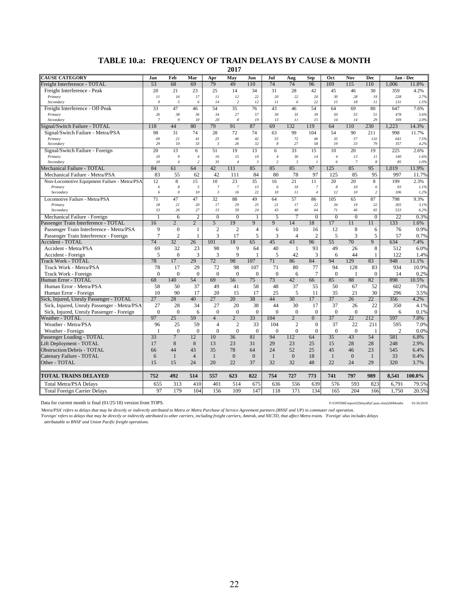#### **TABLE 10.a: FREQUENCY OF TRAIN DELAYS BY CAUSE & MONTH**

**2017**

| <b>CAUSE CATEGORY</b>                                            | Jan            | Feb              | Mar            | Apr                | May               | Jun                | Jul                 | Aug             | <b>Sep</b>           | Oct            | Nov            | Dec                |                | Jan - Dec     |
|------------------------------------------------------------------|----------------|------------------|----------------|--------------------|-------------------|--------------------|---------------------|-----------------|----------------------|----------------|----------------|--------------------|----------------|---------------|
| Freight Interference - TOTAL                                     | 53             | 68               | 69             | 79                 | 49                | 110                | 74                  | 74              | 96                   | 109            | 115            | 110                | 1.006          | 11.8%         |
| Freight Interference - Peak                                      | 20             | 21               | 23             | 25                 | 14                | 34                 | 31                  | 28              | 42                   | 45             | 46             | 30                 | 359            | 4.2%          |
| Primary                                                          | 11             | 16               | 17             | 11                 | 12                | 22                 | 20                  | 22              | 20                   | 30             | 28             | 19                 | 228            | 2.7%          |
| Secondary                                                        | $\overline{Q}$ | 5                | 6              | 14                 | $\overline{c}$    | 12                 | $_{11}$             | 6               | 22                   | 15             | 18             | $_{11}$            | 131            | 1.5%          |
| Freight Interference - Off-Peak                                  | 33             | 47               | 46             | 54                 | 35                | 76                 | 43                  | 46              | 54                   | 64             | 69             | 80                 | 647            | 7.6%          |
| Primary                                                          | 26             | 38               | 36             | 34                 | 27                | 57                 | $30\,$              | 35              | 39                   | 50             | 55             | 51                 | 478            | 5.6%          |
| Secondary                                                        | $\overline{7}$ | $\overline{Q}$   | 10             | 20                 | 8                 | 19                 | 13                  | 11              | 15                   | 14             | 14             | 29                 | 169            | 2.0%          |
| Signal/Switch Failure - TOTAL                                    | 118            | 44               | 80             | 79                 | 91                | 87                 | 69                  | 132             | 119                  | 64             | 110            | 230                | 1.223          | 14.3%         |
| Signal/Switch Failure - Metra/PSA                                | 98             | 31               | 74             | 28                 | 72                | 74                 | 63                  | 99              | 104                  | 54             | 90             | 211                | 998            | 11.7%         |
| Primary                                                          | 69<br>29       | 21<br>10         | 41             | 25<br>$\mathbf{3}$ | 46<br>26          | 42<br>32           | 55<br>8             | 72<br>27        | 46                   | 35<br>19       | 57<br>33       | 132                | 641            | 7.5%          |
| Secondary                                                        | 20             | 13               | 33<br>6        | 51                 | 19                |                    |                     | 33              | 58<br>15             | 10             | 20             | 79<br>19           | 357<br>225     | 4.2%          |
| Signal/Switch Failure - Foreign<br>Primary                       | 10             | 9                | $\overline{4}$ | 16                 | 15                | 13<br>10           | 6<br>$\overline{4}$ | 30              | 14                   | $\overline{4}$ | 13             | II                 | 140            | 2.6%<br>1.6%  |
| Secondary                                                        | 10             | $\overline{4}$   | $\overline{c}$ | 35                 | $\overline{4}$    | $\mathbf{3}$       | 2                   | $\mathfrak{Z}$  | $\mathbf{I}$         | 6              | $\overline{7}$ | 8                  | 85             | 1.0%          |
| Mechanical Failure - TOTAL                                       | 84             | 61               | 64             | 42                 | 111               | 85                 | 85                  | 85              | 97                   | 125            | 85             | 95                 | 1.019          | 11.9%         |
| Mechanical Failure - Metra/PSA                                   | 83             | 55               | 62             | 42                 | 111               | 84                 | 80                  | 78              | 97                   | 125            | 85             | 95                 | 997            | 11.7%         |
| Non-Locomotive Equipment Failure - Metra/PSA                     | 12             | 8                | 15             | 10                 | 23                | 35                 | 16                  | 21              | 11                   | 20             | 20             | 8                  | 199            | 2.3%          |
| Primary                                                          | 6              | $\boldsymbol{8}$ | 5              | $\overline{7}$     | $\overline{7}$    | 13                 | 6                   | 10              | $\overline{7}$       | 8              | 10             | 6                  | 93             | 1.1%          |
| Secondary                                                        | 6              | $\theta$         | 10             | $\mathfrak{Z}$     | 16                | 22                 | 10 <sup>2</sup>     | 11              | $\overline{4}$       | 12             | 10             | 2                  | 106            | 1.2%          |
| Locomotive Failure - Metra/PSA                                   | 71             | 47               | 47             | 32                 | 88                | 49                 | 64                  | 57              | 86                   | 105            | 65             | 87                 | 798            | 9.3%          |
| Primary                                                          | ${\it 18}$     | 21               | 20             | 17                 | 29                | 25                 | 21                  | 17              | 22                   | 34             | 19             | 22                 | 265            | 3.1%          |
| Secondary                                                        | 53             | 26               | 27             | 15                 | 59                | 24                 | 43                  | 40              | 64                   | 71             | 46             | 65                 | 533            | 6.2%          |
| Mechanical Failure - Foreign                                     |                | 6                | $\overline{2}$ | $\mathbf{0}$       | $\mathbf{0}$      | 1                  | 5                   | 7               | $\mathbf{0}$         | $\mathbf{0}$   | $\mathbf{0}$   | $\mathbf{0}$       | 22             | 0.3%          |
| Passenger Train Interference - TOTAL                             | 16             | $\overline{2}$   | $\overline{2}$ | 5                  | 19                | 9                  | 9                   | 14              | 18                   | 17             | 11             | 11                 | 133            | 1.6%          |
| Passenger Train Interference - Metra/PSA                         | 9              | $\overline{0}$   | 1              | $\overline{2}$     | $\overline{2}$    | $\overline{4}$     | 6                   | 10              | 16                   | 12             | $\overline{8}$ | 6                  | 76             | 0.9%          |
| Passenger Train Interference - Foreign                           | $\overline{7}$ | $\overline{2}$   | $\mathbf{1}$   | 3                  | 17                | 5                  | 3                   | $\overline{4}$  | $\overline{2}$       | 5              | 3              | 5                  | 57             | 0.7%          |
| <b>Accident - TOTAL</b>                                          | 74             | 32               | 26             | 101                | 18                | 65                 | 45                  | 43              | 96                   | 55             | 70             | 9                  | 634            | 7.4%          |
| Accident - Metra/PSA                                             | 69<br>5        | 32<br>$\Omega$   | 23             | 98                 | 9<br>$\mathbf{Q}$ | 64<br>$\mathbf{1}$ | 40                  | 1               | 93                   | 49<br>6        | 26<br>44       | 8<br>$\mathbf{1}$  | 512<br>122     | 6.0%          |
| Accident - Foreign                                               | 78             | 17               | 3<br>29        | 3<br>72            | 98                | 107                | 5<br>71             | 42<br>86        | 3<br>84              | 94             | 129            | 83                 | 948            | 1.4%          |
| <b>Track Work - TOTAL</b>                                        |                | 17               | 29             |                    | 98                |                    | 71                  | 80              |                      | 94             | 128            |                    | 934            | 11.1%         |
| Track Work - Metra/PSA                                           | 78<br>$\Omega$ | $\theta$         | $\mathbf{0}$   | 72<br>$\Omega$     | $\mathbf{0}$      | 107<br>$\Omega$    | $\Omega$            |                 | 77<br>$\overline{7}$ | $\overline{0}$ | -1             | 83<br>$\mathbf{0}$ | 14             | 10.9%         |
| Track Work - Foreign<br>Human Error - TOTAL                      | 68             | 140              | 54             | 69                 | 56                | 75                 | 73                  | 6<br>42         | 66                   | 85             | 88             | 82                 | 898            | 0.2%          |
| Human Error - Metra/PSA                                          | 58             | 50               | 37             | 49                 | 41                | 58                 | 48                  | 37              | 55                   | 50             | 67             | 52                 | 602            | 10.5%<br>7.0% |
|                                                                  | 10             | 90               | 17             | 20                 | 15                | 17                 | 25                  | 5               | 11                   | 35             | 21             | 30                 | 296            | 3.5%          |
| Human Error - Foreign<br>Sick, Injured, Unruly Passenger - TOTAL | 27             | 28               | 40             | $\overline{27}$    | 20                | 38                 | 44                  | 30 <sup>2</sup> | 17                   | 37             | 26             | $\overline{22}$    | 356            | 4.2%          |
| Sick, Injured, Unruly Passenger - Metra/PSA                      | 27             | 28               | 34             | 27                 | 20                | 38                 | 44                  | 30              | 17                   | 37             | 26             | 22                 | 350            | 4.1%          |
| Sick, Injured, Unruly Passenger - Foreign                        | $\mathbf{0}$   | $\overline{0}$   | 6              | $\mathbf{0}$       | $\mathbf{0}$      | $\Omega$           | $\Omega$            | $\mathbf{0}$    | $\mathbf{0}$         | $\mathbf{0}$   | $\mathbf{0}$   | $\mathbf{0}$       | 6              | 0.1%          |
| Weather - TOTAL                                                  | 97             | 25               | 59             | $\overline{4}$     | $\overline{2}$    | 33                 | 104                 | $\overline{2}$  | $\overline{0}$       | 37             | 22             | 212                | 597            | 7.0%          |
| Weather - Metra/PSA                                              | 96             | 25               | 59             | $\overline{4}$     | $\mathfrak{2}$    | 33                 | 104                 | $\overline{c}$  | $\mathbf{0}$         | 37             | 22             | 211                | 595            | 7.0%          |
| Weather - Foreign                                                | $\mathbf{1}$   | $\theta$         | $\mathbf{0}$   | $\mathbf{0}$       | $\theta$          | $\Omega$           | $\Omega$            | $\mathbf{0}$    | $\Omega$             | $\theta$       | $\theta$       | $\mathbf{1}$       | $\overline{c}$ | 0.0%          |
| Passenger Loading - TOTAL                                        | 33             | $\overline{7}$   | 12             | 10                 | 36                | 81                 | 94                  | 112             | 64                   | 35             | 43             | 54                 | 581            | 6.8%          |
| Lift Deployment - TOTAL                                          | 17             | 8                | 8              | 13                 | 23                | 31                 | 29                  | 23              | 25                   | 15             | 28             | 28                 | 248            | 2.9%          |
| Obstruction/Debris - TOTAL                                       | 66             | 44               | 43             | 35                 | 78                | 64                 | 24                  | 52              | 25                   | 45             | 46             | 23                 | 545            | 6.4%          |
| Catenary Failure - TOTAL                                         | 6              | $\mathbf{1}$     | $\overline{4}$ | $\mathbf{1}$       | $\mathbf{0}$      | $\overline{0}$     | $\mathbf{1}$        | $\mathbf{0}$    | 18                   | $\mathbf{1}$   | $\overline{0}$ | $\mathbf{1}$       | 33             | 0.4%          |
| Other - TOTAL                                                    | 15             | 15               | 24             | 20                 | 22                | 37                 | 32                  | 32              | 48                   | 22             | 24             | 29                 | 320            | 3.7%          |
|                                                                  |                |                  |                |                    |                   |                    |                     |                 |                      |                |                |                    |                |               |
| <b>TOTAL TRAINS DELAYED</b>                                      | 752            | 492              | 514            | 557                | 623               | 822                | 754                 | 727             | 773                  | 741            | 797            | 989                | 8,541          | 100.0%        |
| <b>Total Metra/PSA Delays</b>                                    | 655            | 313              | 410            | 401                | 514               | 675                | 636                 | 556             | 639                  | 576            | 593            | 823                | 6,791          | 79.5%         |
| <b>Total Foreign Carrier Delays</b>                              | 97             | 179              | 104            | 156                | 109               | 147                | 118                 | 171             | 134                  | 165            | 204            | 166                | 1.750          | 20.5%         |

Data for current month is final (01/25/18) version from TOPS. P:\ONTIME\report\[DelaysByCause.xlsm]AllMonths 01/26/2018

Metra/PSA' refers to delays that may be directly or indirectly attributed to Metra or Metra Purchase of Service Agreement partners (BNSF and UP) in commuter rail operation.<br>'Foreign' refers to delays that may be directly o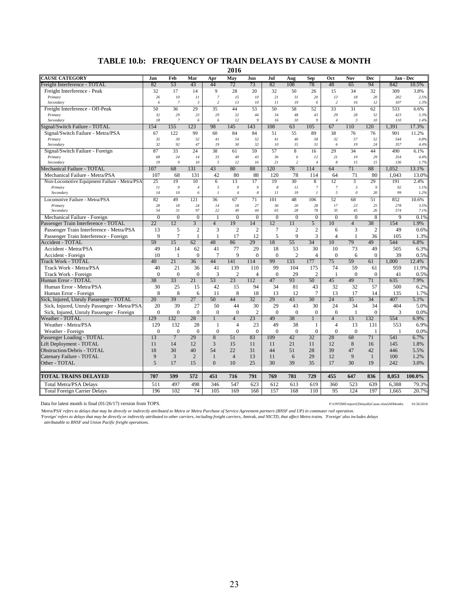#### **TABLE 10.b: FREQUENCY OF TRAIN DELAYS BY CAUSE & MONTH**

**2016**

| <b>CAUSE CATEGORY</b>                        | Jan            | Feb              | Mar            | Apr              | May            | Jun            | Jul              | Aug            | <b>Sep</b>     | Oct              | Nov            | <b>Dec</b>     |              | Jan - Dec    |
|----------------------------------------------|----------------|------------------|----------------|------------------|----------------|----------------|------------------|----------------|----------------|------------------|----------------|----------------|--------------|--------------|
| <b>Freight Interference - TOTAL</b>          | 82             | 53               | 43             | 44               | 72             | 73             | 82               | 108            | 78             | 48               | 65             | 94             | 842          | 10.5%        |
| Freight Interference - Peak                  | 32             | 17               | 14             | 9                | 28             | 20             | 32               | 50             | 26             | 15               | 34             | 32             | 309          | 3.8%         |
| Primary                                      | 26             | ${\it 10}$       | 11             | $\overline{7}$   | 15             | 10             | 21               | 31             | 20             | 13               | 18             | 20             | 202          | 2.5%         |
| Secondary                                    | 6              | $\boldsymbol{7}$ | $\sqrt{3}$     | $\sqrt{2}$       | 13             | 10             | 11               | 19             | 6              | $\sqrt{2}$       | 16             | 12             | 107          | 1.3%         |
| Freight Interference - Off-Peak              | 50             | 36               | 29             | 35               | 44             | 53             | 50               | 58             | 52             | 33               | 31             | 62             | 533          | 6.6%         |
| Primary                                      | 32             | 29               | 23             | 29               | 32             | 44             | 34               | 48             | 43             | 29               | 28             | 52             | 423          | 5.3%         |
| Secondary                                    | 18             | $\overline{7}$   | 6              | 6                | 12             | 9              | 16               | 10             | 9              | $\overline{4}$   | $\mathbf{3}$   | 10             | 110          | 1.4%         |
| Signal/Switch Failure - TOTAL                | 154            | 155              | 123            | 98               | 145            | 143            | 108              | 63             | 105            | 67               | 110            | 120            | 1.391        | 17.3%        |
| Signal/Switch Failure - Metra/PSA            | 67             | 122              | 99             | 60               | 84             | 84             | 51               | 55             | 89             | 38               | 76             | 76             | 901          | 11.2%        |
| Primary                                      | 35<br>32       | 30<br>92         | 52<br>$47\,$   | 41<br>19         | 54<br>30       | 52<br>32       | 41<br>10         | 40<br>15       | 58<br>31       | 32<br>6          | 57<br>19       | 52<br>24       | 544<br>357   | 6.8%         |
| Secondary                                    |                |                  |                | 38               |                |                |                  | 8              |                |                  | 34             |                |              | 4.4%         |
| Signal/Switch Failure - Foreign<br>Primary   | 87<br>68       | 33<br>24         | 24<br>14       | 33               | 61<br>49       | 59<br>43       | 57<br>36         | 6              | 16<br>12       | 29<br>21         | 19             | 44<br>29       | 490<br>354   | 6.1%<br>4.4% |
| Secondary                                    | 19             | $\overline{g}$   | 10             | $\sqrt{2}$       | 12             | 16             | 21               | $\overline{c}$ | $\overline{4}$ | 8                | 15             | 15             | 136          | 1.7%         |
| Mechanical Failure - TOTAL                   | 107            | 68               | 131            | 43               | 80             | 88             | 120              | 78             | 114            | 64               | 71             | 88             | 1.052        | 13.1%        |
| Mechanical Failure - Metra/PSA               | 107            | 68               | 131            | 42               | 80             | 88             | 120              | 78             | 114            | 64               | 71             | 80             | 1.043        | 13.0%        |
| Non-Locomotive Equipment Failure - Metra/PSA | 25             | 19               | 10             | 6                | 13             | 17             | 19               | 30             | 8              | 12               | 3              | 29             | 191          | 2.4%         |
| Primary                                      | 11             | $\mathfrak{g}$   | $\overline{4}$ | $\sqrt{2}$       | $\mathfrak g$  | $\mathfrak{g}$ | $\boldsymbol{8}$ | $\cal II$      | $\overline{7}$ | $\boldsymbol{7}$ | $\mathfrak{Z}$ | 9              | 92           | 1.1%         |
| Secondary                                    | 14             | ${\it 10}$       | 6              | $\mathcal{I}$    | $\overline{4}$ | 8              | $_{11}$          | 19             | $\overline{l}$ | 5                | $\theta$       | 20             | 99           | 1.2%         |
| Locomotive Failure - Metra/PSA               | 82             | 49               | 121            | 36               | 67             | 71             | 101              | 48             | 106            | 52               | 68             | 51             | 852          | 10.6%        |
| Primary<br>Secondary                         | 28<br>54       | $18\,$<br>31     | 24<br>97       | 14<br>22         | 18<br>49       | 27<br>44       | 36<br>65         | 20<br>28       | 28<br>78       | 17<br>35         | 23<br>45       | 25<br>26       | 278<br>574   | 3.5%<br>7.1% |
| Mechanical Failure - Foreign                 | $\Omega$       | $\mathbf{0}$     | $\mathbf{0}$   | $\mathbf{1}$     | $\overline{0}$ | $\overline{0}$ | $\Omega$         | $\Omega$       | $\mathbf{0}$   | $\Omega$         | $\Omega$       | 8              | 9            | 0.1%         |
| Passenger Train Interference - TOTAL         | 22             | 12               | $\overline{3}$ | $\overline{4}$   | 19             | 14             | 12               | 11             | 5              | 10               | $\overline{4}$ | 38             | 154          | 1.9%         |
| Passenger Train Interference - Metra/PSA     | 13             | 5                | $\overline{2}$ | $\overline{3}$   | $\overline{2}$ | $\overline{2}$ | 7                | $\overline{2}$ | $\overline{2}$ | 6                | 3              | $\overline{2}$ | 49           | 0.6%         |
| Passenger Train Interference - Foreign       | 9              | $\overline{7}$   | $\mathbf{1}$   | $\mathbf{1}$     | 17             | 12             | 5                | 9              | 3              | $\overline{4}$   | $\mathbf{1}$   | 36             | 105          | 1.3%         |
| Accident - TOTAL                             | 59             | 15               | 62             | 48               | 86             | 29             | 18               | 55             | 34             | 10               | 79             | 49             | 544          | 6.8%         |
| Accident - Metra/PSA                         | 49             | 14               | 62             | 41               | 77             | 29             | 18               | 53             | 30             | 10               | 73             | 49             | 505          | 6.3%         |
| Accident - Foreign                           | 10             | 1                | $\mathbf{0}$   | $7\phantom{.0}$  | 9              | $\Omega$       | $\overline{0}$   | $\overline{2}$ | $\overline{4}$ | $\Omega$         | 6              | $\mathbf{0}$   | 39           | 0.5%         |
| <b>Frack Work - TOTAL</b>                    | 40             | 21               | 36             | 44               | 141            | 114            | 99               | 133            | 177            | 75               | 59             | 61             | 1.000        | 12.4%        |
| Track Work - Metra/PSA                       | 40             | 21               | 36             | 41               | 139            | 110            | 99               | 104            | 175            | 74               | 59             | 61             | 959          | 11.9%        |
| Track Work - Foreign                         | $\theta$       | $\Omega$         | $\mathbf{0}$   | 3                | $\overline{c}$ | $\overline{4}$ | $\Omega$         | 29             | $\overline{2}$ | $\overline{1}$   | $\Omega$       | $\mathbf{0}$   | 41           | 0.5%         |
| Human Error - TOTAL                          | 38             | 33               | 21             | 53               | 23             | 112            | 47               | 93             | 50             | 45               | 49             | 71             | 635          | 7.9%         |
| Human Error - Metra/PSA                      | 30             | 25               | 15             | 42               | 15             | 94             | 34               | 81             | 43             | 32               | 32             | 57             | 500          | 6.2%         |
| Human Error - Foreign                        | 8              | 8                | 6              | 11               | 8              | 18             | 13               | 12             | 7              | 13               | 17             | 14             | 135          | 1.7%         |
| Sick, Injured, Unruly Passenger - TOTAL      | 20             | 39               | 27             | 50               | 44             | 32             | 29               | 43             | 30             | 24               | 35             | 34             | 407          | 5.1%         |
| Sick, Injured, Unruly Passenger - Metra/PSA  | 20             | 39               | 27             | 50               | 44             | 30             | 29               | 43             | 30             | 24               | 34             | 34             | 404          | 5.0%         |
| Sick, Injured, Unruly Passenger - Foreign    | $\theta$       | $\theta$         | $\mathbf{0}$   | $\boldsymbol{0}$ | $\mathbf{0}$   | $\overline{c}$ | $\Omega$         | $\Omega$       | $\mathbf{0}$   | $\mathbf{0}$     | $\mathbf{1}$   | $\overline{0}$ | 3            | 0.0%         |
| Weather - TOTAL                              | 129            | 132              | 28             | $\mathbf{1}$     | $\overline{4}$ | 23             | 49               | 38             | $\mathbf{1}$   | $\overline{4}$   | 13             | 132            | 554          | 6.9%         |
| Weather - Metra/PSA                          | 129            | 132              | 28             | $\mathbf{1}$     | $\overline{4}$ | 23             | 49               | 38             | 1              | $\overline{4}$   | 13             | 131            | 553          | 6.9%         |
| Weather - Foreign                            | $\Omega$       | $\Omega$         | $\mathbf{0}$   | $\mathbf{0}$     | $\overline{0}$ | $\theta$       | $\mathbf{0}$     | $\Omega$       | $\theta$       | $\mathbf{0}$     | $\theta$       | 1              | $\mathbf{1}$ | 0.0%         |
| Passenger Loading - TOTAL                    | 13             | $\overline{7}$   | 29             | 8                | 51             | 83             | 109              | 42             | 32             | 28               | 68             | 71             | 541          | 6.7%         |
| Lift Deployment - TOTAL                      | 11             | 14               | 12             | 3                | 15             | 11             | 11               | 21             | 11             | 12               | 8              | 16             | 145          | 1.8%         |
| Obstruction/Debris - TOTAL                   | 18             | 30               | 40             | 54               | 22             | 31             | 44               | 51             | 28             | 39               | 47             | 42             | 446          | 5.5%         |
| Catenary Failure - TOTAL                     | 9              | 3                | $\overline{2}$ | $\mathbf{1}$     | $\overline{4}$ | 13             | 11               | 6              | 29             | 12               | 9              | $\mathbf{1}$   | 100          | 1.2%         |
| Other - TOTAL                                | $\overline{5}$ | 17               | 15             | $\theta$         | 10             | 25             | 30               | 39             | 35             | 17               | 30             | 19             | 242          | 3.0%         |
|                                              |                |                  |                |                  |                |                |                  |                |                |                  |                |                |              |              |
| TOTAL TRAINS DELAYED                         | 707            | 599              | 572            | 451              | 716            | 791            | 769              | 781            | 729            | 455              | 647            | 836            | 8,053        | 100.0%       |
| <b>Total Metra/PSA Delays</b>                | 511            | 497              | 498            | 346              | 547            | 623            | 612              | 613            | 619            | 360              | 523            | 639            | 6,388        | 79.3%        |
| <b>Total Foreign Carrier Delays</b>          | 196            | 102              | 74             | 105              | 169            | 168            | 157              | 168            | 110            | 95               | 124            | 197            | 1,665        | 20.7%        |

Data for latest month is final (01/26/17) version from TOPS. P:\ONTIME\report\[DelaysByCause.xlsm]AllMonths 01/26/2018

*'Metra/PSA' refers to delays that may be directly or indirectly attributed to Metra or Metra Purchase of Service Agreement partners (BNSF and UP) in commuter rail operation.*

'Foreign' refers to delays that may be directly or indirectly attributed to other carriers, including freight carriers, Amtrak, and NICTD, that affect Metra trains. 'Foreign' also includes delays<br>attributable to BNSF and U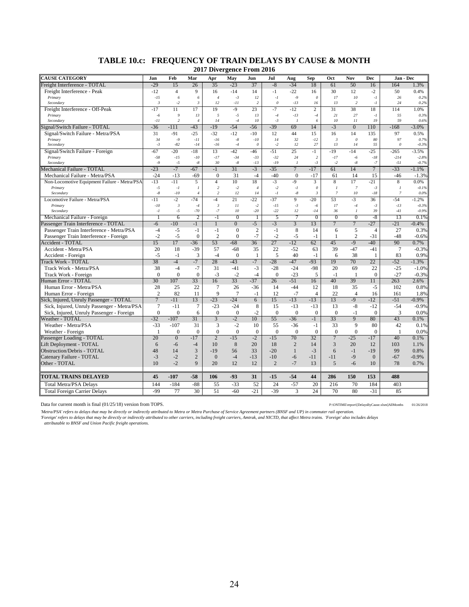| <b>CAUSE CATEGORY</b>                        | Jan              | Feb                    | Mar                  | Apr                    | May            | Jun                   | Jul            | Aug                    | <b>Sep</b>                | Oct                  | Nov                   | Dec              | Jan - Dec                 |                    |
|----------------------------------------------|------------------|------------------------|----------------------|------------------------|----------------|-----------------------|----------------|------------------------|---------------------------|----------------------|-----------------------|------------------|---------------------------|--------------------|
| Freight Interference - TOTAL                 | $-29$            | 15                     | 26                   | 35                     | $-23$          | 37                    | $-8$           | $-34$                  | 18                        | 61                   | 50                    | 16               | 164                       | 1.3%               |
| Freight Interference - Peak                  | $-12$            | $\overline{4}$         | 9                    | 16                     | $-14$          | 14                    | $-1$           | $-22$                  | 16                        | 30                   | 12                    | $-2$             | 50                        | 0.4%               |
| Primary                                      | $-15$            | 6                      | 6                    | $\overline{4}$         | $-3$           | 12                    | $-I$           | $-9$                   | $\boldsymbol{\mathit{0}}$ | 17                   | 10                    | $-I$             | 26                        | 0.2%               |
| Secondary                                    | $\overline{3}$   | $-2$                   | $\mathfrak{Z}$       | 12                     | $-11$          | 2                     | $\theta$       | $-13$                  | 16                        | 13                   | $\overline{2}$        | $-I$             | 24                        | 0.2%               |
| Freight Interference - Off-Peak              | $-17$            | 11                     | 17                   | 19                     | $-9$           | 23                    | $-7$           | $-12$                  | $\overline{2}$            | 31                   | 38                    | 18               | 114                       | 1.0%               |
| Primary<br>Secondary                         | $-6$<br>$-II$    | 9<br>$\overline{c}$    | 13<br>$\overline{4}$ | 5<br>14                | $-5$<br>$-4$   | 13<br>10              | $-4$<br>$-3$   | $-13$<br>$\mathcal{I}$ | $-4$<br>6                 | 21<br>10             | 27<br>II              | $-I$<br>19       | 55<br>59                  | 0.3%<br>0.6%       |
| Signal/Switch Failure - TOTAL                | $-36$            | $-111$                 | $-43$                | $-19$                  | $-54$          | $-56$                 | $-39$          | 69                     | 14                        | $-3$                 | $\overline{0}$        | 110              | $-168$                    | $-3.0\%$           |
| Signal/Switch Failure - Metra/PSA            | 31               | -91                    | $-25$                | $-32$                  | $-12$          | $-10$                 | 12             | 44                     | 15                        | 16                   | 14                    | 135              | 97                        | 0.5%               |
| Primary                                      | 34               | $-9$                   | $-11$                | $-16$                  | $-8$           | $-10$                 | 14             | 32                     | $-12$                     | $\boldsymbol{\beta}$ | $\theta$              | 80               | 97                        | 0.7%               |
| Secondary                                    | $-3$             | $-82$                  | $-14$                | $-16$                  | $-4$           | $\boldsymbol{\theta}$ | $-2$           | 12                     | 27                        | 13                   | 14                    | 55               | $\boldsymbol{\mathit{0}}$ | $-0.3%$            |
| Signal/Switch Failure - Foreign              | $-67$            | $-20$                  | $-18$                | 13                     | $-42$          | $-46$                 | $-51$          | 25                     | $-1$                      | $-19$                | $-14$                 | $-25$            | $-265$                    | $-3.5%$            |
| Primary                                      | $-58$            | $-15$                  | $-10$                | $-17$                  | $-34$          | $-33$                 | $-32$          | 24                     | $\sqrt{2}$                | $-17$                | $-6$                  | $-18$            | $-214$                    | $-2.8%$            |
| Secondary                                    | $-9$             | $-5$                   | $-8$                 | 30                     | $-8$           | $-13$                 | $-19$          | $\boldsymbol{l}$       | $-3$                      | $-2$                 | $-8$                  | $-7$             | $-51$                     | $-0.7%$            |
| Mechanical Failure - TOTAL                   | $-23$            | $-7$                   | $-67$                | $-1$                   | 31             | $-3$                  | $-35$          | $\overline{7}$         | $-17$                     | 61                   | 14                    | $\overline{7}$   | $-33$                     | $-1.1%$            |
| Mechanical Failure - Metra/PSA               | $-24$            | $-13$                  | $-69$                | $\mathbf{0}$           | 31             | $-4$                  | $-40$          | $\mathbf{0}$           | $-17$                     | 61                   | 14                    | 15               | $-46$                     | $-1.3%$            |
| Non-Locomotive Equipment Failure - Metra/PSA | $-13$            | $-11$                  | 5                    | $\overline{4}$         | 10             | 18                    | $-3$           | $-9$                   | $\overline{3}$            | 8                    | 17                    | $-21$            | 8                         | 0.0%               |
| Primary                                      | $-5$             | $-I$                   | $\mathcal{I}$        | $\overline{z}$         | $-2$           | $\overline{4}$        | $-2$           | $-I$                   | $\theta$                  | $\mathcal{I}$        | $\overline{7}$        | $-3$             | $\mathcal{I}$             | $-0.1%$            |
| Secondary                                    | $\text{-}8$      | $\cdot$ 10             | $\overline{4}$       | $\overline{c}$         | 12             | 14                    | $-I$           | $-8$                   | $\mathfrak{Z}$            | $\overline{7}$       | 10                    | $-18$            | $\boldsymbol{7}$          | 0.0%               |
| Locomotive Failure - Metra/PSA               | $-11$            | $-2$                   | $-74$                | $-4$                   | 21             | $-22$                 | $-37$          | $\overline{9}$         | $-20$                     | 53                   | $-3$                  | 36               | $-54$                     | $-1.2%$            |
| Primary<br>Secondary                         | $-10$<br>$-I$    | $\mathfrak{Z}$<br>$-5$ | $-4$<br>$-70$        | $\mathfrak{Z}$<br>$-7$ | II<br>10       | $-2$<br>$-20$         | $-15$<br>$-22$ | $-3$<br>12             | $-6$<br>$-14$             | 17<br>36             | $-4$<br>$\mathcal{I}$ | $-3$<br>39       | $-13$<br>$-41$            | $-0.3%$<br>$-0.9%$ |
| Mechanical Failure - Foreign                 | 1                | 6                      | $\overline{2}$       | $-1$                   | $\overline{0}$ | 1                     | 5              | 7                      | $\mathbf{0}$              | $\mathbf{0}$         | $\overline{0}$        | $-8$             | 13                        | 0.1%               |
| Passenger Train Interference - TOTAL         | $-6$             | $-10$                  | $-1$                 | $\overline{1}$         | $\overline{0}$ | $-5$                  | $-3$           | $\overline{3}$         | 13                        | $\overline{7}$       | $\overline{7}$        | $-27$            | $-21$                     | $-0.4%$            |
| Passenger Train Interference - Metra/PSA     | $-4$             | $-5$                   | $-1$                 | $-1$                   | $\overline{0}$ | $\overline{2}$        | $-1$           | 8                      | 14                        | 6                    | 5                     | $\overline{4}$   | 27                        | 0.3%               |
| Passenger Train Interference - Foreign       | $-2$             | $-5$                   | $\mathbf{0}$         | $\overline{2}$         | $\overline{0}$ | $-7$                  | $-2$           | $-5$                   | $-1$                      | -1                   | $\overline{c}$        | $-31$            | $-48$                     | $-0.6%$            |
| <b>Accident - TOTAL</b>                      | 15               | 17                     | $-36$                | 53                     | $-68$          | 36                    | 27             | $-12$                  | 62                        | 45                   | $-9$                  | $-40$            | 90                        | 0.7%               |
| Accident - Metra/PSA                         | 20               | 18                     | $-39$                | 57                     | $-68$          | 35                    | 22             | $-52$                  | 63                        | 39                   | $-47$                 | $-41$            | $\overline{7}$            | $-0.3%$            |
| Accident - Foreign                           | $-5$             | $-1$                   | $\mathfrak{Z}$       | $-4$                   | $\mathbf{0}$   | 1                     | 5              | 40                     | $-1$                      | 6                    | 38                    | 1                | 83                        | 0.9%               |
| <b>Track Work - TOTAL</b>                    | 38               | $-4$                   | $-7$                 | 28                     | $-43$          | $-7$                  | $-28$          | $-47$                  | $-93$                     | 19                   | 70                    | 22               | $-52$                     | $-1.3%$            |
| Track Work - Metra/PSA                       | 38               | $-4$                   | $-7$                 | 31                     | $-41$          | $-3$                  | $-28$          | $-24$                  | $-98$                     | 20                   | 69                    | 22               | $-25$                     | $-1.0%$            |
| Track Work - Foreign                         | $\overline{0}$   | $\mathbf{0}$           | $\mathbf{0}$         | $-3$                   | $-2$           | $-4$                  | $\mathbf{0}$   | $-23$                  | 5                         | $-1$                 | 1                     | $\boldsymbol{0}$ | $-27$                     | $-0.3%$            |
| Human Error - TOTAL                          | 30               | 107                    | 33                   | 16                     | 33             | $-37$                 | 26             | $-51$                  | 16                        | 40                   | 39                    | 11               | 263                       | 2.6%               |
| Human Error - Metra/PSA                      | 28               | 25                     | 22                   | $\tau$                 | 26             | $-36$                 | 14             | $-44$                  | 12                        | 18                   | 35                    | $-5$             | 102                       | 0.8%               |
| Human Error - Foreign                        | $\overline{c}$   | 82                     | 11                   | 9                      | 7              | $-1$                  | 12             | $-7$                   | $\overline{4}$            | 22                   | $\overline{4}$        | 16               | 161                       | 1.8%               |
| Sick, Injured, Unruly Passenger - TOTAL      | $\overline{7}$   | $-11$                  | 13                   | $-23$                  | $-24$          | 6                     | 15             | $-13$                  | $-13$                     | 13                   | $-9$                  | $-12$            | $-51$                     | $-0.9%$            |
| Sick, Injured, Unruly Passenger - Metra/PSA  | $\overline{7}$   | $-11$                  | 7                    | $-23$                  | $-24$          | 8                     | 15             | $-13$                  | $-13$                     | 13                   | $-8$                  | $-12$            | $-54$                     | $-0.9%$            |
| Sick, Injured, Unruly Passenger - Foreign    | $\boldsymbol{0}$ | $\mathbf{0}$           | 6                    | $\mathbf{0}$           | $\mathbf{0}$   | $-2$                  | $\mathbf{0}$   | $\mathbf{0}$           | $\mathbf{0}$              | $\mathbf{0}$         | $-1$                  | $\mathbf{0}$     | 3                         | 0.0%               |
| Weather - TOTAL                              | $-32$            | $-107$                 | 31                   | $\overline{3}$         | $-2$           | 10                    | 55             | $-36$                  | $-1$                      | 33                   | 9                     | 80               | 43                        | 0.1%               |
| Weather - Metra/PSA                          | $-33$            | $-107$                 | 31                   | 3                      | $-2$           | 10                    | 55             | $-36$                  | $-1$                      | 33                   | 9                     | 80               | 42                        | 0.1%               |
| Weather - Foreign                            | 1                | $\mathbf{0}$           | $\mathbf{0}$         | $\overline{0}$         | $\mathbf{0}$   | $\mathbf{0}$          | $\mathbf{0}$   | $\mathbf{0}$           | $\mathbf{0}$              | $\mathbf{0}$         | $\overline{0}$        | $\mathbf{0}$     | -1                        | 0.0%               |
| Passenger Loading - TOTAL                    | 20               | $\overline{0}$         | $-17$                | $\overline{2}$         | $-15$          | $-2$                  | $-15$          | 70                     | 32                        | $\overline{7}$       | $-25$                 | $-17$            | 40                        | 0.1%               |
| Lift Deployment - TOTAL                      | 6                | $-6$                   | $-4$                 | 10                     | 8              | 20                    | 18             | $\overline{2}$         | 14                        | 3                    | 20                    | 12               | 103                       | 1.1%               |
| <b>Obstruction/Debris - TOTAL</b>            | 48               | 14                     | 3                    | $-19$                  | 56             | 33                    | $-20$          | $\mathbf{1}$           | $-3$                      | 6                    | $-1$                  | $-19$            | 99                        | 0.8%               |
| Catenary Failure - TOTAL                     | $-3$             | $-2$                   | $\overline{2}$       | $\overline{0}$         | $-4$           | $-13$                 | $-10$          | $-6$                   | $-11$                     | $-11$                | $-9$                  | $\mathbf{0}$     | $-67$                     | $-0.9%$            |
| Other - TOTAL                                | 10               | $-2$                   | 9                    | 20                     | 12             | 12                    | $\overline{c}$ | $-7$                   | 13                        | $\overline{5}$       | $-6$                  | 10               | 78                        | 0.7%               |
| <b>TOTAL TRAINS DELAYED</b>                  | 45               | $-107$                 | $-58$                | 106                    | $-93$          | 31                    | $-15$          | $-54$                  | 44                        | 286                  | 150                   | 153              | 488                       |                    |
| <b>Total Metra/PSA Delays</b>                | 144              | $-184$                 | $-88$                | 55                     | $-33$          | 52                    | 24             | $-57$                  | 20                        | 216                  | 70                    | 184              | 403                       |                    |
| <b>Total Foreign Carrier Delays</b>          | $-99$            | 77                     | 30                   | 51                     | $-60$          | $-21$                 | $-39$          | 3                      | 24                        | 70                   | 80                    | $-31$            | 85                        |                    |

#### **TABLE 10.c: FREQUENCY OF TRAIN DELAYS BY CAUSE & MONTH 2017 Divergence From 2016**

Data for current month is final (01/25/18) version from TOPS. P:\ONTIME\report\[DelaysByCause.xlsm]AllMonths 01/26/2018

Metra/PSA' refers to delays that may be directly or indirectly attributed to Metra or Metra Purchase of Service Agreement partners (BNSF and UP) in commuter rail operation.<br>'Foreign' refers to delays that may be directly a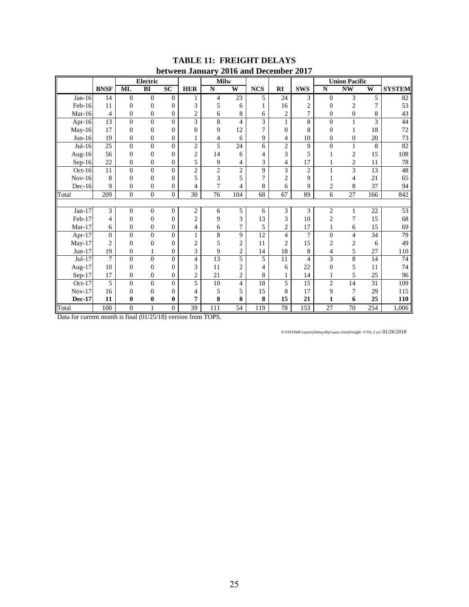|               |                |                  | <b>Electric</b>  | DUUWUU BUHUUL    |                  | <b>Milw</b>              |                         | $2010$ and December $2017$ |                         |                |                  | <b>Union Pacific</b>    |                |                 |
|---------------|----------------|------------------|------------------|------------------|------------------|--------------------------|-------------------------|----------------------------|-------------------------|----------------|------------------|-------------------------|----------------|-----------------|
|               | <b>BNSF</b>    | <b>ML</b>        | BI               | $\overline{SC}$  | <b>HER</b>       | $\overline{\bf N}$       | $\overline{\textbf{W}}$ | <b>NCS</b>                 | RI                      | <b>SWS</b>     | ${\bf N}$        | <b>NW</b>               | W              | <b>SYSTEM</b>   |
|               |                |                  |                  |                  |                  |                          |                         |                            |                         |                |                  |                         |                |                 |
| Jan-16        | 14             | $\boldsymbol{0}$ | $\overline{0}$   | $\theta$         | 1                | $\overline{4}$           | 23                      | 5                          | 24                      | 3              | $\mathbf{0}$     | $\overline{3}$          | 5              | 82              |
| Feb-16        | 11             | $\overline{0}$   | $\boldsymbol{0}$ | $\theta$         | 3                | 5                        | 6                       |                            | 16                      | $\overline{c}$ | $\Omega$         | $\overline{c}$          | $\overline{7}$ | 53              |
| Mar-16        | $\overline{4}$ | $\overline{0}$   | $\boldsymbol{0}$ | $\boldsymbol{0}$ | $\sqrt{2}$       | 6                        | 8                       | 6                          | $\overline{c}$          | $\overline{7}$ | $\overline{0}$   | $\boldsymbol{0}$        | 8              | 43              |
| Apr- $16$     | 13             | $\overline{0}$   | $\boldsymbol{0}$ | $\overline{0}$   | 3                | $\overline{8}$           | $\overline{4}$          | 3                          | $\mathbf{1}$            | 8              | $\mathbf{0}$     | $\mathbf{1}$            | 3              | 44              |
| May-16        | 17             | $\mathbf{0}$     | $\boldsymbol{0}$ | $\theta$         | $\Omega$         | 9                        | 12                      | $\overline{7}$             | $\boldsymbol{0}$        | 8              | $\overline{0}$   | 1                       | 18             | 72              |
| $Jun-16$      | 19             | $\boldsymbol{0}$ | $\boldsymbol{0}$ | $\boldsymbol{0}$ |                  | $\overline{\mathcal{L}}$ | 6                       | 9                          | 4                       | 10             | $\boldsymbol{0}$ | $\boldsymbol{0}$        | 20             | 73              |
| $Jul-16$      | 25             | $\overline{0}$   | $\overline{0}$   | $\Omega$         | $\overline{2}$   | 5                        | 24                      | 6                          | $\overline{c}$          | 9              | $\theta$         | $\mathbf{1}$            | 8              | 82              |
| Aug-16        | 56             | $\mathbf{0}$     | $\boldsymbol{0}$ | $\mathbf{0}$     | $\overline{2}$   | 14                       | 6                       | 4                          | 3                       | 5              |                  | $\mathfrak{2}$          | 15             | 108             |
| $Sep-16$      | 22             | $\boldsymbol{0}$ | $\boldsymbol{0}$ | $\boldsymbol{0}$ | 5                | $\overline{9}$           | 4                       | 3                          | 4                       | 17             |                  | $\overline{c}$          | 11             | $78\,$          |
| Oct-16        | 11             | $\Omega$         | $\overline{0}$   | $\theta$         | $\overline{2}$   | $\overline{2}$           | $\overline{2}$          | 9                          | $\overline{\mathbf{3}}$ | $\overline{c}$ | 1                | $\overline{\mathbf{3}}$ | 13             | 48              |
| $Nov-16$      | 8              | $\mathbf{0}$     | $\boldsymbol{0}$ | $\theta$         | 5                | 3                        | 5                       | 7                          | $\mathbf{2}$            | 9              |                  | 4                       | 21             | 65              |
| $Dec-16$      | 9              | $\mathbf{0}$     | $\boldsymbol{0}$ | $\boldsymbol{0}$ | 4                | 7                        | 4                       | 8                          | 6                       | 9              | 2                | 8                       | 37             | 94              |
| Total         | 209            | $\overline{0}$   | $\overline{0}$   | $\boldsymbol{0}$ | $\overline{30}$  | $\overline{76}$          | 104                     | 68                         | 67                      | 89             | 6                | $\overline{27}$         | 166            | 842             |
|               |                |                  |                  |                  |                  |                          |                         |                            |                         |                |                  |                         |                |                 |
| $Jan-17$      | 3              | $\mathbf{0}$     | $\overline{0}$   | $\overline{0}$   | $\boldsymbol{2}$ | 6                        | 5                       | 6                          | 3                       | 3              | $\sqrt{2}$       | $\mathbf{1}$            | 22             | $\overline{53}$ |
| Feb-17        | 4              | $\mathbf{0}$     | $\boldsymbol{0}$ | $\theta$         | $\overline{2}$   | 9                        | 3                       | 13                         | 3                       | 10             | $\mathbf{2}$     | 7                       | 15             | 68              |
| $Mar-17$      | 6              | $\mathbf{0}$     | $\boldsymbol{0}$ | $\boldsymbol{0}$ | 4                | 6                        | $\overline{7}$          | 5                          | $\overline{c}$          | 17             |                  | 6                       | 15             | 69              |
| Apr-17        | $\overline{0}$ | $\overline{0}$   | $\overline{0}$   | $\overline{0}$   | $\mathbf{1}$     | $\overline{8}$           | 9                       | 12                         | $\overline{\mathbf{4}}$ | $\overline{7}$ | $\overline{0}$   | $\overline{4}$          | 34             | 79              |
| $May-17$      | $\overline{c}$ | $\Omega$         | $\boldsymbol{0}$ | $\Omega$         | $\overline{2}$   | 5                        | $\overline{2}$          | 11                         | $\overline{2}$          | 15             | $\overline{c}$   | $\boldsymbol{2}$        | 6              | 49              |
| $Jun-17$      | 19             | $\boldsymbol{0}$ | $\mathbf{1}$     | $\boldsymbol{0}$ | 3                | 9                        | $\overline{2}$          | 14                         | 18                      | 8              | 4                | 5                       | 27             | 110             |
| $Jul-17$      | $\overline{7}$ | $\theta$         | $\overline{0}$   | $\Omega$         | 4                | 13                       | 5                       | 5                          | 11                      | 4              | 3                | $\overline{8}$          | 14             | $\overline{74}$ |
| Aug-17        | 10             | $\mathbf{0}$     | $\boldsymbol{0}$ | $\overline{0}$   | 3                | 11                       | $\overline{2}$          | 4                          | 6                       | 22             | $\theta$         | 5                       | 11             | 74              |
| $Sep-17$      | 17             | $\boldsymbol{0}$ | $\boldsymbol{0}$ | $\boldsymbol{0}$ | $\mathbf{2}$     | 21                       | $\sqrt{2}$              | 8                          | $\mathbf{1}$            | 14             |                  | 5                       | 25             | 96              |
| $Oct-17$      | 5              | $\Omega$         | $\overline{0}$   | $\Omega$         | 5                | 10                       | $\overline{4}$          | 18                         | 5                       | 15             | $\overline{c}$   | $\overline{14}$         | 31             | 109             |
| $Nov-17$      | 16             | $\mathbf{0}$     | $\overline{0}$   | $\overline{0}$   | 4                | 5                        | 5                       | 15                         | 8                       | 17             | 9                | 7                       | 29             | 115             |
| <b>Dec-17</b> | 11             | $\bf{0}$         | $\bf{0}$         | $\bf{0}$         | 7                | 8                        | 8                       | 8                          | 15                      | 21             | 1                | 6                       | 25             | 110             |
| Total         | 100            | $\boldsymbol{0}$ | 1                | $\overline{0}$   | 39               | 111                      | 54                      | 119                        | 78                      | 153            | 27               | 70                      | 254            | 1,006           |

#### **TABLE 11: FREIGHT DELAYS between January 2016 and December 2017**

Data for current month is final (01/25/18) version from TOPS.

P:\ONTIME\report\[DelaysByCause.xlsm]Freight- YTD, 2 yrs 01/26/2018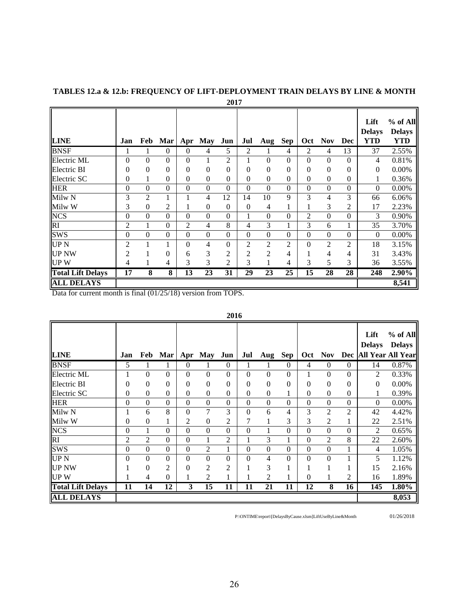|                          |                  |                  |                  |                  |                  | 2017             |                  |                  |                  |                  |                  |                |                                     |                                           |
|--------------------------|------------------|------------------|------------------|------------------|------------------|------------------|------------------|------------------|------------------|------------------|------------------|----------------|-------------------------------------|-------------------------------------------|
| <b>LINE</b>              | Jan              | Feb              | Mar              | Apr              | <b>May</b>       | Jun              | Jul              | Aug              | Sep              | <b>Oct</b>       | <b>Nov</b>       | Dec            | Lift<br><b>Delays</b><br><b>YTD</b> | $%$ of All<br><b>Delays</b><br><b>YTD</b> |
| <b>BNSF</b>              | 1                | 1                | $\Omega$         | $\Omega$         | $\overline{4}$   | 5                | 2                | 1                | 4                | $\overline{2}$   | $\overline{4}$   | 13             | 37                                  | 2.55%                                     |
| Electric ML              | $\overline{0}$   | $\mathbf{0}$     | $\Omega$         | $\theta$         | 1                | 2                | 1                | $\boldsymbol{0}$ | $\boldsymbol{0}$ | $\mathbf{0}$     | $\boldsymbol{0}$ | $\Omega$       | 4                                   | 0.81%                                     |
| Electric BI              | 0                | $\overline{0}$   | $\theta$         | $\theta$         | $\boldsymbol{0}$ | 0                | 0                | $\boldsymbol{0}$ | $\boldsymbol{0}$ | $\overline{0}$   | $\boldsymbol{0}$ | $\theta$       | $\mathbf{0}$                        | 0.00%                                     |
| Electric SC              | 0                |                  | $\mathbf{0}$     | $\theta$         | $\boldsymbol{0}$ | 0                | $\boldsymbol{0}$ | $\boldsymbol{0}$ | $\boldsymbol{0}$ | $\boldsymbol{0}$ | $\boldsymbol{0}$ | $\overline{0}$ | 1                                   | 0.36%                                     |
| <b>HER</b>               | $\boldsymbol{0}$ | $\overline{0}$   | $\overline{0}$   | $\boldsymbol{0}$ | $\boldsymbol{0}$ | $\boldsymbol{0}$ | $\boldsymbol{0}$ | $\boldsymbol{0}$ | $\boldsymbol{0}$ | $\boldsymbol{0}$ | $\boldsymbol{0}$ | $\mathbf{0}$   | $\boldsymbol{0}$                    | 0.00%                                     |
| Milw <sub>N</sub>        | 3                | $\overline{2}$   | 1                |                  | 4                | 12               | 14               | 10               | 9                | 3                | 4                | 3              | 66                                  | 6.06%                                     |
| Milw W                   | 3                | $\boldsymbol{0}$ | 2                |                  | $\overline{0}$   | $\overline{0}$   | $\boldsymbol{0}$ | 4                | 1                | $\mathbf{1}$     | 3                | $\overline{2}$ | 17                                  | 2.23%                                     |
| <b>NCS</b>               | $\boldsymbol{0}$ | $\overline{0}$   | $\Omega$         | $\theta$         | $\overline{0}$   | $\overline{0}$   | 1                | $\boldsymbol{0}$ | $\mathbf{0}$     | $\overline{c}$   | $\boldsymbol{0}$ | $\mathbf{0}$   | 3                                   | 0.90%                                     |
| RI                       | $\overline{c}$   | 1                | $\overline{0}$   | $\overline{2}$   | 4                | 8                | 4                | 3                | $\mathbf{1}$     | 3                | 6                | $\mathbf{1}$   | 35                                  | 3.70%                                     |
| <b>SWS</b>               | $\overline{0}$   | $\boldsymbol{0}$ | $\boldsymbol{0}$ | $\boldsymbol{0}$ | $\boldsymbol{0}$ | $\mathbf{0}$     | $\boldsymbol{0}$ | $\boldsymbol{0}$ | $\boldsymbol{0}$ | $\mathbf{0}$     | $\boldsymbol{0}$ | $\mathbf{0}$   | $\theta$                            | 0.00%                                     |
| UP N                     | 2                |                  | 1                | $\theta$         | 4                | 0                | 2                | 2                | 2                | $\overline{0}$   | $\overline{c}$   | $\overline{2}$ | 18                                  | 3.15%                                     |
| <b>UP NW</b>             | $\overline{c}$   |                  | $\theta$         | 6                | 3                | $\overline{c}$   | $\overline{2}$   | $\overline{2}$   | 4                | 1                | 4                | 4              | 31                                  | 3.43%                                     |
| <b>UPW</b>               | 4                |                  | 4                | 3                | 3                | 2                | 3                | $\mathbf{1}$     | 4                | 3                | 5                | 3              | 36                                  | 3.55%                                     |
| <b>Total Lift Delays</b> | 17               | 8                | 8                | 13               | 23               | 31               | 29               | 23               | 25               | 15               | 28               | 28             | 248                                 | 2.90%                                     |
| <b>ALL DELAYS</b>        |                  |                  |                  |                  |                  |                  |                  |                  |                  |                  |                  |                |                                     | 8,541                                     |

# **TABLES 12.a & 12.b: FREQUENCY OF LIFT-DEPLOYMENT TRAIN DELAYS BY LINE & MONTH**

Data for current month is final (01/25/18) version from TOPS.

|                          |                  |                 |                  |                         |                  |                  |                  |                  |                  |                  |                  |                 | Lift<br><b>Delays</b> | $%$ of All<br><b>Delays</b> |
|--------------------------|------------------|-----------------|------------------|-------------------------|------------------|------------------|------------------|------------------|------------------|------------------|------------------|-----------------|-----------------------|-----------------------------|
| <b>LINE</b>              | Jan              | Feb             | Mar              | Apr                     | <b>May</b>       | Jun              | Jul              | Aug              | <b>Sep</b>       | Oct              | Nov              |                 |                       | Dec All Year All Year       |
| <b>BNSF</b>              | 5                |                 |                  | $\boldsymbol{0}$        |                  | $\overline{0}$   | 1                | 1                | $\theta$         | 4                | $\theta$         | $\theta$        | 14                    | 0.87%                       |
| Electric ML              |                  | $\overline{0}$  | $\overline{0}$   | 0                       | $\boldsymbol{0}$ | $\boldsymbol{0}$ | $\boldsymbol{0}$ | $\mathbf{0}$     | $\boldsymbol{0}$ | 1                | $\overline{0}$   | $\theta$        | 2                     | 0.33%                       |
| Electric BI              | $\Omega$         | $\theta$        | $\theta$         | 0                       | 0                | $\boldsymbol{0}$ | $\boldsymbol{0}$ | $\boldsymbol{0}$ | $\boldsymbol{0}$ | $\overline{0}$   | $\overline{0}$   | $\overline{0}$  | $\overline{0}$        | 0.00%                       |
| Electric SC              | $\theta$         | $\theta$        | $\boldsymbol{0}$ | 0                       | $\boldsymbol{0}$ | $\boldsymbol{0}$ | $\boldsymbol{0}$ | $\boldsymbol{0}$ | 1                | $\overline{0}$   | $\boldsymbol{0}$ | 0               | 1                     | 0.39%                       |
| <b>HER</b>               | $\boldsymbol{0}$ | $\overline{0}$  | $\overline{0}$   | $\overline{0}$          | $\boldsymbol{0}$ | $\boldsymbol{0}$ | $\boldsymbol{0}$ | $\boldsymbol{0}$ | $\boldsymbol{0}$ | $\mathbf{0}$     | $\boldsymbol{0}$ | $\overline{0}$  | $\boldsymbol{0}$      | 0.00%                       |
| Milw <sub>N</sub>        |                  | 6               | 8                | $\overline{0}$          | 7                | 3                | $\boldsymbol{0}$ | 6                | $\overline{4}$   | 3                | 2                | $\overline{2}$  | 42                    | 4.42%                       |
| Milw W                   | $\Omega$         | $\theta$        | T                | 2                       | $\boldsymbol{0}$ | $\overline{c}$   | 7                | ı                | 3                | 3                | $\overline{c}$   |                 | 22                    | 2.51%                       |
|                          | $\boldsymbol{0}$ |                 | $\boldsymbol{0}$ | $\boldsymbol{0}$        | $\boldsymbol{0}$ | $\boldsymbol{0}$ | $\boldsymbol{0}$ | 1                | $\overline{0}$   | $\boldsymbol{0}$ | $\boldsymbol{0}$ | $\theta$        | 2                     | 0.65%                       |
| NCS<br>RI                | $\overline{2}$   | 2               | $\mathbf{0}$     | $\boldsymbol{0}$        | 1                | $\overline{2}$   | 1                | 3                | $\mathbf{1}$     | $\mathbf{0}$     | $\overline{2}$   | 8               | 22                    | 2.60%                       |
| <b>SWS</b>               | $\theta$         | $\mathbf{0}$    | $\boldsymbol{0}$ | $\boldsymbol{0}$        | 2                | 1                | $\boldsymbol{0}$ | $\boldsymbol{0}$ | $\boldsymbol{0}$ | $\mathbf{0}$     | $\mathbf{0}$     |                 | 4                     | 1.05%                       |
| <b>UPN</b>               | $\theta$         | $\overline{0}$  | $\overline{0}$   | $\overline{0}$          | $\boldsymbol{0}$ | $\overline{0}$   | $\boldsymbol{0}$ | 4                | $\boldsymbol{0}$ | $\mathbf{0}$     | $\overline{0}$   | 1               | 5                     | 1.12%                       |
| <b>UP NW</b>             |                  | $\theta$        | $\overline{c}$   | 0                       | 2                | $\overline{c}$   |                  | 3                | 1                |                  |                  |                 | 15                    | 2.16%                       |
| <b>UPW</b>               |                  | 4               | $\overline{0}$   |                         | $\overline{2}$   |                  | 1                | 2                | 1                | $\overline{0}$   |                  | 2               | 16                    | 1.89%                       |
| <b>Total Lift Delays</b> | $\overline{11}$  | $\overline{14}$ | $\overline{12}$  | $\overline{\mathbf{3}}$ | $\overline{15}$  | 11               | $\overline{11}$  | $\overline{21}$  | 11               | $\overline{12}$  | 8                | $\overline{16}$ | $\overline{145}$      | 1.80%                       |
| <b>ALL DELAYS</b>        |                  |                 |                  |                         |                  |                  |                  |                  |                  |                  |                  |                 |                       | 8,053                       |

P:\ONTIME\report\[DelaysByCause.xlsm]LiftUseByLine&Month 01/26/2018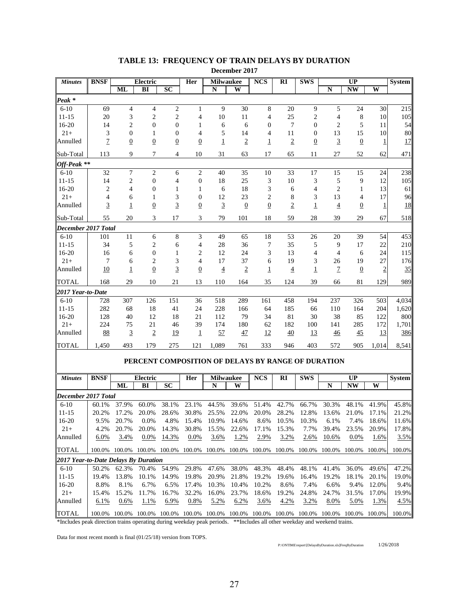| <b>Minutes</b>                       | <b>BNSF</b><br><b>Electric</b> |                             |                                                    | Her            | <b>Milwaukee</b> |                       | <b>NCS</b>     | $\overline{\text{RI}}$ | <b>SWS</b>      |                | $\overline{\mathbf{UP}}$ |                 | <b>System</b>           |               |
|--------------------------------------|--------------------------------|-----------------------------|----------------------------------------------------|----------------|------------------|-----------------------|----------------|------------------------|-----------------|----------------|--------------------------|-----------------|-------------------------|---------------|
|                                      |                                | ML                          | BI                                                 | <b>SC</b>      |                  | N                     | W              |                        |                 |                | N                        | <b>NW</b>       | W                       |               |
| Peak <sup>*</sup>                    |                                |                             |                                                    |                |                  |                       |                |                        |                 |                |                          |                 |                         |               |
| $6 - 10$                             | 69                             | 4                           | $\overline{4}$                                     | $\mathfrak{2}$ | $\mathbf{1}$     | 9                     | 30             | $\,8\,$                | 20              | 9              | 5                        | 24              | 30                      | 215           |
| $11 - 15$                            | 20                             | 3                           | $\sqrt{2}$                                         | $\mathfrak{2}$ | 4                | 10                    | 11             | 4                      | 25              | $\mathfrak{2}$ | $\overline{4}$           | 8               | 10                      | 105           |
| $16-20$                              | 14                             | $\overline{c}$              | $\mathbf{0}$                                       | $\overline{0}$ | 1                | 6                     | 6              | $\theta$               | $7\phantom{.0}$ | $\overline{0}$ | $\overline{c}$           | 5               | 11                      | 54            |
| $21+$                                | 3                              | $\overline{0}$              | 1                                                  | $\overline{0}$ | 4                | 5                     | 14             | 4                      | 11              | $\overline{0}$ | 13                       | 15              | 10                      | 80            |
| Annulled                             | $\overline{1}$                 | $\overline{0}$              | $\overline{0}$                                     | $\overline{0}$ | $\overline{0}$   | $\overline{1}$        | $\overline{2}$ | 1                      | $\overline{2}$  | $\overline{0}$ | $\overline{3}$           | $\overline{0}$  | 1                       | 17            |
| Sub-Total                            | 113                            | 9                           | 7                                                  | 4              | 10               | 31                    | 63             | 17                     | 65              | 11             | 27                       | 52              | 62                      | 471           |
| Off-Peak **                          |                                |                             |                                                    |                |                  |                       |                |                        |                 |                |                          |                 |                         |               |
| $6 - 10$                             | 32                             | 7                           | $\sqrt{2}$                                         | 6              | $\mathbf{2}$     | 40                    | 35             | 10                     | 33              | 17             | 15                       | 15              | 24                      | 238           |
| $11 - 15$                            | 14                             | 2                           | $\mathbf{0}$                                       | 4              | $\boldsymbol{0}$ | 18                    | 25             | 3                      | 10              | 3              | 5                        | 9               | 12                      | 105           |
| $16-20$                              | $\overline{c}$                 | $\overline{4}$              | $\mathbf{0}$                                       | 1              | 1                | 6                     | 18             | 3                      | 6               | 4              | $\overline{c}$           | 1               | 13                      | 61            |
| $21+$                                | 4                              | 6                           | 1                                                  | 3              | 0                | 12                    | 23             | 2                      | 8               | 3              | 13                       | $\overline{4}$  | 17                      | 96            |
| Annulled                             | 3                              | 1                           | $\overline{0}$                                     | $\overline{3}$ | $\overline{0}$   | $\overline{3}$        | $\overline{0}$ | $\overline{0}$         | $\overline{2}$  | 1              | $\overline{4}$           | $\overline{0}$  | 1                       | 18            |
| Sub-Total                            | 55                             | 20                          | 3                                                  | 17             | 3                | 79                    | 101            | 18                     | 59              | 28             | 39                       | 29              | 67                      | 518           |
| December 2017 Total                  |                                |                             |                                                    |                |                  |                       |                |                        |                 |                |                          |                 |                         |               |
| $6-10$                               | 101                            | 11                          | 6                                                  | 8              | 3                | 49                    | 65             | 18                     | 53              | 26             | 20                       | 39              | 54                      | 453           |
| $11 - 15$                            | 34                             | 5                           | $\mathfrak{2}$                                     | 6              | 4                | 28                    | 36             | 7                      | 35              | 5              | 9                        | 17              | 22                      | 210           |
| $16-20$                              | 16                             | 6                           | $\mathbf{0}$                                       | 1              | 2                | 12                    | 24             | 3                      | 13              | 4              | $\overline{4}$           | 6               | 24                      | 115           |
| $21+$                                | 7                              | 6                           | $\overline{2}$                                     | 3              | 4                | 17                    | 37             | 6                      | 19              | 3              | 26                       | 19              | 27                      | 176           |
| Annulled                             | 10                             | $\overline{1}$              | $\underline{0}$                                    | $\overline{3}$ | $\overline{0}$   | $\overline{4}$        | $\overline{2}$ | $\overline{1}$         | $\overline{4}$  | $\overline{1}$ | $\overline{1}$           | $\overline{0}$  | $\overline{\mathbf{c}}$ | 35            |
| <b>TOTAL</b>                         | 168                            | 29                          | 10                                                 | 21             | 13               | 110                   | 164            | 35                     | 124             | 39             | 66                       | 81              | 129                     | 989           |
| 2017 Year-to-Date                    |                                |                             |                                                    |                |                  |                       |                |                        |                 |                |                          |                 |                         |               |
| $6 - 10$                             | 728                            | 307                         | 126                                                | 151            | 36               | 518                   | 289            | 161                    | 458             | 194            | 237                      | 326             | 503                     | 4,034         |
| $11 - 15$                            | 282                            | 68                          | 18                                                 | 41             | 24               | 228                   | 166            | 64                     | 185             | 66             | 110                      | 164             | 204                     | 1,620         |
| $16 - 20$                            | 128                            | 40                          | 12                                                 | 18             | 21               | 112                   | 79             | 34                     | 81              | 30             | 38                       | 85              | 122                     | 800           |
| $21+$                                | 224                            | 75                          | 21                                                 | 46             | 39               | 174                   | 180            | 62                     | 182             | 100            | 141                      | 285             | 172                     | 1,701         |
| Annulled                             | 88                             | $\overline{3}$              | $\sqrt{2}$                                         | <u>19</u>      | $\overline{1}$   | 57                    | 47             | 12                     | 40              | <u>13</u>      | $\frac{46}{5}$           | 45              | 13                      | 386           |
| <b>TOTAL</b>                         | 1,450                          | 493                         | 179                                                | 275            | 121              | 1,089                 | 761            | 333                    | 946             | 403            | 572                      | 905             | 1,014                   | 8,541         |
|                                      |                                |                             | PERCENT COMPOSITION OF DELAYS BY RANGE OF DURATION |                |                  |                       |                |                        |                 |                |                          |                 |                         |               |
|                                      |                                |                             |                                                    |                |                  |                       |                |                        |                 |                |                          |                 |                         |               |
| <b>Minutes</b>                       | <b>BNSF</b>                    | ML                          | <b>Electric</b><br>BI                              | <b>SC</b>      | Her              | <b>Milwaukee</b><br>N | W              | <b>NCS</b>             | RI              | <b>SWS</b>     | N                        | UP<br><b>NW</b> | W                       | <b>System</b> |
| December 2017 Total                  |                                |                             |                                                    |                |                  |                       |                |                        |                 |                |                          |                 |                         |               |
| $6-10$                               | 60.1%                          | 37.9%                       | 60.0%                                              | 38.1%          | 23.1%            | 44.5%                 | 39.6%          | 51.4%                  | 42.7%           | 66.7%          | 30.3%                    | 48.1%           | 41.9%                   | 45.8%         |
| $11 - 15$                            | 20.2%                          | 17.2%                       | 20.0%                                              | 28.6%          | 30.8%            | 25.5%                 | 22.0%          | 20.0%                  | 28.2%           | 12.8%          | 13.6%                    | 21.0%           | 17.1%                   | 21.2%         |
| $16-20$                              | 9.5%                           | 20.7%                       | 0.0%                                               | 4.8%           | 15.4%            | 10.9%                 | 14.6%          | 8.6%                   | 10.5%           | 10.3%          | 6.1%                     | 7.4%            | 18.6%                   | 11.6%         |
| $21+$                                | 4.2%                           | 20.7%                       | 20.0%                                              | 14.3%          | 30.8%            | 15.5%                 | 22.6%          | 17.1%                  | 15.3%           | 7.7%           | 39.4%                    | 23.5%           | 20.9%                   | 17.8%         |
| Annulled                             | 6.0%                           | 3.4%                        | 0.0%                                               | 14.3%          | 0.0%             | 3.6%                  | 1.2%           | 2.9%                   | 3.2%            | 2.6%           | 10.6%                    | 0.0%            | 1.6%                    | 3.5%          |
| <b>TOTAL</b>                         |                                | 100.0% 100.0% 100.0% 100.0% |                                                    |                | 100.0%           | 100.0%                |                | 100.0% 100.0%          | 100.0%          |                | 100.0% 100.0%            | 100.0% 100.0%   |                         | 100.0%        |
| 2017 Year-to-Date Delays By Duration |                                |                             |                                                    |                |                  |                       |                |                        |                 |                |                          |                 |                         |               |
| $6-10$                               | 50.2%                          | 62.3%                       | 70.4%                                              | 54.9%          | 29.8%            | 47.6%                 | 38.0%          | 48.3%                  | 48.4%           | 48.1%          | 41.4%                    | 36.0%           | 49.6%                   | 47.2%         |
| $11 - 15$                            | 19.4%                          | 13.8%                       | 10.1%                                              | 14.9%          | 19.8%            | 20.9%                 | 21.8%          | 19.2%                  | 19.6%           | 16.4%          | 19.2%                    | 18.1%           | 20.1%                   | 19.0%         |
| 16-20                                | 8.8%                           | 8.1%                        | 6.7%                                               | 6.5%           | 17.4%            | 10.3%                 | 10.4%          | 10.2%                  | 8.6%            | 7.4%           | 6.6%                     | 9.4%            | 12.0%                   | 9.4%          |
| $21+$                                | 15.4%                          | 15.2%                       | 11.7%                                              | 16.7%          | 32.2%            | 16.0%                 | 23.7%          | 18.6%                  | 19.2%           | 24.8%          | 24.7%                    | 31.5%           | 17.0%                   | 19.9%         |
| Annulled                             | 6.1%                           | 0.6%                        | 1.1%                                               | 6.9%           | 0.8%             | 5.2%                  | 6.2%           | 3.6%                   | 4.2%            | 3.2%           | 8.0%                     | 5.0%            | 1.3%                    | 4.5%          |
| <b>TOTAL</b>                         | 100.0%                         | 100.0%                      | 100.0%                                             | 100.0%         | 100.0%           | 100.0%                | 100.0%         | 100.0%                 | 100.0%          | 100.0%         | 100.0%                   | 100.0%          | 100.0%                  | 100.0%        |

# **TABLE 13: FREQUENCY OF TRAIN DELAYS BY DURATION**

**December 2017**

\*Includes peak direction trains operating during weekday peak periods. \*\*Includes all other weekday and weekend trains.

Data for most recent month is final (01/25/18) version from TOPS.

P:\ONTIME\report\[DelaysByDuration.xls]FreqByDuration 1/26/2018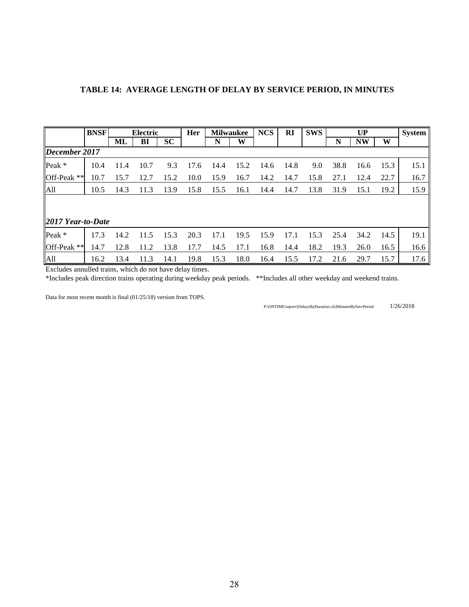|                   | <b>BNSF</b> |      | Electric |           | Her  | <b>Milwaukee</b> |      | <b>NCS</b> | <b>RI</b> | <b>SWS</b> |      | UP        |      | System |
|-------------------|-------------|------|----------|-----------|------|------------------|------|------------|-----------|------------|------|-----------|------|--------|
|                   |             | ML   | BI       | <b>SC</b> |      | N                | W    |            |           |            | N    | <b>NW</b> | W    |        |
| December 2017     |             |      |          |           |      |                  |      |            |           |            |      |           |      |        |
| Peak *            | 10.4        | 11.4 | 10.7     | 9.3       | 17.6 | 14.4             | 15.2 | 14.6       | 14.8      | 9.0        | 38.8 | 16.6      | 15.3 | 15.1   |
| Off-Peak **       | 10.7        | 15.7 | 12.7     | 15.2      | 10.0 | 15.9             | 16.7 | 14.2       | 14.7      | 15.8       | 27.1 | 12.4      | 22.7 | 16.7   |
| All               | 10.5        | 14.3 | 11.3     | 13.9      | 15.8 | 15.5             | 16.1 | 14.4       | 14.7      | 13.8       | 31.9 | 15.1      | 19.2 | 15.9   |
|                   |             |      |          |           |      |                  |      |            |           |            |      |           |      |        |
|                   |             |      |          |           |      |                  |      |            |           |            |      |           |      |        |
| 2017 Year-to-Date |             |      |          |           |      |                  |      |            |           |            |      |           |      |        |
| Peak *            | 17.3        | 14.2 | 11.5     | 15.3      | 20.3 | 17.1             | 19.5 | 15.9       | 17.1      | 15.3       | 25.4 | 34.2      | 14.5 | 19.1   |
| Off-Peak **       | 14.7        | 12.8 | 11.2     | 13.8      | 17.7 | 14.5             | 17.1 | 16.8       | 14.4      | 18.2       | 19.3 | 26.0      | 16.5 | 16.6   |
| All               | 16.2        | 13.4 | 11.3     | 14.1      | 19.8 | 15.3             | 18.0 | 16.4       | 15.5      | 17.2       | 21.6 | 29.7      | 15.7 | 17.6   |

Excludes annulled trains, which do not have delay times.

\*Includes peak direction trains operating during weekday peak periods. \*\*Includes all other weekday and weekend trains.

Data for most recent month is final (01/25/18) version from TOPS.

 $\text{P:} \text{ONTIME} \text{ (PelaysByDuration.xls]} \text{MinutesBy} \text{ServPeriod} \textcolor{red}{}\text{1/26/2018}$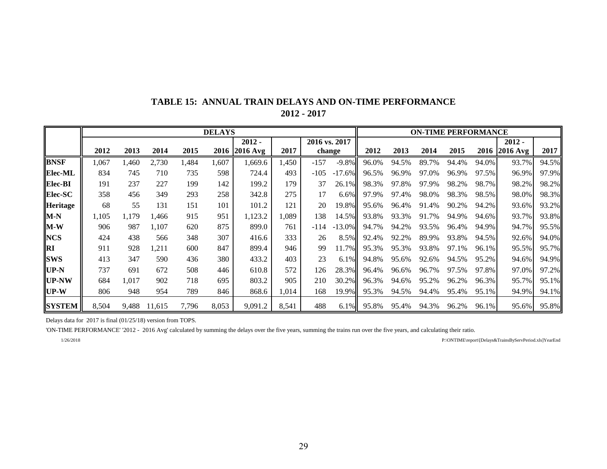|                 |       |       |        |       | <b>DELAYS</b> |            |       |        |               |       |       |       | <b>ON-TIME PERFORMANCE</b> |       |               |       |
|-----------------|-------|-------|--------|-------|---------------|------------|-------|--------|---------------|-------|-------|-------|----------------------------|-------|---------------|-------|
|                 |       |       |        |       |               | $2012 -$   |       |        | 2016 vs. 2017 |       |       |       |                            |       | $2012 -$      |       |
|                 | 2012  | 2013  | 2014   | 2015  | 2016          | $2016$ Avg | 2017  | change |               | 2012  | 2013  | 2014  | 2015                       |       | 2016 2016 Avg | 2017  |
| <b>BNSF</b>     | 1.067 | .460  | 2,730  | 1,484 | .607          | .669.6     | 1,450 | $-157$ | $-9.8%$       | 96.0% | 94.5% | 89.7% | 94.4%                      | 94.0% | 93.7%         | 94.5% |
| <b>Elec-ML</b>  | 834   | 745   | 710    | 735   | 598           | 724.4      | 493   | $-105$ | $-17.6%$      | 96.5% | 96.9% | 97.0% | 96.9%                      | 97.5% | 96.9%         | 97.9% |
| Elec-BI         | 191   | 237   | 227    | 199   | 142           | 199.2      | 179   | 37     | 26.1%         | 98.3% | 97.8% | 97.9% | 98.2%                      | 98.7% | 98.2%         | 98.2% |
| Elec-SC         | 358   | 456   | 349    | 293   | 258           | 342.8      | 275   | 17     | 6.6%          | 97.9% | 97.4% | 98.0% | 98.3%                      | 98.5% | 98.0%         | 98.3% |
| <b>Heritage</b> | 68    | 55    | 131    | 151   | 101           | 101.2      | 121   | 20     | 19.8%         | 95.6% | 96.4% | 91.4% | 90.2%                      | 94.2% | 93.6%         | 93.2% |
| $M-N$           | 1,105 | 1.179 | 1,466  | 915   | 951           | 1,123.2    | 1,089 | 138    | 14.5%         | 93.8% | 93.3% | 91.7% | 94.9%                      | 94.6% | 93.7%         | 93.8% |
| $M-W$           | 906   | 987   | 1,107  | 620   | 875           | 899.0      | 761   | $-114$ | $-13.0\%$     | 94.7% | 94.2% | 93.5% | 96.4%                      | 94.9% | 94.7%         | 95.5% |
| <b>NCS</b>      | 424   | 438   | 566    | 348   | 307           | 416.6      | 333   | 26     | 8.5%          | 92.4% | 92.2% | 89.9% | 93.8%                      | 94.5% | 92.6%         | 94.0% |
| RI              | 911   | 928   | 1,211  | 600   | 847           | 899.4      | 946   | 99     | 11.7%         | 95.3% | 95.3% | 93.8% | 97.1%                      | 96.1% | 95.5%         | 95.7% |
| <b>SWS</b>      | 413   | 347   | 590    | 436   | 380           | 433.2      | 403   | 23     | 6.1%          | 94.8% | 95.6% | 92.6% | 94.5%                      | 95.2% | 94.6%         | 94.9% |
| <b>UP-N</b>     | 737   | 691   | 672    | 508   | 446           | 610.8      | 572   | 126    | 28.3%         | 96.4% | 96.6% | 96.7% | 97.5%                      | 97.8% | 97.0%         | 97.2% |
| <b>UP-NW</b>    | 684   | 1.017 | 902    | 718   | 695           | 803.2      | 905   | 210    | 30.2%         | 96.3% | 94.6% | 95.2% | 96.2%                      | 96.3% | 95.7%         | 95.1% |
| <b>UP-W</b>     | 806   | 948   | 954    | 789   | 846           | 868.6      | 1,014 | 168    | 19.9%         | 95.3% | 94.5% | 94.4% | 95.4%                      | 95.1% | 94.9%         | 94.1% |
| <b>SYSTEM</b>   | 8,504 | 9,488 | 11,615 | 7,796 | 8,053         | 9,091.2    | 8,541 | 488    | 6.1%          | 95.8% | 95.4% | 94.3% | 96.2%                      | 96.1% | 95.6%         | 95.8% |

#### **TABLE 15: ANNUAL TRAIN DELAYS AND ON-TIME PERFORMANCE 2012 - 2017**

Delays data for 2017 is final (01/25/18) version from TOPS.

'ON-TIME PERFORMANCE' '2012 - 2016 Avg' calculated by summing the delays over the five years, summing the trains run over the five years, and calculating their ratio.

1/26/2018

P:\ONTIME\report\[Delays&TrainsByServPeriod.xls]YearEnd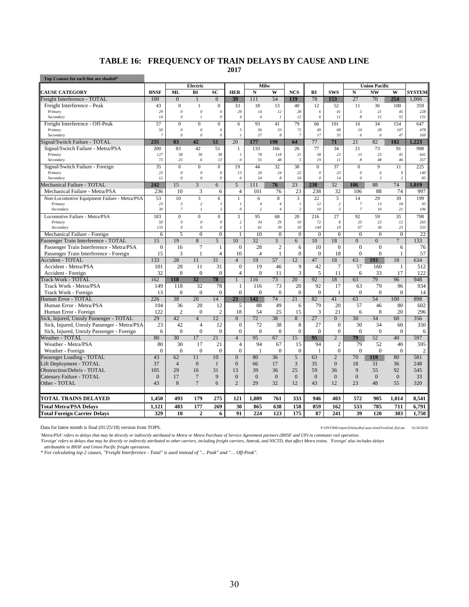#### **TABLE 16: FREQUENCY OF TRAIN DELAYS BY CAUSE AND LINE**

**2017**

| Top 2 causes for each line are shaded*                  |                 |                            |                                           |                          |                                  |                      |                     |                       |                       |                 |                      |                      |                      |                |
|---------------------------------------------------------|-----------------|----------------------------|-------------------------------------------|--------------------------|----------------------------------|----------------------|---------------------|-----------------------|-----------------------|-----------------|----------------------|----------------------|----------------------|----------------|
|                                                         |                 |                            | <b>Electric</b>                           |                          |                                  | Milw                 |                     |                       |                       |                 |                      | <b>Union Pacific</b> |                      |                |
| <b>CAUSE CATEGORY</b>                                   | <b>BNSF</b>     | <b>ML</b>                  | BI                                        | SC                       | <b>HER</b>                       | $\mathbf N$          | W                   | <b>NCS</b>            | RI                    | <b>SWS</b>      | ${\bf N}$            | <b>NW</b>            | W                    | <b>SYSTEM</b>  |
| Freight Interference - TOTAL                            | 100             | $\overline{0}$             | $\overline{1}$                            | $\overline{0}$           | 39                               | 111                  | 54                  | 119                   | 78                    | 153             | 27                   | 70                   | 254                  | 1.006          |
| Freight Interference - Peak                             | 43              | $\Omega$<br>$\theta$       | $\mathbf{1}$                              | $\mathbf{0}$<br>$\theta$ | 33<br>29                         | 18                   | 13                  | 40                    | 12<br>6               | 52<br>41        | 11                   | 36                   | 100<br>45            | 359            |
| Primary<br>Secondary                                    | 29<br>14        | $\boldsymbol{\mathit{0}}$  | $\boldsymbol{\mathit{0}}$<br>$\mathbf{I}$ | $\boldsymbol{0}$         | $\sqrt{4}$                       | 14<br>$\overline{4}$ | 12<br>$\mathbf{I}$  | 28<br>12              | 6                     | 11              | $\mathfrak{Z}$<br>8  | 21<br>15             | 55                   | 228<br>131     |
| Freight Interference - Off-Peak                         | 57              | $\overline{0}$             | $\overline{0}$                            | $\mathbf{0}$             | 6                                | 93                   | 41                  | 79                    | 66                    | 101             | 16                   | 34                   | 154                  | 647            |
| Primary                                                 | 50              | $\theta$                   | $\boldsymbol{\mathit{0}}$                 | $\theta$                 | 5                                | 56                   | 33                  | 72                    | 49                    | 68              | 10                   | 28                   | 107                  | 478            |
| Secondary                                               | $\overline{7}$  | $\theta$                   | $\theta$                                  | $\boldsymbol{0}$         | $\mathbf{I}$                     | 37                   | 8                   | $\overline{7}$        | 17                    | 33              | 6                    | 6                    | 47                   | 169            |
| Signal/Switch Failure - TOTAL                           | 235             | 83                         | 42                                        | 51                       | 20                               | 177                  | 198                 | 64                    | 77                    | 71              | 21                   | 82                   | 102                  | 1.223          |
| Signal/Switch Failure - Metra/PSA                       | 200             | 83                         | 42                                        | 51                       | $\mathbf{1}$                     | 133                  | 166                 | 26                    | 77                    | 34              | 21                   | 73                   | 91                   | 998            |
| Primary                                                 | 127             | 58                         | 36                                        | 38                       | $\overline{I}$                   | 78                   | 118                 | 21                    | 58                    | 23              | 13                   | 25                   | 45                   | 641            |
| Secondary                                               | 73              | 25                         | 6                                         | 13                       | $\theta$                         | 55                   | 48                  | 5                     | 19                    | 11              | 8                    | 48                   | 46                   | 357            |
| Signal/Switch Failure - Foreign                         | 35              | $\theta$                   | $\overline{0}$                            | $\overline{0}$           | 19                               | 44                   | 32                  | 38                    | $\overline{0}$        | 37              | $\Omega$             | 9                    | 11                   | 225            |
| Primary                                                 | 23              | $\theta$<br>$\mathfrak{o}$ | 0                                         | $\mathcal{O}$            | 13                               | 20<br>24             | 24                  | 22                    | $\boldsymbol{\theta}$ | 23              | $\theta$<br>$\theta$ | 6                    | 9<br>$\overline{c}$  | 140            |
| Secondary                                               | 12              |                            | $\theta$                                  | $\boldsymbol{\theta}$    | 6                                |                      | 8                   | 16                    | $\boldsymbol{\theta}$ | 14              |                      | $\mathfrak{Z}$       |                      | 85             |
| Mechanical Failure - TOTAL                              | 242             | 15                         | $\overline{3}$                            | $\overline{6}$           | $\overline{5}$                   | 111                  | 76                  | 23                    | 238<br>238            | 32              | 106<br>106           | 88                   | 74                   | 1.019          |
| Mechanical Failure - Metra/PSA                          | 236             | 10                         | 3                                         | 6                        | $\overline{4}$                   | 101                  | 76                  | 23                    |                       | 32              |                      | 88                   | 74                   | 997            |
| Non-Locomotive Equipment Failure - Metra/PSA<br>Primary | 53<br>23        | 10<br>$\boldsymbol{\beta}$ | 3<br>$\sqrt{2}$                           | 6<br>$\mathfrak{Z}$      | $\mathbf{1}$<br>$\boldsymbol{l}$ | 6<br>$\overline{4}$  | 8<br>$\overline{4}$ | 3<br>$\boldsymbol{l}$ | 22<br>12              | 5<br>$\sqrt{2}$ | 14<br>$\overline{7}$ | 29<br>13             | 39<br>18             | 199<br>93      |
| Secondary                                               | 30              | $\overline{\mathcal{I}}$   | $\mathcal{I}_{\mathcal{I}}$               | $\mathfrak{z}$           | $\boldsymbol{\theta}$            | $\sqrt{2}$           | $\overline{4}$      | $\overline{c}$        | 10                    | $\mathfrak{Z}$  | $\overline{7}$       | 16                   | 21                   | 106            |
| Locomotive Failure - Metra/PSA                          | 183             | $\theta$                   | $\overline{0}$                            | $\overline{0}$           | $\overline{3}$                   | 95                   | 68                  | 20                    | 216                   | 27              | 92                   | 59                   | 35                   | 798            |
| Primary                                                 | 50              | $\theta$                   | 0                                         | $\theta$                 | $\overline{c}$                   | 34                   | 29                  | 10                    | 72                    | 8               | 25                   | 23                   | 12                   | 265            |
| Secondary                                               | 133             | $\theta$                   | $\theta$                                  | $\theta$                 | $\mathcal{I}$                    | 61                   | 39                  | 10                    | 144                   | 19              | 67                   | 36                   | 23                   | 533            |
| Mechanical Failure - Foreign                            | 6               | 5                          | $\mathbf{0}$                              | $\overline{0}$           | 1                                | 10                   | $\overline{0}$      | $\overline{0}$        | $\overline{0}$        | $\mathbf{0}$    | $\theta$             | $\mathbf{0}$         | $\overline{0}$       | 22             |
| Passenger Train Interference - TOTAL                    | $\overline{15}$ | 19                         | $\overline{8}$                            | 5                        | 10                               | 32                   | $\overline{3}$      | 6                     | 10                    | 18              | $\overline{0}$       | $\overline{0}$       | $\overline{7}$       | 133            |
| Passenger Train Interference - Metra/PSA                | $\theta$        | 16                         | $\overline{7}$                            | $\mathbf{1}$             | $\Omega$                         | 28                   | $\overline{c}$      | 6                     | 10                    | $\mathbf{0}$    | $\theta$             | $\theta$             | 6                    | 76             |
| Passenger Train Interference - Foreign                  | 15              | 3                          | $\mathbf{1}$                              | $\overline{4}$           | 10                               | $\overline{4}$       | $\mathbf{1}$        | $\overline{0}$        | $\Omega$              | 18              | $\mathbf{0}$         | $\theta$             | 1                    | 57             |
| Accident - TOTAL                                        | 133             | 28                         | 11                                        | 31                       | $\overline{4}$                   | 19                   | 57                  | 12                    | 47                    | 18              | 63                   | 193                  | 18                   | 634            |
| Accident - Metra/PSA                                    | 101             | 28                         | 11                                        | 31                       | $\mathbf{0}$                     | 19                   | 46                  | 9                     | 42                    | $\overline{7}$  | 57                   | 160                  | 1                    | 512            |
| Accident - Foreign                                      | 32              | $\theta$                   | $\Omega$                                  | $\mathbf{0}$             | $\overline{4}$                   | $\Omega$             | 11                  | 3                     | 5                     | 11              | 6                    | 33                   | 17                   | 122            |
| <b>Track Work - TOTAL</b>                               | 162             | 118                        | 32                                        | 78                       | $\mathbf{1}$                     | 116                  | 73                  | 20                    | 92                    | 18              | 63                   | 79                   | 96                   | 948            |
| Track Work - Metra/PSA                                  | 149             | 118                        | 32                                        | 78                       | $\mathbf{1}$                     | 116                  | 73                  | 20                    | 92                    | 17              | 63                   | 79                   | 96                   | 934            |
| Track Work - Foreign                                    | 13              | $\overline{0}$             | $\mathbf{0}$                              | $\overline{0}$           | $\mathbf{0}$                     | $\mathbf{0}$         | $\overline{0}$      | $\overline{0}$        | $\mathbf{0}$          | $\mathbf{1}$    | $\overline{0}$       | $\mathbf{0}$         | $\mathbf{0}$         | 14             |
| <b>Juman Error - TOTAL</b>                              | 226             | 38                         | 20                                        | 14                       | 23                               | 142                  | 74                  | 21                    | 82                    | 41              | 63                   | 54                   | 100                  | 898            |
| Human Error - Metra/PSA                                 | 104             | 36                         | 20                                        | 12                       | 5                                | 88                   | 49                  | 6                     | 79                    | 20              | 57                   | 46                   | 80                   | 602            |
| Human Error - Foreign                                   | 122             | $\overline{2}$             | $\mathbf{0}$                              | $\overline{2}$           | 18                               | 54                   | 25                  | 15                    | 3                     | 21              | 6                    | 8                    | 20                   | 296            |
| Sick, Injured, Unruly Passenger - TOTAL                 | 29              | 42                         | $\overline{4}$                            | 12                       | $\overline{0}$                   | 72                   | 38                  | 8                     | 27                    | $\overline{0}$  | 30                   | 34                   | 60                   | 356            |
| Sick, Injured, Unruly Passenger - Metra/PSA             | 23              | 42                         | $\overline{4}$                            | 12                       | $\mathbf{0}$                     | 72                   | 38                  | 8                     | 27                    | $\mathbf{0}$    | 30                   | 34                   | 60                   | 350            |
| Sick, Injured, Unruly Passenger - Foreign               | 6               | $\theta$                   | $\mathbf{0}$                              | $\overline{0}$           | $\overline{0}$                   | $\overline{0}$       | $\theta$            | $\Omega$              | $\mathbf{0}$          | $\mathbf{0}$    | $\Omega$             | $\Omega$             | $\Omega$             | 6              |
| <b>Neather - TOTAL</b>                                  | 80              | 30                         | 17                                        | 21                       | $\overline{4}$                   | 95                   | 67                  | 15                    | 95                    | $\overline{2}$  | 79                   | 52                   | 40                   | 597            |
| Weather - Metra/PSA                                     | 80              | 30                         | 17                                        | 21                       | $\overline{4}$                   | 94                   | 67                  | 15                    | 94                    | $\overline{c}$  | 79                   | 52                   | 40                   | 595            |
| Weather - Foreign                                       | $\theta$        | $\theta$                   | $\overline{0}$                            | $\overline{0}$           | $\overline{0}$                   | $\mathbf{1}$         | $\overline{0}$      | $\Omega$              | $\mathbf{1}$          | $\overline{0}$  | $\Omega$             | $\mathbf{0}$         | $\Omega$             | $\overline{2}$ |
| Passenger Loading - TOTAL                               | 43              | 62                         | $\overline{11}$                           | 10                       | $\overline{0}$                   | 80                   | 36                  | 5                     | 63                    | $\overline{2}$  | 70                   | 119                  | 80                   | 581            |
| Lift Deployment - TOTAL                                 | 37              | $\overline{4}$<br>29       | $\boldsymbol{0}$                          | $\mathbf{1}$<br>31       | $\overline{0}$                   | 66                   | 17                  | 3                     | 35<br>59              | $\overline{0}$  | 18<br>9              | 31                   | 36                   | 248            |
| Obstruction/Debris - TOTAL                              | 105<br>$\theta$ | 17                         | 16<br>$\overline{7}$                      | 9                        | 13<br>$\theta$                   | 39<br>$\theta$       | 36<br>$\Omega$      | 25<br>$\Omega$        |                       | 36<br>$\Omega$  | $\overline{0}$       | 55<br>$\overline{0}$ | 92<br>$\overline{0}$ | 545            |
| Catenary Failure - TOTAL                                | 43              | 8                          | $7\phantom{.0}$                           | 6                        | $\overline{2}$                   | 29                   | 32                  | 12                    | $\mathbf{0}$<br>43    | 12              | 23                   | 48                   | 55                   | 33<br>320      |
| Other - TOTAL                                           |                 |                            |                                           |                          |                                  |                      |                     |                       |                       |                 |                      |                      |                      |                |
| TOTAL TRAINS DELAYED                                    | 1.450           | 493                        | 179                                       | 275                      | 121                              | 1.089                | 761                 | 333                   | 946                   | 403             | 572                  | 905                  | 1,014                | 8,541          |
| <b>Total Metra/PSA Delays</b>                           | 1,121           | 483                        | 177                                       | 269                      | 30                               | 865                  | 638                 | 158                   | 859                   | 162             | 533                  | 785                  | 711                  | 6,791          |
| <b>Total Foreign Carrier Delays</b>                     | 329             | 10                         | $\overline{2}$                            | 6                        | 91                               | 224                  | 123                 | 175                   | 87                    | 241             | 39                   | 120                  | 303                  | 1,750          |

Data for latest month is final (01/25/18) version from TOPS. P:\ONTIME\report\[DelaysByCause.xlsm]YearEnd\_ByLine 01/26/2018

*'Metra/PSA' refers to delays that may be directly or indirectly attributed to Metra or Metra Purchase of Service Agreement partners (BNSF and UP) in commuter rail operation. 'Foreign' refers to delays that may be directly or indirectly attributed to other carriers, including freight carriers, Amtrak, and NICTD, that affect Metra trains. 'Foreign' also includes delays* 

*attributable to BNSF and Union Pacific freight operations. \* For calculating top 2 causes, "Freight Interference - Total" is used instead of "... Peak" and "… Off-Peak".*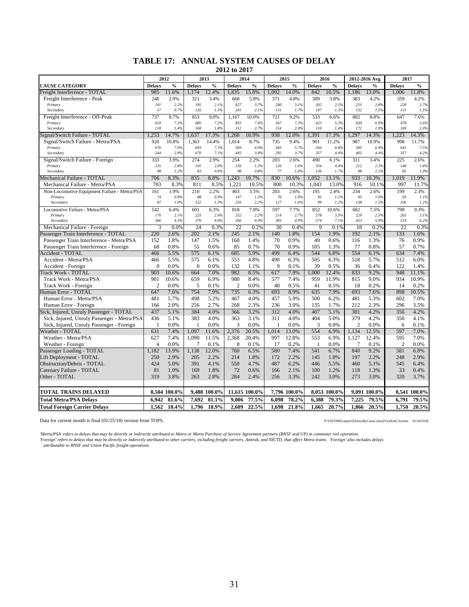#### **TABLE 17: ANNUAL SYSTEM CAUSES OF DELAY 2012 to 2017**

|                                              |                | 2012          |                | 2013         |                | 2014          |               | 2015         |                | 2016         |                | 2012-2016 Avg | 2017           |               |
|----------------------------------------------|----------------|---------------|----------------|--------------|----------------|---------------|---------------|--------------|----------------|--------------|----------------|---------------|----------------|---------------|
| <b>CAUSE CATEGORY</b>                        | <b>Delays</b>  | $\frac{0}{0}$ | <b>Delays</b>  | $\%$         | <b>Delays</b>  | $\frac{0}{0}$ | <b>Delays</b> | $\%$         | <b>Delays</b>  | $\%$         | <b>Delays</b>  | $\frac{0}{0}$ | <b>Delays</b>  | $\frac{0}{0}$ |
| Freight Interference - TOTAL                 | 985            | 11.6%         | 1.174          | 12.4%        | 1,835          | 15.8%         | 1.092         | 14.0%        | 842            | 10.5%        | 1,186          | 13.0%         | 1,006          | 11.8%         |
| Freight Interference - Peak                  | 248            | 2.9%          | 321            | 3.4%         | 668            | 5.8%          | 371           | 4.8%         | 309            | 3.8%         | 383            | 4.2%          | 359            | 4.2%          |
| Primary                                      | 191            | 2.2%          | 195            | 2.1%         | 427            | 3.7%          | 240           | 3.1%         | 202            | 2.5%         | 251            | 2.8%          | 228            | 2.7%          |
| Secondary                                    | 57             | 0.7%          | 126            | 1.3%         | 241            | 2.1%          | 131           | 1.7%         | 107            | 1.3%         | 132            | 1.5%          | 131            | 1.5%          |
| Freight Interference - Off-Peak              | 737            | 8.7%          | 853            | 9.0%         | 1.167          | 10.0%         | 721           | 9.2%         | 533            | 6.6%         | 802            | 8.8%          | 647            | 7.6%          |
| Primary                                      | 619            | 7.3%          | 685            | 7.2%         | 855            | 7.4%          | 567           | 7.3%         | 423            | 5.3%         | 630            | 6.9%          | 478            | 5.6%          |
| Secondary                                    | 118            | 1.49          | 168            | 1.8%         | 312            | 2.7%          | 154           | 2.0%         | 110            | 1.4%         | 172            | 1.9%          | 169            | 2.0%          |
| Signal/Switch Failure - TOTAL                | 1.253          | 14.7%         | 1.637          | 17.3%        | 1.268          | 10.9%         | 938           | 12.0%        | 1.391          | 17.3%        | .297           | 14.3%         | 1.223          | 14.3%         |
| Signal/Switch Failure - Metra/PSA            | 920            | 10.8%         | 1,363          | 14.4%        | 1,014          | 8.7%          | 735           | 9.4%         | 901            | 11.2%        | 987            | 10.9%         | 998            | 11.7%         |
| Primary                                      | 676            | 7.9%          | 693            | 7.3%         | 569            | 4.9%          | 443           | 5.7%         | 544            | 6.8%         | 585            | 6.4%          | 641            | 7.5%          |
| Secondary                                    | 244            | 2.9%          | 670            | 7.1%         | 445            | 3.8%          | 292           | 3.7%         | 357            | 4.4%         | 402            | 4.4%          | 357            | 4.2%          |
| Signal/Switch Failure - Foreign              | 333            | 3.9%          | 274            | 2.9%         | 254            | 2.2%          | 203           | 2.6%         | 490            | 6.1%         | 311            | 3.4%          | 225            | 2.6%          |
| Primary                                      | 235<br>98      | 2.8%<br>1.2%  | 191<br>83      | 2.0%<br>0.9% | 156<br>98      | 1.3%<br>0.8%  | 126<br>77     | 1.6%<br>1.0% | 354<br>136     | 4.4%<br>1.7% | 212<br>98      | 2.3%<br>1.19  | 140<br>85      | 1.6%<br>1.0%  |
| Secondary                                    |                |               |                |              |                |               |               |              |                |              |                |               |                |               |
| Mechanical Failure - TOTAL                   | 706            | 8.3%          | 835            | 8.8%         | 1,243          | 10.7%         | 830           | 10.6%        | 1,052          | 13.1%        | 933            | 10.3%         | 1,019          | 11.9%         |
| Mechanical Failure - Metra/PSA               | 703            | 8.3%          | 811            | 8.5%         | 1,221          | 10.5%         | 800           | 10.3%        | 1,043          | 13.0%        | 916            | 10.1%         | 997            | 11.7%         |
| Non-Locomotive Equipment Failure - Metra/PSA | 161            | 1.9%          | 210            | 2.2%         | 403            | 3.5%          | 203           | 2.6%         | 191            | 2.4%         | 234            | 2.6%          | 199            | 2.3%          |
| Primary<br>Secondary                         | 74<br>87       | 0.9%<br>1.0%  | 88<br>122      | 0.9%<br>1.3% | 147<br>256     | 1.3%<br>2.2%  | 76<br>127     | 1.0%<br>1.6% | 92<br>99       | 1.1%<br>1.2% | 95<br>138      | 1.0%<br>1.5%  | 93<br>106      | 1.1%<br>1.2%  |
| Locomotive Failure - Metra/PSA               | 542            | 6.4%          | 601            | 6.3%         | 818            | 7.0%          | 597           | 7.7%         | 852            | 10.6%        | 682            | 7.5%          | 798            | 9.3%          |
| Primary                                      | 176            | 2.1%          | 225            | 2.4%         | 252            | 2.2%          | 214           | 2.7%         | 278            | 3.5%         | 229            | 2.5%          | 265            | 3.1%          |
| Secondary                                    | 366            | 4.3%          | 376            | 4.0%         | 566            | 4.9%          | 383           | 4.9%         | 574            | 7.1%         | 453            | 5.0%          | 533            | 6.2%          |
| Mechanical Failure - Foreign                 | $\overline{3}$ | 0.0%          | 24             | 0.3%         | 22             | 0.2%          | 30            | 0.4%         | $\overline{Q}$ | 0.1%         | 18             | 0.2%          | 22             | 0.3%          |
| assenger Train Interference - TOTAL          | 220            | 2.6%          | 202            | 2.1%         | 245            | 2.1%          | 140           | 1.8%         | 154            | 1.9%         | 192            | 2.1%          | 133            | 1.6%          |
| Passenger Train Interference - Metra/PSA     | 152            | 1.8%          | 147            | 1.5%         | 160            | 1.4%          | 70            | 0.9%         | 49             | 0.6%         | 116            | 1.3%          | 76             | 0.9%          |
| Passenger Train Interference - Foreign       | 68             | 0.8%          | 55             | 0.6%         | 85             | 0.7%          | 70            | 0.9%         | 105            | 1.3%         | 77             | 0.8%          | 57             | 0.7%          |
| <b>Accident - TOTAL</b>                      | 466            | 5.5%          | 575            | 6.1%         | 685            | 5.9%          | 499           | 6.4%         | 544            | 6.8%         | 554            | 6.1%          | 634            | 7.4%          |
| Accident - Metra/PSA                         | 466            | 5.5%          | 575            | 6.1%         | 553            | 4.8%          | 490           | 6.3%         | 505            | 6.3%         | 518            | 5.7%          | 512            | 6.0%          |
| Accident - Foreign                           | $\theta$       | 0.0%          | $\Omega$       | 0.0%         | 132            | 1.1%          | 9             | 0.1%         | 39             | 0.5%         | 36             | 0.4%          | 122            | 1.4%          |
| <b>Track Work - TOTAL</b>                    | 903            | 10.6%         | 664            | 7.0%         | 982            | 8.5%          | 617           | 7.9%         | 1.000          | 12.4%        | 833            | 9.2%          | 948            | 11.1%         |
| Track Work - Metra/PSA                       | 901            | 10.6%         | 659            | 6.9%         | 980            | 8.4%          | 577           | 7.4%         | 959            | 11.9%        | 815            | 9.0%          | 934            | 10.9%         |
| Track Work - Foreign                         | $\overline{2}$ | 0.0%          | 5              | 0.1%         | $\overline{2}$ | 0.0%          | 40            | 0.5%         | 41             | 0.5%         | 18             | 0.2%          | 14             | 0.2%          |
| Human Error - TOTAL                          | 647            | 7.6%          | 754            | 7.9%         | 735            | 6.3%          | 693           | 8.9%         | 635            | 7.9%         | 693            | 7.6%          | 898            | 10.5%         |
| Human Error - Metra/PSA                      | 481            | 5.7%          | 498            | 5.2%         | 467            | 4.0%          | 457           | 5.9%         | 500            | 6.2%         | 481            | 5.3%          | 602            | 7.0%          |
| Human Error - Foreign                        | 166            | 2.0%          | 256            | 2.7%         | 268            | 2.3%          | 236           | 3.0%         | 135            | 1.7%         | 212            | 2.3%          | 296            | 3.5%          |
| Sick, Injured, Unruly Passenger - TOTAL      | 437            | 5.1%          | 384            | 4.0%         | 366            | 3.2%          | 312           | 4.0%         | 407            | 5.1%         | 381            | 4.2%          | 356            | 4.2%          |
| Sick, Injured, Unruly Passenger - Metra/PSA  | 436            | 5.1%          | 383            | 4.0%         | 363            | 3.1%          | 311           | 4.0%         | 404            | 5.0%         | 379            | 4.2%          | 350            | 4.1%          |
| Sick, Injured, Unruly Passenger - Foreign    | 1              | 0.0%          | $\mathbf{1}$   | 0.0%         | 3              | 0.0%          | $\mathbf{1}$  | 0.0%         | 3              | 0.0%         | $\overline{2}$ | 0.0%          | 6              | 0.1%          |
| <b>Weather - TOTAL</b>                       | 631            | 7.4%          | 1.097          | 11.6%        | 2,376          | 20.5%         | 1.014         | 13.0%        | 554            | 6.9%         | 1.134          | 12.5%         | 597            | 7.0%          |
| Weather - Metra/PSA                          | 627            | 7.4%          | 1,090          | 11.5%        | 2,368          | 20.4%         | 997           | 12.8%        | 553            | 6.9%         | 1,127          | 12.4%         | 595            | 7.0%          |
| Weather - Foreign                            | $\overline{4}$ | 0.0%          | $\overline{7}$ | 0.1%         | 8              | 0.1%          | 17            | 0.2%         | -1             | 0.0%         | 7              | 0.1%          | $\overline{2}$ | 0.0%          |
| Passenger Loading - TOTAL                    | 1,182          | 13.9%         | 1,138          | 12.0%        | 760            | 6.5%          | 580           | 7.4%         | 541            | 6.7%         | 840            | 9.2%          | 581            | 6.8%          |
| Lift Deployment - TOTAL                      | 250            | 2.9%          | 205            | 2.2%         | 214            | 1.8%          | 172           | 2.2%         | 145            | 1.8%         | 197            | 2.2%          | 248            | 2.9%          |
| <b>Obstruction/Debris - TOTAL</b>            | 424            | 5.0%          | 391            | 4.1%         | 550            | 4.7%          | 487           | 6.2%         | 446            | 5.5%         | 460            | 5.1%          | 545            | 6.4%          |
| Catenary Failure - TOTAL                     | 81             | 1.0%          | 169            | 1.8%         | 72             | 0.6%          | 166           | 2.1%         | 100            | 1.2%         | 118            | 1.3%          | 33             | 0.4%          |
| Other - TOTAL                                | 319            | 3.8%          | 263            | 2.8%         | 284            | 2.4%          | 256           | 3.3%         | 242            | 3.0%         | 273            | 3.0%          | 320            | 3.7%          |
|                                              |                |               |                |              |                |               |               |              |                |              |                |               |                |               |
| <b>TOTAL TRAINS DELAYED</b>                  |                | 8,504 100.0%  |                | 9,488 100.0% |                | 11,615 100.0% |               | 7,796 100.0% |                | 8,053 100.0% |                | 9,091 100.0%  |                | 8,541 100.0%  |
| <b>Total Metra/PSA Delays</b>                | 6,942          | 81.6%         | 7,692          | 81.1%        | 9,006          | 77.5%         | 6,098         | 78.2%        | 6,388          | 79.3%        | 7,225          | 79.5%         | 6,791          | 79.5%         |
| <b>Total Foreign Carrier Delays</b>          | 1,562          | 18.4%         | 1,796          | 18.9%        | 2.609          | 22.5%         | 1,698         | 21.8%        | 1,665          | 20.7%        | 1,866          | 20.5%         | 1,750          | 20.5%         |
|                                              |                |               |                |              |                |               |               |              |                |              |                |               |                |               |

Data for current month is final (01/25/18) version from TOPS. P:\ONTIME\report\[DelaysByCause.xlsm]YearEnd\_System 01/26/2018

Metra/PSA' refers to delays that may be directly or indirectly attributed to Metra or Metra Purchase of Service Agreement partners (BNSF and UP) in commuter rail operation.<br>'Foreign' refers to delays that may be directly o